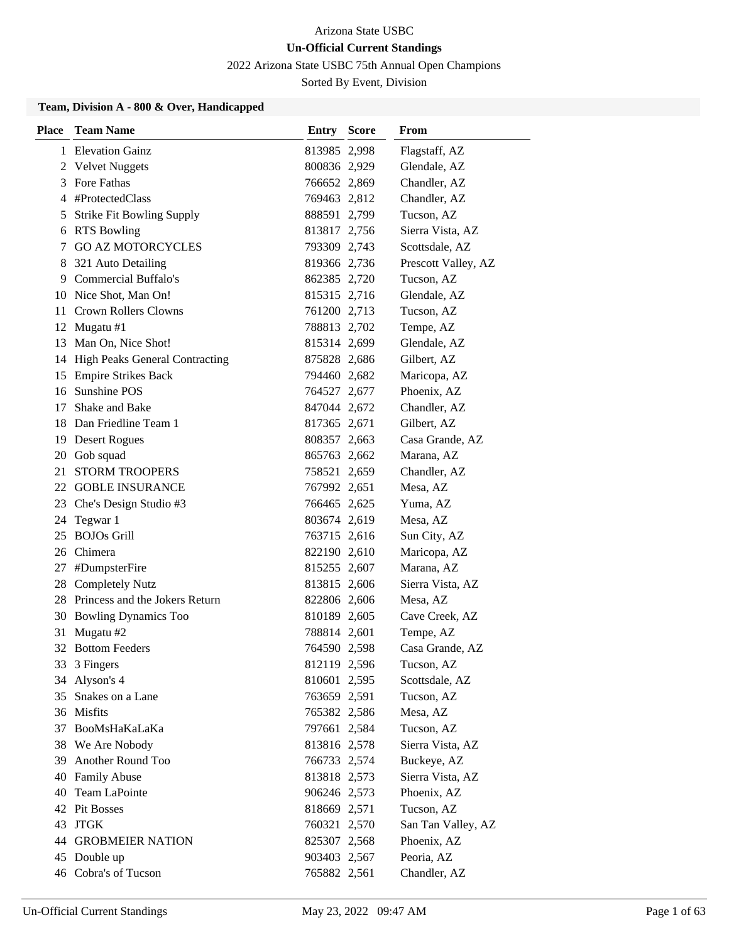2022 Arizona State USBC 75th Annual Open Champions

Sorted By Event, Division

### **Team, Division A - 800 & Over, Handicapped**

| <b>Place</b> | <b>Team Name</b>                 | <b>Entry Score</b> | From                |
|--------------|----------------------------------|--------------------|---------------------|
|              | 1 Elevation Gainz                | 813985 2,998       | Flagstaff, AZ       |
|              | 2 Velvet Nuggets                 | 800836 2,929       | Glendale, AZ        |
| 3            | Fore Fathas                      | 766652 2,869       | Chandler, AZ        |
|              | 4 #ProtectedClass                | 769463 2,812       | Chandler, AZ        |
| 5            | <b>Strike Fit Bowling Supply</b> | 888591 2,799       | Tucson, AZ          |
| 6            | <b>RTS Bowling</b>               | 813817 2,756       | Sierra Vista, AZ    |
| 7            | <b>GO AZ MOTORCYCLES</b>         | 793309 2,743       | Scottsdale, AZ      |
| 8            | 321 Auto Detailing               | 819366 2,736       | Prescott Valley, AZ |
| 9            | <b>Commercial Buffalo's</b>      | 862385 2,720       | Tucson, AZ          |
|              | 10 Nice Shot, Man On!            | 815315 2,716       | Glendale, AZ        |
|              | 11 Crown Rollers Clowns          | 761200 2,713       | Tucson, AZ          |
|              | 12 Mugatu #1                     | 788813 2,702       | Tempe, AZ           |
| 13           | Man On, Nice Shot!               | 815314 2,699       | Glendale, AZ        |
| 14           | High Peaks General Contracting   | 875828 2,686       | Gilbert, AZ         |
| 15           | <b>Empire Strikes Back</b>       | 794460 2,682       | Maricopa, AZ        |
|              | 16 Sunshine POS                  | 764527 2,677       | Phoenix, AZ         |
| 17           | Shake and Bake                   | 847044 2,672       | Chandler, AZ        |
|              | 18 Dan Friedline Team 1          | 817365 2,671       | Gilbert, AZ         |
|              | 19 Desert Rogues                 | 808357 2,663       | Casa Grande, AZ     |
|              | 20 Gob squad                     | 865763 2,662       | Marana, AZ          |
| 21           | <b>STORM TROOPERS</b>            | 758521 2,659       | Chandler, AZ        |
|              | 22 GOBLE INSURANCE               | 767992 2,651       | Mesa, AZ            |
|              | 23 Che's Design Studio #3        | 766465 2,625       | Yuma, AZ            |
|              | 24 Tegwar 1                      | 803674 2,619       | Mesa, AZ            |
| 25           | <b>BOJOs Grill</b>               | 763715 2,616       | Sun City, AZ        |
| 26           | Chimera                          | 822190 2,610       | Maricopa, AZ        |
| 27           | #DumpsterFire                    | 815255 2,607       | Marana, AZ          |
|              | 28 Completely Nutz               | 813815 2,606       | Sierra Vista, AZ    |
| 28           | Princess and the Jokers Return   | 822806 2,606       | Mesa, AZ            |
| 30           | <b>Bowling Dynamics Too</b>      | 810189 2,605       | Cave Creek, AZ      |
| 31           | Mugatu #2                        | 788814 2,601       | Tempe, AZ           |
| 32           | <b>Bottom Feeders</b>            | 764590 2,598       | Casa Grande, AZ     |
| 33           | 3 Fingers                        | 812119 2,596       | Tucson, AZ          |
|              | 34 Alyson's 4                    | 810601 2,595       | Scottsdale, AZ      |
|              | 35 Snakes on a Lane              | 763659 2,591       | Tucson, AZ          |
|              | 36 Misfits                       | 765382 2,586       | Mesa, AZ            |
| 37           | BooMsHaKaLaKa                    | 797661 2,584       | Tucson, AZ          |
| 38           | We Are Nobody                    | 813816 2,578       | Sierra Vista, AZ    |
| 39           | Another Round Too                | 766733 2,574       | Buckeye, AZ         |
| 40           | <b>Family Abuse</b>              | 813818 2,573       | Sierra Vista, AZ    |
| 40           | Team LaPointe                    | 906246 2,573       | Phoenix, AZ         |
|              | 42 Pit Bosses                    | 818669 2,571       | Tucson, AZ          |
| 43           | <b>JTGK</b>                      | 760321 2,570       | San Tan Valley, AZ  |
|              | <b>44 GROBMEIER NATION</b>       | 825307 2,568       | Phoenix, AZ         |
|              | 45 Double up                     | 903403 2,567       | Peoria, AZ          |
|              | 46 Cobra's of Tucson             | 765882 2,561       | Chandler, AZ        |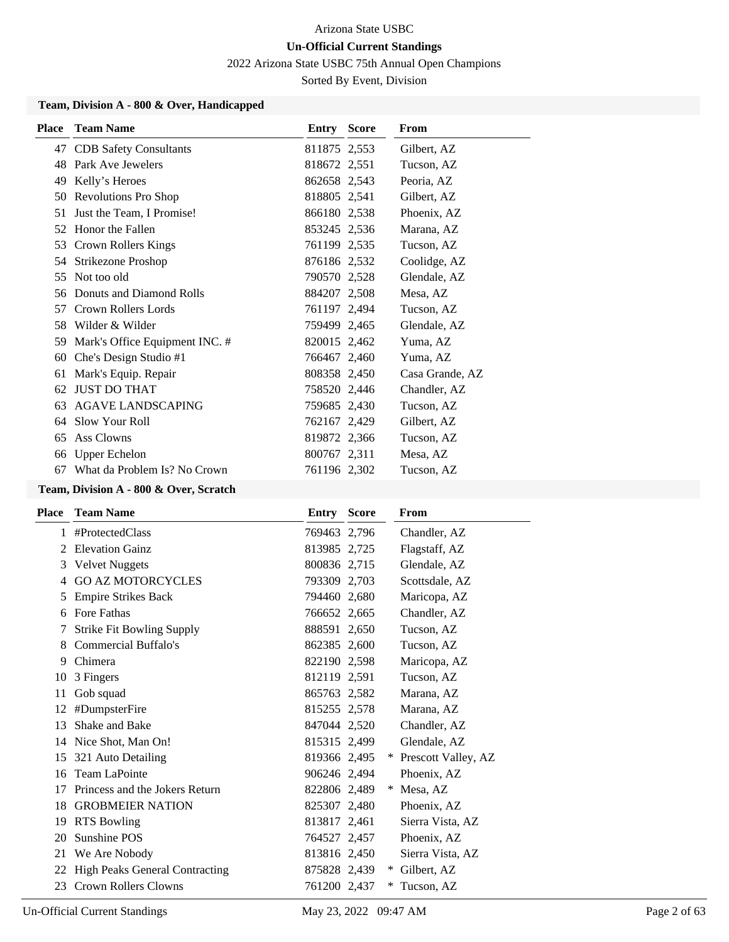2022 Arizona State USBC 75th Annual Open Champions

Sorted By Event, Division

### **Team, Division A - 800 & Over, Handicapped**

| <b>Place</b> | <b>Team Name</b>               | Entry        | <b>Score</b> | <b>From</b>     |
|--------------|--------------------------------|--------------|--------------|-----------------|
| 47           | <b>CDB</b> Safety Consultants  | 811875 2,553 |              | Gilbert, AZ     |
| 48           | Park Ave Jewelers              | 818672 2,551 |              | Tucson, AZ      |
| 49           | Kelly's Heroes                 | 862658 2,543 |              | Peoria, AZ      |
| 50           | Revolutions Pro Shop           | 818805 2,541 |              | Gilbert, AZ     |
| 51           | Just the Team, I Promise!      | 866180 2,538 |              | Phoenix, AZ     |
| 52           | Honor the Fallen               | 853245 2,536 |              | Marana, AZ      |
| 53           | Crown Rollers Kings            | 761199 2,535 |              | Tucson, AZ      |
| 54           | Strikezone Proshop             | 876186 2,532 |              | Coolidge, AZ    |
| 55           | Not too old                    | 790570 2,528 |              | Glendale, AZ    |
| 56           | Donuts and Diamond Rolls       | 884207 2,508 |              | Mesa, AZ        |
| 57           | Crown Rollers Lords            | 761197 2,494 |              | Tucson, AZ      |
| 58           | Wilder & Wilder                | 759499 2,465 |              | Glendale, AZ    |
| 59           | Mark's Office Equipment INC. # | 820015 2,462 |              | Yuma, AZ        |
| 60           | Che's Design Studio #1         | 766467 2,460 |              | Yuma, AZ        |
| 61           | Mark's Equip. Repair           | 808358 2,450 |              | Casa Grande, AZ |
| 62           | <b>JUST DO THAT</b>            | 758520 2,446 |              | Chandler, AZ    |
| 63           | <b>AGAVE LANDSCAPING</b>       | 759685 2,430 |              | Tucson, AZ      |
| 64           | Slow Your Roll                 | 762167 2,429 |              | Gilbert, AZ     |
| 65           | Ass Clowns                     | 819872 2,366 |              | Tucson, AZ      |
| 66           | <b>Upper Echelon</b>           | 800767 2,311 |              | Mesa, AZ        |
| 67           | What da Problem Is? No Crown   | 761196 2,302 |              | Tucson, AZ      |

# **Team, Division A - 800 & Over, Scratch**

| Place         | <b>Team Name</b>                      | Entry        | <b>Score</b> | From                |
|---------------|---------------------------------------|--------------|--------------|---------------------|
| 1             | #ProtectedClass                       | 769463 2,796 |              | Chandler, AZ        |
| $\mathcal{L}$ | <b>Elevation Gainz</b>                | 813985 2,725 |              | Flagstaff, AZ       |
| 3             | <b>Velvet Nuggets</b>                 | 800836 2,715 |              | Glendale, AZ        |
| 4             | <b>GO AZ MOTORCYCLES</b>              | 793309 2,703 |              | Scottsdale, AZ      |
| 5             | <b>Empire Strikes Back</b>            | 794460 2,680 |              | Maricopa, AZ        |
| 6             | Fore Fathas                           | 766652 2,665 |              | Chandler, AZ        |
|               | <b>Strike Fit Bowling Supply</b>      | 888591 2,650 |              | Tucson, AZ          |
| 8             | <b>Commercial Buffalo's</b>           | 862385 2,600 |              | Tucson, AZ          |
| 9             | Chimera                               | 822190 2,598 |              | Maricopa, AZ        |
| 10            | 3 Fingers                             | 812119 2,591 |              | Tucson, AZ          |
| 11            | Gob squad                             | 865763 2,582 |              | Marana, AZ          |
| 12            | #DumpsterFire                         | 815255 2,578 |              | Marana, AZ          |
| 13            | Shake and Bake                        | 847044 2,520 |              | Chandler, AZ        |
| 14            | Nice Shot, Man On!                    | 815315 2,499 |              | Glendale, AZ        |
| 15            | 321 Auto Detailing                    | 819366 2,495 |              | Prescott Valley, AZ |
| 16            | <b>Team LaPointe</b>                  | 906246 2,494 |              | Phoenix, AZ         |
| 17            | Princess and the Jokers Return        | 822806 2,489 |              | Mesa, AZ<br>∗       |
| 18            | <b>GROBMEIER NATION</b>               | 825307 2,480 |              | Phoenix, AZ         |
| 19            | <b>RTS Bowling</b>                    | 813817 2,461 |              | Sierra Vista, AZ    |
| 20            | Sunshine POS                          | 764527 2,457 |              | Phoenix, AZ         |
| 21            | We Are Nobody                         | 813816 2,450 |              | Sierra Vista, AZ    |
| 22            | <b>High Peaks General Contracting</b> | 875828 2,439 |              | Gilbert, AZ<br>$*$  |
| 23            | <b>Crown Rollers Clowns</b>           | 761200 2,437 |              | Tucson, AZ<br>∗     |
|               |                                       |              |              |                     |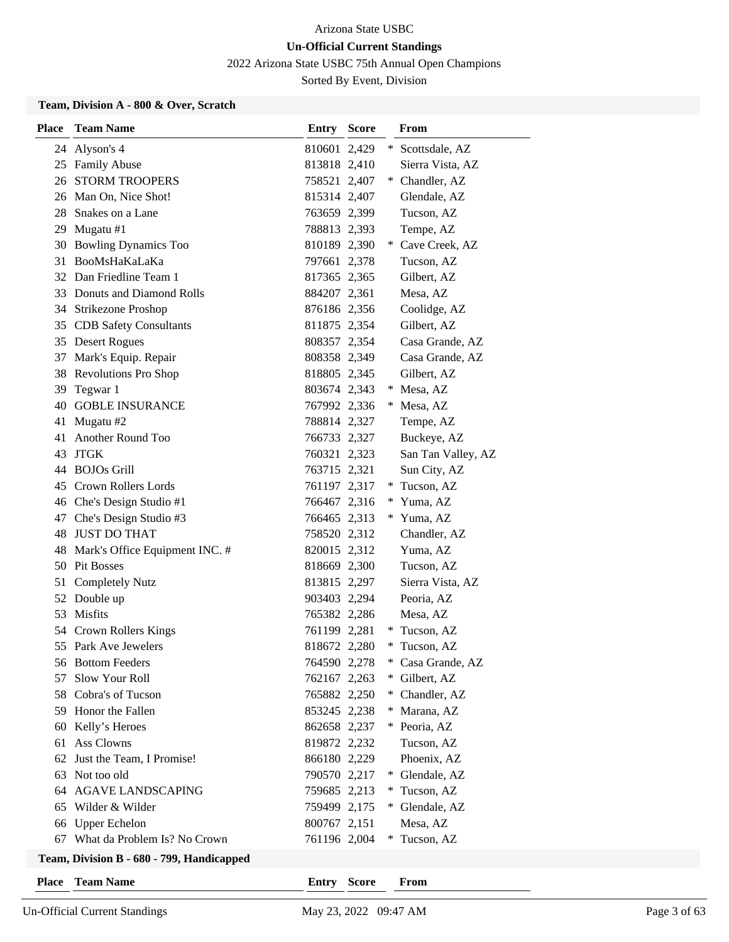2022 Arizona State USBC 75th Annual Open Champions

Sorted By Event, Division

### **Team, Division A - 800 & Over, Scratch**

| <b>Place</b> | <b>Team Name</b>                        | <b>Entry Score</b> |        | From               |
|--------------|-----------------------------------------|--------------------|--------|--------------------|
|              | 24 Alyson's 4                           | 810601 2,429       |        | * Scottsdale, AZ   |
|              | 25 Family Abuse                         | 813818 2,410       |        | Sierra Vista, AZ   |
|              | <b>26 STORM TROOPERS</b>                | 758521 2,407       |        | * Chandler, AZ     |
|              | 26 Man On, Nice Shot!                   | 815314 2,407       |        | Glendale, AZ       |
|              | 28 Snakes on a Lane                     | 763659 2,399       |        | Tucson, AZ         |
|              | 29 Mugatu #1                            | 788813 2,393       |        | Tempe, AZ          |
|              | 30 Bowling Dynamics Too                 | 810189 2,390       |        | * Cave Creek, AZ   |
|              | 31 BooMsHaKaLaKa                        | 797661 2,378       |        | Tucson, AZ         |
|              | 32 Dan Friedline Team 1                 | 817365 2,365       |        | Gilbert, AZ        |
|              | 33 Donuts and Diamond Rolls             | 884207 2,361       |        | Mesa, AZ           |
|              | 34 Strikezone Proshop                   | 876186 2,356       |        | Coolidge, AZ       |
|              | 35 CDB Safety Consultants               | 811875 2,354       |        | Gilbert, AZ        |
|              | 35 Desert Rogues                        | 808357 2,354       |        | Casa Grande, AZ    |
|              | 37 Mark's Equip. Repair                 | 808358 2,349       |        | Casa Grande, AZ    |
|              | 38 Revolutions Pro Shop                 | 818805 2,345       |        | Gilbert, AZ        |
|              | 39 Tegwar 1                             | 803674 2,343       |        | * Mesa, AZ         |
| 40           | <b>GOBLE INSURANCE</b>                  | 767992 2,336       |        | * Mesa, AZ         |
| 41           | Mugatu #2                               | 788814 2,327       |        | Tempe, AZ          |
| 41           | Another Round Too                       | 766733 2,327       |        | Buckeye, AZ        |
| 43           | <b>JTGK</b>                             | 760321 2,323       |        | San Tan Valley, AZ |
|              | 44 BOJOs Grill                          | 763715 2,321       |        | Sun City, AZ       |
| 45           | <b>Crown Rollers Lords</b>              | 761197 2,317       | $*$    | Tucson, AZ         |
|              | 46 Che's Design Studio #1               | 766467 2,316       |        | * Yuma, AZ         |
|              | 47 Che's Design Studio #3               | 766465 2,313       |        | * Yuma, AZ         |
| 48           | JUST DO THAT                            | 758520 2,312       |        | Chandler, AZ       |
| 48           | Mark's Office Equipment INC. #          | 820015 2,312       |        | Yuma, AZ           |
|              | 50 Pit Bosses                           | 818669 2,300       |        | Tucson, AZ         |
|              | 51 Completely Nutz                      | 813815 2,297       |        | Sierra Vista, AZ   |
|              | 52 Double up                            | 903403 2,294       |        | Peoria, AZ         |
|              | 53 Misfits                              | 765382 2,286       |        | Mesa, AZ           |
|              | 54 Crown Rollers Kings                  | 761199 2,281       |        | * Tucson, AZ       |
|              | 55 Park Ave Jewelers                    | 818672 2,280       | *      | Tucson, AZ         |
|              | 56 Bottom Feeders                       | 764590 2,278       | $\ast$ | Casa Grande, AZ    |
| 57           | Slow Your Roll                          | 762167 2,263       | $\ast$ | Gilbert, AZ        |
|              | 58 Cobra's of Tucson                    | 765882 2,250       | *.     | Chandler, AZ       |
|              | 59 Honor the Fallen                     | 853245 2,238       |        | * Marana, AZ       |
| 60           | Kelly's Heroes                          | 862658 2,237       |        | * Peoria, AZ       |
| 61           | Ass Clowns                              | 819872 2,232       |        | Tucson, AZ         |
| 62           | Just the Team, I Promise!               | 866180 2,229       |        | Phoenix, AZ        |
| 63           | Not too old                             | 790570 2,217       |        | * Glendale, AZ     |
| 64           | <b>AGAVE LANDSCAPING</b>                | 759685 2,213       | $*$    | Tucson, AZ         |
| 65           | Wilder & Wilder                         | 759499 2,175       | $*$    | Glendale, AZ       |
| 66           | <b>Upper Echelon</b>                    | 800767 2,151       |        | Mesa, AZ           |
| 67           | What da Problem Is? No Crown            | 761196 2,004       | $*$    | Tucson, AZ         |
|              | Team Division R - 680 - 799 Handicanned |                    |        |                    |

# **Team, Division B - 680 - 799, Handicapped**

**Place Team Name Entry Score From**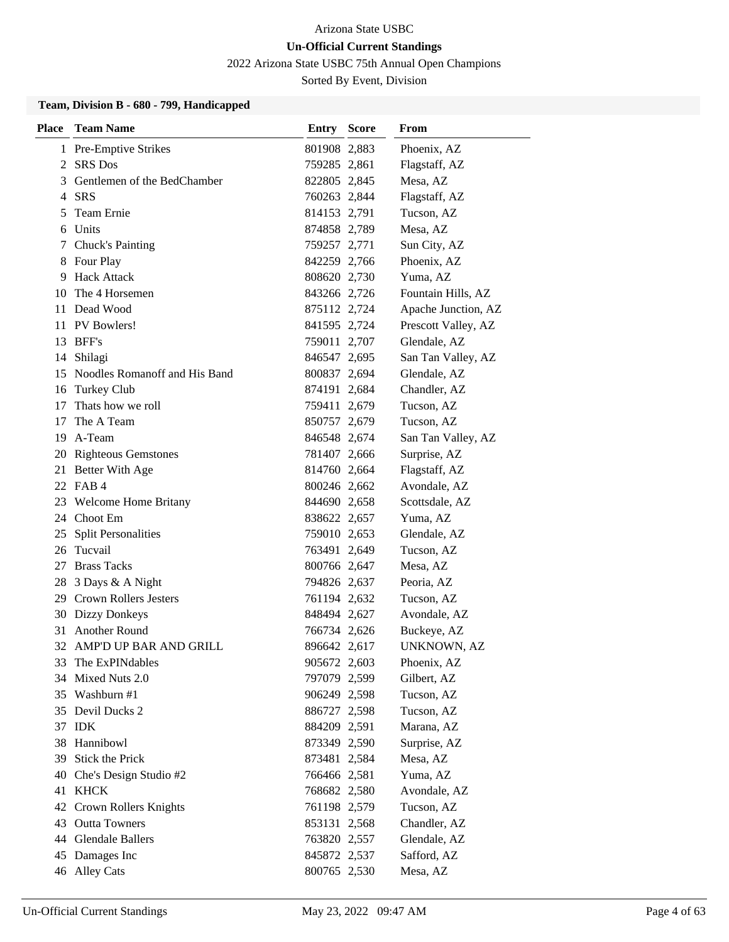2022 Arizona State USBC 75th Annual Open Champions

Sorted By Event, Division

### **Team, Division B - 680 - 799, Handicapped**

| <b>Place</b> | <b>Team Name</b>                 | <b>Entry Score</b> | From                |
|--------------|----------------------------------|--------------------|---------------------|
|              | 1 Pre-Emptive Strikes            | 801908 2,883       | Phoenix, AZ         |
|              | 2 SRS Dos                        | 759285 2,861       | Flagstaff, AZ       |
| 3            | Gentlemen of the BedChamber      | 822805 2,845       | Mesa, AZ            |
|              | 4 SRS                            | 760263 2,844       | Flagstaff, AZ       |
| 5            | Team Ernie                       | 814153 2,791       | Tucson, AZ          |
| 6            | Units                            | 874858 2,789       | Mesa, AZ            |
|              | 7 Chuck's Painting               | 759257 2,771       | Sun City, AZ        |
| 8            | Four Play                        | 842259 2,766       | Phoenix, AZ         |
| 9            | <b>Hack Attack</b>               | 808620 2,730       | Yuma, AZ            |
| 10           | The 4 Horsemen                   | 843266 2,726       | Fountain Hills, AZ  |
|              | 11 Dead Wood                     | 875112 2,724       | Apache Junction, AZ |
|              | 11 PV Bowlers!                   | 841595 2,724       | Prescott Valley, AZ |
|              | 13 BFF's                         | 759011 2,707       | Glendale, AZ        |
|              | 14 Shilagi                       | 846547 2,695       | San Tan Valley, AZ  |
|              | 15 Noodles Romanoff and His Band | 800837 2,694       | Glendale, AZ        |
| 16           | Turkey Club                      | 874191 2,684       | Chandler, AZ        |
| 17           | Thats how we roll                | 759411 2,679       | Tucson, AZ          |
| 17           | The A Team                       | 850757 2,679       | Tucson, AZ          |
|              | 19 A-Team                        | 846548 2,674       | San Tan Valley, AZ  |
|              | 20 Righteous Gemstones           | 781407 2,666       | Surprise, AZ        |
|              | 21 Better With Age               | 814760 2,664       | Flagstaff, AZ       |
|              | 22 FAB 4                         | 800246 2,662       | Avondale, AZ        |
|              | 23 Welcome Home Britany          | 844690 2,658       | Scottsdale, AZ      |
|              | 24 Choot Em                      | 838622 2,657       | Yuma, AZ            |
| 25           | <b>Split Personalities</b>       | 759010 2,653       | Glendale, AZ        |
|              | 26 Tucvail                       | 763491 2,649       | Tucson, AZ          |
|              | 27 Brass Tacks                   | 800766 2,647       | Mesa, AZ            |
| 28           | 3 Days & A Night                 | 794826 2,637       | Peoria, AZ          |
|              | 29 Crown Rollers Jesters         | 761194 2,632       | Tucson, AZ          |
|              | 30 Dizzy Donkeys                 | 848494 2,627       | Avondale, AZ        |
|              | 31 Another Round                 | 766734 2,626       | Buckeye, AZ         |
| 32           | AMP'D UP BAR AND GRILL           | 896642 2,617       | UNKNOWN, AZ         |
| 33           | The ExPINdables                  | 905672 2,603       | Phoenix, AZ         |
|              | 34 Mixed Nuts 2.0                | 797079 2,599       | Gilbert, AZ         |
|              | 35 Washburn #1                   | 906249 2,598       | Tucson, AZ          |
|              | 35 Devil Ducks 2                 | 886727 2,598       | Tucson, AZ          |
|              | 37 IDK                           | 884209 2,591       | Marana, AZ          |
| 38           | Hannibowl                        | 873349 2,590       | Surprise, AZ        |
|              | 39 Stick the Prick               | 873481 2,584       | Mesa, AZ            |
| 40           | Che's Design Studio #2           | 766466 2,581       | Yuma, AZ            |
|              | 41 KHCK                          | 768682 2,580       | Avondale, AZ        |
|              | 42 Crown Rollers Knights         | 761198 2,579       | Tucson, AZ          |
|              | 43 Outta Towners                 | 853131 2,568       | Chandler, AZ        |
|              | 44 Glendale Ballers              | 763820 2,557       | Glendale, AZ        |
| 45           | Damages Inc                      | 845872 2,537       | Safford, AZ         |
|              | 46 Alley Cats                    | 800765 2,530       | Mesa, AZ            |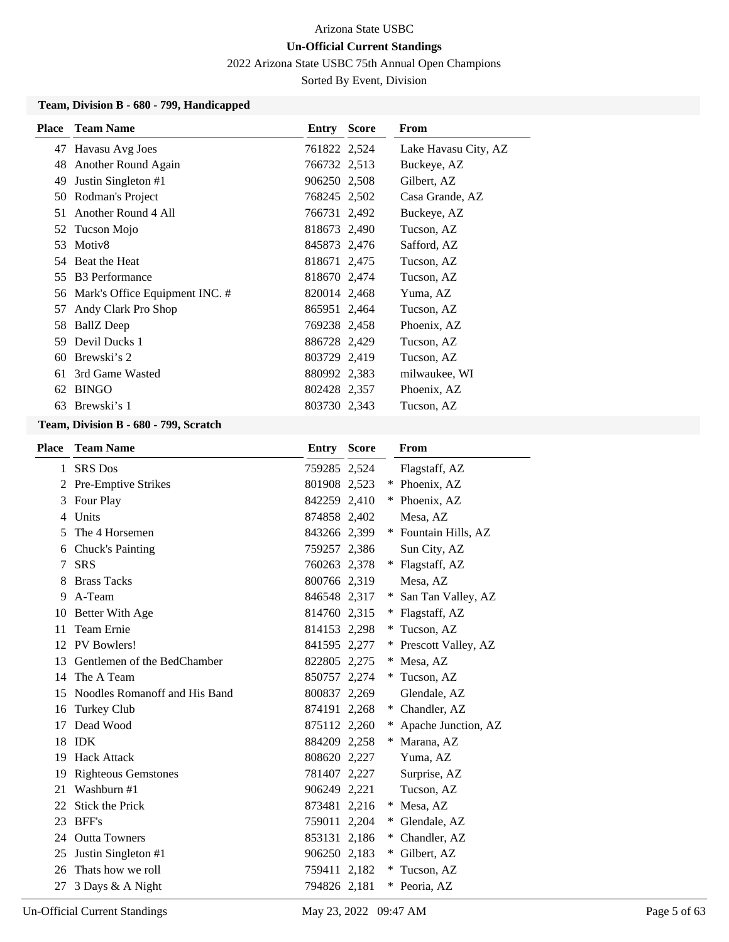2022 Arizona State USBC 75th Annual Open Champions

Sorted By Event, Division

### **Team, Division B - 680 - 799, Handicapped**

| <b>Place</b> | <b>Team Name</b>                  | Entry        | <b>Score</b> | From                 |
|--------------|-----------------------------------|--------------|--------------|----------------------|
|              | 47 Havasu Avg Joes                | 761822 2,524 |              | Lake Havasu City, AZ |
|              | 48 Another Round Again            | 766732 2,513 |              | Buckeye, AZ          |
| 49           | Justin Singleton #1               | 906250 2,508 |              | Gilbert, AZ          |
|              | 50 Rodman's Project               | 768245 2,502 |              | Casa Grande, AZ      |
|              | 51 Another Round 4 All            | 766731 2,492 |              | Buckeye, AZ          |
|              | 52 Tucson Mojo                    | 818673 2,490 |              | Tucson, AZ           |
|              | 53 Motiv8                         | 845873 2,476 |              | Safford, AZ          |
|              | 54 Beat the Heat                  | 818671 2,475 |              | Tucson, AZ           |
|              | 55 B3 Performance                 | 818670 2,474 |              | Tucson, AZ           |
|              | 56 Mark's Office Equipment INC. # | 820014 2,468 |              | Yuma, AZ             |
| 57           | Andy Clark Pro Shop               | 865951 2,464 |              | Tucson, AZ           |
|              | 58 BallZ Deep                     | 769238 2,458 |              | Phoenix, AZ          |
| 59.          | Devil Ducks 1                     | 886728 2,429 |              | Tucson, AZ           |
|              | 60 Brewski's 2                    | 803729 2,419 |              | Tucson, AZ           |
|              | 61 3rd Game Wasted                | 880992 2,383 |              | milwaukee, WI        |
|              | 62 BINGO                          | 802428 2,357 |              | Phoenix, AZ          |
| 63           | Brewski's 1                       | 803730 2,343 |              | Tucson, AZ           |

### **Team, Division B - 680 - 799, Scratch**

| <b>Place</b> | <b>Team Name</b>              | <b>Entry</b> | <b>Score</b> |     | From                  |
|--------------|-------------------------------|--------------|--------------|-----|-----------------------|
| 1            | <b>SRS</b> Dos                | 759285 2,524 |              |     | Flagstaff, AZ         |
|              | 2 Pre-Emptive Strikes         | 801908 2,523 |              |     | Phoenix, AZ           |
| 3            | Four Play                     | 842259 2,410 |              | ∗   | Phoenix, AZ           |
| 4            | Units                         | 874858 2,402 |              |     | Mesa, AZ              |
| 5            | The 4 Horsemen                | 843266 2,399 |              |     | * Fountain Hills, AZ  |
| 6            | Chuck's Painting              | 759257 2,386 |              |     | Sun City, AZ          |
| 7            | <b>SRS</b>                    | 760263 2,378 |              |     | * Flagstaff, AZ       |
| 8            | <b>Brass Tacks</b>            | 800766 2,319 |              |     | Mesa, AZ              |
| 9            | A-Team                        | 846548 2,317 |              | $*$ | San Tan Valley, AZ    |
| 10           | Better With Age               | 814760 2,315 |              | $*$ | Flagstaff, AZ         |
| 11           | <b>Team Ernie</b>             | 814153 2,298 |              | *   | Tucson, AZ            |
| 12           | PV Bowlers!                   | 841595 2,277 |              |     | * Prescott Valley, AZ |
| 13           | Gentlemen of the BedChamber   | 822805 2,275 |              | ∗   | Mesa, AZ              |
| 14           | The A Team                    | 850757 2,274 |              | ∗   | Tucson, AZ            |
| 15           | Noodles Romanoff and His Band | 800837 2,269 |              |     | Glendale, AZ          |
| 16           | Turkey Club                   | 874191 2,268 |              | ∗   | Chandler, AZ          |
| 17           | Dead Wood                     | 875112 2,260 |              | *   | Apache Junction, AZ   |
| 18           | <b>IDK</b>                    | 884209 2,258 |              |     | * Marana, AZ          |
| 19           | <b>Hack Attack</b>            | 808620 2,227 |              |     | Yuma, AZ              |
| 19           | <b>Righteous Gemstones</b>    | 781407 2,227 |              |     | Surprise, AZ          |
| 21           | Washburn #1                   | 906249 2,221 |              |     | Tucson, AZ            |
| 22           | Stick the Prick               | 873481 2,216 |              |     | * Mesa, AZ            |
| 23           | BFF's                         | 759011 2,204 |              | $*$ | Glendale, AZ          |
| 24           | <b>Outta Towners</b>          | 853131 2,186 |              | ∗   | Chandler, AZ          |
| 25           | Justin Singleton #1           | 906250 2,183 |              | $*$ | Gilbert, AZ           |
| 26           | Thats how we roll             | 759411 2,182 |              | ∗   | Tucson, AZ            |
| 27           | 3 Days & A Night              | 794826 2,181 |              |     | * Peoria, AZ          |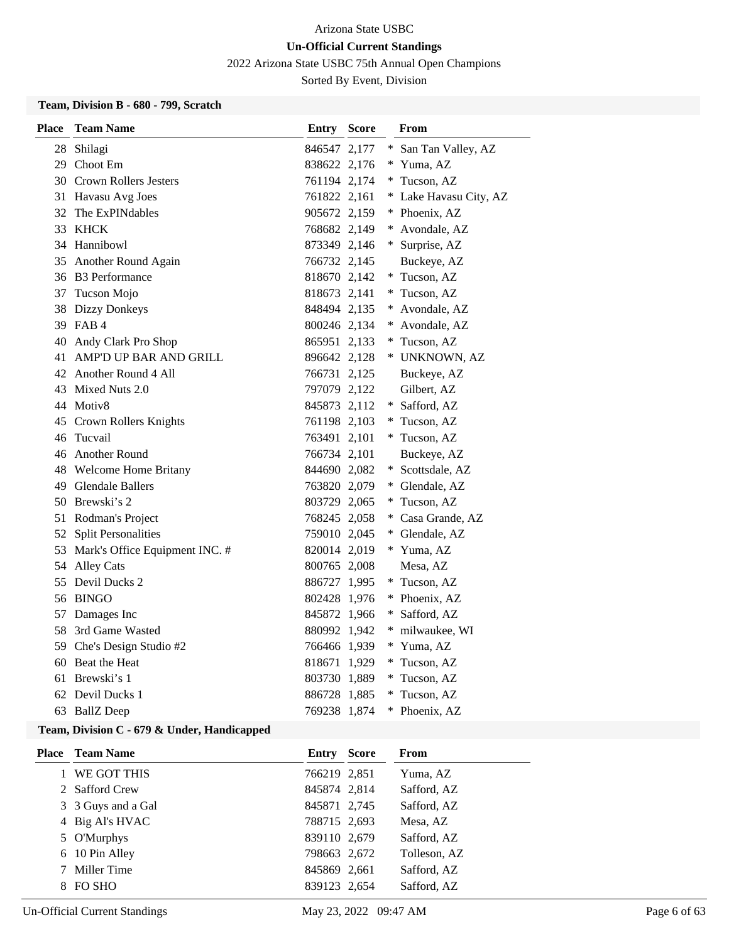2022 Arizona State USBC 75th Annual Open Champions

Sorted By Event, Division

### **Team, Division B - 680 - 799, Scratch**

| <b>Place</b> | <b>Team Name</b>                  | <b>Entry Score</b> |     | From                   |
|--------------|-----------------------------------|--------------------|-----|------------------------|
|              | 28 Shilagi                        | 846547 2,177       | $*$ | San Tan Valley, AZ     |
|              | 29 Choot Em                       | 838622 2,176       |     | * Yuma, AZ             |
|              | 30 Crown Rollers Jesters          | 761194 2,174       |     | * Tucson, AZ           |
|              | 31 Havasu Avg Joes                | 761822 2,161       |     | * Lake Havasu City, AZ |
|              | 32 The ExPINdables                | 905672 2,159       |     | * Phoenix, AZ          |
|              | 33 KHCK                           | 768682 2,149       |     | * Avondale, AZ         |
|              | 34 Hannibowl                      | 873349 2,146       |     | * Surprise, AZ         |
|              | 35 Another Round Again            | 766732 2,145       |     | Buckeye, AZ            |
|              | 36 B3 Performance                 | 818670 2,142       |     | * Tucson, AZ           |
|              | 37 Tucson Mojo                    | 818673 2,141       |     | * Tucson, AZ           |
|              | 38 Dizzy Donkeys                  | 848494 2,135       |     | * Avondale, AZ         |
|              | 39 FAB 4                          | 800246 2,134       |     | * Avondale, AZ         |
|              | 40 Andy Clark Pro Shop            | 865951 2,133       |     | * Tucson, AZ           |
|              | 41 AMP'D UP BAR AND GRILL         | 896642 2,128       |     | * UNKNOWN, AZ          |
|              | 42 Another Round 4 All            | 766731 2,125       |     | Buckeye, AZ            |
|              | 43 Mixed Nuts 2.0                 | 797079 2,122       |     | Gilbert, AZ            |
|              | 44 Motiv8                         | 845873 2,112       |     | * Safford, AZ          |
|              | 45 Crown Rollers Knights          | 761198 2,103       |     | * Tucson, AZ           |
|              | 46 Tucvail                        | 763491 2,101       |     | * Tucson, AZ           |
|              | 46 Another Round                  | 766734 2,101       |     | Buckeye, AZ            |
|              | 48 Welcome Home Britany           | 844690 2,082       |     | * Scottsdale, AZ       |
|              | 49 Glendale Ballers               | 763820 2,079       |     | * Glendale, AZ         |
|              | 50 Brewski's 2                    | 803729 2,065       |     | * Tucson, AZ           |
|              | 51 Rodman's Project               | 768245 2,058       |     | * Casa Grande, AZ      |
|              | 52 Split Personalities            | 759010 2,045       |     | * Glendale, AZ         |
|              | 53 Mark's Office Equipment INC. # | 820014 2,019       |     | * Yuma, AZ             |
|              | 54 Alley Cats                     | 800765 2,008       |     | Mesa, AZ               |
|              | 55 Devil Ducks 2                  | 886727 1,995       |     | * Tucson, AZ           |
|              | 56 BINGO                          | 802428 1,976       |     | * Phoenix, AZ          |
|              | 57 Damages Inc                    | 845872 1,966       |     | * Safford, AZ          |
| 58           | 3rd Game Wasted                   | 880992 1,942       |     | * milwaukee, WI        |
|              | 59 Che's Design Studio #2         | 766466 1,939       |     | * Yuma, AZ             |
|              | 60 Beat the Heat                  | 818671 1,929       |     | * Tucson, AZ           |
|              | 61 Brewski's 1                    | 803730 1,889       |     | * Tucson, AZ           |
|              | 62 Devil Ducks 1                  | 886728 1,885       |     | * Tucson, AZ           |
| 63           | <b>BallZ</b> Deep                 | 769238 1,874       |     | * Phoenix, AZ          |

# **Team, Division C - 679 & Under, Handicapped**

| <b>Place</b> Team Name | Entry        | Score | From         |
|------------------------|--------------|-------|--------------|
| WE GOT THIS            | 766219 2,851 |       | Yuma, AZ     |
| 2 Safford Crew         | 845874 2,814 |       | Safford, AZ  |
| 3 3 Guys and a Gal     | 845871 2,745 |       | Safford, AZ  |
| 4 Big Al's HVAC        | 788715 2,693 |       | Mesa, AZ     |
| 5 O'Murphys            | 839110 2,679 |       | Safford, AZ  |
| 6 10 Pin Alley         | 798663 2,672 |       | Tolleson, AZ |
| Miller Time            | 845869 2,661 |       | Safford, AZ  |
| FO SHO                 | 839123 2,654 |       | Safford, AZ  |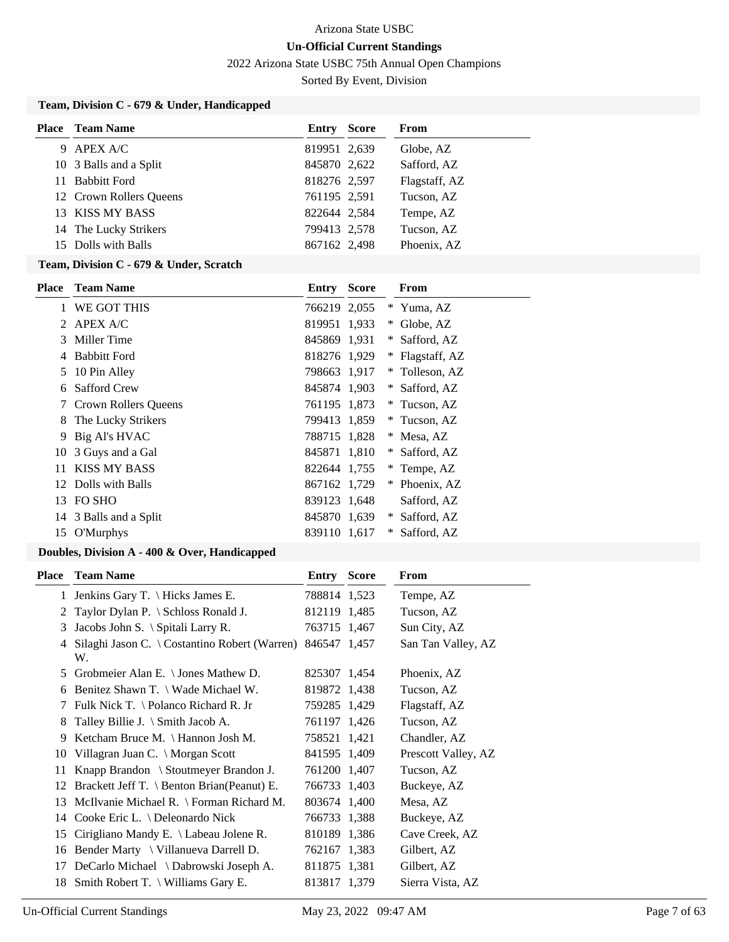2022 Arizona State USBC 75th Annual Open Champions

Sorted By Event, Division

# **Team, Division C - 679 & Under, Handicapped**

| Place | <b>Team Name</b>        | Entry        | <b>Score</b> | From          |
|-------|-------------------------|--------------|--------------|---------------|
| 9     | <b>APEX A/C</b>         | 819951 2,639 |              | Globe, AZ     |
|       | 10 3 Balls and a Split  | 845870 2,622 |              | Safford, AZ   |
|       | 11 Babbitt Ford         | 818276 2,597 |              | Flagstaff, AZ |
|       | 12 Crown Rollers Queens | 761195 2,591 |              | Tucson, AZ    |
|       | 13 KISS MY BASS         | 822644 2,584 |              | Tempe, AZ     |
|       | 14 The Lucky Strikers   | 799413 2,578 |              | Tucson, AZ    |
|       | 15 Dolls with Balls     | 867162 2,498 |              | Phoenix, AZ   |

### **Team, Division C - 679 & Under, Scratch**

| Place | <b>Team Name</b>       | Entry        | <b>Score</b> |        | From          |
|-------|------------------------|--------------|--------------|--------|---------------|
| 1     | WE GOT THIS            | 766219 2,055 |              | $*$    | Yuma, AZ      |
| 2     | <b>APEX A/C</b>        | 819951 1,933 |              | $\ast$ | Globe, AZ     |
| 3     | Miller Time            | 845869 1,931 |              | ∗      | Safford, AZ   |
| 4     | <b>Babbitt Ford</b>    | 818276 1,929 |              | $\ast$ | Flagstaff, AZ |
| 5     | 10 Pin Alley           | 798663 1,917 |              | $*$    | Tolleson, AZ  |
| 6     | Safford Crew           | 845874 1,903 |              | ∗      | Safford, AZ   |
| 7     | Crown Rollers Queens   | 761195 1,873 |              | *      | Tucson, AZ    |
| 8     | The Lucky Strikers     | 799413 1,859 |              | ∗      | Tucson, AZ    |
| 9     | Big Al's HVAC          | 788715 1,828 |              | ∗      | Mesa, AZ      |
| 10    | 3 Guys and a Gal       | 845871 1,810 |              | ∗      | Safford, AZ   |
| 11    | <b>KISS MY BASS</b>    | 822644 1,755 |              | ∗      | Tempe, AZ     |
| 12    | Dolls with Balls       | 867162 1,729 |              | ∗      | Phoenix, AZ   |
| 13    | FO SHO                 | 839123 1,648 |              |        | Safford, AZ   |
|       | 14 3 Balls and a Split | 845870 1,639 |              | ∗      | Safford, AZ   |
| 15    | O'Murphys              | 839110 1,617 |              | ∗      | Safford, AZ   |

# **Doubles, Division A - 400 & Over, Handicapped**

| Place | <b>Team Name</b>                                                 | <b>Entry Score</b> | From                |
|-------|------------------------------------------------------------------|--------------------|---------------------|
|       | 1 Jenkins Gary T. \ Hicks James E.                               | 788814 1,523       | Tempe, AZ           |
| 2     | Taylor Dylan P. \ Schloss Ronald J.                              | 812119 1,485       | Tucson, AZ          |
| 3     | Jacobs John S. \ Spitali Larry R.                                | 763715 1,467       | Sun City, AZ        |
| 4     | Silaghi Jason C. \ Costantino Robert (Warren) 846547 1,457<br>W. |                    | San Tan Valley, AZ  |
| 5     | Grobmeier Alan E. $\setminus$ Jones Mathew D.                    | 825307 1,454       | Phoenix, AZ         |
| 6     | Benitez Shawn T. \ Wade Michael W.                               | 819872 1,438       | Tucson, AZ          |
| 7     | Fulk Nick T. $\Delta$ Polanco Richard R. Jr                      | 759285 1,429       | Flagstaff, AZ       |
| 8     | Talley Billie J. \ Smith Jacob A.                                | 761197 1,426       | Tucson, AZ          |
| 9     | Ketcham Bruce M. $\{$ Hannon Josh M.                             | 758521 1,421       | Chandler, AZ        |
| 10    | Villagran Juan C. \ Morgan Scott                                 | 841595 1,409       | Prescott Valley, AZ |
| 11    | Knapp Brandon \ Stoutmeyer Brandon J.                            | 761200 1,407       | Tucson, AZ          |
| 12    | Brackett Jeff T. \ Benton Brian(Peanut) E.                       | 766733 1,403       | Buckeye, AZ         |
| 13    | McIlvanie Michael R. $\Gamma$ Forman Richard M.                  | 803674 1,400       | Mesa, AZ            |
|       | 14 Cooke Eric L. \ Deleonardo Nick                               | 766733 1,388       | Buckeye, AZ         |
| 15    | Cirigliano Mandy E. \ Labeau Jolene R.                           | 810189 1,386       | Cave Creek, AZ      |
| 16    | Bender Marty \ Villanueva Darrell D.                             | 762167 1,383       | Gilbert, AZ         |
| 17    | DeCarlo Michael \ Dabrowski Joseph A.                            | 811875 1,381       | Gilbert, AZ         |
|       | 18 Smith Robert T. \ Williams Gary E.                            | 813817 1,379       | Sierra Vista, AZ    |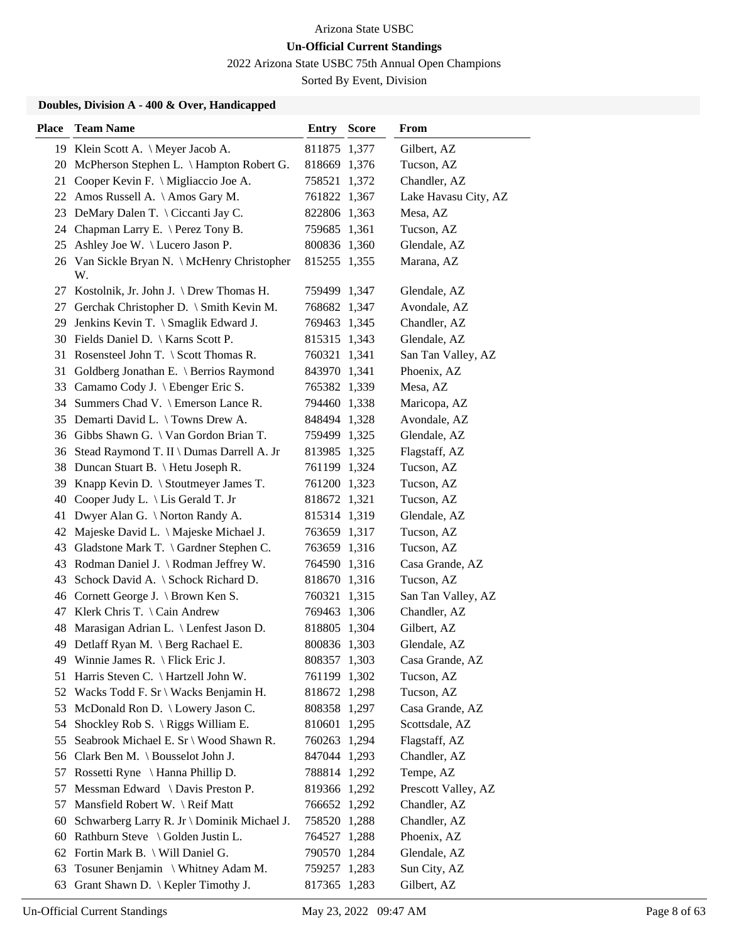2022 Arizona State USBC 75th Annual Open Champions

Sorted By Event, Division

### **Doubles, Division A - 400 & Over, Handicapped**

| <b>Place</b> | <b>Team Name</b>                                   | <b>Entry Score</b> | From                 |
|--------------|----------------------------------------------------|--------------------|----------------------|
|              | 19 Klein Scott A. \ Meyer Jacob A.                 | 811875 1,377       | Gilbert, AZ          |
|              | 20 McPherson Stephen L. \ Hampton Robert G.        | 818669 1,376       | Tucson, AZ           |
|              | 21 Cooper Kevin F. \ Migliaccio Joe A.             | 758521 1,372       | Chandler, AZ         |
| 22           | Amos Russell A. \Amos Gary M.                      | 761822 1,367       | Lake Havasu City, AZ |
| 23           | DeMary Dalen T. \ Ciccanti Jay C.                  | 822806 1,363       | Mesa, AZ             |
| 24           | Chapman Larry E. \ Perez Tony B.                   | 759685 1,361       | Tucson, AZ           |
| 25           | Ashley Joe W. \ Lucero Jason P.                    | 800836 1,360       | Glendale, AZ         |
|              | 26 Van Sickle Bryan N. \ McHenry Christopher<br>W. | 815255 1,355       | Marana, AZ           |
|              | 27 Kostolnik, Jr. John J. \Drew Thomas H.          | 759499 1,347       | Glendale, AZ         |
| 27           | Gerchak Christopher D. \ Smith Kevin M.            | 768682 1,347       | Avondale, AZ         |
|              | 29 Jenkins Kevin T. \ Smaglik Edward J.            | 769463 1,345       | Chandler, AZ         |
|              | 30 Fields Daniel D. \ Karns Scott P.               | 815315 1,343       | Glendale, AZ         |
|              | 31 Rosensteel John T. \ Scott Thomas R.            | 760321 1,341       | San Tan Valley, AZ   |
| 31           | Goldberg Jonathan E. \ Berrios Raymond             | 843970 1,341       | Phoenix, AZ          |
|              | 33 Camamo Cody J. \ Ebenger Eric S.                | 765382 1,339       | Mesa, AZ             |
|              | 34 Summers Chad V. \ Emerson Lance R.              | 794460 1,338       | Maricopa, AZ         |
|              | 35 Demarti David L. \Towns Drew A.                 | 848494 1,328       | Avondale, AZ         |
|              | 36 Gibbs Shawn G. \ Van Gordon Brian T.            | 759499 1,325       | Glendale, AZ         |
|              | 36 Stead Raymond T. II \ Dumas Darrell A. Jr       | 813985 1,325       | Flagstaff, AZ        |
|              | 38 Duncan Stuart B. \ Hetu Joseph R.               | 761199 1,324       | Tucson, AZ           |
| 39           | Knapp Kevin D. $\setminus$ Stoutmeyer James T.     | 761200 1,323       | Tucson, AZ           |
| 40           | Cooper Judy L. \ Lis Gerald T. Jr                  | 818672 1,321       | Tucson, AZ           |
| 41           | Dwyer Alan G. \ Norton Randy A.                    | 815314 1,319       | Glendale, AZ         |
| 42           | Majeske David L. \ Majeske Michael J.              | 763659 1,317       | Tucson, AZ           |
| 43           | Gladstone Mark T. \ Gardner Stephen C.             | 763659 1,316       | Tucson, AZ           |
| 43           | Rodman Daniel J. \ Rodman Jeffrey W.               | 764590 1,316       | Casa Grande, AZ      |
| 43           | Schock David A. \ Schock Richard D.                | 818670 1,316       | Tucson, AZ           |
|              | 46 Cornett George J. \ Brown Ken S.                | 760321 1,315       | San Tan Valley, AZ   |
| 47           | Klerk Chris T. \ Cain Andrew                       | 769463 1,306       | Chandler, AZ         |
| 48           | Marasigan Adrian L. \ Lenfest Jason D.             | 818805 1,304       | Gilbert, AZ          |
|              | 49 Detlaff Ryan M. \ Berg Rachael E.               | 800836 1,303       | Glendale, AZ         |
|              | 49 Winnie James R. \ Flick Eric J.                 | 808357 1,303       | Casa Grande, AZ      |
| 51           | Harris Steven C. \ Hartzell John W.                | 761199 1,302       | Tucson, AZ           |
| 52           | Wacks Todd F. Sr \ Wacks Benjamin H.               | 818672 1,298       | Tucson, AZ           |
| 53           | McDonald Ron D. \ Lowery Jason C.                  | 808358 1,297       | Casa Grande, AZ      |
| 54           | Shockley Rob S. $\langle$ Riggs William E.         | 810601 1,295       | Scottsdale, AZ       |
| 55           | Seabrook Michael E. Sr \ Wood Shawn R.             | 760263 1,294       | Flagstaff, AZ        |
| 56           | Clark Ben M. \ Bousselot John J.                   | 847044 1,293       | Chandler, AZ         |
| 57           | Rossetti Ryne \ Hanna Phillip D.                   | 788814 1,292       | Tempe, AZ            |
| 57           | Messman Edward \ Davis Preston P.                  | 819366 1,292       | Prescott Valley, AZ  |
| 57           | Mansfield Robert W. \ Reif Matt                    | 766652 1,292       | Chandler, AZ         |
| 60           | Schwarberg Larry R. Jr \ Dominik Michael J.        | 758520 1,288       | Chandler, AZ         |
|              | 60 Rathburn Steve \ Golden Justin L.               | 764527 1,288       | Phoenix, AZ          |
|              | 62 Fortin Mark B. \ Will Daniel G.                 | 790570 1,284       | Glendale, AZ         |
| 63           | Tosuner Benjamin \ Whitney Adam M.                 | 759257 1,283       | Sun City, AZ         |
| 63           | Grant Shawn D.   Kepler Timothy J.                 | 817365 1,283       | Gilbert, AZ          |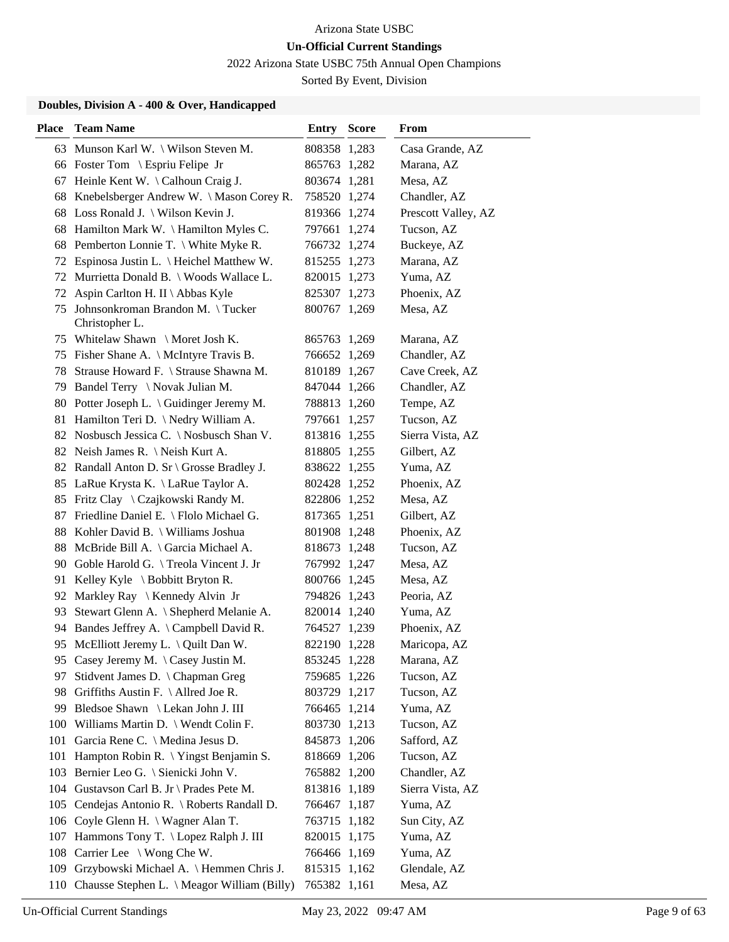2022 Arizona State USBC 75th Annual Open Champions

Sorted By Event, Division

### **Doubles, Division A - 400 & Over, Handicapped**

| <b>Place</b> | <b>Team Name</b>                                   | <b>Entry Score</b> | From                |
|--------------|----------------------------------------------------|--------------------|---------------------|
|              | 63 Munson Karl W. \ Wilson Steven M.               | 808358 1,283       | Casa Grande, AZ     |
|              | 66 Foster Tom \ Espriu Felipe Jr                   | 865763 1,282       | Marana, AZ          |
| 67           | Heinle Kent W. \Calhoun Craig J.                   | 803674 1,281       | Mesa, AZ            |
|              | 68 Knebelsberger Andrew W. \Mason Corey R.         | 758520 1,274       | Chandler, AZ        |
|              | 68 Loss Ronald J. \ Wilson Kevin J.                | 819366 1,274       | Prescott Valley, AZ |
|              | 68 Hamilton Mark W. \Hamilton Myles C.             | 797661 1,274       | Tucson, AZ          |
|              | 68 Pemberton Lonnie T. \ White Myke R.             | 766732 1,274       | Buckeye, AZ         |
|              | 72 Espinosa Justin L. \ Heichel Matthew W.         | 815255 1,273       | Marana, AZ          |
| 72           | Murrietta Donald B. \ Woods Wallace L.             | 820015 1,273       | Yuma, AZ            |
| 72           | Aspin Carlton H. II \ Abbas Kyle                   | 825307 1,273       | Phoenix, AZ         |
| 75           | Johnsonkroman Brandon M. \Tucker<br>Christopher L. | 800767 1,269       | Mesa, AZ            |
|              | 75 Whitelaw Shawn \ Moret Josh K.                  | 865763 1,269       | Marana, AZ          |
|              | 75 Fisher Shane A. \ McIntyre Travis B.            | 766652 1,269       | Chandler, AZ        |
|              | 78 Strause Howard F. \ Strause Shawna M.           | 810189 1,267       | Cave Creek, AZ      |
|              | 79 Bandel Terry \ Novak Julian M.                  | 847044 1,266       | Chandler, AZ        |
|              | 80 Potter Joseph L. \ Guidinger Jeremy M.          | 788813 1,260       | Tempe, AZ           |
|              | 81 Hamilton Teri D. \ Nedry William A.             | 797661 1,257       | Tucson, AZ          |
|              | 82 Nosbusch Jessica C. \ Nosbusch Shan V.          | 813816 1,255       | Sierra Vista, AZ    |
|              | 82 Neish James R. \ Neish Kurt A.                  | 818805 1,255       | Gilbert, AZ         |
|              | 82 Randall Anton D. Sr \ Grosse Bradley J.         | 838622 1,255       | Yuma, AZ            |
|              | 85 LaRue Krysta K. \ LaRue Taylor A.               | 802428 1,252       | Phoenix, AZ         |
|              | 85 Fritz Clay \ Czajkowski Randy M.                | 822806 1,252       | Mesa, AZ            |
| 87           | Friedline Daniel E. \ Flolo Michael G.             | 817365 1,251       | Gilbert, AZ         |
|              | 88 Kohler David B. \ Williams Joshua               | 801908 1,248       | Phoenix, AZ         |
| 88           | McBride Bill A. \ Garcia Michael A.                | 818673 1,248       | Tucson, AZ          |
|              | 90 Goble Harold G. \Treola Vincent J. Jr           | 767992 1,247       | Mesa, AZ            |
| 91           | Kelley Kyle $\setminus$ Bobbitt Bryton R.          | 800766 1,245       | Mesa, AZ            |
|              | 92 Markley Ray \ Kennedy Alvin Jr                  | 794826 1,243       | Peoria, AZ          |
| 93           | Stewart Glenn A. \ Shepherd Melanie A.             | 820014 1,240       | Yuma, AZ            |
| 94           | Bandes Jeffrey A. \Campbell David R.               | 764527 1,239       | Phoenix, AZ         |
|              | 95 McElliott Jeremy L. \ Quilt Dan W.              | 822190 1,228       | Maricopa, AZ        |
|              | 95 Casey Jeremy M. \Casey Justin M.                | 853245 1,228       | Marana, AZ          |
| 97           | Stidvent James D. \ Chapman Greg                   | 759685 1,226       | Tucson, AZ          |
| 98           | Griffiths Austin F. $\Lambda$ llred Joe R.         | 803729 1,217       | Tucson, AZ          |
| 99.          | Bledsoe Shawn \ Lekan John J. III                  | 766465 1,214       | Yuma, AZ            |
|              | 100 Williams Martin D. \ Wendt Colin F.            | 803730 1,213       | Tucson, AZ          |
| 101          | Garcia Rene C. \ Medina Jesus D.                   | 845873 1,206       | Safford, AZ         |
| 101          | Hampton Robin R. \ Yingst Benjamin S.              | 818669 1,206       | Tucson, AZ          |
| 103          | Bernier Leo G. \ Sienicki John V.                  | 765882 1,200       | Chandler, AZ        |
|              | 104 Gustavson Carl B. Jr \ Prades Pete M.          | 813816 1,189       | Sierra Vista, AZ    |
|              | 105 Cendejas Antonio R. \ Roberts Randall D.       | 766467 1,187       | Yuma, AZ            |
|              | 106 Coyle Glenn H. \ Wagner Alan T.                | 763715 1,182       | Sun City, AZ        |
|              | 107 Hammons Tony T. \ Lopez Ralph J. III           | 820015 1,175       | Yuma, AZ            |
|              | 108 Carrier Lee \ Wong Che W.                      | 766466 1,169       | Yuma, AZ            |
|              | 109 Grzybowski Michael A. \ Hemmen Chris J.        | 815315 1,162       | Glendale, AZ        |
|              | 110 Chausse Stephen L. \ Meagor William (Billy)    | 765382 1,161       | Mesa, AZ            |

P.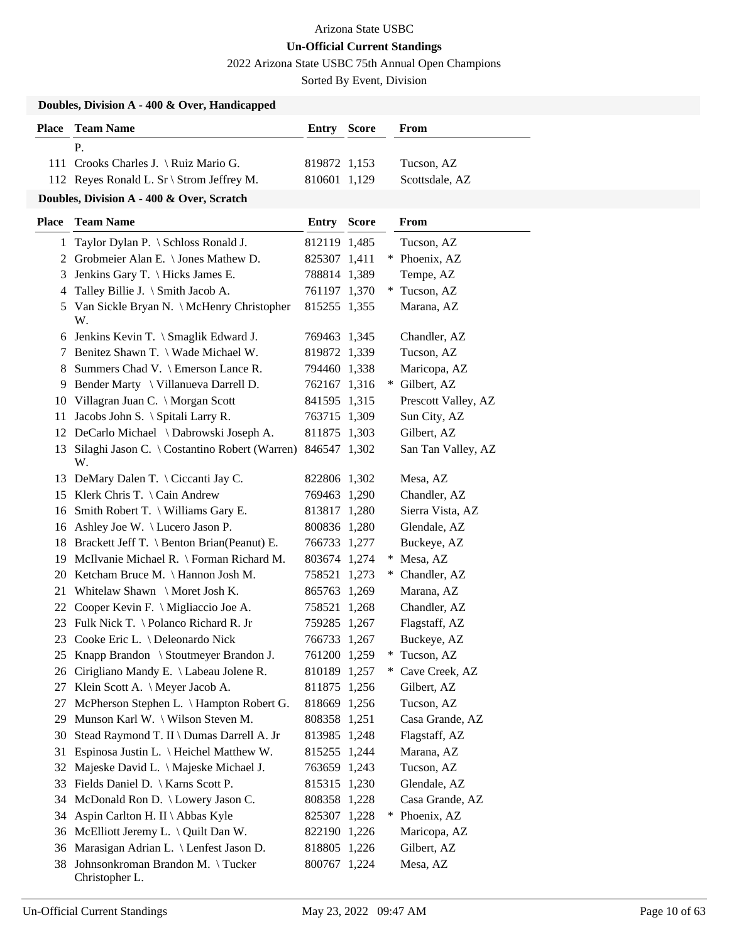2022 Arizona State USBC 75th Annual Open Champions

Sorted By Event, Division

|               | Doubles, Division A - 400 & Over, Handicapped       |              |  |                     |
|---------------|-----------------------------------------------------|--------------|--|---------------------|
|               | <b>Place</b> Team Name                              | Entry Score  |  | <b>From</b>         |
|               | P.                                                  |              |  |                     |
|               | 111 Crooks Charles J. \ Ruiz Mario G.               | 819872 1,153 |  | Tucson, AZ          |
|               | 112 Reyes Ronald L. Sr \ Strom Jeffrey M.           | 810601 1,129 |  | Scottsdale, AZ      |
|               | Doubles, Division A - 400 & Over, Scratch           |              |  |                     |
| <b>Place</b>  | <b>Team Name</b>                                    | Entry Score  |  | From                |
| $\mathbf{1}$  | Taylor Dylan P. \ Schloss Ronald J.                 | 812119 1,485 |  | Tucson, AZ          |
| 2             | Grobmeier Alan E. \ Jones Mathew D.                 | 825307 1,411 |  | * Phoenix, AZ       |
| 3             | Jenkins Gary T. \ Hicks James E.                    | 788814 1,389 |  | Tempe, AZ           |
| 4             | Talley Billie J. \ Smith Jacob A.                   | 761197 1,370 |  | * Tucson, AZ        |
| 5             | Van Sickle Bryan N. \ McHenry Christopher<br>W.     | 815255 1,355 |  | Marana, AZ          |
| 6             | Jenkins Kevin T. \ Smaglik Edward J.                | 769463 1,345 |  | Chandler, AZ        |
| $\mathcal{L}$ | Benitez Shawn T. \ Wade Michael W.                  | 819872 1,339 |  | Tucson, AZ          |
| 8             | Summers Chad V. \ Emerson Lance R.                  | 794460 1,338 |  | Maricopa, AZ        |
| 9             | Bender Marty \ Villanueva Darrell D.                | 762167 1,316 |  | * Gilbert, AZ       |
| 10            | Villagran Juan C. \ Morgan Scott                    | 841595 1,315 |  | Prescott Valley, AZ |
| 11            | Jacobs John S. \ Spitali Larry R.                   | 763715 1,309 |  | Sun City, AZ        |
| 12            | DeCarlo Michael \ Dabrowski Joseph A.               | 811875 1,303 |  | Gilbert, AZ         |
| 13            | Silaghi Jason C. \ Costantino Robert (Warren)<br>W. | 846547 1,302 |  | San Tan Valley, AZ  |
| 13            | DeMary Dalen T. \ Ciccanti Jay C.                   | 822806 1,302 |  | Mesa, AZ            |
|               | 15 Klerk Chris T. \ Cain Andrew                     | 769463 1,290 |  | Chandler, AZ        |
| 16            | Smith Robert T. \ Williams Gary E.                  | 813817 1,280 |  | Sierra Vista, AZ    |
|               | 16 Ashley Joe W. \Lucero Jason P.                   | 800836 1,280 |  | Glendale, AZ        |
| 18            | Brackett Jeff T. \ Benton Brian(Peanut) E.          | 766733 1,277 |  | Buckeye, AZ         |
| 19            | McIlvanie Michael R. \ Forman Richard M.            | 803674 1,274 |  | * Mesa, AZ          |
| 20            | Ketcham Bruce M. \ Hannon Josh M.                   | 758521 1,273 |  | * Chandler, AZ      |
| 21            | Whitelaw Shawn \ Moret Josh K.                      | 865763 1,269 |  | Marana, AZ          |
| 22            | Cooper Kevin F. \ Migliaccio Joe A.                 | 758521 1,268 |  | Chandler, AZ        |
|               | 23 Fulk Nick T. \ Polanco Richard R. Jr             | 759285 1,267 |  | Flagstaff, AZ       |
| 23            | Cooke Eric L. \ Deleonardo Nick                     | 766733 1,267 |  | Buckeye, AZ         |
| 25            | Knapp Brandon \ Stoutmeyer Brandon J.               | 761200 1,259 |  | * Tucson, AZ        |
| 26            | Cirigliano Mandy E. \ Labeau Jolene R.              | 810189 1,257 |  | * Cave Creek, AZ    |
| 27            | Klein Scott A. \ Meyer Jacob A.                     | 811875 1,256 |  | Gilbert, AZ         |
| 27            | McPherson Stephen L. \ Hampton Robert G.            | 818669 1,256 |  | Tucson, AZ          |
| 29            | Munson Karl W. \ Wilson Steven M.                   | 808358 1,251 |  | Casa Grande, AZ     |
| 30            | Stead Raymond T. II \ Dumas Darrell A. Jr           | 813985 1,248 |  | Flagstaff, AZ       |
| 31            | Espinosa Justin L. \ Heichel Matthew W.             | 815255 1,244 |  | Marana, AZ          |
| 32            | Majeske David L. \ Majeske Michael J.               | 763659 1,243 |  | Tucson, AZ          |
| 33            | Fields Daniel D. \ Karns Scott P.                   | 815315 1,230 |  | Glendale, AZ        |
| 34            | McDonald Ron D. \ Lowery Jason C.                   | 808358 1,228 |  | Casa Grande, AZ     |
| 34            | Aspin Carlton H. II \ Abbas Kyle                    | 825307 1,228 |  | * Phoenix, AZ       |
| 36            | McElliott Jeremy L. \ Quilt Dan W.                  | 822190 1,226 |  | Maricopa, AZ        |
| 36            | Marasigan Adrian L. \ Lenfest Jason D.              | 818805 1,226 |  | Gilbert, AZ         |
| 38            | Johnsonkroman Brandon M. \Tucker<br>Christopher L.  | 800767 1,224 |  | Mesa, AZ            |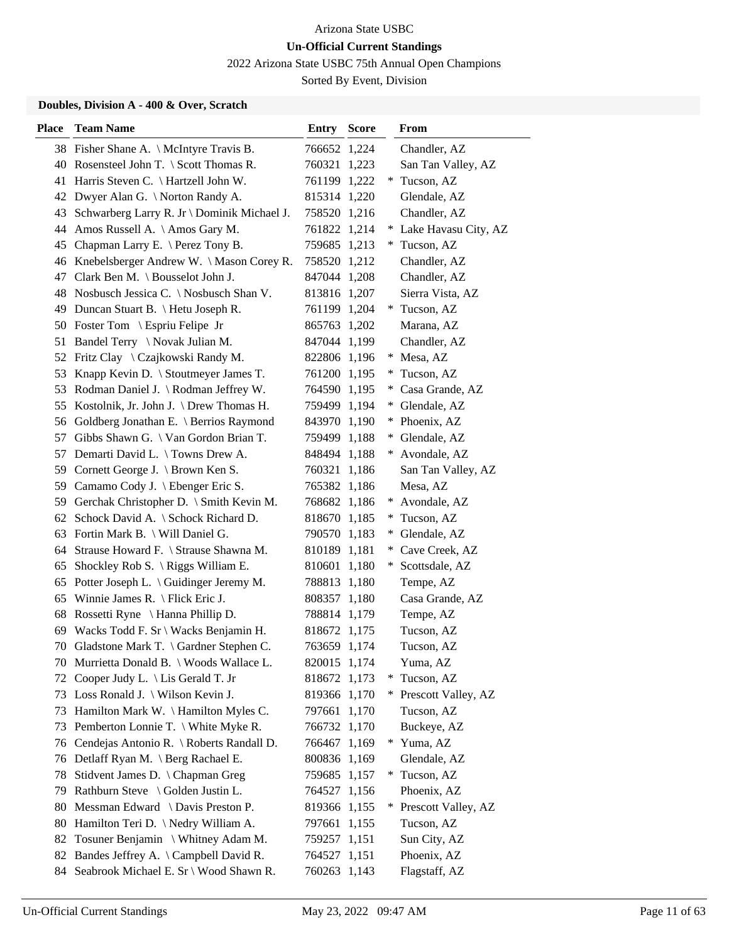2022 Arizona State USBC 75th Annual Open Champions

Sorted By Event, Division

### **Doubles, Division A - 400 & Over, Scratch**

| <b>Place</b> | <b>Team Name</b>                               | <b>Entry Score</b> |     | From                 |
|--------------|------------------------------------------------|--------------------|-----|----------------------|
|              | 38 Fisher Shane A. \ McIntyre Travis B.        | 766652 1,224       |     | Chandler, AZ         |
|              | 40 Rosensteel John T. \ Scott Thomas R.        | 760321 1,223       |     | San Tan Valley, AZ   |
| 41           | Harris Steven C. \ Hartzell John W.            | 761199 1,222       | *   | Tucson, AZ           |
|              | 42 Dwyer Alan G. \ Norton Randy A.             | 815314 1,220       |     | Glendale, AZ         |
| 43           | Schwarberg Larry R. Jr \ Dominik Michael J.    | 758520 1,216       |     | Chandler, AZ         |
| 44           | Amos Russell A. \Amos Gary M.                  | 761822 1,214       | ∗   | Lake Havasu City, AZ |
| 45           | Chapman Larry E. \ Perez Tony B.               | 759685 1,213       |     | * Tucson, AZ         |
| 46           | Knebelsberger Andrew W. \ Mason Corey R.       | 758520 1,212       |     | Chandler, AZ         |
| 47           | Clark Ben M. \ Bousselot John J.               | 847044 1,208       |     | Chandler, AZ         |
| 48           | Nosbusch Jessica C. \ Nosbusch Shan V.         | 813816 1,207       |     | Sierra Vista, AZ     |
| 49           | Duncan Stuart B. \ Hetu Joseph R.              | 761199 1,204       |     | * Tucson, AZ         |
|              | 50 Foster Tom \ Espriu Felipe Jr               | 865763 1,202       |     | Marana, AZ           |
| 51           | Bandel Terry \ Novak Julian M.                 | 847044 1,199       |     | Chandler, AZ         |
| 52           | Fritz Clay \ Czajkowski Randy M.               | 822806 1,196       | ∗   | Mesa, AZ             |
| 53           | Knapp Kevin D. \ Stoutmeyer James T.           | 761200 1,195       | *.  | Tucson, AZ           |
| 53           | Rodman Daniel J. \ Rodman Jeffrey W.           | 764590 1,195       | $*$ | Casa Grande, AZ      |
| 55           | Kostolnik, Jr. John J. \ Drew Thomas H.        | 759499 1,194       | *   | Glendale, AZ         |
| 56           | Goldberg Jonathan E. \ Berrios Raymond         | 843970 1,190       | ∗   | Phoenix, AZ          |
| 57           | Gibbs Shawn G. \ Van Gordon Brian T.           | 759499 1,188       | $*$ | Glendale, AZ         |
| 57           | Demarti David L. \ Towns Drew A.               | 848494 1,188       | $*$ | Avondale, AZ         |
| 59           | Cornett George J. \ Brown Ken S.               | 760321 1,186       |     | San Tan Valley, AZ   |
| 59           | Camamo Cody J. \ Ebenger Eric S.               | 765382 1,186       |     | Mesa, AZ             |
|              | 59 Gerchak Christopher D. \ Smith Kevin M.     | 768682 1,186       |     | * Avondale, AZ       |
| 62           | Schock David A. \ Schock Richard D.            | 818670 1,185       | $*$ | Tucson, AZ           |
| 63           | Fortin Mark B. \ Will Daniel G.                | 790570 1,183       | $*$ | Glendale, AZ         |
| 64           | Strause Howard F. \ Strause Shawna M.          | 810189 1,181       | ∗   | Cave Creek, AZ       |
| 65           | Shockley Rob S. $\langle$ Riggs William E.     | 810601 1,180       | $*$ | Scottsdale, AZ       |
| 65           | Potter Joseph L. \ Guidinger Jeremy M.         | 788813 1,180       |     | Tempe, AZ            |
| 65           | Winnie James R. $\left\{\right.$ Flick Eric J. | 808357 1,180       |     | Casa Grande, AZ      |
| 68           | Rossetti Ryne \ Hanna Phillip D.               | 788814 1,179       |     | Tempe, AZ            |
| 69           | Wacks Todd F. Sr \ Wacks Benjamin H.           | 818672 1,175       |     | Tucson, AZ           |
|              | 70 Gladstone Mark T. \ Gardner Stephen C.      | 763659 1,174       |     | Tucson, AZ           |
|              | 70 Murrietta Donald B. \ Woods Wallace L.      | 820015 1,174       |     | Yuma, AZ             |
| 72           | Cooper Judy L. \ Lis Gerald T. Jr              | 818672 1,173       |     | Tucson, AZ           |
| 73           | Loss Ronald J. \ Wilson Kevin J.               | 819366 1,170       | $*$ | Prescott Valley, AZ  |
| 73           | Hamilton Mark W. \Hamilton Myles C.            | 797661 1,170       |     | Tucson, AZ           |
| 73           | Pemberton Lonnie T. \ White Myke R.            | 766732 1,170       |     | Buckeye, AZ          |
| 76           | Cendejas Antonio R. \ Roberts Randall D.       | 766467 1,169       | $*$ | Yuma, AZ             |
| 76           | Detlaff Ryan M. \ Berg Rachael E.              | 800836 1,169       |     | Glendale, AZ         |
| 78           | Stidvent James D. \ Chapman Greg               | 759685 1,157       | $*$ | Tucson, AZ           |
| 79           | Rathburn Steve \ Golden Justin L.              | 764527 1,156       |     | Phoenix, AZ          |
| 80           | Messman Edward \ Davis Preston P.              | 819366 1,155       | ∗   | Prescott Valley, AZ  |
| 80           | Hamilton Teri D. \ Nedry William A.            | 797661 1,155       |     | Tucson, AZ           |
| 82           | Tosuner Benjamin \ Whitney Adam M.             | 759257 1,151       |     | Sun City, AZ         |
| 82           | Bandes Jeffrey A. \ Campbell David R.          | 764527 1,151       |     | Phoenix, AZ          |
| 84           | Seabrook Michael E. Sr \ Wood Shawn R.         | 760263 1,143       |     | Flagstaff, AZ        |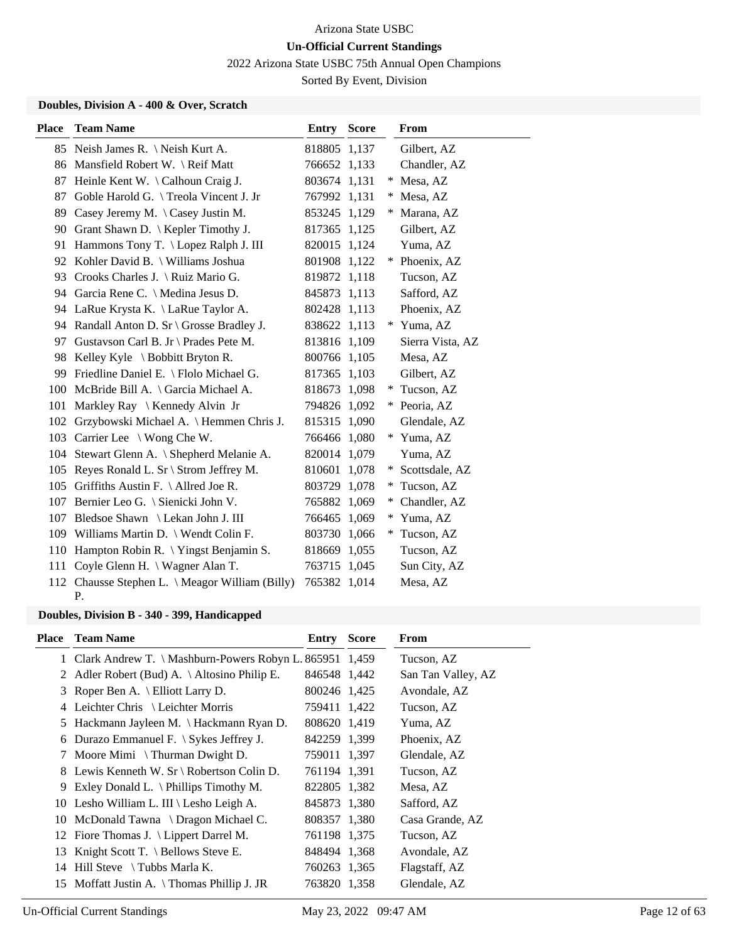2022 Arizona State USBC 75th Annual Open Champions

Sorted By Event, Division

### **Doubles, Division A - 400 & Over, Scratch**

| <b>Place</b> | <b>Team Name</b>                                      | Entry        | <b>Score</b> |   | From             |
|--------------|-------------------------------------------------------|--------------|--------------|---|------------------|
| 85           | Neish James R. \ Neish Kurt A.                        | 818805 1,137 |              |   | Gilbert, AZ      |
| 86           | Mansfield Robert W. \ Reif Matt                       | 766652 1,133 |              |   | Chandler, AZ     |
| 87           | Heinle Kent W. \ Calhoun Craig J.                     | 803674 1,131 |              | ∗ | Mesa, AZ         |
| 87           | Goble Harold G. \Treola Vincent J. Jr                 | 767992 1,131 |              | * | Mesa, AZ         |
| 89           | Casey Jeremy M. $\setminus$ Casey Justin M.           | 853245 1,129 |              |   | Marana, AZ       |
| 90           | Grant Shawn D.   Kepler Timothy J.                    | 817365 1,125 |              |   | Gilbert, AZ      |
| 91           | Hammons Tony T. \ Lopez Ralph J. III                  | 820015 1,124 |              |   | Yuma, AZ         |
|              | 92 Kohler David B. \ Williams Joshua                  | 801908 1,122 |              | * | Phoenix, AZ      |
| 93           | Crooks Charles J. \ Ruiz Mario G.                     | 819872 1,118 |              |   | Tucson, AZ       |
| 94           | Garcia Rene C. \ Medina Jesus D.                      | 845873 1,113 |              |   | Safford, AZ      |
| 94           | LaRue Krysta K. \ LaRue Taylor A.                     | 802428 1,113 |              |   | Phoenix, AZ      |
|              | 94 Randall Anton D. Sr \ Grosse Bradley J.            | 838622 1,113 |              | * | Yuma, AZ         |
| 97           | Gustavson Carl B. Jr \ Prades Pete M.                 | 813816 1,109 |              |   | Sierra Vista, AZ |
| 98           | Kelley Kyle $\setminus$ Bobbitt Bryton R.             | 800766 1,105 |              |   | Mesa, AZ         |
| 99           | Friedline Daniel E. \ Flolo Michael G.                | 817365 1,103 |              |   | Gilbert, AZ      |
| 100          | McBride Bill A. \ Garcia Michael A.                   | 818673 1,098 |              | ∗ | Tucson, AZ       |
| 101          | Markley Ray \ Kennedy Alvin Jr                        | 794826 1,092 |              | ∗ | Peoria, AZ       |
| 102          | Grzybowski Michael A. \ Hemmen Chris J.               | 815315 1,090 |              |   | Glendale, AZ     |
| 103          | Carrier Lee \ Wong Che W.                             | 766466 1,080 |              | ∗ | Yuma, AZ         |
| 104          | Stewart Glenn A. \ Shepherd Melanie A.                | 820014 1,079 |              |   | Yuma, AZ         |
| 105          | Reyes Ronald L. Sr \ Strom Jeffrey M.                 | 810601 1,078 |              | ∗ | Scottsdale, AZ   |
| 105          | Griffiths Austin F. \ Allred Joe R.                   | 803729 1,078 |              | ∗ | Tucson, AZ       |
| 107          | Bernier Leo G. \ Sienicki John V.                     | 765882 1,069 |              | ∗ | Chandler, AZ     |
| 107          | Bledsoe Shawn \ Lekan John J. III                     | 766465 1,069 |              | ∗ | Yuma, AZ         |
| 109          | Williams Martin D. \ Wendt Colin F.                   | 803730 1,066 |              | ∗ | Tucson, AZ       |
| 110          | Hampton Robin R. \ Yingst Benjamin S.                 | 818669 1,055 |              |   | Tucson, AZ       |
| 111          | Coyle Glenn H. \ Wagner Alan T.                       | 763715 1,045 |              |   | Sun City, AZ     |
|              | 112 Chausse Stephen L. \ Meagor William (Billy)<br>Ρ. | 765382 1,014 |              |   | Mesa, AZ         |

# **Doubles, Division B - 340 - 399, Handicapped**

| Place | <b>Team Name</b>                                          | Entry        | <b>Score</b> | From               |
|-------|-----------------------------------------------------------|--------------|--------------|--------------------|
|       | 1 Clark Andrew T. \ Mashburn-Powers Robyn L. 865951 1,459 |              |              | Tucson, AZ         |
|       | 2 Adler Robert (Bud) A. $\setminus$ Altosino Philip E.    | 846548 1,442 |              | San Tan Valley, AZ |
| 3     | Roper Ben A. $\setminus$ Elliott Larry D.                 | 800246 1,425 |              | Avondale, AZ       |
|       | 4 Leichter Chris \ Leichter Morris                        | 759411 1,422 |              | Tucson, AZ         |
| 5     | Hackmann Jayleen M. \ Hackmann Ryan D.                    | 808620 1,419 |              | Yuma, AZ           |
|       | 6 Durazo Emmanuel F. $\Im$ Sykes Jeffrey J.               | 842259 1,399 |              | Phoenix, AZ        |
|       | 7 Moore Mimi \ Thurman Dwight D.                          | 759011 1.397 |              | Glendale, AZ       |
|       | 8 Lewis Kenneth W. Sr \ Robertson Colin D.                | 761194 1.391 |              | Tucson, AZ         |
| 9.    | Exley Donald L. $\{$ Phillips Timothy M.                  | 822805 1,382 |              | Mesa, AZ           |
|       | 10 Lesho William L. III \ Lesho Leigh A.                  | 845873 1,380 |              | Safford, AZ        |
|       | 10 McDonald Tawna \ Dragon Michael C.                     | 808357 1,380 |              | Casa Grande, AZ    |
|       | 12 Fiore Thomas J. \ Lippert Darrel M.                    | 761198 1,375 |              | Tucson, AZ         |
| 13    | Knight Scott T. $\leq$ Bellows Steve E.                   | 848494 1,368 |              | Avondale, AZ       |
|       | 14 Hill Steve $\setminus$ Tubbs Marla K.                  | 760263 1,365 |              | Flagstaff, AZ      |
|       | 15 Moffatt Justin A. \Thomas Phillip J. JR                | 763820 1.358 |              | Glendale, AZ       |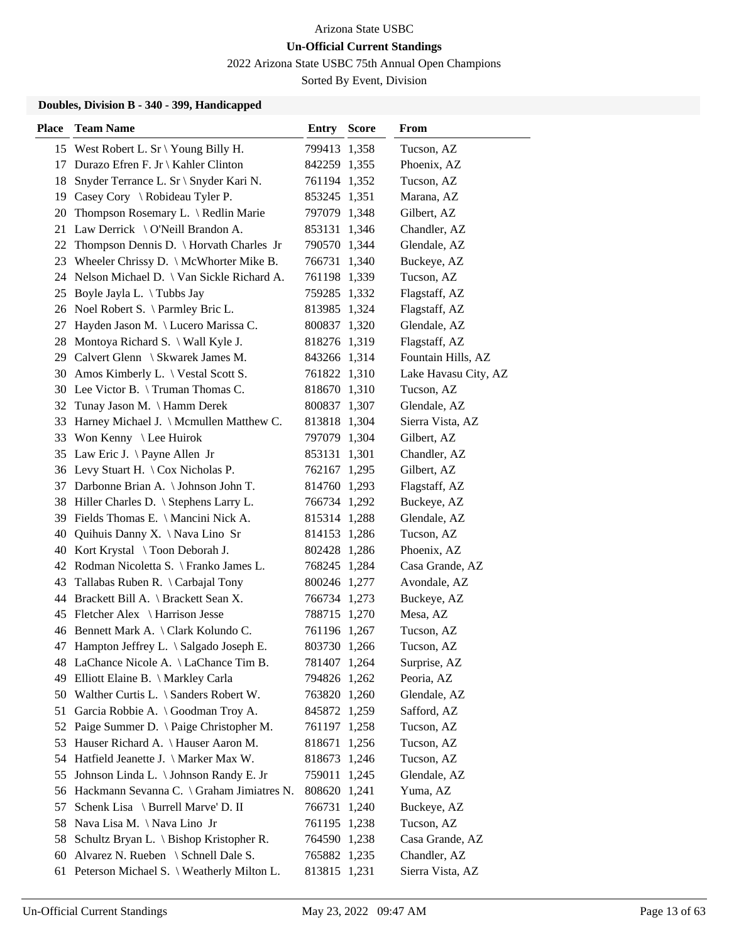2022 Arizona State USBC 75th Annual Open Champions

Sorted By Event, Division

### **Doubles, Division B - 340 - 399, Handicapped**

| <b>Place</b> | <b>Team Name</b>                             | <b>Entry Score</b> | From                 |
|--------------|----------------------------------------------|--------------------|----------------------|
|              | 15 West Robert L. Sr \ Young Billy H.        | 799413 1,358       | Tucson, AZ           |
| 17           | Durazo Efren F. Jr \ Kahler Clinton          | 842259 1,355       | Phoenix, AZ          |
| 18           | Snyder Terrance L. Sr \ Snyder Kari N.       | 761194 1,352       | Tucson, AZ           |
|              | 19 Casey Cory \ Robideau Tyler P.            | 853245 1,351       | Marana, AZ           |
| 20           | Thompson Rosemary L. \ Redlin Marie          | 797079 1,348       | Gilbert, AZ          |
| 21           | Law Derrick \ O'Neill Brandon A.             | 853131 1,346       | Chandler, AZ         |
| 22           | Thompson Dennis D. \ Horvath Charles Jr      | 790570 1,344       | Glendale, AZ         |
|              | 23 Wheeler Chrissy D. \ McWhorter Mike B.    | 766731 1,340       | Buckeye, AZ          |
|              | 24 Nelson Michael D. \ Van Sickle Richard A. | 761198 1,339       | Tucson, AZ           |
| 25           | Boyle Jayla L. $\setminus$ Tubbs Jay         | 759285 1,332       | Flagstaff, AZ        |
|              | 26 Noel Robert S. \Parmley Bric L.           | 813985 1,324       | Flagstaff, AZ        |
| 27           | Hayden Jason M. \ Lucero Marissa C.          | 800837 1,320       | Glendale, AZ         |
|              | 28 Montoya Richard S. \ Wall Kyle J.         | 818276 1,319       | Flagstaff, AZ        |
|              | 29 Calvert Glenn \ Skwarek James M.          | 843266 1,314       | Fountain Hills, AZ   |
|              | 30 Amos Kimberly L. \ Vestal Scott S.        | 761822 1,310       | Lake Havasu City, AZ |
|              | 30 Lee Victor B. \Truman Thomas C.           | 818670 1,310       | Tucson, AZ           |
| 32           | Tunay Jason M. \ Hamm Derek                  | 800837 1,307       | Glendale, AZ         |
| 33           | Harney Michael J. \ Mcmullen Matthew C.      | 813818 1,304       | Sierra Vista, AZ     |
|              | 33 Won Kenny \ Lee Huirok                    | 797079 1,304       | Gilbert, AZ          |
|              | 35 Law Eric J. \Payne Allen Jr               | 853131 1,301       | Chandler, AZ         |
|              | 36 Levy Stuart H. \ Cox Nicholas P.          | 762167 1,295       | Gilbert, AZ          |
|              | 37 Darbonne Brian A. \Johnson John T.        | 814760 1,293       | Flagstaff, AZ        |
|              | 38 Hiller Charles D. \ Stephens Larry L.     | 766734 1,292       | Buckeye, AZ          |
|              | 39 Fields Thomas E. \ Mancini Nick A.        | 815314 1,288       | Glendale, AZ         |
| 40           | Quihuis Danny X. \ Nava Lino Sr              | 814153 1,286       | Tucson, AZ           |
|              | 40 Kort Krystal \ Toon Deborah J.            | 802428 1,286       | Phoenix, AZ          |
|              | 42 Rodman Nicoletta S. \ Franko James L.     | 768245 1,284       | Casa Grande, AZ      |
|              | 43 Tallabas Ruben R. \ Carbajal Tony         | 800246 1,277       | Avondale, AZ         |
|              | 44 Brackett Bill A. \ Brackett Sean X.       | 766734 1,273       | Buckeye, AZ          |
|              | 45 Fletcher Alex \ Harrison Jesse            | 788715 1,270       | Mesa, AZ             |
|              | 46 Bennett Mark A. \Clark Kolundo C.         | 761196 1,267       | Tucson, AZ           |
|              | 47 Hampton Jeffrey L. \ Salgado Joseph E.    | 803730 1,266       | Tucson, AZ           |
|              | 48 LaChance Nicole A. \LaChance Tim B.       | 781407 1,264       | Surprise, AZ         |
|              | 49 Elliott Elaine B. \ Markley Carla         | 794826 1,262       | Peoria, AZ           |
|              | 50 Walther Curtis L. \ Sanders Robert W.     | 763820 1,260       | Glendale, AZ         |
| 51           | Garcia Robbie A. \ Goodman Troy A.           | 845872 1,259       | Safford, AZ          |
| 52           | Paige Summer D. \ Paige Christopher M.       | 761197 1,258       | Tucson, AZ           |
| 53           | Hauser Richard A. \ Hauser Aaron M.          | 818671 1,256       | Tucson, AZ           |
| 54           | Hatfield Jeanette J. \ Marker Max W.         | 818673 1,246       | Tucson, AZ           |
| 55           | Johnson Linda L. \ Johnson Randy E. Jr       | 759011 1,245       | Glendale, AZ         |
|              | 56 Hackmann Sevanna C. \ Graham Jimiatres N. | 808620 1,241       | Yuma, AZ             |
| 57           | Schenk Lisa \ Burrell Marve' D. II           | 766731 1,240       | Buckeye, AZ          |
| 58           | Nava Lisa M. \Nava Lino Jr                   | 761195 1,238       | Tucson, AZ           |
| 58           | Schultz Bryan L. \ Bishop Kristopher R.      | 764590 1,238       | Casa Grande, AZ      |
| 60           | Alvarez N. Rueben \ Schnell Dale S.          | 765882 1,235       | Chandler, AZ         |
| 61           | Peterson Michael S. \ Weatherly Milton L.    | 813815 1,231       | Sierra Vista, AZ     |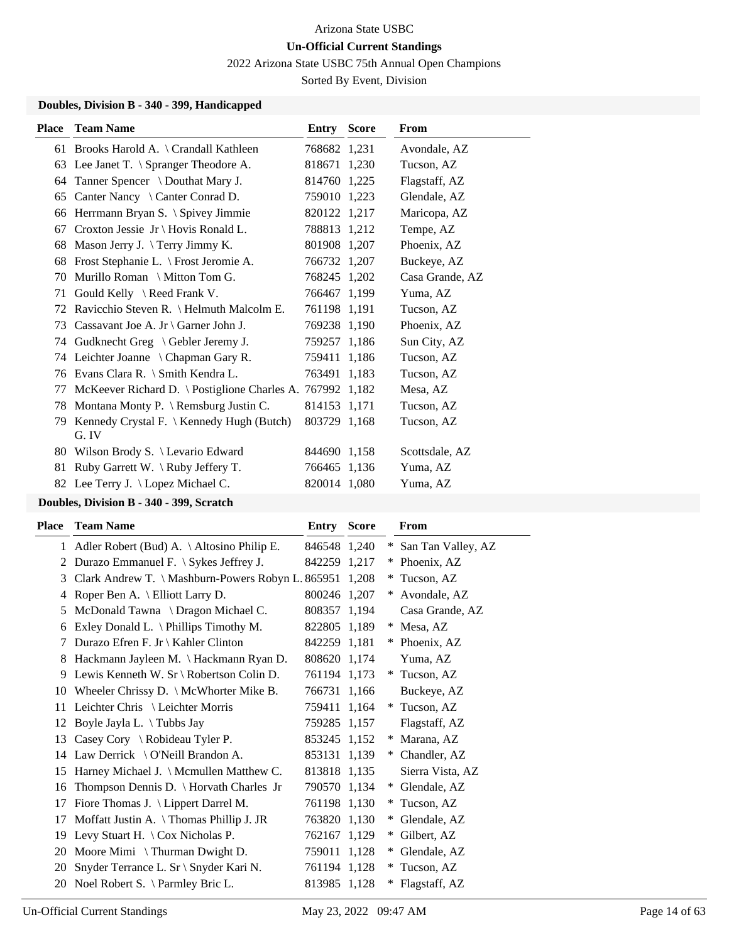2022 Arizona State USBC 75th Annual Open Champions

Sorted By Event, Division

### **Doubles, Division B - 340 - 399, Handicapped**

| <b>Place</b> | <b>Team Name</b>                                          | <b>Entry Score</b> | From            |
|--------------|-----------------------------------------------------------|--------------------|-----------------|
|              | 61 Brooks Harold A. \ Crandall Kathleen                   | 768682 1,231       | Avondale, AZ    |
|              | 63 Lee Janet T. \ Spranger Theodore A.                    | 818671 1,230       | Tucson, AZ      |
| 64           | Tanner Spencer \ Douthat Mary J.                          | 814760 1,225       | Flagstaff, AZ   |
| 65           | Canter Nancy \ Canter Conrad D.                           | 759010 1,223       | Glendale, AZ    |
| 66           | Herrmann Bryan S. \ Spivey Jimmie                         | 820122 1,217       | Maricopa, AZ    |
|              | 67 Croxton Jessie Jr \ Hovis Ronald L.                    | 788813 1,212       | Tempe, AZ       |
| 68           | Mason Jerry J. $\Terry\ Jimmy\ K.$                        | 801908 1,207       | Phoenix, AZ     |
| 68           | Frost Stephanie L. \ Frost Jeromie A.                     | 766732 1,207       | Buckeye, AZ     |
| 70           | Murillo Roman \ Mitton Tom G.                             | 768245 1,202       | Casa Grande, AZ |
| 71           | Gould Kelly \ Reed Frank V.                               | 766467 1,199       | Yuma, AZ        |
| 72           | Ravicchio Steven R. \ Helmuth Malcolm E.                  | 761198 1,191       | Tucson, AZ      |
| 73           | Cassavant Joe A. Jr \ Garner John J.                      | 769238 1,190       | Phoenix, AZ     |
| 74           | Gudknecht Greg \ Gebler Jeremy J.                         | 759257 1,186       | Sun City, AZ    |
|              | 74 Leichter Joanne \ Chapman Gary R.                      | 759411 1,186       | Tucson, AZ      |
| 76           | Evans Clara R. \ Smith Kendra L.                          | 763491 1,183       | Tucson, AZ      |
| 77           | McKeever Richard D. \ Postiglione Charles A. 767992 1,182 |                    | Mesa, AZ        |
| 78           | Montana Monty P. $\{$ Remsburg Justin C.                  | 814153 1,171       | Tucson, AZ      |
| 79           | Kennedy Crystal F. $\{$ Kennedy Hugh (Butch)<br>G. IV     | 803729 1,168       | Tucson, AZ      |
|              | 80 Wilson Brody S. \ Levario Edward                       | 844690 1,158       | Scottsdale, AZ  |
| 81           | Ruby Garrett W. \Ruby Jeffery T.                          | 766465 1,136       | Yuma, AZ        |
|              | 82 Lee Terry J. \ Lopez Michael C.                        | 820014 1,080       | Yuma, AZ        |
|              |                                                           |                    |                 |

### **Doubles, Division B - 340 - 399, Scratch**

| Place | <b>Team Name</b>                                        | Entry        | <b>Score</b> |        | From               |
|-------|---------------------------------------------------------|--------------|--------------|--------|--------------------|
| 1     | Adler Robert (Bud) A. \ Altosino Philip E.              | 846548 1,240 |              | $*$    | San Tan Valley, AZ |
| 2     | Durazo Emmanuel F. $\setminus$ Sykes Jeffrey J.         | 842259 1,217 |              | ∗      | Phoenix, AZ        |
| 3     | Clark Andrew T. \ Mashburn-Powers Robyn L. 865951 1,208 |              |              |        | Tucson, AZ         |
| 4     | Roper Ben A. $\setminus$ Elliott Larry D.               | 800246 1,207 |              | *      | Avondale, AZ       |
| 5     | McDonald Tawna \ Dragon Michael C.                      | 808357 1,194 |              |        | Casa Grande, AZ    |
| 6     | Exley Donald L. $\Phi$ Phillips Timothy M.              | 822805 1,189 |              | *      | Mesa, AZ           |
| 7     | Durazo Efren F. Jr \ Kahler Clinton                     | 842259 1,181 |              | ∗      | Phoenix, AZ        |
| 8     | Hackmann Jayleen M. \ Hackmann Ryan D.                  | 808620 1,174 |              |        | Yuma, AZ           |
| 9     | Lewis Kenneth W. Sr \ Robertson Colin D.                | 761194 1,173 |              | *      | Tucson, AZ         |
| 10    | Wheeler Chrissy D. $\setminus$ McWhorter Mike B.        | 766731 1,166 |              |        | Buckeye, AZ        |
| 11    | Leichter Chris \ Leichter Morris                        | 759411 1,164 |              | $\ast$ | Tucson, AZ         |
| 12    | Boyle Jayla L. \ Tubbs Jay                              | 759285 1,157 |              |        | Flagstaff, AZ      |
| 13    | Casey Cory \ Robideau Tyler P.                          | 853245 1,152 |              | ∗      | Marana, AZ         |
| 14    | Law Derrick \ O'Neill Brandon A.                        | 853131 1,139 |              | $*$    | Chandler, AZ       |
| 15    | Harney Michael J. \ Mcmullen Matthew C.                 | 813818 1,135 |              |        | Sierra Vista, AZ   |
| 16    | Thompson Dennis D. \ Horvath Charles Jr                 | 790570 1,134 |              | ∗      | Glendale, AZ       |
| 17    | Fiore Thomas J. \ Lippert Darrel M.                     | 761198 1,130 |              | ∗      | Tucson, AZ         |
| 17    | Moffatt Justin A. $\{\text{Thomas Philip J. JR}\}$      | 763820 1,130 |              | *      | Glendale, AZ       |
| 19    | Levy Stuart H. $\setminus$ Cox Nicholas P.              | 762167 1,129 |              | $*$    | Gilbert, AZ        |
| 20    | Moore Mimi \ Thurman Dwight D.                          | 759011 1,128 |              | $*$    | Glendale, AZ       |
| 20    | Snyder Terrance L. Sr \ Snyder Kari N.                  | 761194 1,128 |              | $\ast$ | Tucson, AZ         |
| 20    | Noel Robert S. \ Parmley Bric L.                        | 813985 1,128 |              |        | Flagstaff, AZ      |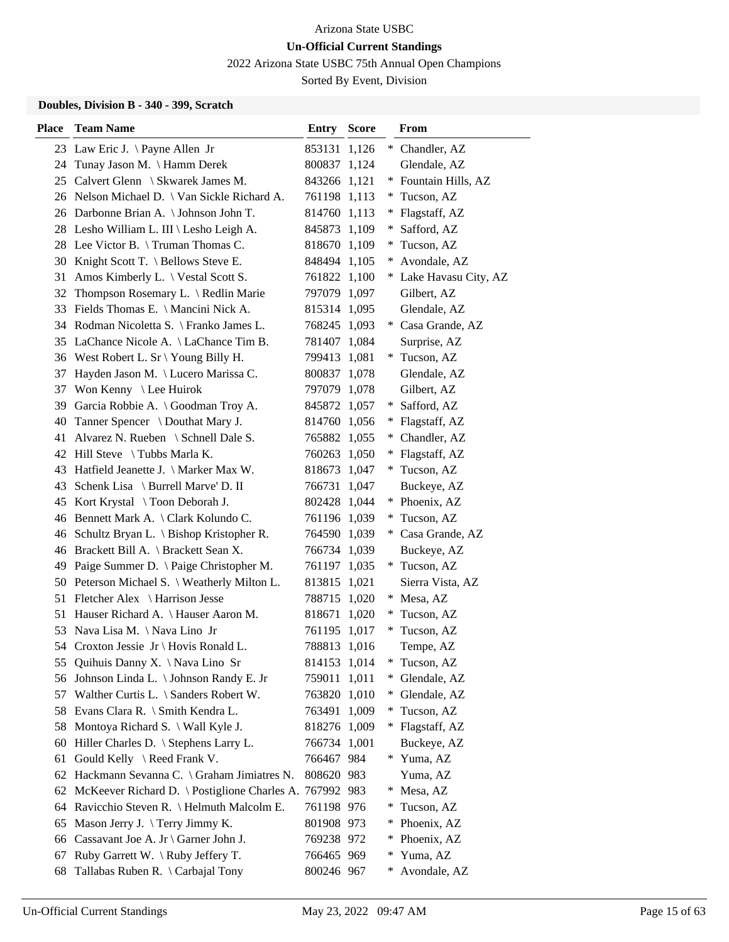2022 Arizona State USBC 75th Annual Open Champions

Sorted By Event, Division

### **Doubles, Division B - 340 - 399, Scratch**

| <b>Place</b> | <b>Team Name</b>                                  | Entry        | <b>Score</b> |        | From                   |
|--------------|---------------------------------------------------|--------------|--------------|--------|------------------------|
|              | 23 Law Eric J. \Payne Allen Jr                    | 853131 1,126 |              |        | * Chandler, AZ         |
| 24           | Tunay Jason M. \ Hamm Derek                       | 800837 1,124 |              |        | Glendale, AZ           |
| 25           | Calvert Glenn \ Skwarek James M.                  | 843266 1,121 |              |        | * Fountain Hills, AZ   |
|              | 26 Nelson Michael D. \ Van Sickle Richard A.      | 761198 1,113 |              |        | * Tucson, AZ           |
|              | 26 Darbonne Brian A. \Johnson John T.             | 814760 1,113 |              | *      | Flagstaff, AZ          |
|              | 28 Lesho William L. III \ Lesho Leigh A.          | 845873 1,109 |              | ∗      | Safford, AZ            |
|              | 28 Lee Victor B. \Truman Thomas C.                | 818670 1,109 |              | $*$    | Tucson, AZ             |
|              | 30 Knight Scott T. \ Bellows Steve E.             | 848494 1,105 |              | *      | Avondale, AZ           |
| 31           | Amos Kimberly L. \ Vestal Scott S.                | 761822 1,100 |              |        | * Lake Havasu City, AZ |
| 32           | Thompson Rosemary L. \ Redlin Marie               | 797079 1,097 |              |        | Gilbert, AZ            |
| 33           | Fields Thomas E. \ Mancini Nick A.                | 815314 1,095 |              |        | Glendale, AZ           |
| 34           | Rodman Nicoletta S. \ Franko James L.             | 768245 1,093 |              |        | * Casa Grande, AZ      |
| 35           | LaChance Nicole A. \LaChance Tim B.               | 781407 1,084 |              |        | Surprise, AZ           |
|              | 36 West Robert L. Sr \ Young Billy H.             | 799413 1,081 |              | ∗      | Tucson, AZ             |
| 37           | Hayden Jason M. \ Lucero Marissa C.               | 800837 1,078 |              |        | Glendale, AZ           |
| 37           | Won Kenny \ Lee Huirok                            | 797079 1,078 |              |        | Gilbert, AZ            |
| 39           | Garcia Robbie A. \Goodman Troy A.                 | 845872 1,057 |              | $*$    | Safford, AZ            |
| 40           | Tanner Spencer \ Douthat Mary J.                  | 814760 1,056 |              | ¥      | Flagstaff, AZ          |
| 41           | Alvarez N. Rueben \ Schnell Dale S.               | 765882 1,055 |              | ¥      | Chandler, AZ           |
| 42           | Hill Steve $\setminus$ Tubbs Marla K.             | 760263 1,050 |              |        | * Flagstaff, AZ        |
| 43           | Hatfield Jeanette J. \ Marker Max W.              | 818673 1,047 |              |        | * Tucson, AZ           |
| 43           | Schenk Lisa \ Burrell Marve' D. II                | 766731 1,047 |              |        | Buckeye, AZ            |
| 45           | Kort Krystal \ Toon Deborah J.                    | 802428 1,044 |              |        | * Phoenix, AZ          |
|              | 46 Bennett Mark A. \Clark Kolundo C.              | 761196 1,039 |              |        | * Tucson, AZ           |
| 46           | Schultz Bryan L. $\setminus$ Bishop Kristopher R. | 764590 1,039 |              |        | * Casa Grande, AZ      |
| 46           | Brackett Bill A. \ Brackett Sean X.               | 766734 1,039 |              |        | Buckeye, AZ            |
| 49           | Paige Summer D. \ Paige Christopher M.            | 761197 1,035 |              |        | * Tucson, AZ           |
|              | 50 Peterson Michael S. \ Weatherly Milton L.      | 813815 1,021 |              |        | Sierra Vista, AZ       |
| 51           | Fletcher Alex \ Harrison Jesse                    | 788715 1,020 |              | $*$    | Mesa, AZ               |
| 51           | Hauser Richard A. \ Hauser Aaron M.               | 818671       | 1,020        | $\ast$ | Tucson, AZ             |
| 53           | Nava Lisa M. \Nava Lino Jr                        | 761195       | 1,017        |        | Tucson, AZ             |
|              | 54 Croxton Jessie Jr \ Hovis Ronald L.            | 788813 1,016 |              |        | Tempe, AZ              |
| 55           | Quihuis Danny X. \Nava Lino Sr                    | 814153 1,014 |              | $*$    | Tucson, AZ             |
| 56           | Johnson Linda L. \ Johnson Randy E. Jr            | 759011 1,011 |              | $*$    | Glendale, AZ           |
| 57           | Walther Curtis L. \ Sanders Robert W.             | 763820 1,010 |              | ∗      | Glendale, AZ           |
| 58           | Evans Clara R. \ Smith Kendra L.                  | 763491 1,009 |              | *.     | Tucson, AZ             |
| 58           | Montoya Richard S. \ Wall Kyle J.                 | 818276 1,009 |              |        | * Flagstaff, AZ        |
| 60           | Hiller Charles D. \ Stephens Larry L.             | 766734 1,001 |              |        | Buckeye, AZ            |
| 61           | Gould Kelly \ Reed Frank V.                       | 766467 984   |              | $*$    | Yuma, AZ               |
| 62           | Hackmann Sevanna C. \ Graham Jimiatres N.         | 808620 983   |              |        | Yuma, AZ               |
| 62           | McKeever Richard D. \ Postiglione Charles A.      | 767992 983   |              | $*$    | Mesa, AZ               |
| 64           | Ravicchio Steven R. \ Helmuth Malcolm E.          | 761198 976   |              | $\ast$ | Tucson, AZ             |
| 65           | Mason Jerry J. $\T$ erry Jimmy K.                 | 801908 973   |              | $*$    | Phoenix, AZ            |
| 66           | Cassavant Joe A. Jr \ Garner John J.              | 769238 972   |              | ¥      | Phoenix, AZ            |
| 67           | Ruby Garrett W. \Ruby Jeffery T.                  | 766465 969   |              | $*$    | Yuma, AZ               |
| 68           | Tallabas Ruben R. \ Carbajal Tony                 | 800246 967   |              | ¥      | Avondale, AZ           |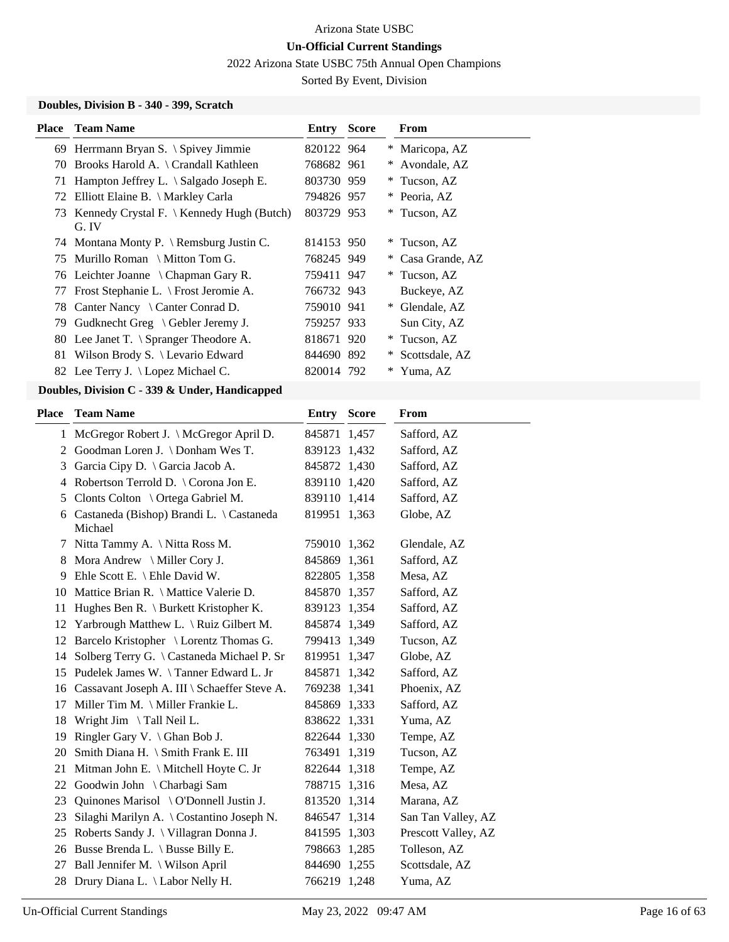2022 Arizona State USBC 75th Annual Open Champions

Sorted By Event, Division

### **Doubles, Division B - 340 - 399, Scratch**

|    | <b>Place</b> Team Name                                       | <b>Entry Score</b> |     | From              |
|----|--------------------------------------------------------------|--------------------|-----|-------------------|
|    | 69 Herrmann Bryan S. \ Spivey Jimmie                         | 820122 964         |     | * Maricopa, AZ    |
|    | 70 Brooks Harold A. \ Crandall Kathleen                      | 768682 961         | $*$ | Avondale, AZ      |
| 71 | Hampton Jeffrey L. $\setminus$ Salgado Joseph E.             | 803730 959         |     | * Tucson, AZ      |
|    | 72 Elliott Elaine B. \ Markley Carla                         | 794826 957         |     | * Peoria, AZ      |
| 73 | Kennedy Crystal F. $\setminus$ Kennedy Hugh (Butch)<br>G. IV | 803729 953         |     | * Tucson, AZ      |
|    | 74 Montana Monty P. \ Remsburg Justin C.                     | 814153 950         | *   | Tucson, AZ        |
|    | 75 Murillo Roman \ Mitton Tom G.                             | 768245 949         |     | * Casa Grande, AZ |
|    | 76 Leichter Joanne \ Chapman Gary R.                         | 759411 947         |     | * Tucson, AZ      |
|    | 77 Frost Stephanie L. \ Frost Jeromie A.                     | 766732 943         |     | Buckeye, AZ       |
|    | 78 Canter Nancy \ Canter Conrad D.                           | 759010 941         | $*$ | Glendale, AZ      |
| 79 | Gudknecht Greg $\setminus$ Gebler Jeremy J.                  | 759257 933         |     | Sun City, AZ      |
| 80 | Lee Janet T. $\S$ pranger Theodore A.                        | 818671 920         | $*$ | Tucson, AZ        |
| 81 | Wilson Brody S. \ Levario Edward                             | 844690 892         |     | * Scottsdale, AZ  |
|    | 82 Lee Terry J. \ Lopez Michael C.                           | 820014 792         |     | Yuma, AZ          |

### **Doubles, Division C - 339 & Under, Handicapped**

| <b>Place</b> | <b>Team Name</b>                                      | <b>Entry Score</b> | From                |
|--------------|-------------------------------------------------------|--------------------|---------------------|
|              | 1 McGregor Robert J. \ McGregor April D.              | 845871 1,457       | Safford, AZ         |
|              | 2 Goodman Loren J. \Donham Wes T.                     | 839123 1,432       | Safford, AZ         |
| 3            | Garcia Cipy D. \ Garcia Jacob A.                      | 845872 1,430       | Safford, AZ         |
| 4            | Robertson Terrold D. \ Corona Jon E.                  | 839110 1,420       | Safford, AZ         |
| 5            | Clonts Colton \ Ortega Gabriel M.                     | 839110 1,414       | Safford, AZ         |
|              | 6 Castaneda (Bishop) Brandi L. \ Castaneda<br>Michael | 819951 1,363       | Globe, AZ           |
| 7            | Nitta Tammy A. \ Nitta Ross M.                        | 759010 1,362       | Glendale, AZ        |
| 8            | Mora Andrew \ Miller Cory J.                          | 845869 1,361       | Safford, AZ         |
| 9            | Ehle Scott E. \ Ehle David W.                         | 822805 1,358       | Mesa, AZ            |
|              | 10 Mattice Brian R. \ Mattice Valerie D.              | 845870 1,357       | Safford, AZ         |
| 11           | Hughes Ben R. \ Burkett Kristopher K.                 | 839123 1,354       | Safford, AZ         |
|              | 12 Yarbrough Matthew L. \ Ruiz Gilbert M.             | 845874 1,349       | Safford, AZ         |
|              | 12 Barcelo Kristopher \ Lorentz Thomas G.             | 799413 1,349       | Tucson, AZ          |
| 14           | Solberg Terry G. \ Castaneda Michael P. Sr            | 819951 1,347       | Globe, AZ           |
|              | 15 Pudelek James W. \Tanner Edward L. Jr              | 845871 1,342       | Safford, AZ         |
|              | 16 Cassavant Joseph A. III \ Schaeffer Steve A.       | 769238 1,341       | Phoenix, AZ         |
| 17           | Miller Tim M. \ Miller Frankie L.                     | 845869 1,333       | Safford, AZ         |
| 18           | Wright Jim $\ \ \$ Tall Neil L.                       | 838622 1,331       | Yuma, AZ            |
| 19           | Ringler Gary V. $\langle$ Ghan Bob J.                 | 822644 1,330       | Tempe, AZ           |
| 20           | Smith Diana H. \ Smith Frank E. III                   | 763491 1,319       | Tucson, AZ          |
| 21           | Mitman John E. \ Mitchell Hoyte C. Jr                 | 822644 1,318       | Tempe, AZ           |
| 22           | Goodwin John \ Charbagi Sam                           | 788715 1,316       | Mesa, AZ            |
| 23           | Quinones Marisol \ O'Donnell Justin J.                | 813520 1,314       | Marana, AZ          |
| 23           | Silaghi Marilyn A. \ Costantino Joseph N.             | 846547 1,314       | San Tan Valley, AZ  |
| 25           | Roberts Sandy J. \ Villagran Donna J.                 | 841595 1,303       | Prescott Valley, AZ |
| 26           | Busse Brenda L. \ Busse Billy E.                      | 798663 1,285       | Tolleson, AZ        |
| 27           | Ball Jennifer M. \ Wilson April                       | 844690 1,255       | Scottsdale, AZ      |
| 28           | Drury Diana L. \ Labor Nelly H.                       | 766219 1,248       | Yuma, AZ            |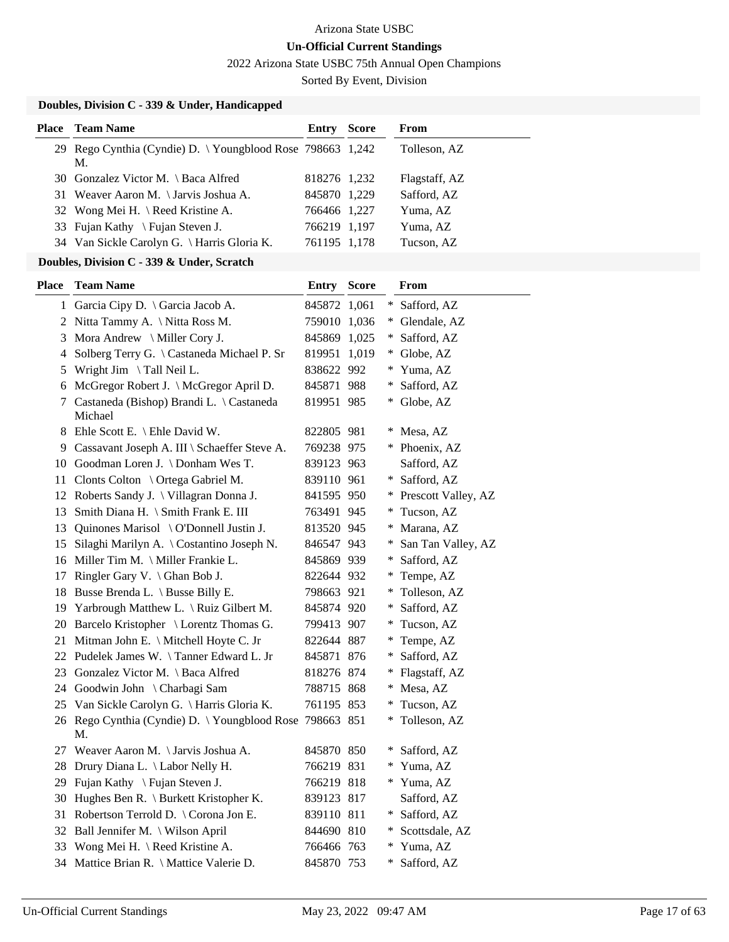2022 Arizona State USBC 75th Annual Open Champions

Sorted By Event, Division

|  |  | Doubles, Division C - 339 & Under, Handicapped |
|--|--|------------------------------------------------|
|  |  |                                                |

| <b>Place</b> Team Name<br><b>Entry Score</b><br>From<br>29 Rego Cynthia (Cyndie) D. \Youngblood Rose 798663 1,242<br>Tolleson, AZ<br>М.<br>30 Gonzalez Victor M. \ Baca Alfred<br>Flagstaff, AZ<br>818276 1,232<br>31 Weaver Aaron M. \Jarvis Joshua A.<br>Safford, AZ<br>845870 1,229<br>Wong Mei H. \ Reed Kristine A.<br>Yuma, AZ<br>766466 1,227<br>32<br>Fujan Kathy \ Fujan Steven J.<br>766219 1,197<br>Yuma, AZ<br>33<br>Van Sickle Carolyn G. \ Harris Gloria K.<br>Tucson, AZ<br>761195 1,178<br>34<br>Doubles, Division C - 339 & Under, Scratch<br><b>Team Name</b><br><b>Entry Score</b><br><b>Place</b><br><b>From</b><br>1 Garcia Cipy D. \ Garcia Jacob A.<br>845872 1,061<br>* Safford, AZ<br>2 Nitta Tammy A. \ Nitta Ross M.<br>759010 1,036<br>* Glendale, AZ<br>Mora Andrew \ Miller Cory J.<br>* Safford, AZ<br>845869 1,025<br>3<br>Solberg Terry G. \ Castaneda Michael P. Sr<br>* Globe, AZ<br>819951 1,019<br>4<br>Wright Jim \ Tall Neil L.<br>838622 992<br>* Yuma, AZ<br>5<br>6 McGregor Robert J. \ McGregor April D.<br>* Safford, AZ<br>845871 988<br>* Globe, AZ<br>7 Castaneda (Bishop) Brandi L. \ Castaneda<br>819951 985<br>Michael<br>8 Ehle Scott E. \ Ehle David W.<br>822805 981<br>* Mesa, AZ<br>Cassavant Joseph A. III \ Schaeffer Steve A.<br>769238 975<br>* Phoenix, AZ<br>9.<br>10 Goodman Loren J. \Donham Wes T.<br>839123 963<br>Safford, AZ<br>Clonts Colton \ Ortega Gabriel M.<br>839110 961<br>* Safford, AZ<br>11<br>12 Roberts Sandy J. \ Villagran Donna J.<br>* Prescott Valley, AZ<br>841595 950<br>Smith Diana H. \ Smith Frank E. III<br>* Tucson, AZ<br>763491 945<br>13<br>Quinones Marisol \ O'Donnell Justin J.<br>* Marana, AZ<br>813520 945<br>13<br>Silaghi Marilyn A. \ Costantino Joseph N.<br>846547 943<br>* San Tan Valley, AZ<br>15<br>16 Miller Tim M. \ Miller Frankie L.<br>* Safford, AZ<br>845869 939 |
|---------------------------------------------------------------------------------------------------------------------------------------------------------------------------------------------------------------------------------------------------------------------------------------------------------------------------------------------------------------------------------------------------------------------------------------------------------------------------------------------------------------------------------------------------------------------------------------------------------------------------------------------------------------------------------------------------------------------------------------------------------------------------------------------------------------------------------------------------------------------------------------------------------------------------------------------------------------------------------------------------------------------------------------------------------------------------------------------------------------------------------------------------------------------------------------------------------------------------------------------------------------------------------------------------------------------------------------------------------------------------------------------------------------------------------------------------------------------------------------------------------------------------------------------------------------------------------------------------------------------------------------------------------------------------------------------------------------------------------------------------------------------------------------------------------------------------------------------------------------------------------------|
|                                                                                                                                                                                                                                                                                                                                                                                                                                                                                                                                                                                                                                                                                                                                                                                                                                                                                                                                                                                                                                                                                                                                                                                                                                                                                                                                                                                                                                                                                                                                                                                                                                                                                                                                                                                                                                                                                       |
|                                                                                                                                                                                                                                                                                                                                                                                                                                                                                                                                                                                                                                                                                                                                                                                                                                                                                                                                                                                                                                                                                                                                                                                                                                                                                                                                                                                                                                                                                                                                                                                                                                                                                                                                                                                                                                                                                       |
|                                                                                                                                                                                                                                                                                                                                                                                                                                                                                                                                                                                                                                                                                                                                                                                                                                                                                                                                                                                                                                                                                                                                                                                                                                                                                                                                                                                                                                                                                                                                                                                                                                                                                                                                                                                                                                                                                       |
|                                                                                                                                                                                                                                                                                                                                                                                                                                                                                                                                                                                                                                                                                                                                                                                                                                                                                                                                                                                                                                                                                                                                                                                                                                                                                                                                                                                                                                                                                                                                                                                                                                                                                                                                                                                                                                                                                       |
|                                                                                                                                                                                                                                                                                                                                                                                                                                                                                                                                                                                                                                                                                                                                                                                                                                                                                                                                                                                                                                                                                                                                                                                                                                                                                                                                                                                                                                                                                                                                                                                                                                                                                                                                                                                                                                                                                       |
|                                                                                                                                                                                                                                                                                                                                                                                                                                                                                                                                                                                                                                                                                                                                                                                                                                                                                                                                                                                                                                                                                                                                                                                                                                                                                                                                                                                                                                                                                                                                                                                                                                                                                                                                                                                                                                                                                       |
|                                                                                                                                                                                                                                                                                                                                                                                                                                                                                                                                                                                                                                                                                                                                                                                                                                                                                                                                                                                                                                                                                                                                                                                                                                                                                                                                                                                                                                                                                                                                                                                                                                                                                                                                                                                                                                                                                       |
|                                                                                                                                                                                                                                                                                                                                                                                                                                                                                                                                                                                                                                                                                                                                                                                                                                                                                                                                                                                                                                                                                                                                                                                                                                                                                                                                                                                                                                                                                                                                                                                                                                                                                                                                                                                                                                                                                       |
|                                                                                                                                                                                                                                                                                                                                                                                                                                                                                                                                                                                                                                                                                                                                                                                                                                                                                                                                                                                                                                                                                                                                                                                                                                                                                                                                                                                                                                                                                                                                                                                                                                                                                                                                                                                                                                                                                       |
|                                                                                                                                                                                                                                                                                                                                                                                                                                                                                                                                                                                                                                                                                                                                                                                                                                                                                                                                                                                                                                                                                                                                                                                                                                                                                                                                                                                                                                                                                                                                                                                                                                                                                                                                                                                                                                                                                       |
|                                                                                                                                                                                                                                                                                                                                                                                                                                                                                                                                                                                                                                                                                                                                                                                                                                                                                                                                                                                                                                                                                                                                                                                                                                                                                                                                                                                                                                                                                                                                                                                                                                                                                                                                                                                                                                                                                       |
|                                                                                                                                                                                                                                                                                                                                                                                                                                                                                                                                                                                                                                                                                                                                                                                                                                                                                                                                                                                                                                                                                                                                                                                                                                                                                                                                                                                                                                                                                                                                                                                                                                                                                                                                                                                                                                                                                       |
|                                                                                                                                                                                                                                                                                                                                                                                                                                                                                                                                                                                                                                                                                                                                                                                                                                                                                                                                                                                                                                                                                                                                                                                                                                                                                                                                                                                                                                                                                                                                                                                                                                                                                                                                                                                                                                                                                       |
|                                                                                                                                                                                                                                                                                                                                                                                                                                                                                                                                                                                                                                                                                                                                                                                                                                                                                                                                                                                                                                                                                                                                                                                                                                                                                                                                                                                                                                                                                                                                                                                                                                                                                                                                                                                                                                                                                       |
|                                                                                                                                                                                                                                                                                                                                                                                                                                                                                                                                                                                                                                                                                                                                                                                                                                                                                                                                                                                                                                                                                                                                                                                                                                                                                                                                                                                                                                                                                                                                                                                                                                                                                                                                                                                                                                                                                       |
|                                                                                                                                                                                                                                                                                                                                                                                                                                                                                                                                                                                                                                                                                                                                                                                                                                                                                                                                                                                                                                                                                                                                                                                                                                                                                                                                                                                                                                                                                                                                                                                                                                                                                                                                                                                                                                                                                       |
|                                                                                                                                                                                                                                                                                                                                                                                                                                                                                                                                                                                                                                                                                                                                                                                                                                                                                                                                                                                                                                                                                                                                                                                                                                                                                                                                                                                                                                                                                                                                                                                                                                                                                                                                                                                                                                                                                       |
|                                                                                                                                                                                                                                                                                                                                                                                                                                                                                                                                                                                                                                                                                                                                                                                                                                                                                                                                                                                                                                                                                                                                                                                                                                                                                                                                                                                                                                                                                                                                                                                                                                                                                                                                                                                                                                                                                       |
|                                                                                                                                                                                                                                                                                                                                                                                                                                                                                                                                                                                                                                                                                                                                                                                                                                                                                                                                                                                                                                                                                                                                                                                                                                                                                                                                                                                                                                                                                                                                                                                                                                                                                                                                                                                                                                                                                       |
|                                                                                                                                                                                                                                                                                                                                                                                                                                                                                                                                                                                                                                                                                                                                                                                                                                                                                                                                                                                                                                                                                                                                                                                                                                                                                                                                                                                                                                                                                                                                                                                                                                                                                                                                                                                                                                                                                       |
|                                                                                                                                                                                                                                                                                                                                                                                                                                                                                                                                                                                                                                                                                                                                                                                                                                                                                                                                                                                                                                                                                                                                                                                                                                                                                                                                                                                                                                                                                                                                                                                                                                                                                                                                                                                                                                                                                       |
|                                                                                                                                                                                                                                                                                                                                                                                                                                                                                                                                                                                                                                                                                                                                                                                                                                                                                                                                                                                                                                                                                                                                                                                                                                                                                                                                                                                                                                                                                                                                                                                                                                                                                                                                                                                                                                                                                       |
|                                                                                                                                                                                                                                                                                                                                                                                                                                                                                                                                                                                                                                                                                                                                                                                                                                                                                                                                                                                                                                                                                                                                                                                                                                                                                                                                                                                                                                                                                                                                                                                                                                                                                                                                                                                                                                                                                       |
|                                                                                                                                                                                                                                                                                                                                                                                                                                                                                                                                                                                                                                                                                                                                                                                                                                                                                                                                                                                                                                                                                                                                                                                                                                                                                                                                                                                                                                                                                                                                                                                                                                                                                                                                                                                                                                                                                       |
|                                                                                                                                                                                                                                                                                                                                                                                                                                                                                                                                                                                                                                                                                                                                                                                                                                                                                                                                                                                                                                                                                                                                                                                                                                                                                                                                                                                                                                                                                                                                                                                                                                                                                                                                                                                                                                                                                       |
| Ringler Gary V. $\langle$ Ghan Bob J.<br>* Tempe, AZ<br>822644 932<br>17                                                                                                                                                                                                                                                                                                                                                                                                                                                                                                                                                                                                                                                                                                                                                                                                                                                                                                                                                                                                                                                                                                                                                                                                                                                                                                                                                                                                                                                                                                                                                                                                                                                                                                                                                                                                              |
| 18 Busse Brenda L. \ Busse Billy E.<br>* Tolleson, AZ<br>798663 921                                                                                                                                                                                                                                                                                                                                                                                                                                                                                                                                                                                                                                                                                                                                                                                                                                                                                                                                                                                                                                                                                                                                                                                                                                                                                                                                                                                                                                                                                                                                                                                                                                                                                                                                                                                                                   |
| Yarbrough Matthew L. \ Ruiz Gilbert M.<br>845874 920<br>* Safford, AZ<br>19                                                                                                                                                                                                                                                                                                                                                                                                                                                                                                                                                                                                                                                                                                                                                                                                                                                                                                                                                                                                                                                                                                                                                                                                                                                                                                                                                                                                                                                                                                                                                                                                                                                                                                                                                                                                           |
| 20 Barcelo Kristopher \ Lorentz Thomas G.<br>* Tucson, AZ<br>799413 907                                                                                                                                                                                                                                                                                                                                                                                                                                                                                                                                                                                                                                                                                                                                                                                                                                                                                                                                                                                                                                                                                                                                                                                                                                                                                                                                                                                                                                                                                                                                                                                                                                                                                                                                                                                                               |
| 21 Mitman John E. \ Mitchell Hoyte C. Jr<br>822644 887<br>* Tempe, AZ                                                                                                                                                                                                                                                                                                                                                                                                                                                                                                                                                                                                                                                                                                                                                                                                                                                                                                                                                                                                                                                                                                                                                                                                                                                                                                                                                                                                                                                                                                                                                                                                                                                                                                                                                                                                                 |
| 22 Pudelek James W. \Tanner Edward L. Jr<br>* Safford, AZ<br>845871 876                                                                                                                                                                                                                                                                                                                                                                                                                                                                                                                                                                                                                                                                                                                                                                                                                                                                                                                                                                                                                                                                                                                                                                                                                                                                                                                                                                                                                                                                                                                                                                                                                                                                                                                                                                                                               |
| Gonzalez Victor M. \ Baca Alfred<br>818276 874<br>* Flagstaff, AZ<br>23                                                                                                                                                                                                                                                                                                                                                                                                                                                                                                                                                                                                                                                                                                                                                                                                                                                                                                                                                                                                                                                                                                                                                                                                                                                                                                                                                                                                                                                                                                                                                                                                                                                                                                                                                                                                               |
| Goodwin John \ Charbagi Sam<br>788715 868<br>* Mesa, AZ<br>24                                                                                                                                                                                                                                                                                                                                                                                                                                                                                                                                                                                                                                                                                                                                                                                                                                                                                                                                                                                                                                                                                                                                                                                                                                                                                                                                                                                                                                                                                                                                                                                                                                                                                                                                                                                                                         |
| Van Sickle Carolyn G. \ Harris Gloria K.<br>761195 853<br>* Tucson, AZ<br>25                                                                                                                                                                                                                                                                                                                                                                                                                                                                                                                                                                                                                                                                                                                                                                                                                                                                                                                                                                                                                                                                                                                                                                                                                                                                                                                                                                                                                                                                                                                                                                                                                                                                                                                                                                                                          |
| 26 Rego Cynthia (Cyndie) D. \Youngblood Rose 798663 851<br>* Tolleson, AZ<br>M.                                                                                                                                                                                                                                                                                                                                                                                                                                                                                                                                                                                                                                                                                                                                                                                                                                                                                                                                                                                                                                                                                                                                                                                                                                                                                                                                                                                                                                                                                                                                                                                                                                                                                                                                                                                                       |
| Weaver Aaron M. \ Jarvis Joshua A.<br>* Safford, AZ<br>845870 850<br>27                                                                                                                                                                                                                                                                                                                                                                                                                                                                                                                                                                                                                                                                                                                                                                                                                                                                                                                                                                                                                                                                                                                                                                                                                                                                                                                                                                                                                                                                                                                                                                                                                                                                                                                                                                                                               |
| * Yuma, AZ<br>Drury Diana L. \ Labor Nelly H.<br>766219 831<br>28                                                                                                                                                                                                                                                                                                                                                                                                                                                                                                                                                                                                                                                                                                                                                                                                                                                                                                                                                                                                                                                                                                                                                                                                                                                                                                                                                                                                                                                                                                                                                                                                                                                                                                                                                                                                                     |
| Fujan Kathy \ Fujan Steven J.<br>766219 818<br>* Yuma, AZ<br>29                                                                                                                                                                                                                                                                                                                                                                                                                                                                                                                                                                                                                                                                                                                                                                                                                                                                                                                                                                                                                                                                                                                                                                                                                                                                                                                                                                                                                                                                                                                                                                                                                                                                                                                                                                                                                       |
| Hughes Ben R. \ Burkett Kristopher K.<br>Safford, AZ<br>839123 817<br>30                                                                                                                                                                                                                                                                                                                                                                                                                                                                                                                                                                                                                                                                                                                                                                                                                                                                                                                                                                                                                                                                                                                                                                                                                                                                                                                                                                                                                                                                                                                                                                                                                                                                                                                                                                                                              |
| Robertson Terrold D. \ Corona Jon E.<br>* Safford, AZ<br>839110 811<br>31                                                                                                                                                                                                                                                                                                                                                                                                                                                                                                                                                                                                                                                                                                                                                                                                                                                                                                                                                                                                                                                                                                                                                                                                                                                                                                                                                                                                                                                                                                                                                                                                                                                                                                                                                                                                             |
| Ball Jennifer M. \ Wilson April<br>844690 810<br>Scottsdale, AZ<br>32<br>$*$                                                                                                                                                                                                                                                                                                                                                                                                                                                                                                                                                                                                                                                                                                                                                                                                                                                                                                                                                                                                                                                                                                                                                                                                                                                                                                                                                                                                                                                                                                                                                                                                                                                                                                                                                                                                          |
| Wong Mei H. \ Reed Kristine A.<br>* Yuma, AZ<br>766466 763<br>33                                                                                                                                                                                                                                                                                                                                                                                                                                                                                                                                                                                                                                                                                                                                                                                                                                                                                                                                                                                                                                                                                                                                                                                                                                                                                                                                                                                                                                                                                                                                                                                                                                                                                                                                                                                                                      |
| Mattice Brian R. \ Mattice Valerie D.<br>845870 753<br>* Safford, AZ<br>34                                                                                                                                                                                                                                                                                                                                                                                                                                                                                                                                                                                                                                                                                                                                                                                                                                                                                                                                                                                                                                                                                                                                                                                                                                                                                                                                                                                                                                                                                                                                                                                                                                                                                                                                                                                                            |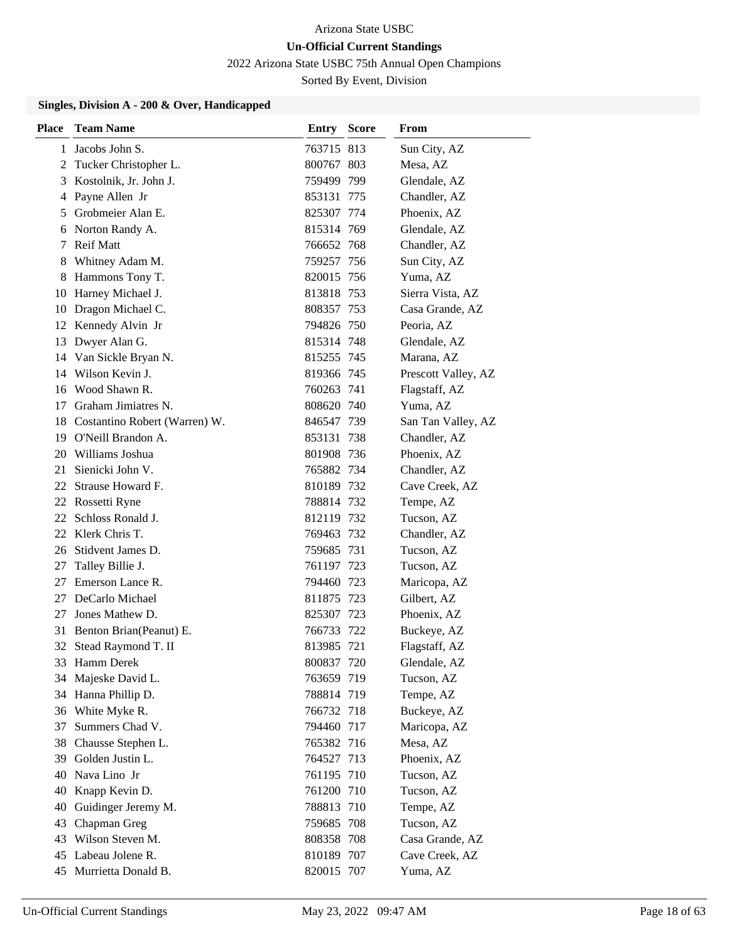2022 Arizona State USBC 75th Annual Open Champions

Sorted By Event, Division

| <b>Place</b> | <b>Team Name</b>                 | <b>Entry Score</b> | From                |
|--------------|----------------------------------|--------------------|---------------------|
| 1            | Jacobs John S.                   | 763715 813         | Sun City, AZ        |
| 2            | Tucker Christopher L.            | 800767 803         | Mesa, AZ            |
| 3            | Kostolnik, Jr. John J.           | 759499 799         | Glendale, AZ        |
| 4            | Payne Allen Jr                   | 853131 775         | Chandler, AZ        |
| 5            | Grobmeier Alan E.                | 825307 774         | Phoenix, AZ         |
| 6            | Norton Randy A.                  | 815314 769         | Glendale, AZ        |
| 7            | <b>Reif Matt</b>                 | 766652 768         | Chandler, AZ        |
| 8            | Whitney Adam M.                  | 759257 756         | Sun City, AZ        |
| 8            | Hammons Tony T.                  | 820015 756         | Yuma, AZ            |
| 10           | Harney Michael J.                | 813818 753         | Sierra Vista, AZ    |
| 10           | Dragon Michael C.                | 808357 753         | Casa Grande, AZ     |
| 12           | Kennedy Alvin Jr                 | 794826 750         | Peoria, AZ          |
| 13           | Dwyer Alan G.                    | 815314 748         | Glendale, AZ        |
| 14           | Van Sickle Bryan N.              | 815255 745         | Marana, AZ          |
| 14           | Wilson Kevin J.                  | 819366 745         | Prescott Valley, AZ |
| 16           | Wood Shawn R.                    | 760263 741         | Flagstaff, AZ       |
| 17           | Graham Jimiatres N.              | 808620 740         | Yuma, AZ            |
|              | 18 Costantino Robert (Warren) W. | 846547 739         | San Tan Valley, AZ  |
|              | 19 O'Neill Brandon A.            | 853131 738         | Chandler, AZ        |
| 20           | Williams Joshua                  | 801908 736         | Phoenix, AZ         |
| 21           | Sienicki John V.                 | 765882 734         | Chandler, AZ        |
|              | 22 Strause Howard F.             | 810189 732         | Cave Creek, AZ      |
|              | 22 Rossetti Ryne                 | 788814 732         | Tempe, AZ           |
| 22           | Schloss Ronald J.                | 812119 732         | Tucson, AZ          |
| 22           | Klerk Chris T.                   | 769463 732         | Chandler, AZ        |
|              | 26 Stidvent James D.             | 759685 731         | Tucson, AZ          |
| 27           | Talley Billie J.                 | 761197 723         | Tucson, AZ          |
| 27           | Emerson Lance R.                 | 794460 723         | Maricopa, AZ        |
| 27           | DeCarlo Michael                  | 811875 723         | Gilbert, AZ         |
| 27           | Jones Mathew D.                  | 825307 723         | Phoenix, AZ         |
| 31           | Benton Brian(Peanut) E.          | 766733 722         | Buckeye, AZ         |
| 32           | Stead Raymond T. II              | 813985 721         | Flagstaff, AZ       |
|              | 33 Hamm Derek                    | 800837 720         | Glendale, AZ        |
| 34           | Majeske David L.                 | 763659 719         | Tucson, AZ          |
|              | 34 Hanna Phillip D.              | 788814 719         | Tempe, AZ           |
| 36           | White Myke R.                    | 766732 718         | Buckeye, AZ         |
| 37           | Summers Chad V.                  | 794460 717         | Maricopa, AZ        |
| 38           | Chausse Stephen L.               | 765382 716         | Mesa, AZ            |
|              | 39 Golden Justin L.              | 764527 713         | Phoenix, AZ         |
| 40           | Nava Lino Jr                     | 761195 710         | Tucson, AZ          |
| 40           | Knapp Kevin D.                   | 761200 710         | Tucson, AZ          |
| 40           | Guidinger Jeremy M.              | 788813 710         | Tempe, AZ           |
| 43           | Chapman Greg                     | 759685 708         | Tucson, AZ          |
| 43           | Wilson Steven M.                 | 808358 708         | Casa Grande, AZ     |
| 45           | Labeau Jolene R.                 | 810189 707         | Cave Creek, AZ      |
|              | 45 Murrietta Donald B.           | 820015 707         | Yuma, AZ            |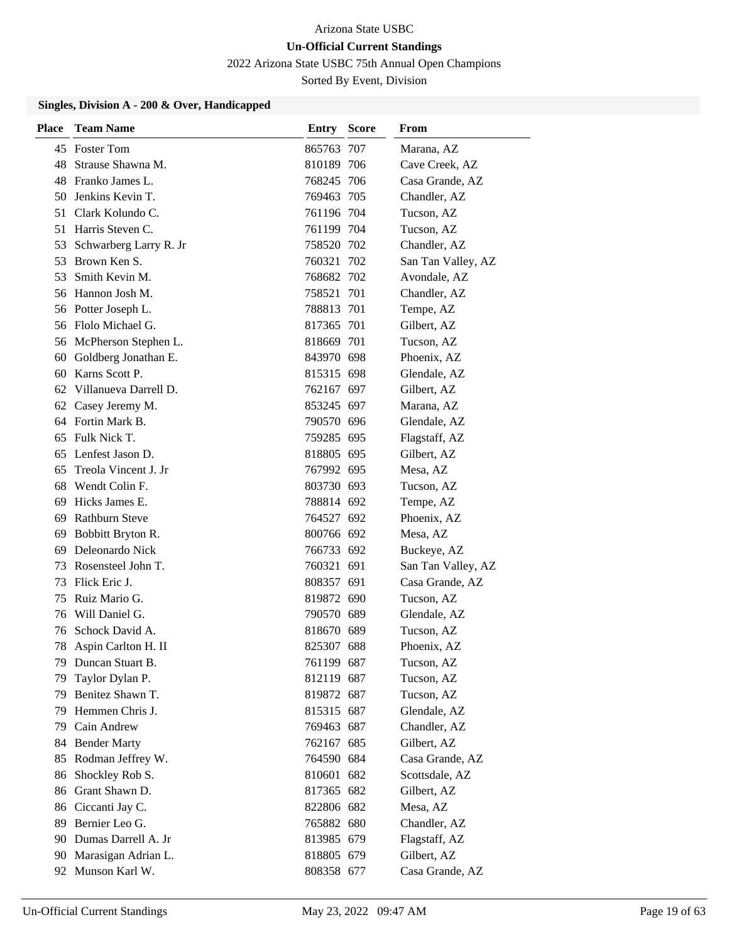2022 Arizona State USBC 75th Annual Open Champions

Sorted By Event, Division

| <b>Place</b> | <b>Team Name</b>         | <b>Entry Score</b> | From               |
|--------------|--------------------------|--------------------|--------------------|
|              | 45 Foster Tom            | 865763 707         | Marana, AZ         |
| 48           | Strause Shawna M.        | 810189 706         | Cave Creek, AZ     |
| 48           | Franko James L.          | 768245 706         | Casa Grande, AZ    |
| 50.          | Jenkins Kevin T.         | 769463 705         | Chandler, AZ       |
| 51           | Clark Kolundo C.         | 761196 704         | Tucson, AZ         |
| 51           | Harris Steven C.         | 761199 704         | Tucson, AZ         |
| 53           | Schwarberg Larry R. Jr   | 758520 702         | Chandler, AZ       |
| 53           | Brown Ken S.             | 760321 702         | San Tan Valley, AZ |
| 53           | Smith Kevin M.           | 768682 702         | Avondale, AZ       |
| 56           | Hannon Josh M.           | 758521 701         | Chandler, AZ       |
|              | 56 Potter Joseph L.      | 788813 701         | Tempe, AZ          |
|              | 56 Flolo Michael G.      | 817365 701         | Gilbert, AZ        |
|              | 56 McPherson Stephen L.  | 818669 701         | Tucson, AZ         |
| 60           | Goldberg Jonathan E.     | 843970 698         | Phoenix, AZ        |
| 60           | Karns Scott P.           | 815315 698         | Glendale, AZ       |
|              | 62 Villanueva Darrell D. | 762167 697         | Gilbert, AZ        |
| 62           | Casey Jeremy M.          | 853245 697         | Marana, AZ         |
|              | 64 Fortin Mark B.        | 790570 696         | Glendale, AZ       |
| 65           | Fulk Nick T.             | 759285 695         | Flagstaff, AZ      |
|              | 65 Lenfest Jason D.      | 818805 695         | Gilbert, AZ        |
| 65           | Treola Vincent J. Jr     | 767992 695         | Mesa, AZ           |
| 68           | Wendt Colin F.           | 803730 693         | Tucson, AZ         |
| 69           | Hicks James E.           | 788814 692         | Tempe, AZ          |
| 69           | <b>Rathburn Steve</b>    | 764527 692         | Phoenix, AZ        |
| 69           | Bobbitt Bryton R.        | 800766 692         | Mesa, AZ           |
| 69           | Deleonardo Nick          | 766733 692         | Buckeye, AZ        |
| 73           | Rosensteel John T.       | 760321 691         | San Tan Valley, AZ |
| 73           | Flick Eric J.            | 808357 691         | Casa Grande, AZ    |
| 75           | Ruiz Mario G.            | 819872 690         | Tucson, AZ         |
| 76           | Will Daniel G.           | 790570 689         | Glendale, AZ       |
| 76           | Schock David A.          | 818670 689         | Tucson, AZ         |
| 78           | Aspin Carlton H. II      | 825307 688         | Phoenix, AZ        |
| 79           | Duncan Stuart B.         | 761199 687         | Tucson, AZ         |
| 79           | Taylor Dylan P.          | 812119 687         | Tucson, AZ         |
| 79           | Benitez Shawn T.         | 819872 687         | Tucson, AZ         |
| 79           | Hemmen Chris J.          | 815315 687         | Glendale, AZ       |
| 79           | Cain Andrew              | 769463 687         | Chandler, AZ       |
| 84           | <b>Bender Marty</b>      | 762167 685         | Gilbert, AZ        |
| 85           | Rodman Jeffrey W.        | 764590 684         | Casa Grande, AZ    |
| 86           | Shockley Rob S.          | 810601 682         | Scottsdale, AZ     |
| 86           | Grant Shawn D.           | 817365 682         | Gilbert, AZ        |
| 86           | Ciccanti Jay C.          | 822806 682         | Mesa, AZ           |
| 89           | Bernier Leo G.           | 765882 680         | Chandler, AZ       |
| 90           | Dumas Darrell A. Jr      | 813985 679         | Flagstaff, AZ      |
| 90           | Marasigan Adrian L.      | 818805 679         | Gilbert, AZ        |
|              | 92 Munson Karl W.        | 808358 677         | Casa Grande, AZ    |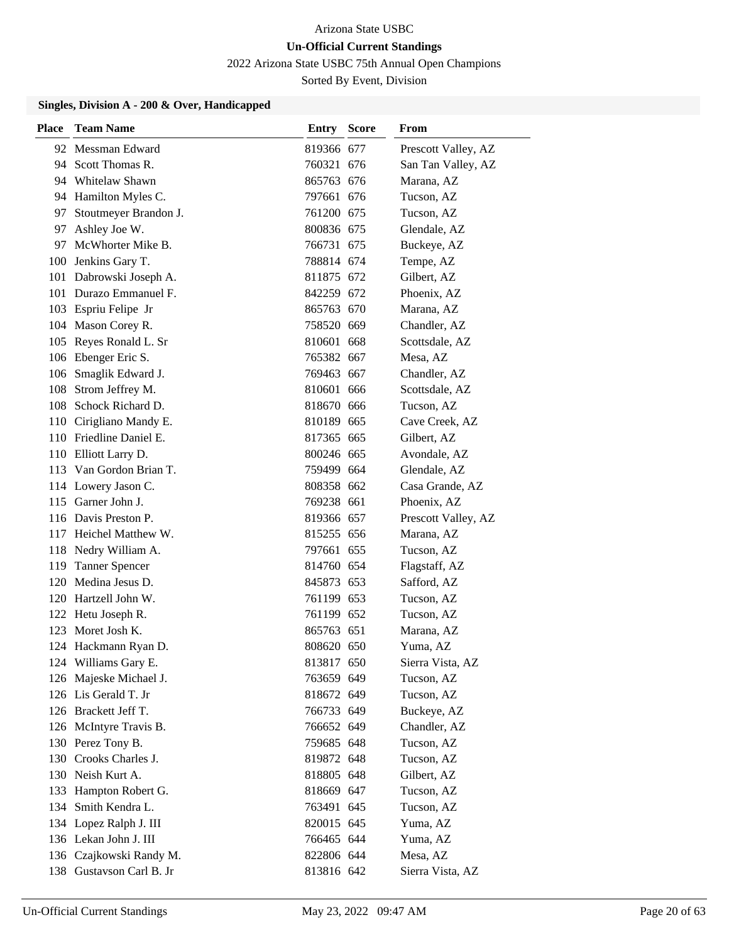2022 Arizona State USBC 75th Annual Open Champions

Sorted By Event, Division

| Place | <b>Team Name</b>         | <b>Entry Score</b> | <b>From</b>         |
|-------|--------------------------|--------------------|---------------------|
|       | 92 Messman Edward        | 819366 677         | Prescott Valley, AZ |
|       | 94 Scott Thomas R.       | 760321 676         | San Tan Valley, AZ  |
|       | 94 Whitelaw Shawn        | 865763 676         | Marana, AZ          |
|       | 94 Hamilton Myles C.     | 797661 676         | Tucson, AZ          |
| 97    | Stoutmeyer Brandon J.    | 761200 675         | Tucson, AZ          |
|       | 97 Ashley Joe W.         | 800836 675         | Glendale, AZ        |
|       | 97 McWhorter Mike B.     | 766731 675         | Buckeye, AZ         |
|       | 100 Jenkins Gary T.      | 788814 674         | Tempe, AZ           |
|       | 101 Dabrowski Joseph A.  | 811875 672         | Gilbert, AZ         |
|       | 101 Durazo Emmanuel F.   | 842259 672         | Phoenix, AZ         |
|       | 103 Espriu Felipe Jr     | 865763 670         | Marana, AZ          |
|       | 104 Mason Corey R.       | 758520 669         | Chandler, AZ        |
|       | 105 Reyes Ronald L. Sr   | 810601 668         | Scottsdale, AZ      |
|       | 106 Ebenger Eric S.      | 765382 667         | Mesa, AZ            |
|       | 106 Smaglik Edward J.    | 769463 667         | Chandler, AZ        |
|       | 108 Strom Jeffrey M.     | 810601 666         | Scottsdale, AZ      |
|       | 108 Schock Richard D.    | 818670 666         | Tucson, AZ          |
|       | 110 Cirigliano Mandy E.  | 810189 665         | Cave Creek, AZ      |
|       | 110 Friedline Daniel E.  | 817365 665         | Gilbert, AZ         |
|       | 110 Elliott Larry D.     | 800246 665         | Avondale, AZ        |
|       | 113 Van Gordon Brian T.  | 759499 664         | Glendale, AZ        |
|       | 114 Lowery Jason C.      | 808358 662         | Casa Grande, AZ     |
|       | 115 Garner John J.       | 769238 661         | Phoenix, AZ         |
|       | 116 Davis Preston P.     | 819366 657         | Prescott Valley, AZ |
|       | 117 Heichel Matthew W.   | 815255 656         | Marana, AZ          |
|       | 118 Nedry William A.     | 797661 655         | Tucson, AZ          |
|       | 119 Tanner Spencer       | 814760 654         | Flagstaff, AZ       |
| 120   | Medina Jesus D.          | 845873 653         | Safford, AZ         |
|       | 120 Hartzell John W.     | 761199 653         | Tucson, AZ          |
|       | 122 Hetu Joseph R.       | 761199 652         | Tucson, AZ          |
|       | 123 Moret Josh K.        | 865763 651         | Marana, AZ          |
|       | 124 Hackmann Ryan D.     | 808620 650         | Yuma, AZ            |
|       | 124 Williams Gary E.     | 813817 650         | Sierra Vista, AZ    |
|       | 126 Majeske Michael J.   | 763659 649         | Tucson, AZ          |
|       | 126 Lis Gerald T. Jr     | 818672 649         | Tucson, AZ          |
|       | 126 Brackett Jeff T.     | 766733 649         | Buckeye, AZ         |
|       | 126 McIntyre Travis B.   | 766652 649         | Chandler, AZ        |
|       | 130 Perez Tony B.        | 759685 648         | Tucson, AZ          |
|       | 130 Crooks Charles J.    | 819872 648         | Tucson, AZ          |
|       | 130 Neish Kurt A.        | 818805 648         | Gilbert, AZ         |
|       | 133 Hampton Robert G.    | 818669 647         | Tucson, AZ          |
| 134   | Smith Kendra L.          | 763491 645         | Tucson, AZ          |
|       | 134 Lopez Ralph J. III   | 820015 645         | Yuma, AZ            |
|       | 136 Lekan John J. III    | 766465 644         | Yuma, AZ            |
|       | 136 Czajkowski Randy M.  | 822806 644         | Mesa, AZ            |
|       | 138 Gustavson Carl B. Jr | 813816 642         | Sierra Vista, AZ    |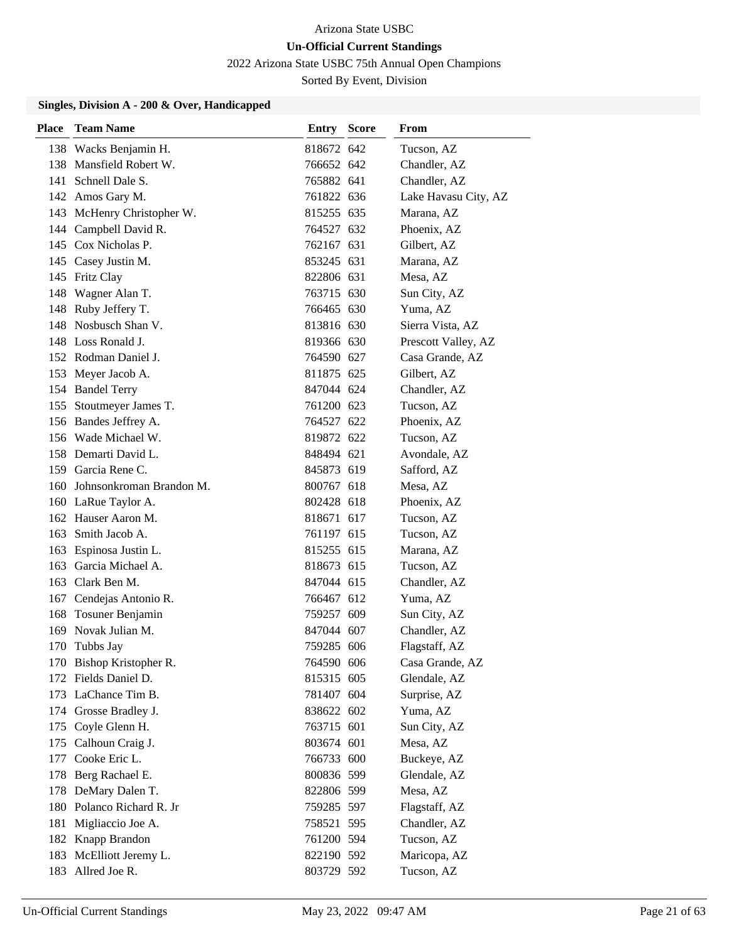2022 Arizona State USBC 75th Annual Open Champions

Sorted By Event, Division

| Place | <b>Team Name</b>             | <b>Entry Score</b> | From                 |
|-------|------------------------------|--------------------|----------------------|
|       | 138 Wacks Benjamin H.        | 818672 642         | Tucson, AZ           |
|       | 138 Mansfield Robert W.      | 766652 642         | Chandler, AZ         |
|       | 141 Schnell Dale S.          | 765882 641         | Chandler, AZ         |
|       | 142 Amos Gary M.             | 761822 636         | Lake Havasu City, AZ |
|       | 143 McHenry Christopher W.   | 815255 635         | Marana, AZ           |
|       | 144 Campbell David R.        | 764527 632         | Phoenix, AZ          |
|       | 145 Cox Nicholas P.          | 762167 631         | Gilbert, AZ          |
|       | 145 Casey Justin M.          | 853245 631         | Marana, AZ           |
|       | 145 Fritz Clay               | 822806 631         | Mesa, AZ             |
|       | 148 Wagner Alan T.           | 763715 630         | Sun City, AZ         |
|       | 148 Ruby Jeffery T.          | 766465 630         | Yuma, AZ             |
|       | 148 Nosbusch Shan V.         | 813816 630         | Sierra Vista, AZ     |
|       | 148 Loss Ronald J.           | 819366 630         | Prescott Valley, AZ  |
|       | 152 Rodman Daniel J.         | 764590 627         | Casa Grande, AZ      |
|       | 153 Meyer Jacob A.           | 811875 625         | Gilbert, AZ          |
|       | 154 Bandel Terry             | 847044 624         | Chandler, AZ         |
|       | 155 Stoutmeyer James T.      | 761200 623         | Tucson, AZ           |
|       | 156 Bandes Jeffrey A.        | 764527 622         | Phoenix, AZ          |
|       | 156 Wade Michael W.          | 819872 622         | Tucson, AZ           |
|       | 158 Demarti David L.         | 848494 621         | Avondale, AZ         |
|       | 159 Garcia Rene C.           | 845873 619         | Safford, AZ          |
|       | 160 Johnsonkroman Brandon M. | 800767 618         | Mesa, AZ             |
|       | 160 LaRue Taylor A.          | 802428 618         | Phoenix, AZ          |
|       | 162 Hauser Aaron M.          | 818671 617         | Tucson, AZ           |
|       | 163 Smith Jacob A.           | 761197 615         | Tucson, AZ           |
|       | 163 Espinosa Justin L.       | 815255 615         | Marana, AZ           |
|       | 163 Garcia Michael A.        | 818673 615         | Tucson, AZ           |
|       | 163 Clark Ben M.             | 847044 615         | Chandler, AZ         |
|       | 167 Cendejas Antonio R.      | 766467 612         | Yuma, AZ             |
|       | 168 Tosuner Benjamin         | 759257 609         | Sun City, AZ         |
|       | 169 Novak Julian M.          | 847044 607         | Chandler, AZ         |
| 170   | Tubbs Jay                    | 759285 606         | Flagstaff, AZ        |
|       | 170 Bishop Kristopher R.     | 764590 606         | Casa Grande, AZ      |
|       | 172 Fields Daniel D.         | 815315 605         | Glendale, AZ         |
|       | 173 LaChance Tim B.          | 781407 604         | Surprise, AZ         |
|       | 174 Grosse Bradley J.        | 838622 602         | Yuma, AZ             |
|       | 175 Coyle Glenn H.           | 763715 601         | Sun City, AZ         |
|       | 175 Calhoun Craig J.         | 803674 601         | Mesa, AZ             |
|       | 177 Cooke Eric L.            | 766733 600         | Buckeye, AZ          |
|       | 178 Berg Rachael E.          | 800836 599         | Glendale, AZ         |
|       | 178 DeMary Dalen T.          | 822806 599         | Mesa, AZ             |
|       | 180 Polanco Richard R. Jr    | 759285 597         | Flagstaff, AZ        |
|       | 181 Migliaccio Joe A.        | 758521 595         | Chandler, AZ         |
|       | 182 Knapp Brandon            | 761200 594         | Tucson, AZ           |
|       | 183 McElliott Jeremy L.      | 822190 592         | Maricopa, AZ         |
|       | 183 Allred Joe R.            | 803729 592         | Tucson, AZ           |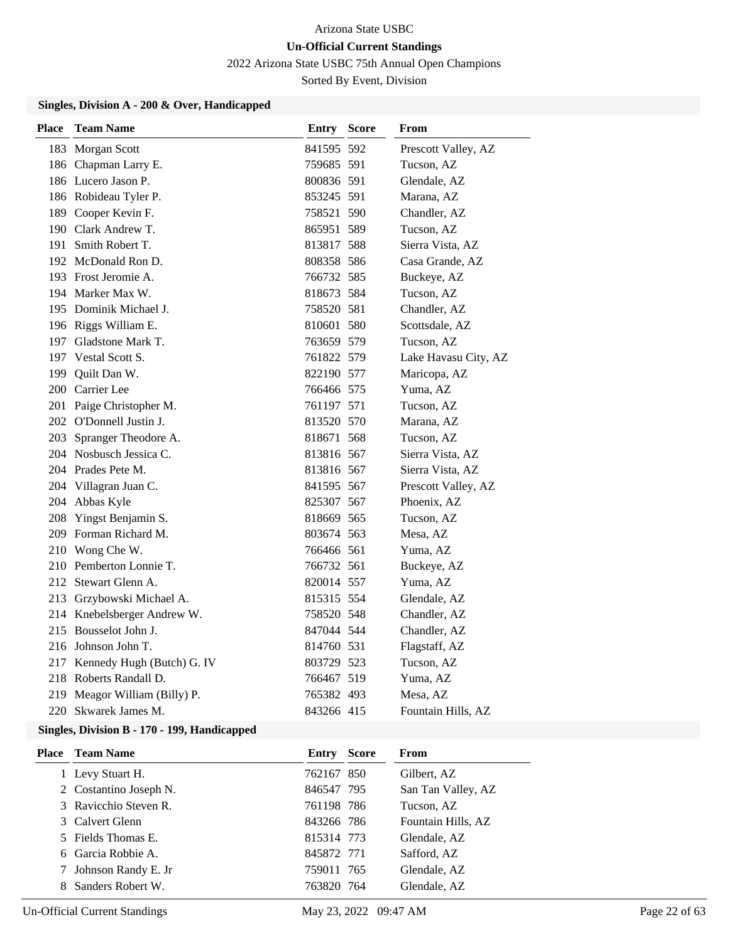2022 Arizona State USBC 75th Annual Open Champions

Sorted By Event, Division

### **Singles, Division A - 200 & Over, Handicapped**

| <b>Place</b> | <b>Team Name</b>               | <b>Entry Score</b> | From                 |
|--------------|--------------------------------|--------------------|----------------------|
|              | 183 Morgan Scott               | 841595 592         | Prescott Valley, AZ  |
|              | 186 Chapman Larry E.           | 759685 591         | Tucson, AZ           |
|              | 186 Lucero Jason P.            | 800836 591         | Glendale, AZ         |
|              | 186 Robideau Tyler P.          | 853245 591         | Marana, AZ           |
|              | 189 Cooper Kevin F.            | 758521 590         | Chandler, AZ         |
|              | 190 Clark Andrew T.            | 865951 589         | Tucson, AZ           |
|              | 191 Smith Robert T.            | 813817 588         | Sierra Vista, AZ     |
|              | 192 McDonald Ron D.            | 808358 586         | Casa Grande, AZ      |
|              | 193 Frost Jeromie A.           | 766732 585         | Buckeye, AZ          |
|              | 194 Marker Max W.              | 818673 584         | Tucson, AZ           |
|              | 195 Dominik Michael J.         | 758520 581         | Chandler, AZ         |
|              | 196 Riggs William E.           | 810601 580         | Scottsdale, AZ       |
|              | 197 Gladstone Mark T.          | 763659 579         | Tucson, AZ           |
|              | 197 Vestal Scott S.            | 761822 579         | Lake Havasu City, AZ |
|              | 199 Quilt Dan W.               | 822190 577         | Maricopa, AZ         |
|              | 200 Carrier Lee                | 766466 575         | Yuma, AZ             |
|              | 201 Paige Christopher M.       | 761197 571         | Tucson, AZ           |
|              | 202 O'Donnell Justin J.        | 813520 570         | Marana, AZ           |
|              | 203 Spranger Theodore A.       | 818671 568         | Tucson, AZ           |
|              | 204 Nosbusch Jessica C.        | 813816 567         | Sierra Vista, AZ     |
|              | 204 Prades Pete M.             | 813816 567         | Sierra Vista, AZ     |
|              | 204 Villagran Juan C.          | 841595 567         | Prescott Valley, AZ  |
|              | 204 Abbas Kyle                 | 825307 567         | Phoenix, AZ          |
|              | 208 Yingst Benjamin S.         | 818669 565         | Tucson, AZ           |
|              | 209 Forman Richard M.          | 803674 563         | Mesa, AZ             |
|              | 210 Wong Che W.                | 766466 561         | Yuma, AZ             |
|              | 210 Pemberton Lonnie T.        | 766732 561         | Buckeye, AZ          |
|              | 212 Stewart Glenn A.           | 820014 557         | Yuma, AZ             |
|              | 213 Grzybowski Michael A.      | 815315 554         | Glendale, AZ         |
|              | 214 Knebelsberger Andrew W.    | 758520 548         | Chandler, AZ         |
|              | 215 Bousselot John J.          | 847044 544         | Chandler, AZ         |
|              | 216 Johnson John T.            | 814760 531         | Flagstaff, AZ        |
|              | 217 Kennedy Hugh (Butch) G. IV | 803729 523         | Tucson, AZ           |
|              | 218 Roberts Randall D.         | 766467 519         | Yuma, AZ             |
|              | 219 Meagor William (Billy) P.  | 765382 493         | Mesa, AZ             |
|              | 220 Skwarek James M.           | 843266 415         | Fountain Hills, AZ   |

| <b>Place</b> Team Name | Entry      | <b>Score</b> | From               |
|------------------------|------------|--------------|--------------------|
| Levy Stuart H.         | 762167 850 |              | Gilbert, AZ        |
| 2 Costantino Joseph N. | 846547 795 |              | San Tan Valley, AZ |
| 3 Ravicchio Steven R.  | 761198 786 |              | Tucson, AZ         |
| 3 Calvert Glenn        | 843266 786 |              | Fountain Hills, AZ |
| 5 Fields Thomas E.     | 815314 773 |              | Glendale, AZ       |
| 6 Garcia Robbie A.     | 845872 771 |              | Safford, AZ        |
| 7 Johnson Randy E. Jr  | 759011 765 |              | Glendale, AZ       |
| 8 Sanders Robert W.    | 763820 764 |              | Glendale, AZ       |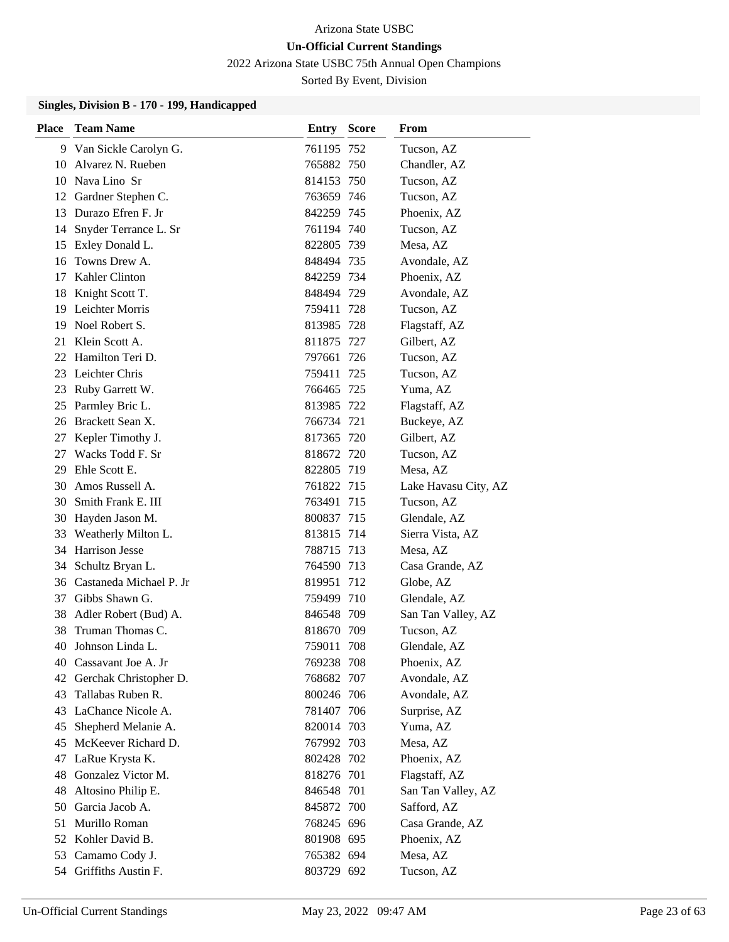2022 Arizona State USBC 75th Annual Open Champions

Sorted By Event, Division

| <b>Place</b> | <b>Team Name</b>           | <b>Entry Score</b> |      | From                 |
|--------------|----------------------------|--------------------|------|----------------------|
| 9            | Van Sickle Carolyn G.      | 761195 752         |      | Tucson, AZ           |
| 10           | Alvarez N. Rueben          | 765882 750         |      | Chandler, AZ         |
|              | 10 Nava Lino Sr            | 814153 750         |      | Tucson, AZ           |
|              | 12 Gardner Stephen C.      | 763659 746         |      | Tucson, AZ           |
| 13           | Durazo Efren F. Jr         | 842259 745         |      | Phoenix, AZ          |
| 14           | Snyder Terrance L. Sr      | 761194 740         |      | Tucson, AZ           |
| 15           | Exley Donald L.            | 822805 739         |      | Mesa, AZ             |
| 16           | Towns Drew A.              | 848494 735         |      | Avondale, AZ         |
| 17           | Kahler Clinton             | 842259 734         |      | Phoenix, AZ          |
| 18           | Knight Scott T.            | 848494 729         |      | Avondale, AZ         |
| 19           | Leichter Morris            | 759411 728         |      | Tucson, AZ           |
| 19           | Noel Robert S.             | 813985 728         |      | Flagstaff, AZ        |
| 21           | Klein Scott A.             | 811875 727         |      | Gilbert, AZ          |
|              | 22 Hamilton Teri D.        | 797661 726         |      | Tucson, AZ           |
| 23           | Leichter Chris             | 759411 725         |      | Tucson, AZ           |
| 23           | Ruby Garrett W.            | 766465 725         |      | Yuma, AZ             |
| 25           | Parmley Bric L.            | 813985 722         |      | Flagstaff, AZ        |
| 26           | Brackett Sean X.           | 766734 721         |      | Buckeye, AZ          |
| 27           | Kepler Timothy J.          | 817365 720         |      | Gilbert, AZ          |
| 27           | Wacks Todd F. Sr           | 818672 720         |      | Tucson, AZ           |
| 29           | Ehle Scott E.              | 822805 719         |      | Mesa, AZ             |
| 30           | Amos Russell A.            | 761822 715         |      | Lake Havasu City, AZ |
| 30           | Smith Frank E. III         | 763491 715         |      | Tucson, AZ           |
| 30           | Hayden Jason M.            | 800837 715         |      | Glendale, AZ         |
| 33           | Weatherly Milton L.        | 813815 714         |      | Sierra Vista, AZ     |
|              | 34 Harrison Jesse          | 788715 713         |      | Mesa, AZ             |
| 34           | Schultz Bryan L.           | 764590 713         |      | Casa Grande, AZ      |
|              | 36 Castaneda Michael P. Jr | 819951 712         |      | Globe, AZ            |
| 37           | Gibbs Shawn G.             | 759499 710         |      | Glendale, AZ         |
| 38           | Adler Robert (Bud) A.      | 846548 709         |      | San Tan Valley, AZ   |
| 38           | Truman Thomas C.           | 818670 709         |      | Tucson, AZ           |
|              | 40 Johnson Linda L.        | 759011             | -708 | Glendale, AZ         |
| 40           | Cassavant Joe A. Jr        | 769238 708         |      | Phoenix, AZ          |
| 42           | Gerchak Christopher D.     | 768682 707         |      | Avondale, AZ         |
| 43           | Tallabas Ruben R.          | 800246 706         |      | Avondale, AZ         |
| 43           | LaChance Nicole A.         | 781407 706         |      | Surprise, AZ         |
| 45           | Shepherd Melanie A.        | 820014 703         |      | Yuma, AZ             |
| 45           | McKeever Richard D.        | 767992 703         |      | Mesa, AZ             |
| 47           | LaRue Krysta K.            | 802428 702         |      | Phoenix, AZ          |
| 48           | Gonzalez Victor M.         | 818276 701         |      | Flagstaff, AZ        |
| 48           | Altosino Philip E.         | 846548 701         |      | San Tan Valley, AZ   |
| 50           | Garcia Jacob A.            | 845872 700         |      | Safford, AZ          |
| 51           | Murillo Roman              | 768245 696         |      | Casa Grande, AZ      |
|              | 52 Kohler David B.         | 801908 695         |      | Phoenix, AZ          |
| 53           | Camamo Cody J.             | 765382 694         |      | Mesa, AZ             |
| 54           | Griffiths Austin F.        | 803729 692         |      | Tucson, AZ           |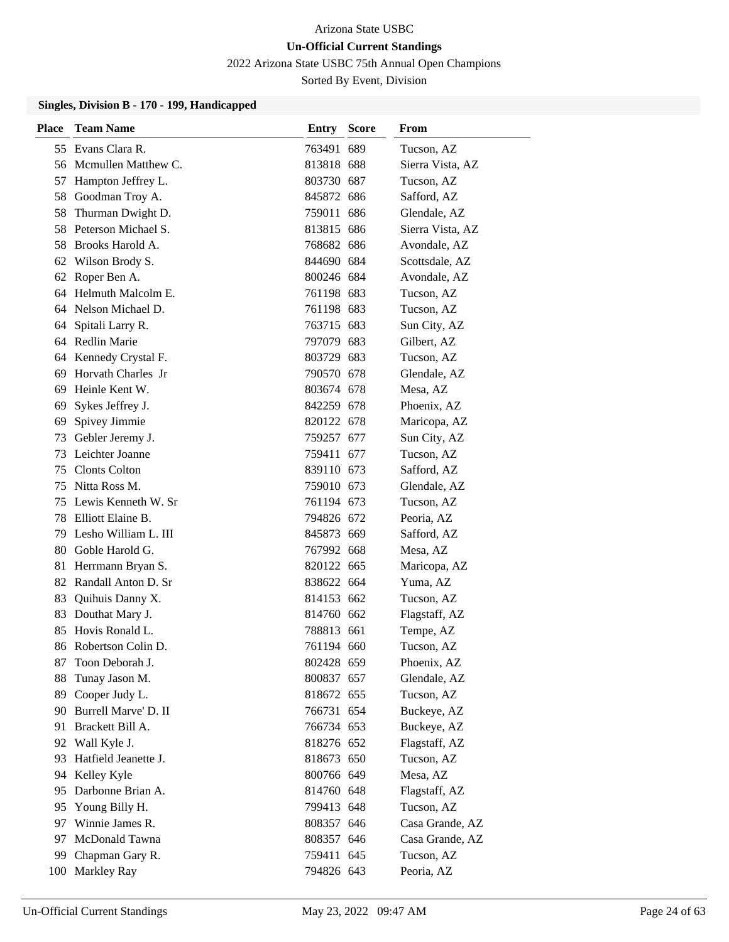2022 Arizona State USBC 75th Annual Open Champions

Sorted By Event, Division

| Place | <b>Team Name</b>       | <b>Entry Score</b> | From             |
|-------|------------------------|--------------------|------------------|
|       | 55 Evans Clara R.      | 763491 689         | Tucson, AZ       |
|       | 56 Mcmullen Matthew C. | 813818 688         | Sierra Vista, AZ |
| 57    | Hampton Jeffrey L.     | 803730 687         | Tucson, AZ       |
| 58    | Goodman Troy A.        | 845872 686         | Safford, AZ      |
| 58    | Thurman Dwight D.      | 759011 686         | Glendale, AZ     |
| 58    | Peterson Michael S.    | 813815 686         | Sierra Vista, AZ |
| 58    | Brooks Harold A.       | 768682 686         | Avondale, AZ     |
| 62    | Wilson Brody S.        | 844690 684         | Scottsdale, AZ   |
| 62    | Roper Ben A.           | 800246 684         | Avondale, AZ     |
| 64    | Helmuth Malcolm E.     | 761198 683         | Tucson, AZ       |
|       | 64 Nelson Michael D.   | 761198 683         | Tucson, AZ       |
| 64    | Spitali Larry R.       | 763715 683         | Sun City, AZ     |
| 64    | Redlin Marie           | 797079 683         | Gilbert, AZ      |
| 64    | Kennedy Crystal F.     | 803729 683         | Tucson, AZ       |
| 69    | Horvath Charles Jr     | 790570 678         | Glendale, AZ     |
| 69    | Heinle Kent W.         | 803674 678         | Mesa, AZ         |
| 69    | Sykes Jeffrey J.       | 842259 678         | Phoenix, AZ      |
| 69    | Spivey Jimmie          | 820122 678         | Maricopa, AZ     |
| 73    | Gebler Jeremy J.       | 759257 677         | Sun City, AZ     |
| 73    | Leichter Joanne        | 759411 677         | Tucson, AZ       |
| 75    | <b>Clonts Colton</b>   | 839110 673         | Safford, AZ      |
| 75    | Nitta Ross M.          | 759010 673         | Glendale, AZ     |
| 75    | Lewis Kenneth W. Sr    | 761194 673         | Tucson, AZ       |
| 78    | Elliott Elaine B.      | 794826 672         | Peoria, AZ       |
| 79    | Lesho William L. III   | 845873 669         | Safford, AZ      |
| 80    | Goble Harold G.        | 767992 668         | Mesa, AZ         |
| 81    | Herrmann Bryan S.      | 820122 665         | Maricopa, AZ     |
|       | 82 Randall Anton D. Sr | 838622 664         | Yuma, AZ         |
| 83    | Quihuis Danny X.       | 814153 662         | Tucson, AZ       |
| 83    | Douthat Mary J.        | 814760 662         | Flagstaff, AZ    |
| 85    | Hovis Ronald L.        | 788813 661         | Tempe, AZ        |
|       | 86 Robertson Colin D.  | 761194 660         | Tucson, AZ       |
| 87    | Toon Deborah J.        | 802428 659         | Phoenix, AZ      |
| 88    | Tunay Jason M.         | 800837 657         | Glendale, AZ     |
| 89    | Cooper Judy L.         | 818672 655         | Tucson, AZ       |
| 90    | Burrell Marve' D. II   | 766731 654         | Buckeye, AZ      |
| 91    | Brackett Bill A.       | 766734 653         | Buckeye, AZ      |
| 92    | Wall Kyle J.           | 818276 652         | Flagstaff, AZ    |
| 93    | Hatfield Jeanette J.   | 818673 650         | Tucson, AZ       |
| 94    | Kelley Kyle            | 800766 649         | Mesa, AZ         |
| 95    | Darbonne Brian A.      | 814760 648         | Flagstaff, AZ    |
| 95    | Young Billy H.         | 799413 648         | Tucson, AZ       |
| 97    | Winnie James R.        | 808357 646         | Casa Grande, AZ  |
| 97    | McDonald Tawna         | 808357 646         | Casa Grande, AZ  |
| 99    | Chapman Gary R.        | 759411 645         | Tucson, AZ       |
| 100   | Markley Ray            | 794826 643         | Peoria, AZ       |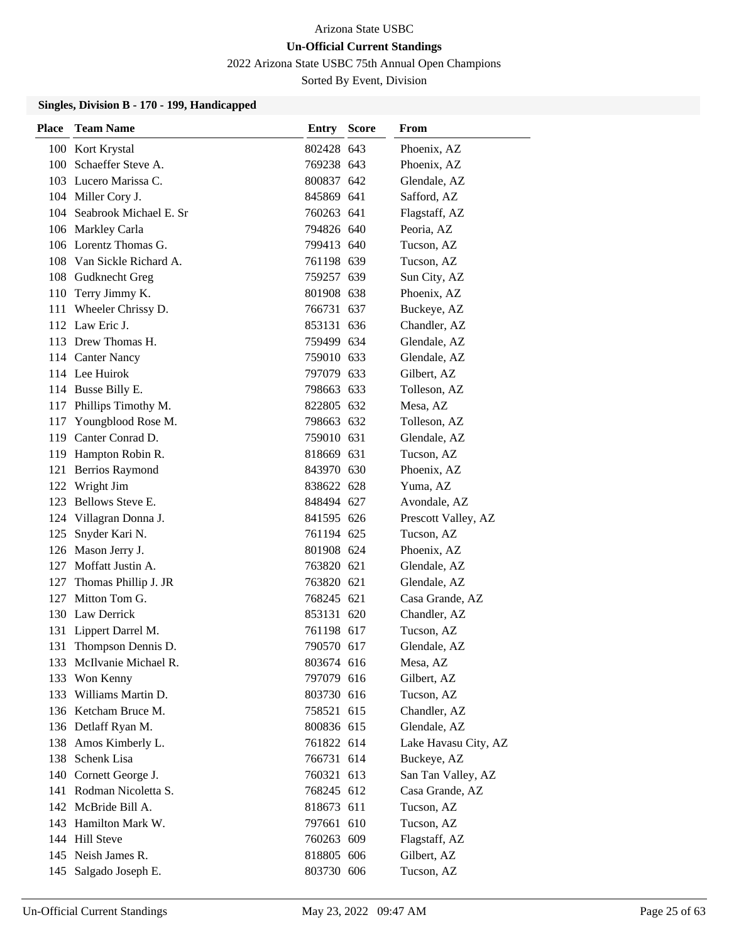2022 Arizona State USBC 75th Annual Open Champions

Sorted By Event, Division

| Place | <b>Team Name</b>           | <b>Entry Score</b> | <b>From</b>          |
|-------|----------------------------|--------------------|----------------------|
|       | 100 Kort Krystal           | 802428 643         | Phoenix, AZ          |
|       | 100 Schaeffer Steve A.     | 769238 643         | Phoenix, AZ          |
|       | 103 Lucero Marissa C.      | 800837 642         | Glendale, AZ         |
|       | 104 Miller Cory J.         | 845869 641         | Safford, AZ          |
|       | 104 Seabrook Michael E. Sr | 760263 641         | Flagstaff, AZ        |
|       | 106 Markley Carla          | 794826 640         | Peoria, AZ           |
|       | 106 Lorentz Thomas G.      | 799413 640         | Tucson, AZ           |
|       | 108 Van Sickle Richard A.  | 761198 639         | Tucson, AZ           |
|       | 108 Gudknecht Greg         | 759257 639         | Sun City, AZ         |
|       | 110 Terry Jimmy K.         | 801908 638         | Phoenix, AZ          |
|       | 111 Wheeler Chrissy D.     | 766731 637         | Buckeye, AZ          |
|       | 112 Law Eric J.            | 853131 636         | Chandler, AZ         |
|       | 113 Drew Thomas H.         | 759499 634         | Glendale, AZ         |
|       | 114 Canter Nancy           | 759010 633         | Glendale, AZ         |
|       | 114 Lee Huirok             | 797079 633         | Gilbert, AZ          |
|       | 114 Busse Billy E.         | 798663 633         | Tolleson, AZ         |
|       | 117 Phillips Timothy M.    | 822805 632         | Mesa, AZ             |
|       | 117 Youngblood Rose M.     | 798663 632         | Tolleson, AZ         |
|       | 119 Canter Conrad D.       | 759010 631         | Glendale, AZ         |
|       | 119 Hampton Robin R.       | 818669 631         | Tucson, AZ           |
|       | 121 Berrios Raymond        | 843970 630         | Phoenix, AZ          |
|       | 122 Wright Jim             | 838622 628         | Yuma, AZ             |
|       | 123 Bellows Steve E.       | 848494 627         | Avondale, AZ         |
|       | 124 Villagran Donna J.     | 841595 626         | Prescott Valley, AZ  |
| 125   | Snyder Kari N.             | 761194 625         | Tucson, AZ           |
|       | 126 Mason Jerry J.         | 801908 624         | Phoenix, AZ          |
|       | 127 Moffatt Justin A.      | 763820 621         | Glendale, AZ         |
|       | 127 Thomas Phillip J. JR   | 763820 621         | Glendale, AZ         |
|       | 127 Mitton Tom G.          | 768245 621         | Casa Grande, AZ      |
|       | 130 Law Derrick            | 853131 620         | Chandler, AZ         |
|       | 131 Lippert Darrel M.      | 761198 617         | Tucson, AZ           |
| 131   | Thompson Dennis D.         | 790570 617         | Glendale, AZ         |
|       | 133 McIlvanie Michael R.   | 803674 616         | Mesa, AZ             |
|       | 133 Won Kenny              | 797079 616         | Gilbert, AZ          |
|       | 133 Williams Martin D.     | 803730 616         | Tucson, AZ           |
|       | 136 Ketcham Bruce M.       | 758521 615         | Chandler, AZ         |
|       | 136 Detlaff Ryan M.        | 800836 615         | Glendale, AZ         |
|       | 138 Amos Kimberly L.       | 761822 614         | Lake Havasu City, AZ |
|       | 138 Schenk Lisa            | 766731 614         | Buckeye, AZ          |
|       | 140 Cornett George J.      | 760321 613         | San Tan Valley, AZ   |
|       | 141 Rodman Nicoletta S.    | 768245 612         | Casa Grande, AZ      |
|       | 142 McBride Bill A.        | 818673 611         | Tucson, AZ           |
|       | 143 Hamilton Mark W.       | 797661 610         | Tucson, AZ           |
|       | 144 Hill Steve             | 760263 609         | Flagstaff, AZ        |
|       | 145 Neish James R.         | 818805 606         | Gilbert, AZ          |
| 145   | Salgado Joseph E.          | 803730 606         | Tucson, AZ           |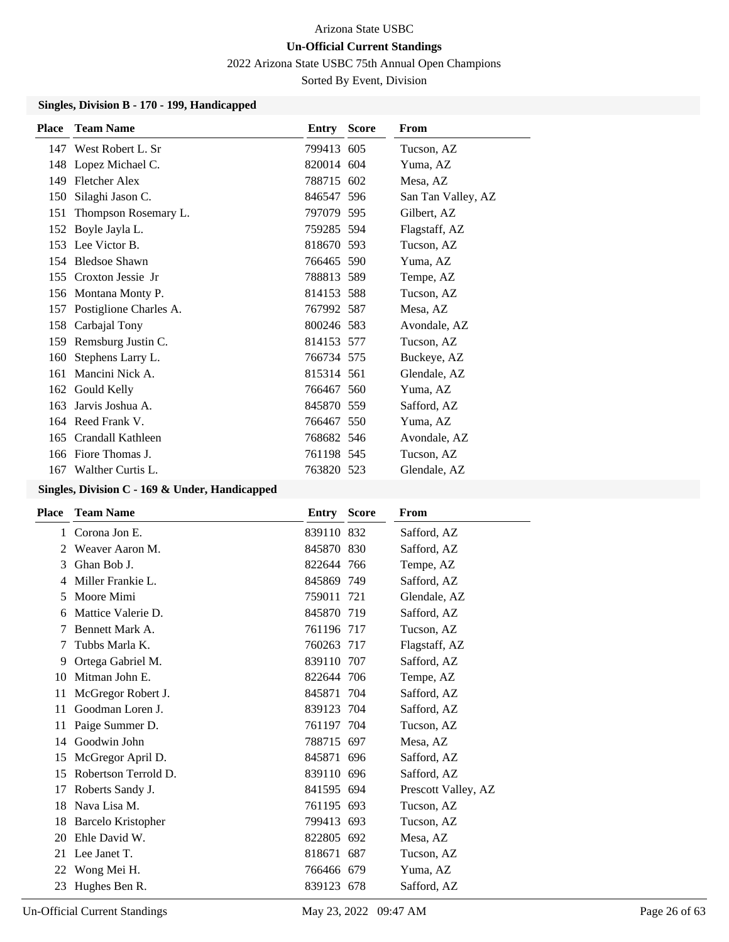2022 Arizona State USBC 75th Annual Open Champions

Sorted By Event, Division

### **Singles, Division B - 170 - 199, Handicapped**

| <b>Team Name</b>       |                                                                                                                                                                                                                         | From                                                                                                                                                                                                                                                                                                                     |
|------------------------|-------------------------------------------------------------------------------------------------------------------------------------------------------------------------------------------------------------------------|--------------------------------------------------------------------------------------------------------------------------------------------------------------------------------------------------------------------------------------------------------------------------------------------------------------------------|
|                        |                                                                                                                                                                                                                         | Tucson, AZ                                                                                                                                                                                                                                                                                                               |
|                        |                                                                                                                                                                                                                         | Yuma, AZ                                                                                                                                                                                                                                                                                                                 |
| <b>Fletcher Alex</b>   |                                                                                                                                                                                                                         | Mesa, AZ                                                                                                                                                                                                                                                                                                                 |
| Silaghi Jason C.       |                                                                                                                                                                                                                         | San Tan Valley, AZ                                                                                                                                                                                                                                                                                                       |
| Thompson Rosemary L.   |                                                                                                                                                                                                                         | Gilbert, AZ                                                                                                                                                                                                                                                                                                              |
|                        |                                                                                                                                                                                                                         | Flagstaff, AZ                                                                                                                                                                                                                                                                                                            |
|                        |                                                                                                                                                                                                                         | Tucson, AZ                                                                                                                                                                                                                                                                                                               |
|                        |                                                                                                                                                                                                                         | Yuma, AZ                                                                                                                                                                                                                                                                                                                 |
| Croxton Jessie Jr      |                                                                                                                                                                                                                         | Tempe, AZ                                                                                                                                                                                                                                                                                                                |
|                        |                                                                                                                                                                                                                         | Tucson, AZ                                                                                                                                                                                                                                                                                                               |
| Postiglione Charles A. |                                                                                                                                                                                                                         | Mesa, AZ                                                                                                                                                                                                                                                                                                                 |
| Carbajal Tony          |                                                                                                                                                                                                                         | Avondale, AZ                                                                                                                                                                                                                                                                                                             |
| Remsburg Justin C.     |                                                                                                                                                                                                                         | Tucson, AZ                                                                                                                                                                                                                                                                                                               |
| Stephens Larry L.      |                                                                                                                                                                                                                         | Buckeye, AZ                                                                                                                                                                                                                                                                                                              |
| Mancini Nick A.        |                                                                                                                                                                                                                         | Glendale, AZ                                                                                                                                                                                                                                                                                                             |
|                        |                                                                                                                                                                                                                         | Yuma, AZ                                                                                                                                                                                                                                                                                                                 |
| Jarvis Joshua A.       |                                                                                                                                                                                                                         | Safford, AZ                                                                                                                                                                                                                                                                                                              |
|                        |                                                                                                                                                                                                                         | Yuma, AZ                                                                                                                                                                                                                                                                                                                 |
| Crandall Kathleen      |                                                                                                                                                                                                                         | Avondale, AZ                                                                                                                                                                                                                                                                                                             |
| Fiore Thomas J.        |                                                                                                                                                                                                                         | Tucson, AZ                                                                                                                                                                                                                                                                                                               |
| Walther Curtis L.      |                                                                                                                                                                                                                         | Glendale, AZ                                                                                                                                                                                                                                                                                                             |
|                        | 147 West Robert L. Sr<br>148 Lopez Michael C.<br>150<br>152 Boyle Jayla L.<br>153 Lee Victor B.<br>154 Bledsoe Shawn<br>156 Montana Monty P.<br>157<br>158<br>160<br>162 Gould Kelly<br>164 Reed Frank V.<br>165<br>166 | <b>Entry Score</b><br>799413 605<br>820014 604<br>788715 602<br>846547 596<br>797079 595<br>759285 594<br>818670 593<br>766465 590<br>788813 589<br>814153 588<br>767992 587<br>800246 583<br>814153 577<br>766734 575<br>815314 561<br>766467 560<br>845870 559<br>766467 550<br>768682 546<br>761198 545<br>763820 523 |

### **Singles, Division C - 169 & Under, Handicapped**

| <b>Place</b> | <b>Team Name</b>          | Entry      | <b>Score</b> | From                |
|--------------|---------------------------|------------|--------------|---------------------|
| 1            | Corona Jon E.             | 839110 832 |              | Safford, AZ         |
| 2            | Weaver Aaron M.           | 845870 830 |              | Safford, AZ         |
| 3            | Ghan Bob J.               | 822644 766 |              | Tempe, AZ           |
| 4            | Miller Frankie L.         | 845869 749 |              | Safford, AZ         |
| 5            | Moore Mimi                | 759011 721 |              | Glendale, AZ        |
| 6            | Mattice Valerie D.        | 845870 719 |              | Safford, AZ         |
| 7            | Bennett Mark A.           | 761196 717 |              | Tucson, AZ          |
| 7            | Tubbs Marla K.            | 760263 717 |              | Flagstaff, AZ       |
| 9            | Ortega Gabriel M.         | 839110 707 |              | Safford, AZ         |
| 10           | Mitman John E.            | 822644 706 |              | Tempe, AZ           |
| 11           | McGregor Robert J.        | 845871 704 |              | Safford, AZ         |
| 11           | Goodman Loren J.          | 839123 704 |              | Safford, AZ         |
| 11           | Paige Summer D.           | 761197 704 |              | Tucson, AZ          |
| 14           | Goodwin John              | 788715 697 |              | Mesa, AZ            |
| 15           | McGregor April D.         | 845871 696 |              | Safford, AZ         |
| 15           | Robertson Terrold D.      | 839110 696 |              | Safford, AZ         |
| 17           | Roberts Sandy J.          | 841595 694 |              | Prescott Valley, AZ |
| 18           | Nava Lisa M.              | 761195 693 |              | Tucson, AZ          |
| 18           | <b>Barcelo Kristopher</b> | 799413 693 |              | Tucson, AZ          |
| 20           | Ehle David W.             | 822805 692 |              | Mesa, AZ            |
| 21           | Lee Janet T.              | 818671 687 |              | Tucson, AZ          |
| 22           | Wong Mei H.               | 766466 679 |              | Yuma, AZ            |
| 23           | Hughes Ben R.             | 839123 678 |              | Safford, AZ         |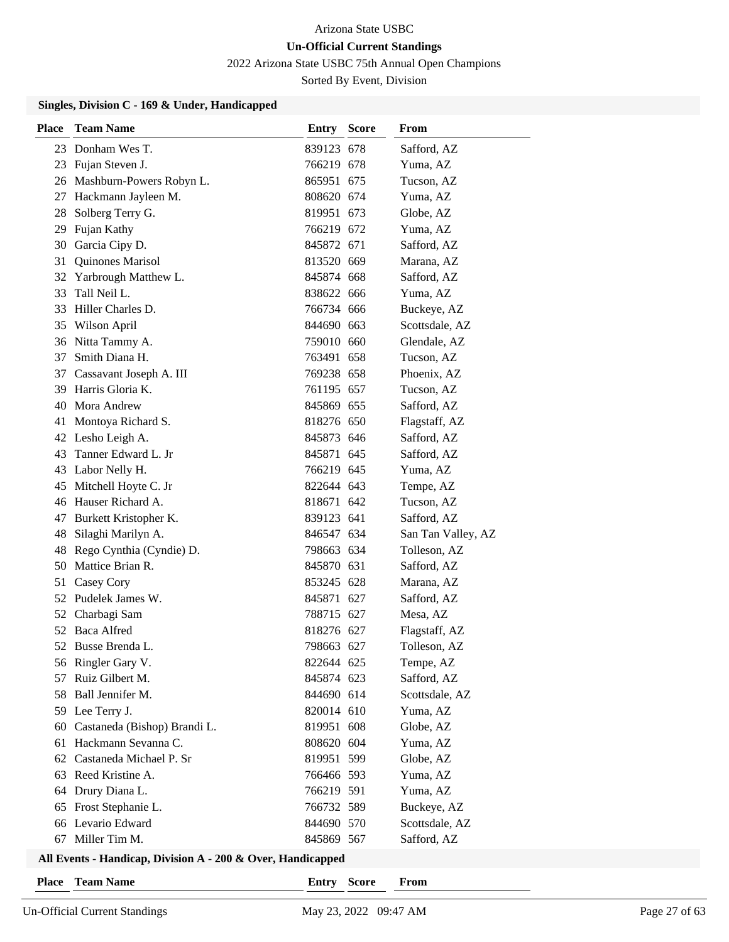2022 Arizona State USBC 75th Annual Open Champions

Sorted By Event, Division

### **Singles, Division C - 169 & Under, Handicapped**

| <b>Place</b> | <b>Team Name</b>             | <b>Entry Score</b> | From               |
|--------------|------------------------------|--------------------|--------------------|
|              | 23 Donham Wes T.             | 839123 678         | Safford, AZ        |
|              | 23 Fujan Steven J.           | 766219 678         | Yuma, AZ           |
|              | 26 Mashburn-Powers Robyn L.  | 865951 675         | Tucson, AZ         |
|              | 27 Hackmann Jayleen M.       | 808620 674         | Yuma, AZ           |
| 28           | Solberg Terry G.             | 819951 673         | Globe, AZ          |
|              | 29 Fujan Kathy               | 766219 672         | Yuma, AZ           |
|              | 30 Garcia Cipy D.            | 845872 671         | Safford, AZ        |
| 31           | Quinones Marisol             | 813520 669         | Marana, AZ         |
|              | 32 Yarbrough Matthew L.      | 845874 668         | Safford, AZ        |
| 33           | Tall Neil L.                 | 838622 666         | Yuma, AZ           |
|              | 33 Hiller Charles D.         | 766734 666         | Buckeye, AZ        |
|              | 35 Wilson April              | 844690 663         | Scottsdale, AZ     |
|              | 36 Nitta Tammy A.            | 759010 660         | Glendale, AZ       |
|              | 37 Smith Diana H.            | 763491 658         | Tucson, AZ         |
| 37           | Cassavant Joseph A. III      | 769238 658         | Phoenix, AZ        |
|              | 39 Harris Gloria K.          | 761195 657         | Tucson, AZ         |
|              | 40 Mora Andrew               | 845869 655         | Safford, AZ        |
|              | 41 Montoya Richard S.        | 818276 650         | Flagstaff, AZ      |
|              | 42 Lesho Leigh A.            | 845873 646         | Safford, AZ        |
|              | 43 Tanner Edward L. Jr       | 845871 645         | Safford, AZ        |
|              | 43 Labor Nelly H.            | 766219 645         | Yuma, AZ           |
|              | 45 Mitchell Hoyte C. Jr      | 822644 643         | Tempe, AZ          |
|              | 46 Hauser Richard A.         | 818671 642         | Tucson, AZ         |
| 47           | Burkett Kristopher K.        | 839123 641         | Safford, AZ        |
| 48           | Silaghi Marilyn A.           | 846547 634         | San Tan Valley, AZ |
| 48           | Rego Cynthia (Cyndie) D.     | 798663 634         | Tolleson, AZ       |
|              | 50 Mattice Brian R.          | 845870 631         | Safford, AZ        |
| 51           | Casey Cory                   | 853245 628         | Marana, AZ         |
|              | 52 Pudelek James W.          | 845871 627         | Safford, AZ        |
|              | 52 Charbagi Sam              | 788715 627         | Mesa, AZ           |
|              | 52 Baca Alfred               | 818276 627         | Flagstaff, AZ      |
|              | 52 Busse Brenda L.           | 798663 627         | Tolleson, AZ       |
|              | 56 Ringler Gary V.           | 822644 625         | Tempe, AZ          |
|              | 57 Ruiz Gilbert M.           | 845874 623         | Safford, AZ        |
| 58           | Ball Jennifer M.             | 844690 614         | Scottsdale, AZ     |
|              | 59 Lee Terry J.              | 820014 610         | Yuma, AZ           |
| 60           | Castaneda (Bishop) Brandi L. | 819951 608         | Globe, AZ          |
| 61           | Hackmann Sevanna C.          | 808620 604         | Yuma, AZ           |
| 62           | Castaneda Michael P. Sr      | 819951 599         | Globe, AZ          |
| 63           | Reed Kristine A.             | 766466 593         | Yuma, AZ           |
| 64           | Drury Diana L.               | 766219 591         | Yuma, AZ           |
| 65           | Frost Stephanie L.           | 766732 589         | Buckeye, AZ        |
| 66           | Levario Edward               | 844690 570         | Scottsdale, AZ     |
| 67           | Miller Tim M.                | 845869 567         | Safford, AZ        |

# **All Events - Handicap, Division A - 200 & Over, Handicapped**

**Place Team Name Entry Score From**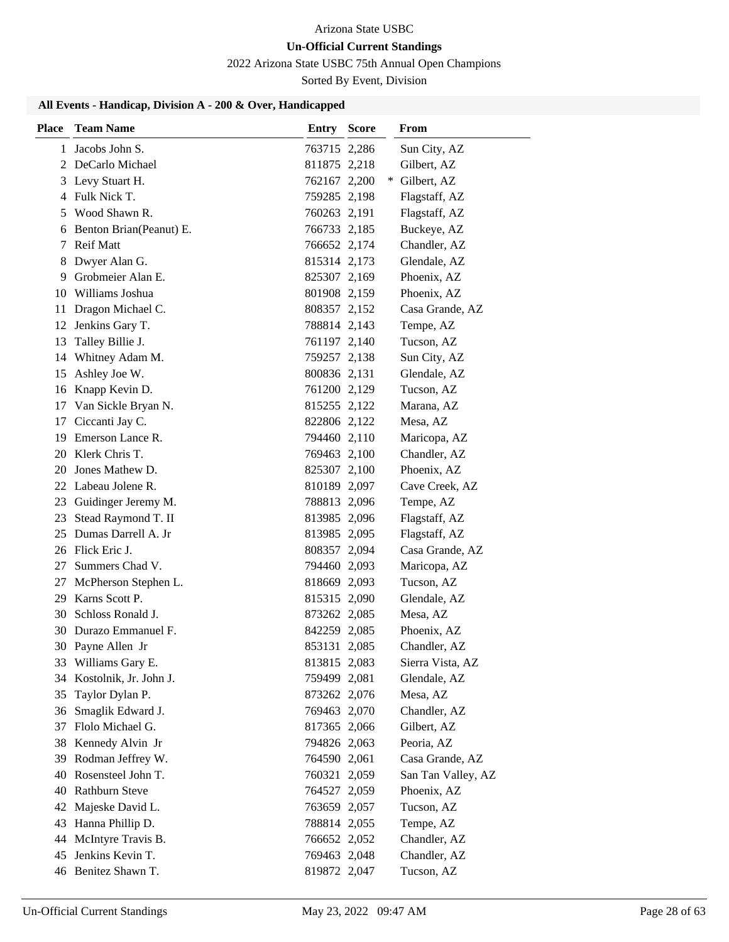# **Un-Official Current Standings**

2022 Arizona State USBC 75th Annual Open Champions

Sorted By Event, Division

| <b>Place</b> | <b>Team Name</b>                      | <b>Entry Score</b>           |     | From                      |
|--------------|---------------------------------------|------------------------------|-----|---------------------------|
| 1            | Jacobs John S.                        | 763715 2,286                 |     | Sun City, AZ              |
|              | 2 DeCarlo Michael                     | 811875 2,218                 |     | Gilbert, AZ               |
|              | 3 Levy Stuart H.                      | 762167 2,200                 | $*$ | Gilbert, AZ               |
| 4            | Fulk Nick T.                          | 759285 2,198                 |     | Flagstaff, AZ             |
| 5            | Wood Shawn R.                         | 760263 2,191                 |     | Flagstaff, AZ             |
|              | 6 Benton Brian(Peanut) E.             | 766733 2,185                 |     | Buckeye, AZ               |
|              | 7 Reif Matt                           | 766652 2,174                 |     | Chandler, AZ              |
| 8            | Dwyer Alan G.                         | 815314 2,173                 |     | Glendale, AZ              |
| 9            | Grobmeier Alan E.                     | 825307 2,169                 |     | Phoenix, AZ               |
| 10           | Williams Joshua                       | 801908 2,159                 |     | Phoenix, AZ               |
| 11           | Dragon Michael C.                     | 808357 2,152                 |     | Casa Grande, AZ           |
| 12           | Jenkins Gary T.                       | 788814 2,143                 |     | Tempe, AZ                 |
| 13           | Talley Billie J.                      | 761197 2,140                 |     | Tucson, AZ                |
| 14           | Whitney Adam M.                       | 759257 2,138                 |     | Sun City, AZ              |
| 15           | Ashley Joe W.                         | 800836 2,131                 |     | Glendale, AZ              |
| 16           | Knapp Kevin D.                        | 761200 2,129                 |     | Tucson, AZ                |
| 17           | Van Sickle Bryan N.                   | 815255 2,122                 |     | Marana, AZ                |
| 17           | Ciccanti Jay C.                       | 822806 2,122                 |     | Mesa, AZ                  |
|              | 19 Emerson Lance R.                   | 794460 2,110                 |     | Maricopa, AZ              |
|              | 20 Klerk Chris T.                     | 769463 2,100                 |     | Chandler, AZ              |
|              | 20 Jones Mathew D.                    | 825307 2,100                 |     | Phoenix, AZ               |
|              | 22 Labeau Jolene R.                   | 810189 2,097                 |     | Cave Creek, AZ            |
| 23           | Guidinger Jeremy M.                   | 788813 2,096                 |     | Tempe, AZ                 |
| 23           | Stead Raymond T. II                   | 813985 2,096                 |     | Flagstaff, AZ             |
| 25           | Dumas Darrell A. Jr                   | 813985 2,095                 |     | Flagstaff, AZ             |
|              | 26 Flick Eric J.                      | 808357 2,094                 |     | Casa Grande, AZ           |
| 27           | Summers Chad V.                       | 794460 2,093                 |     | Maricopa, AZ              |
| 27           | McPherson Stephen L.                  | 818669 2,093                 |     | Tucson, AZ                |
| 29           | Karns Scott P.                        | 815315 2,090                 |     | Glendale, AZ              |
| 30           | Schloss Ronald J.                     | 873262 2,085                 |     | Mesa, AZ                  |
|              | 30 Durazo Emmanuel F.                 | 842259 2,085                 |     | Phoenix, AZ               |
|              | 30 Payne Allen Jr                     | 853131 2,085                 |     | Chandler, AZ              |
|              | 33 Williams Gary E.                   | 813815 2,083                 |     | Sierra Vista, AZ          |
|              | 34 Kostolnik, Jr. John J.             | 759499 2,081                 |     | Glendale, AZ              |
| 35           | Taylor Dylan P.                       | 873262 2,076                 |     | Mesa, AZ                  |
| 36           | Smaglik Edward J.<br>Flolo Michael G. | 769463 2,070                 |     | Chandler, AZ              |
| 37<br>38     | Kennedy Alvin Jr                      | 817365 2,066<br>794826 2,063 |     | Gilbert, AZ<br>Peoria, AZ |
| 39           | Rodman Jeffrey W.                     | 764590 2,061                 |     | Casa Grande, AZ           |
| 40           | Rosensteel John T.                    | 760321 2,059                 |     | San Tan Valley, AZ        |
| 40           | <b>Rathburn Steve</b>                 |                              |     | Phoenix, AZ               |
| 42           | Majeske David L.                      | 764527 2,059                 |     | Tucson, AZ                |
| 43           | Hanna Phillip D.                      | 763659 2,057<br>788814 2,055 |     | Tempe, AZ                 |
| 44           | McIntyre Travis B.                    | 766652 2,052                 |     | Chandler, AZ              |
| 45           | Jenkins Kevin T.                      | 769463 2,048                 |     | Chandler, AZ              |
|              | 46 Benitez Shawn T.                   | 819872 2,047                 |     | Tucson, AZ                |
|              |                                       |                              |     |                           |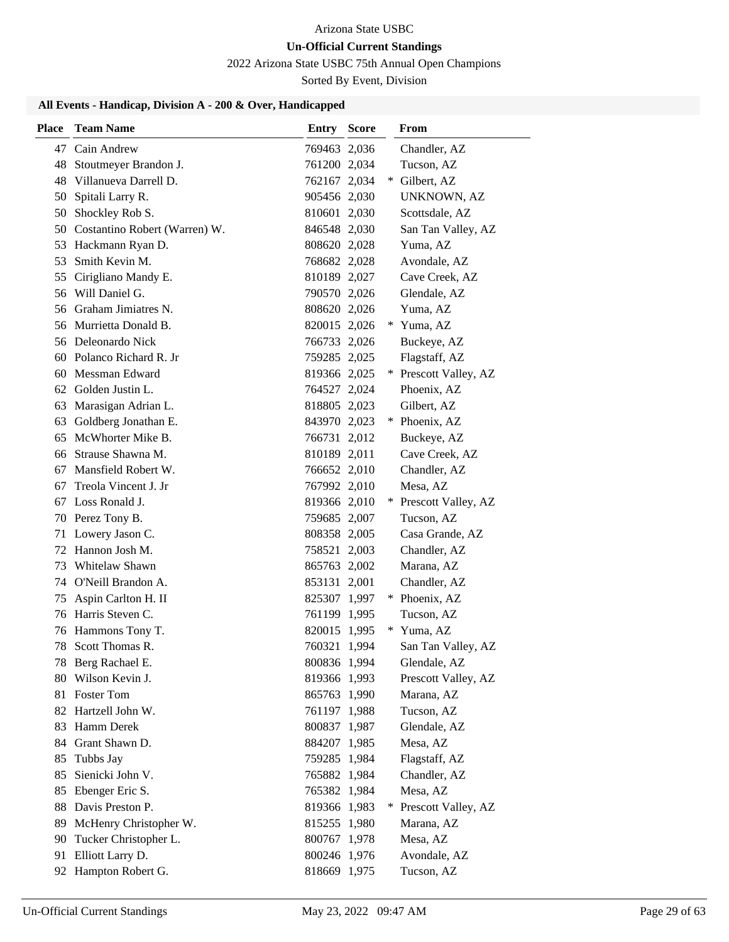# **Un-Official Current Standings**

2022 Arizona State USBC 75th Annual Open Champions

Sorted By Event, Division

| <b>Place</b> | <b>Team Name</b>                         | <b>Entry Score</b>           |     | From                               |
|--------------|------------------------------------------|------------------------------|-----|------------------------------------|
| 47           | Cain Andrew                              | 769463 2,036                 |     | Chandler, AZ                       |
| 48           | Stoutmeyer Brandon J.                    | 761200 2,034                 |     | Tucson, AZ                         |
| 48           | Villanueva Darrell D.                    | 762167 2,034                 | *   | Gilbert, AZ                        |
| 50           | Spitali Larry R.                         | 905456 2,030                 |     | <b>UNKNOWN, AZ</b>                 |
|              | 50 Shockley Rob S.                       | 810601 2,030                 |     | Scottsdale, AZ                     |
|              | 50 Costantino Robert (Warren) W.         | 846548 2,030                 |     | San Tan Valley, AZ                 |
|              | 53 Hackmann Ryan D.                      | 808620 2,028                 |     | Yuma, AZ                           |
| 53           | Smith Kevin M.                           | 768682 2,028                 |     | Avondale, AZ                       |
| 55           | Cirigliano Mandy E.                      | 810189 2,027                 |     | Cave Creek, AZ                     |
|              | 56 Will Daniel G.                        | 790570 2,026                 |     | Glendale, AZ                       |
|              | 56 Graham Jimiatres N.                   | 808620 2,026                 |     | Yuma, AZ                           |
|              | 56 Murrietta Donald B.                   | 820015 2,026                 |     | Yuma, AZ                           |
|              | 56 Deleonardo Nick                       | 766733 2,026                 |     | Buckeye, AZ                        |
|              | 60 Polanco Richard R. Jr                 | 759285 2,025                 |     | Flagstaff, AZ                      |
| 60           | Messman Edward                           | 819366 2,025                 | $*$ | Prescott Valley, AZ                |
|              | 62 Golden Justin L.                      | 764527 2,024                 |     | Phoenix, AZ                        |
| 63           | Marasigan Adrian L.                      | 818805 2,023                 |     | Gilbert, AZ                        |
| 63           | Goldberg Jonathan E.                     | 843970 2,023                 |     | * Phoenix, AZ                      |
| 65           | McWhorter Mike B.                        | 766731 2,012                 |     | Buckeye, AZ                        |
|              | 66 Strause Shawna M.                     | 810189 2,011                 |     | Cave Creek, AZ                     |
| 67           | Mansfield Robert W.                      | 766652 2,010                 |     | Chandler, AZ                       |
| 67           | Treola Vincent J. Jr                     | 767992 2,010                 |     | Mesa, AZ                           |
| 67           | Loss Ronald J.                           | 819366 2,010                 | $*$ | Prescott Valley, AZ                |
|              | 70 Perez Tony B.                         | 759685 2,007                 |     | Tucson, AZ                         |
| 71           | Lowery Jason C.                          | 808358 2,005                 |     | Casa Grande, AZ                    |
|              | 72 Hannon Josh M.                        | 758521 2,003                 |     | Chandler, AZ                       |
| 73           | Whitelaw Shawn                           | 865763 2,002                 |     | Marana, AZ                         |
| 74           | O'Neill Brandon A.                       | 853131 2,001                 |     | Chandler, AZ                       |
| 75           | Aspin Carlton H. II                      | 825307 1,997                 |     | * Phoenix, AZ                      |
|              | 76 Harris Steven C.                      | 761199 1,995<br>820015 1,995 |     | Tucson, AZ                         |
|              | 76 Hammons Tony T.                       |                              | $*$ | Yuma, AZ                           |
|              | 78 Scott Thomas R.                       | 760321 1,994                 |     | San Tan Valley, AZ<br>Glendale, AZ |
|              | 78 Berg Rachael E.<br>80 Wilson Kevin J. | 800836 1,994<br>819366 1,993 |     | Prescott Valley, AZ                |
|              | 81 Foster Tom                            | 865763 1,990                 |     | Marana, AZ                         |
|              | 82 Hartzell John W.                      | 761197 1,988                 |     | Tucson, AZ                         |
|              | 83 Hamm Derek                            | 800837 1,987                 |     | Glendale, AZ                       |
|              | 84 Grant Shawn D.                        | 884207 1,985                 |     | Mesa, AZ                           |
| 85           | Tubbs Jay                                | 759285 1,984                 |     | Flagstaff, AZ                      |
| 85           | Sienicki John V.                         | 765882 1,984                 |     | Chandler, AZ                       |
| 85           | Ebenger Eric S.                          | 765382 1,984                 |     | Mesa, AZ                           |
| 88           | Davis Preston P.                         | 819366 1,983                 | $*$ | Prescott Valley, AZ                |
| 89           | McHenry Christopher W.                   | 815255 1,980                 |     | Marana, AZ                         |
| 90           | Tucker Christopher L.                    | 800767 1,978                 |     | Mesa, AZ                           |
| 91           | Elliott Larry D.                         | 800246 1,976                 |     | Avondale, AZ                       |
|              | 92 Hampton Robert G.                     | 818669 1,975                 |     | Tucson, AZ                         |
|              |                                          |                              |     |                                    |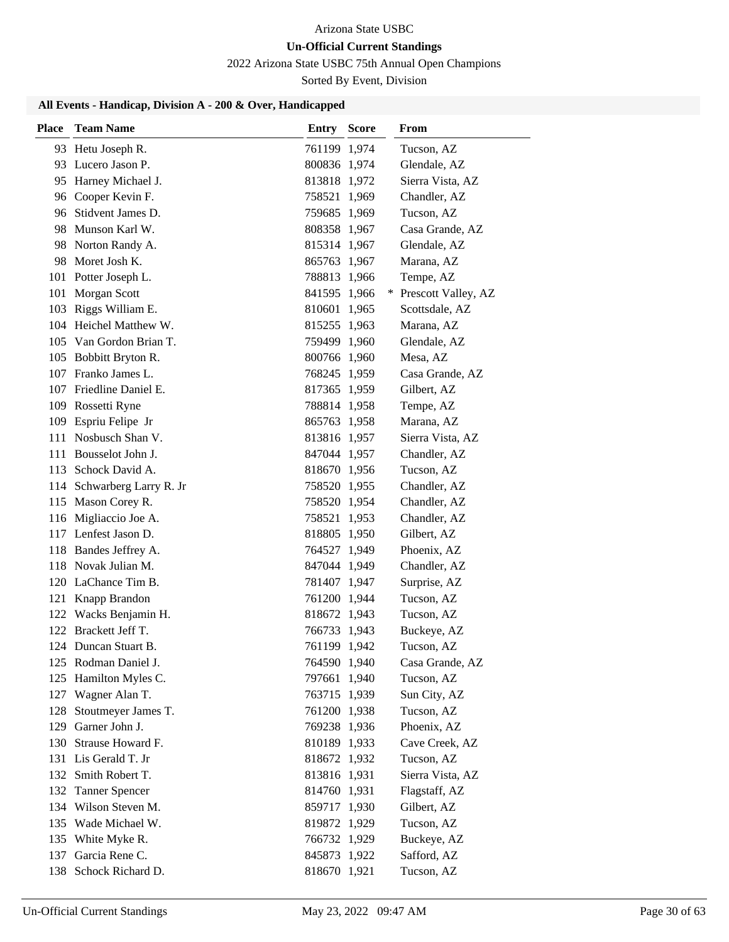# 2022 Arizona State USBC 75th Annual Open Champions

Sorted By Event, Division

| <b>Place</b> | <b>Team Name</b>                             | Entry                        | <b>Score</b> | From                       |
|--------------|----------------------------------------------|------------------------------|--------------|----------------------------|
|              | 93 Hetu Joseph R.                            | 761199 1,974                 |              | Tucson, AZ                 |
|              | 93 Lucero Jason P.                           | 800836 1,974                 |              | Glendale, AZ               |
|              | 95 Harney Michael J.                         | 813818 1,972                 |              | Sierra Vista, AZ           |
|              | 96 Cooper Kevin F.                           | 758521 1,969                 |              | Chandler, AZ               |
| 96           | Stidvent James D.                            | 759685 1,969                 |              | Tucson, AZ                 |
|              | 98 Munson Karl W.                            | 808358 1,967                 |              | Casa Grande, AZ            |
|              | 98 Norton Randy A.                           | 815314 1,967                 |              | Glendale, AZ               |
| 98           | Moret Josh K.                                | 865763 1,967                 |              | Marana, AZ                 |
| 101          | Potter Joseph L.                             | 788813 1,966                 |              | Tempe, AZ                  |
| 101          | Morgan Scott                                 | 841595 1,966                 |              | * Prescott Valley, AZ      |
| 103          | Riggs William E.                             | 810601 1,965                 |              | Scottsdale, AZ             |
|              | 104 Heichel Matthew W.                       | 815255 1,963                 |              | Marana, AZ                 |
|              | 105 Van Gordon Brian T.                      | 759499 1,960                 |              | Glendale, AZ               |
| 105          | Bobbitt Bryton R.                            | 800766 1,960                 |              | Mesa, AZ                   |
|              | 107 Franko James L.                          | 768245 1,959                 |              | Casa Grande, AZ            |
| 107          | Friedline Daniel E.                          | 817365 1,959                 |              | Gilbert, AZ                |
| 109          | Rossetti Ryne                                | 788814 1,958                 |              | Tempe, AZ                  |
| 109          | Espriu Felipe Jr                             | 865763 1,958                 |              | Marana, AZ                 |
| 111          | Nosbusch Shan V.                             | 813816 1,957                 |              | Sierra Vista, AZ           |
| 111          | Bousselot John J.                            | 847044 1,957                 |              | Chandler, AZ               |
| 113          | Schock David A.                              | 818670 1,956                 |              | Tucson, AZ                 |
|              | 114 Schwarberg Larry R. Jr                   | 758520 1,955                 |              | Chandler, AZ               |
|              | 115 Mason Corey R.                           | 758520 1,954                 |              | Chandler, AZ               |
| 116          | Migliaccio Joe A.                            | 758521 1,953                 |              | Chandler, AZ               |
|              | 117 Lenfest Jason D.                         | 818805 1,950                 |              | Gilbert, AZ                |
|              | 118 Bandes Jeffrey A.<br>118 Novak Julian M. | 764527 1,949                 |              | Phoenix, AZ                |
|              | 120 LaChance Tim B.                          | 847044 1,949                 |              | Chandler, AZ               |
| 121          | Knapp Brandon                                | 781407 1,947<br>761200 1,944 |              | Surprise, AZ<br>Tucson, AZ |
|              | 122 Wacks Benjamin H.                        | 818672 1,943                 |              | Tucson, AZ                 |
|              | 122 Brackett Jeff T.                         | 766733 1,943                 |              | Buckeye, AZ                |
|              | 124 Duncan Stuart B.                         | 761199 1,942                 |              | Tucson, AZ                 |
|              | 125 Rodman Daniel J.                         | 764590 1,940                 |              | Casa Grande, AZ            |
| 125          | Hamilton Myles C.                            | 797661 1,940                 |              | Tucson, AZ                 |
| 127          | Wagner Alan T.                               | 763715 1,939                 |              | Sun City, AZ               |
| 128          | Stoutmeyer James T.                          | 761200 1,938                 |              | Tucson, AZ                 |
| 129          | Garner John J.                               | 769238 1,936                 |              | Phoenix, AZ                |
| 130          | Strause Howard F.                            | 810189 1,933                 |              | Cave Creek, AZ             |
| 131          | Lis Gerald T. Jr                             | 818672 1,932                 |              | Tucson, AZ                 |
| 132          | Smith Robert T.                              | 813816 1,931                 |              | Sierra Vista, AZ           |
| 132          | <b>Tanner Spencer</b>                        | 814760 1,931                 |              | Flagstaff, AZ              |
|              | 134 Wilson Steven M.                         | 859717 1,930                 |              | Gilbert, AZ                |
|              | 135 Wade Michael W.                          | 819872 1,929                 |              | Tucson, AZ                 |
| 135          | White Myke R.                                | 766732 1,929                 |              | Buckeye, AZ                |
| 137          | Garcia Rene C.                               | 845873 1,922                 |              | Safford, AZ                |
| 138          | Schock Richard D.                            | 818670 1,921                 |              | Tucson, AZ                 |
|              |                                              |                              |              |                            |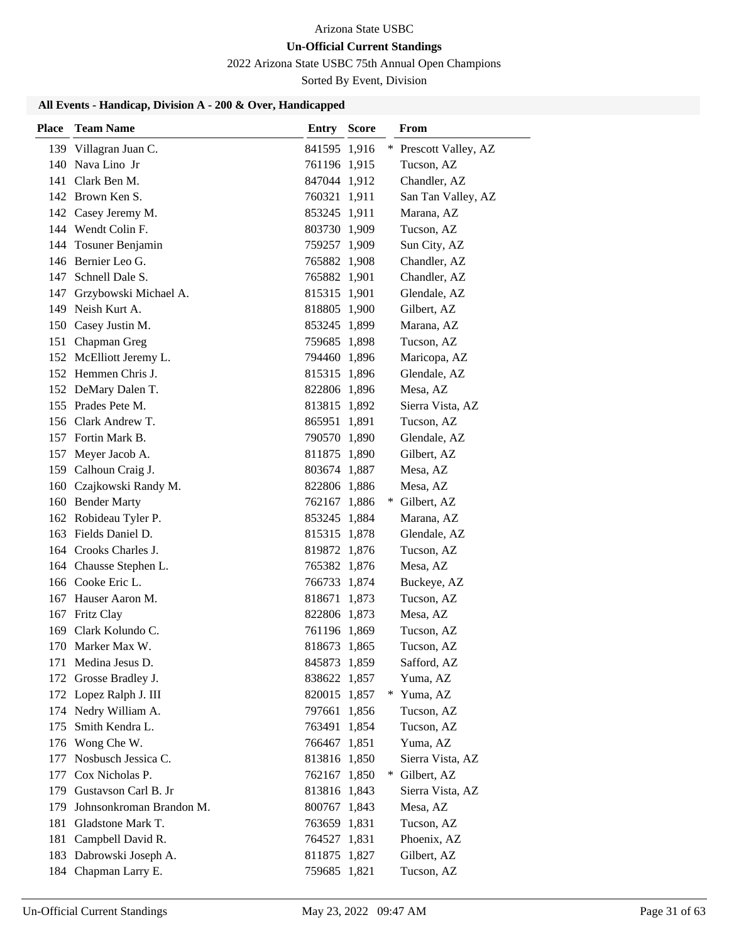# 2022 Arizona State USBC 75th Annual Open Champions

Sorted By Event, Division

| Place | <b>Team Name</b>         | <b>Entry Score</b> | From                  |
|-------|--------------------------|--------------------|-----------------------|
|       | 139 Villagran Juan C.    | 841595 1,916       | * Prescott Valley, AZ |
|       | 140 Nava Lino Jr         | 761196 1,915       | Tucson, AZ            |
|       | 141 Clark Ben M.         | 847044 1,912       | Chandler, AZ          |
|       | 142 Brown Ken S.         | 760321 1,911       | San Tan Valley, AZ    |
|       | 142 Casey Jeremy M.      | 853245 1,911       | Marana, AZ            |
|       | 144 Wendt Colin F.       | 803730 1,909       | Tucson, AZ            |
|       | 144 Tosuner Benjamin     | 759257 1,909       | Sun City, AZ          |
|       | 146 Bernier Leo G.       | 765882 1,908       | Chandler, AZ          |
|       | 147 Schnell Dale S.      | 765882 1,901       | Chandler, AZ          |
| 147   | Grzybowski Michael A.    | 815315 1,901       | Glendale, AZ          |
|       | 149 Neish Kurt A.        | 818805 1,900       | Gilbert, AZ           |
|       | 150 Casey Justin M.      | 853245 1,899       | Marana, AZ            |
|       | 151 Chapman Greg         | 759685 1,898       | Tucson, AZ            |
|       | 152 McElliott Jeremy L.  | 794460 1,896       | Maricopa, AZ          |
|       | 152 Hemmen Chris J.      | 815315 1,896       | Glendale, AZ          |
|       | 152 DeMary Dalen T.      | 822806 1,896       | Mesa, AZ              |
|       | 155 Prades Pete M.       | 813815 1,892       | Sierra Vista, AZ      |
|       | 156 Clark Andrew T.      | 865951 1,891       | Tucson, AZ            |
|       | 157 Fortin Mark B.       | 790570 1,890       | Glendale, AZ          |
|       | 157 Meyer Jacob A.       | 811875 1,890       | Gilbert, AZ           |
|       | 159 Calhoun Craig J.     | 803674 1,887       | Mesa, AZ              |
|       | 160 Czajkowski Randy M.  | 822806 1,886       | Mesa, AZ              |
|       | 160 Bender Marty         | 762167 1,886       | Gilbert, AZ<br>$*$    |
|       | 162 Robideau Tyler P.    | 853245 1,884       | Marana, AZ            |
|       | 163 Fields Daniel D.     | 815315 1,878       | Glendale, AZ          |
|       | 164 Crooks Charles J.    | 819872 1,876       | Tucson, AZ            |
|       | 164 Chausse Stephen L.   | 765382 1,876       | Mesa, AZ              |
|       | 166 Cooke Eric L.        | 766733 1,874       | Buckeye, AZ           |
|       | 167 Hauser Aaron M.      | 818671 1,873       | Tucson, AZ            |
|       | 167 Fritz Clay           | 822806 1,873       | Mesa, AZ              |
|       | 169 Clark Kolundo C.     | 761196 1,869       | Tucson, AZ            |
|       | 170 Marker Max W.        | 818673 1,865       | Tucson, AZ            |
|       | 171 Medina Jesus D.      | 845873 1,859       | Safford, AZ           |
|       | 172 Grosse Bradley J.    | 838622 1,857       | Yuma, AZ              |
|       | 172 Lopez Ralph J. III   | 820015 1,857       | * Yuma, AZ            |
|       | 174 Nedry William A.     | 797661 1,856       | Tucson, AZ            |
| 175   | Smith Kendra L.          | 763491 1,854       | Tucson, AZ            |
|       | 176 Wong Che W.          | 766467 1,851       | Yuma, AZ              |
| 177   | Nosbusch Jessica C.      | 813816 1,850       | Sierra Vista, AZ      |
|       | 177 Cox Nicholas P.      | 762167 1,850       | Gilbert, AZ<br>$*$    |
|       | 179 Gustavson Carl B. Jr | 813816 1,843       | Sierra Vista, AZ      |
| 179   | Johnsonkroman Brandon M. | 800767 1,843       | Mesa, AZ              |
|       | 181 Gladstone Mark T.    | 763659 1,831       | Tucson, AZ            |
|       | 181 Campbell David R.    | 764527 1,831       | Phoenix, AZ           |
| 183   | Dabrowski Joseph A.      | 811875 1,827       | Gilbert, AZ           |
|       | 184 Chapman Larry E.     | 759685 1,821       | Tucson, AZ            |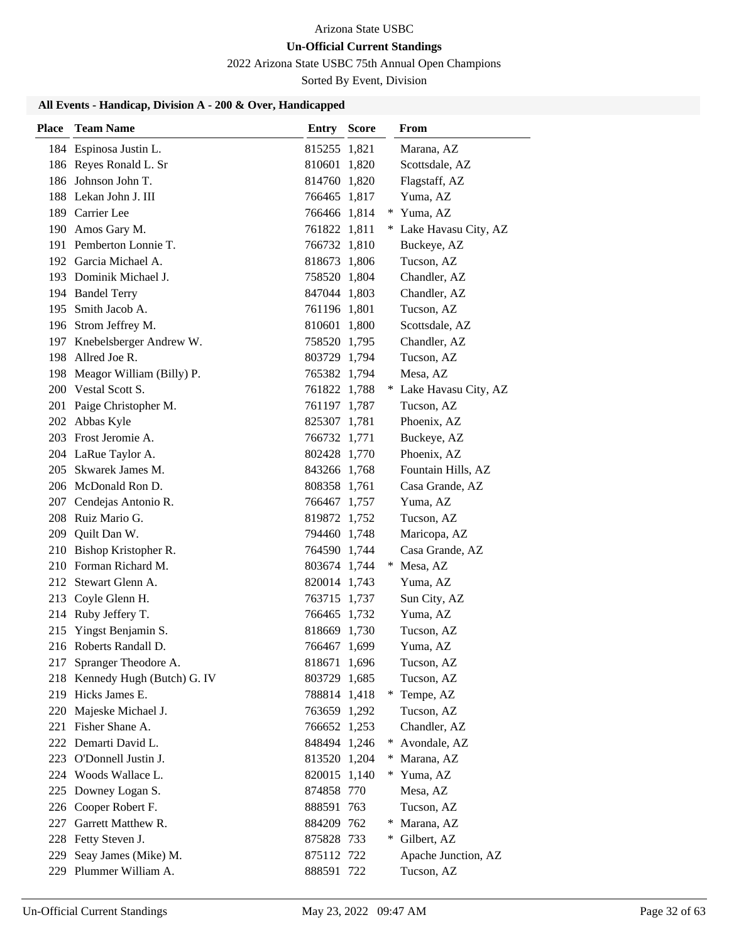# **Un-Official Current Standings**

2022 Arizona State USBC 75th Annual Open Champions

Sorted By Event, Division

| <b>Place</b> | <b>Team Name</b>               | Entry        | <b>Score</b> |     | <b>From</b>            |
|--------------|--------------------------------|--------------|--------------|-----|------------------------|
|              | 184 Espinosa Justin L.         | 815255 1,821 |              |     | Marana, AZ             |
|              | 186 Reyes Ronald L. Sr         | 810601 1,820 |              |     | Scottsdale, AZ         |
|              | 186 Johnson John T.            | 814760 1,820 |              |     | Flagstaff, AZ          |
|              | 188 Lekan John J. III          | 766465 1,817 |              |     | Yuma, AZ               |
|              | 189 Carrier Lee                | 766466 1,814 |              |     | Yuma, AZ               |
|              | 190 Amos Gary M.               | 761822 1,811 |              |     | * Lake Havasu City, AZ |
|              | 191 Pemberton Lonnie T.        | 766732 1,810 |              |     | Buckeye, AZ            |
|              | 192 Garcia Michael A.          | 818673 1,806 |              |     | Tucson, AZ             |
|              | 193 Dominik Michael J.         | 758520 1,804 |              |     | Chandler, AZ           |
|              | 194 Bandel Terry               | 847044 1,803 |              |     | Chandler, AZ           |
|              | 195 Smith Jacob A.             | 761196 1,801 |              |     | Tucson, AZ             |
|              | 196 Strom Jeffrey M.           | 810601 1,800 |              |     | Scottsdale, AZ         |
|              | 197 Knebelsberger Andrew W.    | 758520 1,795 |              |     | Chandler, AZ           |
|              | 198 Allred Joe R.              | 803729 1,794 |              |     | Tucson, AZ             |
|              | 198 Meagor William (Billy) P.  | 765382 1,794 |              |     | Mesa, AZ               |
|              | 200 Vestal Scott S.            | 761822 1,788 |              |     | * Lake Havasu City, AZ |
|              | 201 Paige Christopher M.       | 761197 1,787 |              |     | Tucson, AZ             |
|              | 202 Abbas Kyle                 | 825307 1,781 |              |     | Phoenix, AZ            |
|              | 203 Frost Jeromie A.           | 766732 1,771 |              |     | Buckeye, AZ            |
|              | 204 LaRue Taylor A.            | 802428 1,770 |              |     | Phoenix, AZ            |
|              | 205 Skwarek James M.           | 843266 1,768 |              |     | Fountain Hills, AZ     |
|              | 206 McDonald Ron D.            | 808358 1,761 |              |     | Casa Grande, AZ        |
|              | 207 Cendejas Antonio R.        | 766467 1,757 |              |     | Yuma, AZ               |
|              | 208 Ruiz Mario G.              | 819872 1,752 |              |     | Tucson, AZ             |
| 209          | Quilt Dan W.                   | 794460 1,748 |              |     | Maricopa, AZ           |
|              | 210 Bishop Kristopher R.       | 764590 1,744 |              |     | Casa Grande, AZ        |
|              | 210 Forman Richard M.          | 803674 1,744 |              |     | * Mesa, AZ             |
| 212          | Stewart Glenn A.               | 820014 1,743 |              |     | Yuma, AZ               |
| 213          | Coyle Glenn H.                 | 763715 1,737 |              |     | Sun City, AZ           |
|              | 214 Ruby Jeffery T.            | 766465 1,732 |              |     | Yuma, AZ               |
| 215          | Yingst Benjamin S.             | 818669 1,730 |              |     | Tucson, AZ             |
|              | 216 Roberts Randall D.         | 766467 1,699 |              |     | Yuma, AZ               |
|              | 217 Spranger Theodore A.       | 818671 1,696 |              |     | Tucson, AZ             |
|              | 218 Kennedy Hugh (Butch) G. IV | 803729 1,685 |              |     | Tucson, AZ             |
|              | 219 Hicks James E.             | 788814 1,418 |              |     | * Tempe, AZ            |
|              | 220 Majeske Michael J.         | 763659 1,292 |              |     | Tucson, AZ             |
|              | 221 Fisher Shane A.            | 766652 1,253 |              |     | Chandler, AZ           |
|              | 222 Demarti David L.           | 848494 1,246 |              |     | * Avondale, AZ         |
|              | 223 O'Donnell Justin J.        | 813520 1,204 |              | $*$ | Marana, AZ             |
|              | 224 Woods Wallace L.           | 820015 1,140 |              | $*$ | Yuma, AZ               |
|              | 225 Downey Logan S.            | 874858 770   |              |     | Mesa, AZ               |
|              | 226 Cooper Robert F.           | 888591 763   |              |     | Tucson, AZ             |
|              | 227 Garrett Matthew R.         | 884209 762   |              | $*$ | Marana, AZ             |
|              | 228 Fetty Steven J.            | 875828 733   |              | ∗   | Gilbert, AZ            |
| 229          | Seay James (Mike) M.           | 875112 722   |              |     | Apache Junction, AZ    |
|              | 229 Plummer William A.         | 888591 722   |              |     | Tucson, AZ             |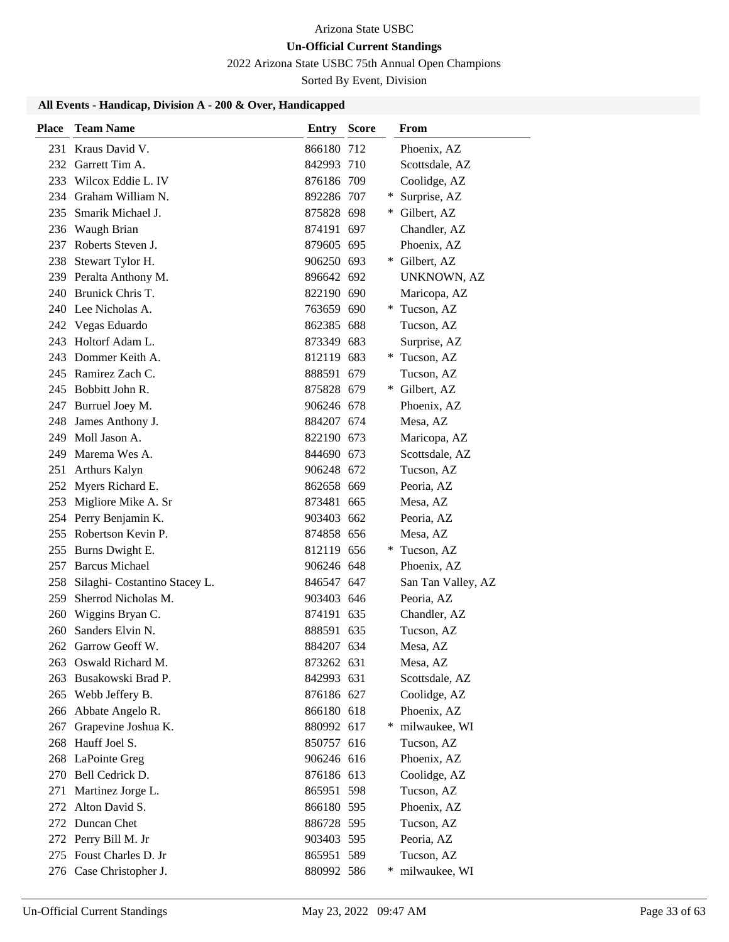# **Un-Official Current Standings**

2022 Arizona State USBC 75th Annual Open Champions

Sorted By Event, Division

| Place | <b>Team Name</b>              | <b>Entry Score</b> |   | From               |
|-------|-------------------------------|--------------------|---|--------------------|
|       | 231 Kraus David V.            | 866180 712         |   | Phoenix, AZ        |
|       | 232 Garrett Tim A.            | 842993 710         |   | Scottsdale, AZ     |
|       | 233 Wilcox Eddie L. IV        | 876186 709         |   | Coolidge, AZ       |
|       | 234 Graham William N.         | 892286 707         | ¥ | Surprise, AZ       |
| 235   | Smarik Michael J.             | 875828 698         | ∗ | Gilbert, AZ        |
|       | 236 Waugh Brian               | 874191 697         |   | Chandler, AZ       |
|       | 237 Roberts Steven J.         | 879605 695         |   | Phoenix, AZ        |
|       | 238 Stewart Tylor H.          | 906250 693         | ∗ | Gilbert, AZ        |
|       | 239 Peralta Anthony M.        | 896642 692         |   | UNKNOWN, AZ        |
|       | 240 Brunick Chris T.          | 822190 690         |   | Maricopa, AZ       |
|       | 240 Lee Nicholas A.           | 763659 690         | ∗ | Tucson, AZ         |
|       | 242 Vegas Eduardo             | 862385 688         |   | Tucson, AZ         |
|       | 243 Holtorf Adam L.           | 873349 683         |   | Surprise, AZ       |
|       | 243 Dommer Keith A.           | 812119 683         |   | * Tucson, AZ       |
|       | 245 Ramirez Zach C.           | 888591 679         |   | Tucson, AZ         |
|       | 245 Bobbitt John R.           | 875828 679         | ∗ | Gilbert, AZ        |
|       | 247 Burruel Joey M.           | 906246 678         |   | Phoenix, AZ        |
| 248   | James Anthony J.              | 884207 674         |   | Mesa, AZ           |
| 249   | Moll Jason A.                 | 822190 673         |   | Maricopa, AZ       |
| 249   | Marema Wes A.                 | 844690 673         |   | Scottsdale, AZ     |
| 251   | <b>Arthurs Kalyn</b>          | 906248 672         |   | Tucson, AZ         |
|       | 252 Myers Richard E.          | 862658 669         |   | Peoria, AZ         |
| 253   | Migliore Mike A. Sr           | 873481 665         |   | Mesa, AZ           |
|       | 254 Perry Benjamin K.         | 903403 662         |   | Peoria, AZ         |
|       | 255 Robertson Kevin P.        | 874858 656         |   | Mesa, AZ           |
| 255   | Burns Dwight E.               | 812119 656         | ∗ | Tucson, AZ         |
|       | 257 Barcus Michael            | 906246 648         |   | Phoenix, AZ        |
| 258   | Silaghi- Costantino Stacey L. | 846547 647         |   | San Tan Valley, AZ |
| 259   | Sherrod Nicholas M.           | 903403 646         |   | Peoria, AZ         |
| 260   | Wiggins Bryan C.              | 874191 635         |   | Chandler, AZ       |
| 260   | Sanders Elvin N.              | 888591 635         |   | Tucson, AZ         |
| 262   | Garrow Geoff W.               | 884207 634         |   | Mesa, AZ           |
|       | 263 Oswald Richard M.         | 873262 631         |   | Mesa, AZ           |
| 263   | Busakowski Brad P.            | 842993 631         |   | Scottsdale, AZ     |
|       | 265 Webb Jeffery B.           | 876186 627         |   | Coolidge, AZ       |
|       | 266 Abbate Angelo R.          | 866180 618         |   | Phoenix, AZ        |
| 267   | Grapevine Joshua K.           | 880992 617         | ∗ | milwaukee, WI      |
| 268   | Hauff Joel S.                 | 850757 616         |   | Tucson, AZ         |
|       | 268 LaPointe Greg             | 906246 616         |   | Phoenix, AZ        |
| 270   | Bell Cedrick D.               | 876186 613         |   | Coolidge, AZ       |
| 271   | Martinez Jorge L.             | 865951 598         |   | Tucson, AZ         |
| 272   | Alton David S.                | 866180 595         |   | Phoenix, AZ        |
|       | 272 Duncan Chet               | 886728 595         |   | Tucson, AZ         |
|       | 272 Perry Bill M. Jr          | 903403 595         |   | Peoria, AZ         |
|       | 275 Foust Charles D. Jr       | 865951 589         |   | Tucson, AZ         |
|       | 276 Case Christopher J.       | 880992 586         |   | milwaukee, WI      |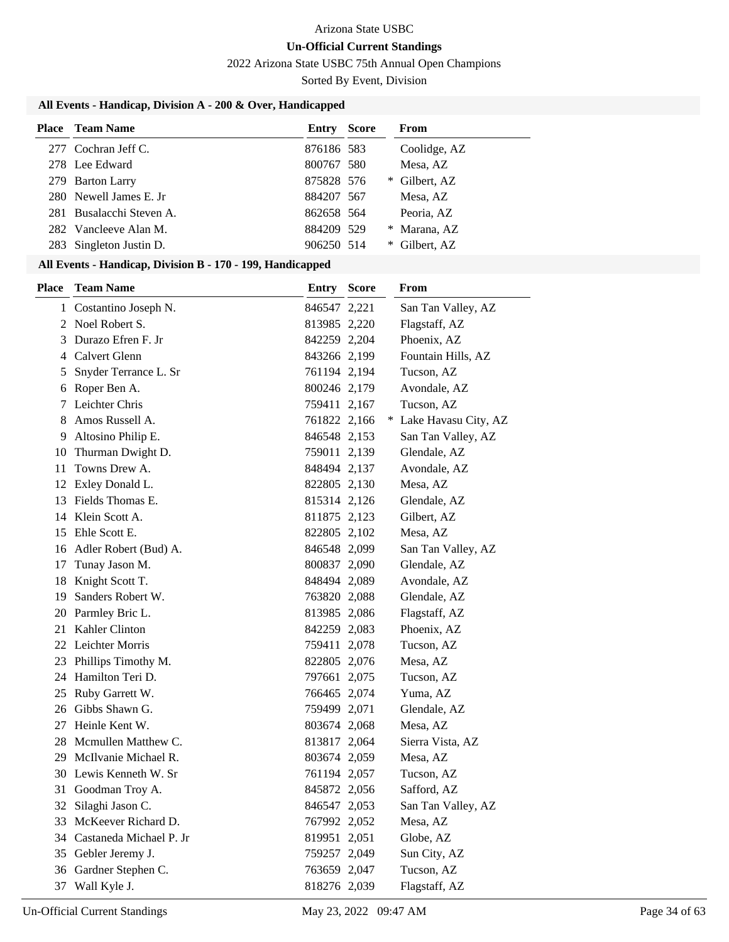# **Un-Official Current Standings**

2022 Arizona State USBC 75th Annual Open Champions

Sorted By Event, Division

# **All Events - Handicap, Division A - 200 & Over, Handicapped**

| <b>Place</b> Team Name   | Entry      | <b>Score</b> |   | From          |
|--------------------------|------------|--------------|---|---------------|
| 277 Cochran Jeff C.      | 876186 583 |              |   | Coolidge, AZ  |
| 278 Lee Edward           | 800767 580 |              |   | Mesa, AZ      |
| 279 Barton Larry         | 875828 576 |              |   | * Gilbert, AZ |
| 280 Newell James E. Jr   | 884207 567 |              |   | Mesa, AZ      |
| 281 Busalacchi Steven A. | 862658 564 |              |   | Peoria, AZ    |
| 282 Vancleeve Alan M.    | 884209 529 |              |   | * Marana, AZ  |
| 283 Singleton Justin D.  | 906250 514 |              | ∗ | Gilbert, AZ   |

| <b>Place</b> | <b>Team Name</b>           | Entry        | <b>Score</b> | From                   |
|--------------|----------------------------|--------------|--------------|------------------------|
|              | 1 Costantino Joseph N.     | 846547 2,221 |              | San Tan Valley, AZ     |
|              | 2 Noel Robert S.           | 813985 2,220 |              | Flagstaff, AZ          |
| 3            | Durazo Efren F. Jr         | 842259 2,204 |              | Phoenix, AZ            |
| 4            | Calvert Glenn              | 843266 2,199 |              | Fountain Hills, AZ     |
| 5            | Snyder Terrance L. Sr      | 761194 2,194 |              | Tucson, AZ             |
| 6            | Roper Ben A.               | 800246 2,179 |              | Avondale, AZ           |
| 7            | Leichter Chris             | 759411 2,167 |              | Tucson, AZ             |
| 8            | Amos Russell A.            | 761822 2,166 |              | * Lake Havasu City, AZ |
| 9            | Altosino Philip E.         | 846548 2,153 |              | San Tan Valley, AZ     |
| 10           | Thurman Dwight D.          | 759011 2,139 |              | Glendale, AZ           |
| 11           | Towns Drew A.              | 848494 2,137 |              | Avondale, AZ           |
| 12           | Exley Donald L.            | 822805 2,130 |              | Mesa, AZ               |
| 13           | Fields Thomas E.           | 815314 2,126 |              | Glendale, AZ           |
| 14           | Klein Scott A.             | 811875 2,123 |              | Gilbert, AZ            |
| 15           | Ehle Scott E.              | 822805 2,102 |              | Mesa, AZ               |
|              | 16 Adler Robert (Bud) A.   | 846548 2,099 |              | San Tan Valley, AZ     |
| 17           | Tunay Jason M.             | 800837 2,090 |              | Glendale, AZ           |
|              | 18 Knight Scott T.         | 848494 2,089 |              | Avondale, AZ           |
|              | 19 Sanders Robert W.       | 763820 2,088 |              | Glendale, AZ           |
|              | 20 Parmley Bric L.         | 813985 2,086 |              | Flagstaff, AZ          |
|              | 21 Kahler Clinton          | 842259 2,083 |              | Phoenix, AZ            |
|              | 22 Leichter Morris         | 759411 2,078 |              | Tucson, AZ             |
|              | 23 Phillips Timothy M.     | 822805 2,076 |              | Mesa, AZ               |
|              | 24 Hamilton Teri D.        | 797661 2,075 |              | Tucson, AZ             |
|              | 25 Ruby Garrett W.         | 766465 2,074 |              | Yuma, AZ               |
|              | 26 Gibbs Shawn G.          | 759499 2,071 |              | Glendale, AZ           |
| 27           | Heinle Kent W.             | 803674 2,068 |              | Mesa, AZ               |
|              | 28 Mcmullen Matthew C.     | 813817 2,064 |              | Sierra Vista, AZ       |
|              | 29 McIlvanie Michael R.    | 803674 2,059 |              | Mesa, AZ               |
|              | 30 Lewis Kenneth W. Sr     | 761194 2,057 |              | Tucson, AZ             |
| 31           | Goodman Troy A.            | 845872 2,056 |              | Safford, AZ            |
| 32           | Silaghi Jason C.           | 846547 2,053 |              | San Tan Valley, AZ     |
|              | 33 McKeever Richard D.     | 767992 2,052 |              | Mesa, AZ               |
|              | 34 Castaneda Michael P. Jr | 819951 2,051 |              | Globe, AZ              |
| 35           | Gebler Jeremy J.           | 759257 2,049 |              | Sun City, AZ           |
| 36           | Gardner Stephen C.         | 763659 2,047 |              | Tucson, AZ             |
|              | 37 Wall Kyle J.            | 818276 2,039 |              | Flagstaff, AZ          |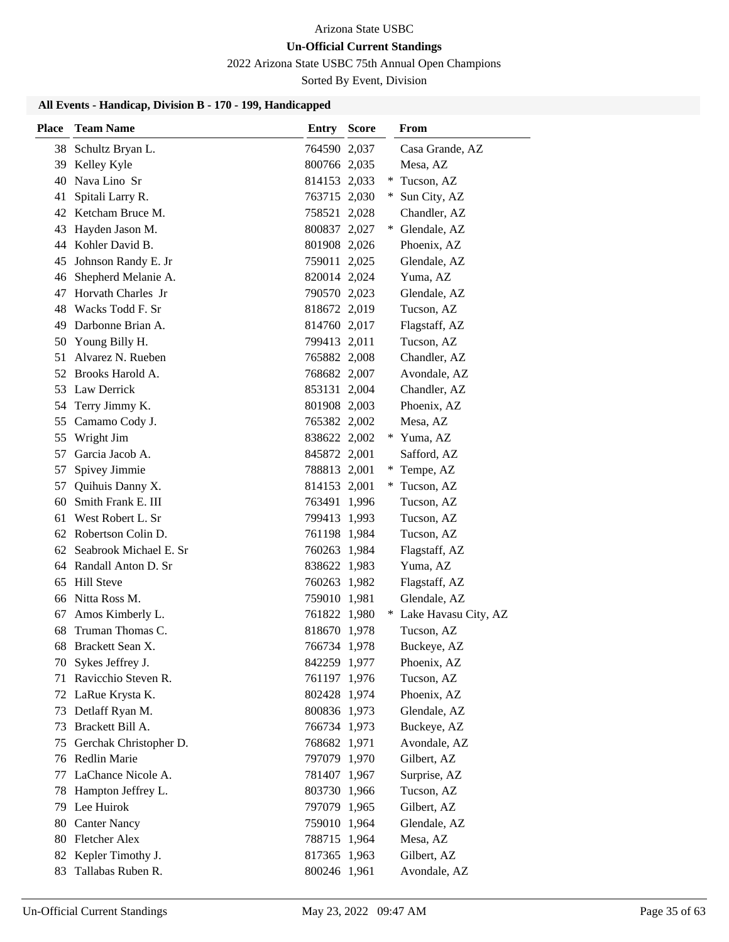# 2022 Arizona State USBC 75th Annual Open Champions

Sorted By Event, Division

| <b>Place</b> | <b>Team Name</b>       | <b>Entry Score</b> |     | From                   |
|--------------|------------------------|--------------------|-----|------------------------|
| 38           | Schultz Bryan L.       | 764590 2,037       |     | Casa Grande, AZ        |
|              | 39 Kelley Kyle         | 800766 2,035       |     | Mesa, AZ               |
| 40           | Nava Lino Sr           | 814153 2,033       | $*$ | Tucson, AZ             |
| 41           | Spitali Larry R.       | 763715 2,030       | ∗   | Sun City, AZ           |
| 42           | Ketcham Bruce M.       | 758521 2,028       |     | Chandler, AZ           |
| 43           | Hayden Jason M.        | 800837 2,027       | $*$ | Glendale, AZ           |
| 44           | Kohler David B.        | 801908 2,026       |     | Phoenix, AZ            |
| 45           | Johnson Randy E. Jr    | 759011 2,025       |     | Glendale, AZ           |
| 46           | Shepherd Melanie A.    | 820014 2,024       |     | Yuma, AZ               |
| 47           | Horvath Charles Jr     | 790570 2,023       |     | Glendale, AZ           |
| 48           | Wacks Todd F. Sr       | 818672 2,019       |     | Tucson, AZ             |
| 49           | Darbonne Brian A.      | 814760 2,017       |     | Flagstaff, AZ          |
| 50           | Young Billy H.         | 799413 2,011       |     | Tucson, AZ             |
| 51           | Alvarez N. Rueben      | 765882 2,008       |     | Chandler, AZ           |
|              | 52 Brooks Harold A.    | 768682 2,007       |     | Avondale, AZ           |
| 53           | Law Derrick            | 853131 2,004       |     | Chandler, AZ           |
| 54           | Terry Jimmy K.         | 801908 2,003       |     | Phoenix, AZ            |
| 55           | Camamo Cody J.         | 765382 2,002       |     | Mesa, AZ               |
| 55           | Wright Jim             | 838622 2,002       |     | * Yuma, AZ             |
| 57           | Garcia Jacob A.        | 845872 2,001       |     | Safford, AZ            |
| 57           | Spivey Jimmie          | 788813 2,001       | ∗   | Tempe, AZ              |
| 57           | Quihuis Danny X.       | 814153 2,001       | ∗   | Tucson, AZ             |
| 60           | Smith Frank E. III     | 763491 1,996       |     | Tucson, AZ             |
| 61           | West Robert L. Sr      | 799413 1,993       |     | Tucson, AZ             |
|              | 62 Robertson Colin D.  | 761198 1,984       |     | Tucson, AZ             |
| 62           | Seabrook Michael E. Sr | 760263 1,984       |     | Flagstaff, AZ          |
|              | 64 Randall Anton D. Sr | 838622 1,983       |     | Yuma, AZ               |
| 65           | <b>Hill Steve</b>      | 760263 1,982       |     | Flagstaff, AZ          |
| 66           | Nitta Ross M.          | 759010 1,981       |     | Glendale, AZ           |
| 67           | Amos Kimberly L.       | 761822 1,980       |     | * Lake Havasu City, AZ |
| 68           | Truman Thomas C.       | 818670 1,978       |     | Tucson, AZ             |
| 68           | Brackett Sean X.       | 766734 1,978       |     | Buckeye, AZ            |
|              | 70 Sykes Jeffrey J.    | 842259 1,977       |     | Phoenix, AZ            |
| 71           | Ravicchio Steven R.    | 761197 1,976       |     | Tucson, AZ             |
|              | 72 LaRue Krysta K.     | 802428 1,974       |     | Phoenix, AZ            |
| 73           | Detlaff Ryan M.        | 800836 1,973       |     | Glendale, AZ           |
| 73           | Brackett Bill A.       | 766734 1,973       |     | Buckeye, AZ            |
| 75           | Gerchak Christopher D. | 768682 1,971       |     | Avondale, AZ           |
|              | 76 Redlin Marie        | 797079 1,970       |     | Gilbert, AZ            |
| 77           | LaChance Nicole A.     | 781407 1,967       |     | Surprise, AZ           |
| 78           | Hampton Jeffrey L.     | 803730 1,966       |     | Tucson, AZ             |
| 79           | Lee Huirok             | 797079 1,965       |     | Gilbert, AZ            |
| 80           | <b>Canter Nancy</b>    | 759010 1,964       |     | Glendale, AZ           |
| 80           | <b>Fletcher Alex</b>   | 788715 1,964       |     | Mesa, AZ               |
| 82           | Kepler Timothy J.      | 817365 1,963       |     | Gilbert, AZ            |
| 83           | Tallabas Ruben R.      | 800246 1,961       |     | Avondale, AZ           |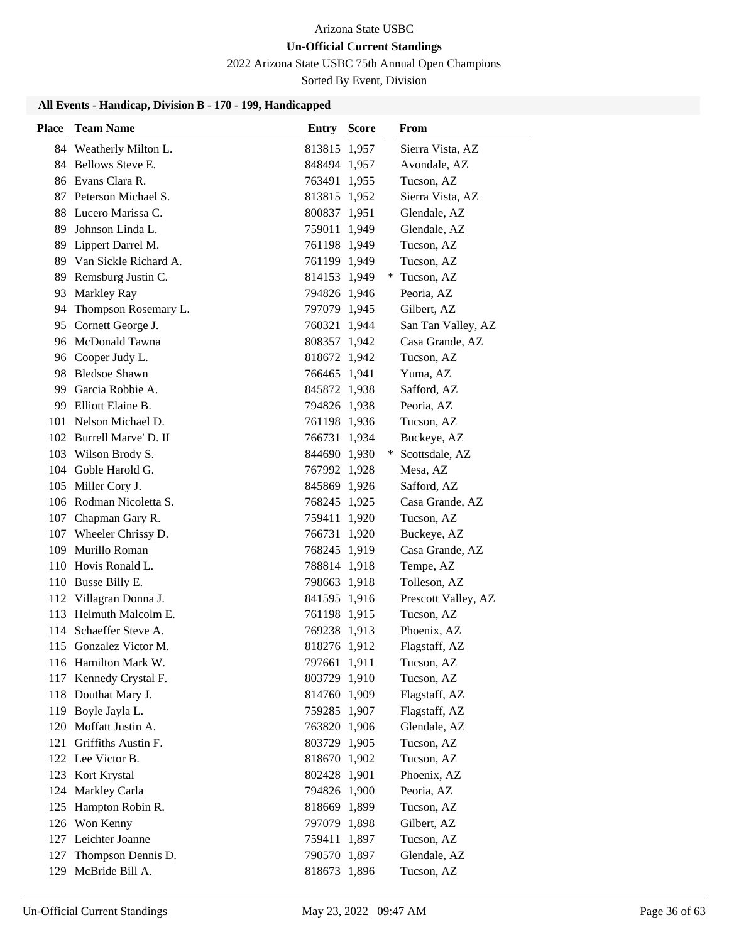2022 Arizona State USBC 75th Annual Open Champions

Sorted By Event, Division

| <b>Place</b> | <b>Team Name</b>         | Entry        | <b>Score</b> | From                |
|--------------|--------------------------|--------------|--------------|---------------------|
|              | 84 Weatherly Milton L.   | 813815 1,957 |              | Sierra Vista, AZ    |
|              | 84 Bellows Steve E.      | 848494 1,957 |              | Avondale, AZ        |
|              | 86 Evans Clara R.        | 763491 1,955 |              | Tucson, AZ          |
|              | 87 Peterson Michael S.   | 813815 1,952 |              | Sierra Vista, AZ    |
|              | 88 Lucero Marissa C.     | 800837 1,951 |              | Glendale, AZ        |
| 89           | Johnson Linda L.         | 759011 1,949 |              | Glendale, AZ        |
|              | 89 Lippert Darrel M.     | 761198 1,949 |              | Tucson, AZ          |
|              | 89 Van Sickle Richard A. | 761199 1,949 |              | Tucson, AZ          |
|              | 89 Remsburg Justin C.    | 814153 1,949 |              | Tucson, AZ          |
| 93           | Markley Ray              | 794826 1,946 |              | Peoria, AZ          |
| 94           | Thompson Rosemary L.     | 797079 1,945 |              | Gilbert, AZ         |
|              | 95 Cornett George J.     | 760321 1,944 |              | San Tan Valley, AZ  |
|              | 96 McDonald Tawna        | 808357 1,942 |              | Casa Grande, AZ     |
|              | 96 Cooper Judy L.        | 818672 1,942 |              | Tucson, AZ          |
|              | 98 Bledsoe Shawn         | 766465 1,941 |              | Yuma, AZ            |
|              | 99 Garcia Robbie A.      | 845872 1,938 |              | Safford, AZ         |
| 99.          | Elliott Elaine B.        | 794826 1,938 |              | Peoria, AZ          |
|              | 101 Nelson Michael D.    | 761198 1,936 |              | Tucson, AZ          |
|              | 102 Burrell Marve' D. II | 766731 1,934 |              | Buckeye, AZ         |
|              | 103 Wilson Brody S.      | 844690 1,930 | *            | Scottsdale, AZ      |
|              | 104 Goble Harold G.      | 767992 1,928 |              | Mesa, AZ            |
|              | 105 Miller Cory J.       | 845869 1,926 |              | Safford, AZ         |
|              | 106 Rodman Nicoletta S.  | 768245 1,925 |              | Casa Grande, AZ     |
|              | 107 Chapman Gary R.      | 759411 1,920 |              | Tucson, AZ          |
|              | 107 Wheeler Chrissy D.   | 766731 1,920 |              | Buckeye, AZ         |
| 109          | Murillo Roman            | 768245 1,919 |              | Casa Grande, AZ     |
|              | 110 Hovis Ronald L.      | 788814 1,918 |              | Tempe, AZ           |
|              | 110 Busse Billy E.       | 798663 1,918 |              | Tolleson, AZ        |
|              | 112 Villagran Donna J.   | 841595 1,916 |              | Prescott Valley, AZ |
|              | 113 Helmuth Malcolm E.   | 761198 1,915 |              | Tucson, AZ          |
|              | 114 Schaeffer Steve A.   | 769238 1,913 |              | Phoenix, AZ         |
|              | 115 Gonzalez Victor M.   | 818276 1,912 |              | Flagstaff, AZ       |
|              | 116 Hamilton Mark W.     | 797661 1,911 |              | Tucson, AZ          |
|              | 117 Kennedy Crystal F.   | 803729 1,910 |              | Tucson, AZ          |
|              | 118 Douthat Mary J.      | 814760 1,909 |              | Flagstaff, AZ       |
|              | 119 Boyle Jayla L.       | 759285 1,907 |              | Flagstaff, AZ       |
|              | 120 Moffatt Justin A.    | 763820 1,906 |              | Glendale, AZ        |
| 121          | Griffiths Austin F.      | 803729 1,905 |              | Tucson, AZ          |
|              | 122 Lee Victor B.        | 818670 1,902 |              | Tucson, AZ          |
|              | 123 Kort Krystal         | 802428 1,901 |              | Phoenix, AZ         |
| 124          | Markley Carla            | 794826 1,900 |              | Peoria, AZ          |
| 125          | Hampton Robin R.         | 818669 1,899 |              | Tucson, AZ          |
|              | 126 Won Kenny            | 797079 1,898 |              | Gilbert, AZ         |
|              | 127 Leichter Joanne      | 759411 1,897 |              | Tucson, AZ          |
| 127          | Thompson Dennis D.       | 790570 1,897 |              | Glendale, AZ        |
| 129          | McBride Bill A.          | 818673 1,896 |              | Tucson, AZ          |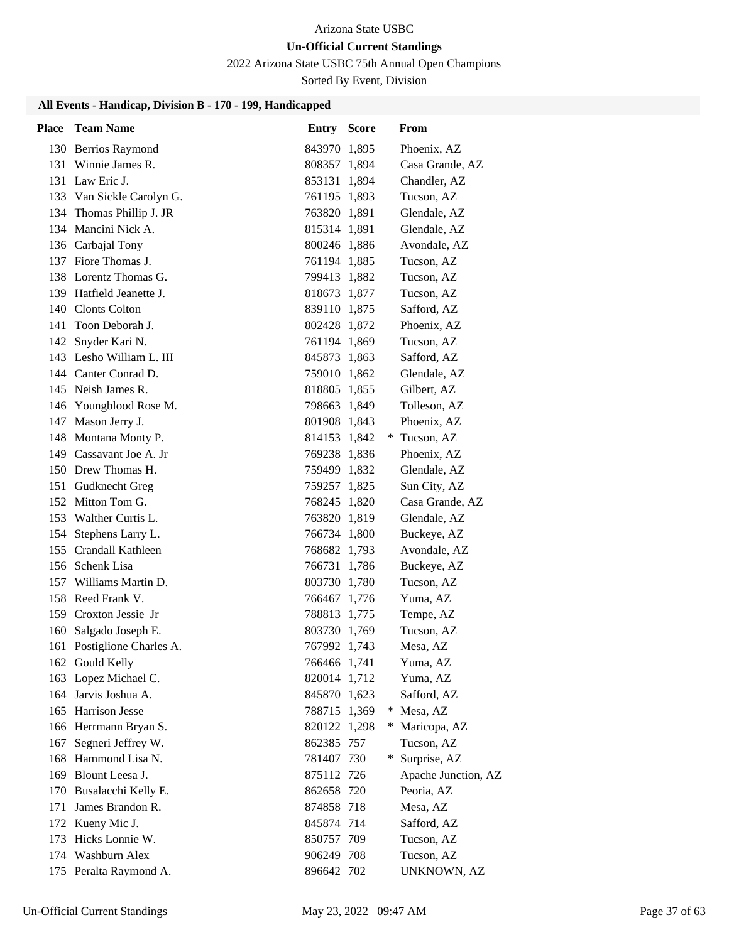2022 Arizona State USBC 75th Annual Open Champions

Sorted By Event, Division

| <b>Place</b> | <b>Team Name</b>           | <b>Entry Score</b> |     | From                |
|--------------|----------------------------|--------------------|-----|---------------------|
|              | 130 Berrios Raymond        | 843970 1,895       |     | Phoenix, AZ         |
|              | 131 Winnie James R.        | 808357 1,894       |     | Casa Grande, AZ     |
|              | 131 Law Eric J.            | 853131 1,894       |     | Chandler, AZ        |
|              | 133 Van Sickle Carolyn G.  | 761195 1,893       |     | Tucson, AZ          |
|              | 134 Thomas Phillip J. JR   | 763820 1,891       |     | Glendale, AZ        |
|              | 134 Mancini Nick A.        | 815314 1,891       |     | Glendale, AZ        |
|              | 136 Carbajal Tony          | 800246 1,886       |     | Avondale, AZ        |
|              | 137 Fiore Thomas J.        | 761194 1,885       |     | Tucson, AZ          |
|              | 138 Lorentz Thomas G.      | 799413 1,882       |     | Tucson, AZ          |
|              | 139 Hatfield Jeanette J.   | 818673 1,877       |     | Tucson, AZ          |
|              | 140 Clonts Colton          | 839110 1,875       |     | Safford, AZ         |
| 141          | Toon Deborah J.            | 802428 1,872       |     | Phoenix, AZ         |
| 142          | Snyder Kari N.             | 761194 1,869       |     | Tucson, AZ          |
|              | 143 Lesho William L. III   | 845873 1,863       |     | Safford, AZ         |
|              | 144 Canter Conrad D.       | 759010 1,862       |     | Glendale, AZ        |
|              | 145 Neish James R.         | 818805 1,855       |     | Gilbert, AZ         |
|              | 146 Youngblood Rose M.     | 798663 1,849       |     | Tolleson, AZ        |
| 147          | Mason Jerry J.             | 801908 1,843       |     | Phoenix, AZ         |
|              | 148 Montana Monty P.       | 814153 1,842       |     | * Tucson, AZ        |
|              | 149 Cassavant Joe A. Jr    | 769238 1,836       |     | Phoenix, AZ         |
|              | 150 Drew Thomas H.         | 759499 1,832       |     | Glendale, AZ        |
|              | 151 Gudknecht Greg         | 759257 1,825       |     | Sun City, AZ        |
|              | 152 Mitton Tom G.          | 768245 1,820       |     | Casa Grande, AZ     |
| 153          | Walther Curtis L.          | 763820 1,819       |     | Glendale, AZ        |
| 154          | Stephens Larry L.          | 766734 1,800       |     | Buckeye, AZ         |
|              | 155 Crandall Kathleen      | 768682 1,793       |     | Avondale, AZ        |
|              | 156 Schenk Lisa            | 766731 1,786       |     | Buckeye, AZ         |
| 157          | Williams Martin D.         | 803730 1,780       |     | Tucson, AZ          |
|              | 158 Reed Frank V.          | 766467 1,776       |     | Yuma, AZ            |
|              | 159 Croxton Jessie Jr      | 788813 1,775       |     | Tempe, AZ           |
|              | 160 Salgado Joseph E.      | 803730 1,769       |     | Tucson, AZ          |
|              | 161 Postiglione Charles A. | 767992 1,743       |     | Mesa, AZ            |
|              | 162 Gould Kelly            | 766466 1,741       |     | Yuma, AZ            |
|              | 163 Lopez Michael C.       | 820014 1,712       |     | Yuma, AZ            |
|              | 164 Jarvis Joshua A.       | 845870 1,623       |     | Safford, AZ         |
|              | 165 Harrison Jesse         | 788715 1,369       | ∗   | Mesa, AZ            |
|              | 166 Herrmann Bryan S.      | 820122 1,298       | $*$ | Maricopa, AZ        |
| 167          | Segneri Jeffrey W.         | 862385 757         |     | Tucson, AZ          |
|              | 168 Hammond Lisa N.        | 781407 730         | $*$ | Surprise, AZ        |
|              | 169 Blount Leesa J.        | 875112 726         |     | Apache Junction, AZ |
|              | 170 Busalacchi Kelly E.    | 862658 720         |     | Peoria, AZ          |
| 171          | James Brandon R.           | 874858 718         |     | Mesa, AZ            |
|              | 172 Kueny Mic J.           | 845874 714         |     | Safford, AZ         |
| 173          | Hicks Lonnie W.            | 850757 709         |     | Tucson, AZ          |
|              | 174 Washburn Alex          | 906249 708         |     | Tucson, AZ          |
|              | 175 Peralta Raymond A.     | 896642 702         |     | UNKNOWN, AZ         |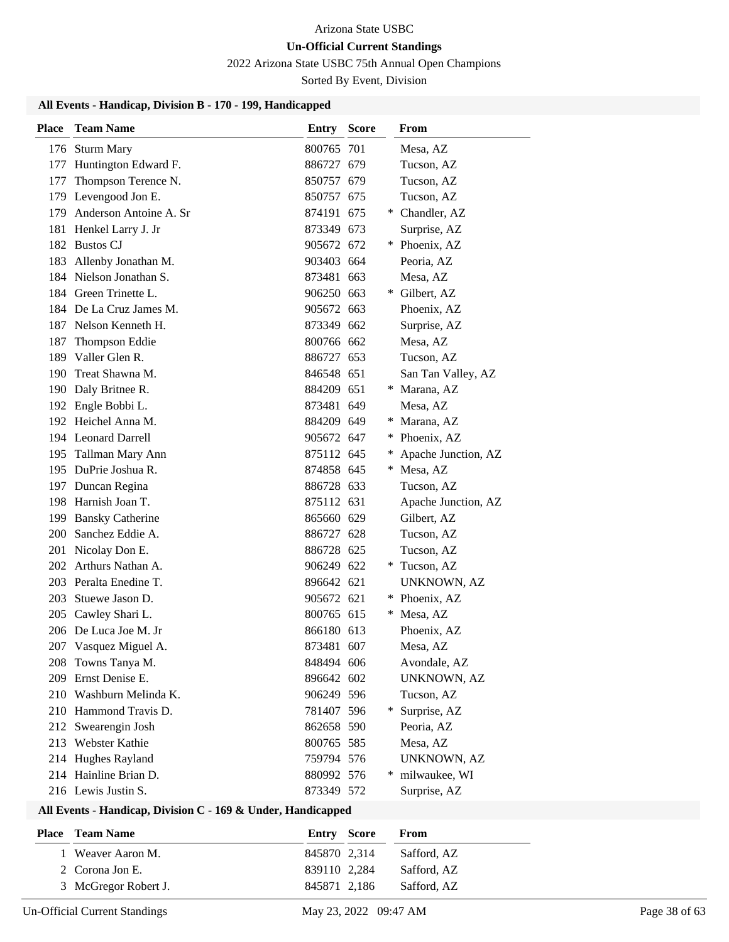2022 Arizona State USBC 75th Annual Open Champions

Sorted By Event, Division

### **All Events - Handicap, Division B - 170 - 199, Handicapped**

| <b>Place</b> | <b>Team Name</b>           | <b>Entry Score</b> |     | From                |
|--------------|----------------------------|--------------------|-----|---------------------|
|              | 176 Sturm Mary             | 800765 701         |     | Mesa, AZ            |
|              | 177 Huntington Edward F.   | 886727 679         |     | Tucson, AZ          |
| 177          | Thompson Terence N.        | 850757 679         |     | Tucson, AZ          |
|              | 179 Levengood Jon E.       | 850757 675         |     | Tucson, AZ          |
|              | 179 Anderson Antoine A. Sr | 874191 675         |     | * Chandler, AZ      |
|              | 181 Henkel Larry J. Jr     | 873349 673         |     | Surprise, AZ        |
|              | 182 Bustos CJ              | 905672 672         |     | * Phoenix, AZ       |
|              | 183 Allenby Jonathan M.    | 903403 664         |     | Peoria, AZ          |
|              | 184 Nielson Jonathan S.    | 873481 663         |     | Mesa, AZ            |
|              | 184 Green Trinette L.      | 906250 663         |     | * Gilbert, AZ       |
|              | 184 De La Cruz James M.    | 905672 663         |     | Phoenix, AZ         |
|              | 187 Nelson Kenneth H.      | 873349 662         |     | Surprise, AZ        |
|              | 187 Thompson Eddie         | 800766 662         |     | Mesa, AZ            |
|              | 189 Valler Glen R.         | 886727 653         |     | Tucson, AZ          |
|              | 190 Treat Shawna M.        | 846548 651         |     | San Tan Valley, AZ  |
|              | 190 Daly Britnee R.        | 884209 651         |     | Marana, AZ          |
|              | 192 Engle Bobbi L.         | 873481 649         |     | Mesa, AZ            |
|              | 192 Heichel Anna M.        | 884209 649         | *.  | Marana, AZ          |
|              | 194 Leonard Darrell        | 905672 647         |     | * Phoenix, AZ       |
|              | 195 Tallman Mary Ann       | 875112 645         | $*$ | Apache Junction, AZ |
|              | 195 DuPrie Joshua R.       | 874858 645         | *   | Mesa, AZ            |
|              | 197 Duncan Regina          | 886728 633         |     | Tucson, AZ          |
|              | 198 Harnish Joan T.        | 875112 631         |     | Apache Junction, AZ |
|              | 199 Bansky Catherine       | 865660 629         |     | Gilbert, AZ         |
| 200          | Sanchez Eddie A.           | 886727 628         |     | Tucson, AZ          |
|              | 201 Nicolay Don E.         | 886728 625         |     | Tucson, AZ          |
|              | 202 Arthurs Nathan A.      | 906249 622         |     | * Tucson, AZ        |
|              | 203 Peralta Enedine T.     | 896642 621         |     | UNKNOWN, AZ         |
|              | 203 Stuewe Jason D.        | 905672 621         |     | * Phoenix, AZ       |
|              | 205 Cawley Shari L.        | 800765 615         | *.  | Mesa, AZ            |
|              | 206 De Luca Joe M. Jr      | 866180 613         |     | Phoenix, AZ         |
|              | 207 Vasquez Miguel A.      | 873481 607         |     | Mesa, AZ            |
|              | 208 Towns Tanya M.         | 848494 606         |     | Avondale, AZ        |
|              | 209 Ernst Denise E.        | 896642 602         |     | UNKNOWN, AZ         |
|              | 210 Washburn Melinda K.    | 906249 596         |     | Tucson, AZ          |
|              | 210 Hammond Travis D.      | 781407 596         |     | Surprise, AZ        |
|              | 212 Swearengin Josh        | 862658 590         |     | Peoria, AZ          |
|              | 213 Webster Kathie         | 800765 585         |     | Mesa, AZ            |
|              | 214 Hughes Rayland         | 759794 576         |     | UNKNOWN, AZ         |
|              | 214 Hainline Brian D.      | 880992 576         | ∗   | milwaukee, WI       |
|              | 216 Lewis Justin S.        | 873349 572         |     | Surprise, AZ        |

### **All Events - Handicap, Division C - 169 & Under, Handicapped**

| <b>Place</b> Team Name | Entry Score  | From        |
|------------------------|--------------|-------------|
| 1 Weaver Aaron M.      | 845870 2.314 | Safford, AZ |
| 2 Corona Jon E.        | 839110 2.284 | Safford, AZ |
| 3 McGregor Robert J.   | 845871 2,186 | Safford, AZ |

Un-Official Current Standings May 23, 2022 09:47 AM Page 38 of 63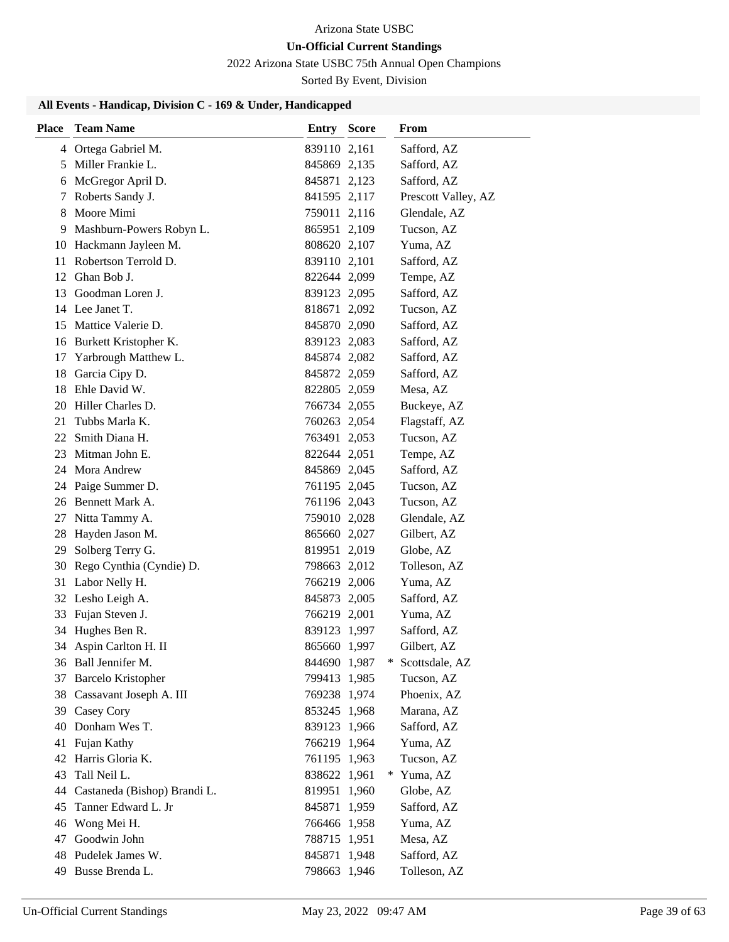# 2022 Arizona State USBC 75th Annual Open Champions

Sorted By Event, Division

### **All Events - Handicap, Division C - 169 & Under, Handicapped**

| <b>Place</b> | <b>Team Name</b>             | <b>Entry Score</b> |   | From                |
|--------------|------------------------------|--------------------|---|---------------------|
|              | 4 Ortega Gabriel M.          | 839110 2,161       |   | Safford, AZ         |
|              | 5 Miller Frankie L.          | 845869 2,135       |   | Safford, AZ         |
|              | 6 McGregor April D.          | 845871 2,123       |   | Safford, AZ         |
| 7            | Roberts Sandy J.             | 841595 2,117       |   | Prescott Valley, AZ |
| 8.           | Moore Mimi                   | 759011 2,116       |   | Glendale, AZ        |
|              | 9 Mashburn-Powers Robyn L.   | 865951 2,109       |   | Tucson, AZ          |
|              | 10 Hackmann Jayleen M.       | 808620 2,107       |   | Yuma, AZ            |
|              | 11 Robertson Terrold D.      | 839110 2,101       |   | Safford, AZ         |
|              | 12 Ghan Bob J.               | 822644 2,099       |   | Tempe, AZ           |
|              | 13 Goodman Loren J.          | 839123 2,095       |   | Safford, AZ         |
|              | 14 Lee Janet T.              | 818671 2,092       |   | Tucson, AZ          |
|              | 15 Mattice Valerie D.        | 845870 2,090       |   | Safford, AZ         |
|              | 16 Burkett Kristopher K.     | 839123 2,083       |   | Safford, AZ         |
|              | 17 Yarbrough Matthew L.      | 845874 2,082       |   | Safford, AZ         |
|              | 18 Garcia Cipy D.            | 845872 2,059       |   | Safford, AZ         |
|              | 18 Ehle David W.             | 822805 2,059       |   | Mesa, AZ            |
|              | 20 Hiller Charles D.         | 766734 2,055       |   | Buckeye, AZ         |
| 21           | Tubbs Marla K.               | 760263 2,054       |   | Flagstaff, AZ       |
|              | 22 Smith Diana H.            | 763491 2,053       |   | Tucson, AZ          |
| 23           | Mitman John E.               | 822644 2,051       |   | Tempe, AZ           |
|              | 24 Mora Andrew               | 845869 2,045       |   | Safford, AZ         |
|              | 24 Paige Summer D.           | 761195 2,045       |   | Tucson, AZ          |
|              | 26 Bennett Mark A.           | 761196 2,043       |   | Tucson, AZ          |
| 27           | Nitta Tammy A.               | 759010 2,028       |   | Glendale, AZ        |
| 28           | Hayden Jason M.              | 865660 2,027       |   | Gilbert, AZ         |
| 29           | Solberg Terry G.             | 819951 2,019       |   | Globe, AZ           |
| 30           | Rego Cynthia (Cyndie) D.     | 798663 2,012       |   | Tolleson, AZ        |
| 31           | Labor Nelly H.               | 766219 2,006       |   | Yuma, AZ            |
|              | 32 Lesho Leigh A.            | 845873 2,005       |   | Safford, AZ         |
| 33           | Fujan Steven J.              | 766219 2,001       |   | Yuma, AZ            |
|              | 34 Hughes Ben R.             | 839123 1,997       |   | Safford, AZ         |
|              | 34 Aspin Carlton H. II       | 865660 1,997       |   | Gilbert, AZ         |
|              | 36 Ball Jennifer M.          | 844690 1,987       |   | Scottsdale, AZ      |
|              | 37 Barcelo Kristopher        | 799413 1,985       |   | Tucson, AZ          |
|              | 38 Cassavant Joseph A. III   | 769238 1,974       |   | Phoenix, AZ         |
|              | 39 Casey Cory                | 853245 1,968       |   | Marana, AZ          |
| 40           | Donham Wes T.                | 839123 1,966       |   | Safford, AZ         |
| 41           | Fujan Kathy                  | 766219 1,964       |   | Yuma, AZ            |
| 42           | Harris Gloria K.             | 761195 1,963       |   | Tucson, AZ          |
| 43           | Tall Neil L.                 | 838622 1,961       | * | Yuma, AZ            |
| 44           | Castaneda (Bishop) Brandi L. | 819951 1,960       |   | Globe, AZ           |
| 45           | Tanner Edward L. Jr          | 845871 1,959       |   | Safford, AZ         |
|              | 46 Wong Mei H.               | 766466 1,958       |   | Yuma, AZ            |
| 47           | Goodwin John                 | 788715 1,951       |   | Mesa, AZ            |
| 48           | Pudelek James W.             | 845871 1,948       |   | Safford, AZ         |
|              | 49 Busse Brenda L.           | 798663 1,946       |   | Tolleson, AZ        |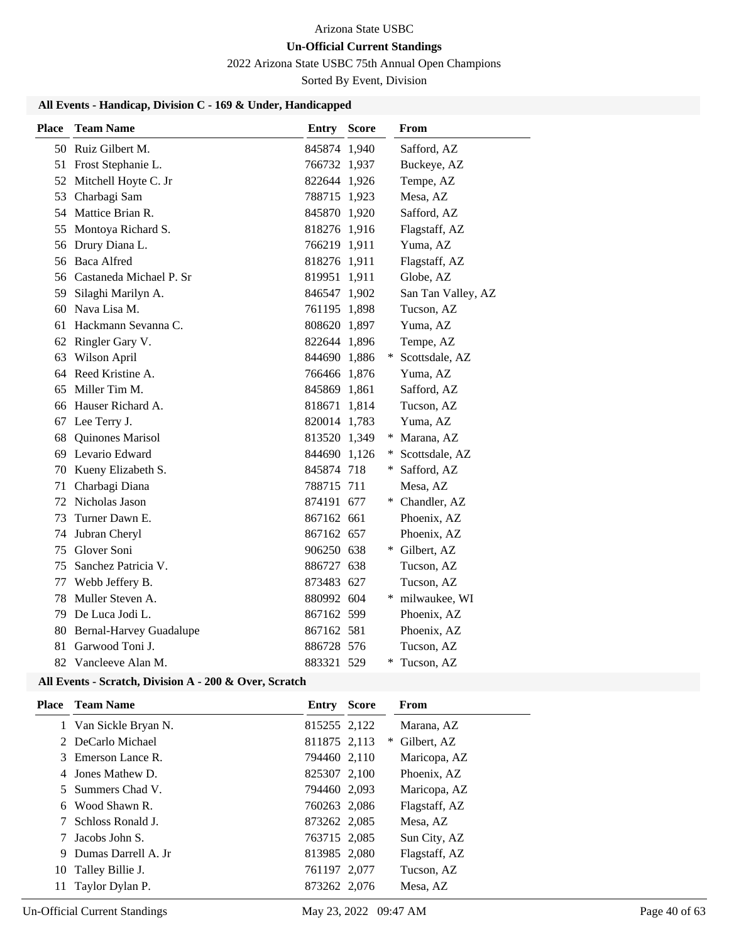# 2022 Arizona State USBC 75th Annual Open Champions

Sorted By Event, Division

### **All Events - Handicap, Division C - 169 & Under, Handicapped**

| <b>Place</b> | <b>Team Name</b>               | <b>Entry Score</b> |     | From               |
|--------------|--------------------------------|--------------------|-----|--------------------|
|              | 50 Ruiz Gilbert M.             | 845874 1,940       |     | Safford, AZ        |
|              | 51 Frost Stephanie L.          | 766732 1,937       |     | Buckeye, AZ        |
|              | 52 Mitchell Hoyte C. Jr        | 822644 1,926       |     | Tempe, AZ          |
|              | 53 Charbagi Sam                | 788715 1,923       |     | Mesa, AZ           |
|              | 54 Mattice Brian R.            | 845870 1,920       |     | Safford, AZ        |
| 55           | Montoya Richard S.             | 818276 1,916       |     | Flagstaff, AZ      |
| 56           | Drury Diana L.                 | 766219 1,911       |     | Yuma, AZ           |
|              | 56 Baca Alfred                 | 818276 1,911       |     | Flagstaff, AZ      |
|              | 56 Castaneda Michael P. Sr     | 819951 1,911       |     | Globe, AZ          |
| 59           | Silaghi Marilyn A.             | 846547 1,902       |     | San Tan Valley, AZ |
| 60           | Nava Lisa M.                   | 761195 1,898       |     | Tucson, AZ         |
| 61           | Hackmann Sevanna C.            | 808620 1,897       |     | Yuma, AZ           |
|              | 62 Ringler Gary V.             | 822644 1,896       |     | Tempe, AZ          |
| 63           | Wilson April                   | 844690 1,886       | *   | Scottsdale, AZ     |
|              | 64 Reed Kristine A.            | 766466 1,876       |     | Yuma, AZ           |
| 65           | Miller Tim M.                  | 845869 1,861       |     | Safford, AZ        |
| 66           | Hauser Richard A.              | 818671 1,814       |     | Tucson, AZ         |
| 67           | Lee Terry J.                   | 820014 1,783       |     | Yuma, AZ           |
| 68           | Quinones Marisol               | 813520 1,349       |     | * Marana, AZ       |
|              | 69 Levario Edward              | 844690 1,126       | $*$ | Scottsdale, AZ     |
|              | 70 Kueny Elizabeth S.          | 845874 718         |     | * Safford, AZ      |
| 71           | Charbagi Diana                 | 788715 711         |     | Mesa, AZ           |
| 72           | Nicholas Jason                 | 874191 677         | *   | Chandler, AZ       |
| 73           | Turner Dawn E.                 | 867162 661         |     | Phoenix, AZ        |
| 74           | Jubran Cheryl                  | 867162 657         |     | Phoenix, AZ        |
| 75           | Glover Soni                    | 906250 638         |     | * Gilbert, AZ      |
| 75           | Sanchez Patricia V.            | 886727 638         |     | Tucson, AZ         |
| 77           | Webb Jeffery B.                | 873483 627         |     | Tucson, AZ         |
| 78           | Muller Steven A.               | 880992 604         | ∗   | milwaukee, WI      |
| 79           | De Luca Jodi L.                | 867162 599         |     | Phoenix, AZ        |
| 80           | <b>Bernal-Harvey Guadalupe</b> | 867162 581         |     | Phoenix, AZ        |
| 81           | Garwood Toni J.                | 886728 576         |     | Tucson, AZ         |
| 82           | Vancleeve Alan M.              | 883321 529         | ∗   | Tucson, AZ         |

#### **All Events - Scratch, Division A - 200 & Over, Scratch**

|    | <b>Place</b> Team Name | <b>Entry Score</b> |        | From          |
|----|------------------------|--------------------|--------|---------------|
|    | 1 Van Sickle Bryan N.  | 815255 2,122       |        | Marana, AZ    |
|    | 2 DeCarlo Michael      | 811875 2,113       | $\ast$ | Gilbert, AZ   |
|    | 3 Emerson Lance R.     | 794460 2,110       |        | Maricopa, AZ  |
|    | 4 Jones Mathew D.      | 825307 2,100       |        | Phoenix, AZ   |
|    | 5 Summers Chad V.      | 794460 2,093       |        | Maricopa, AZ  |
|    | 6 Wood Shawn R.        | 760263 2,086       |        | Flagstaff, AZ |
| 7  | Schloss Ronald J.      | 873262 2,085       |        | Mesa, AZ      |
|    | Jacobs John S.         | 763715 2,085       |        | Sun City, AZ  |
| 9  | Dumas Darrell A. Jr.   | 813985 2,080       |        | Flagstaff, AZ |
| 10 | Talley Billie J.       | 761197 2,077       |        | Tucson, AZ    |
| 11 | Taylor Dylan P.        | 873262 2,076       |        | Mesa, AZ      |
|    |                        |                    |        |               |

a.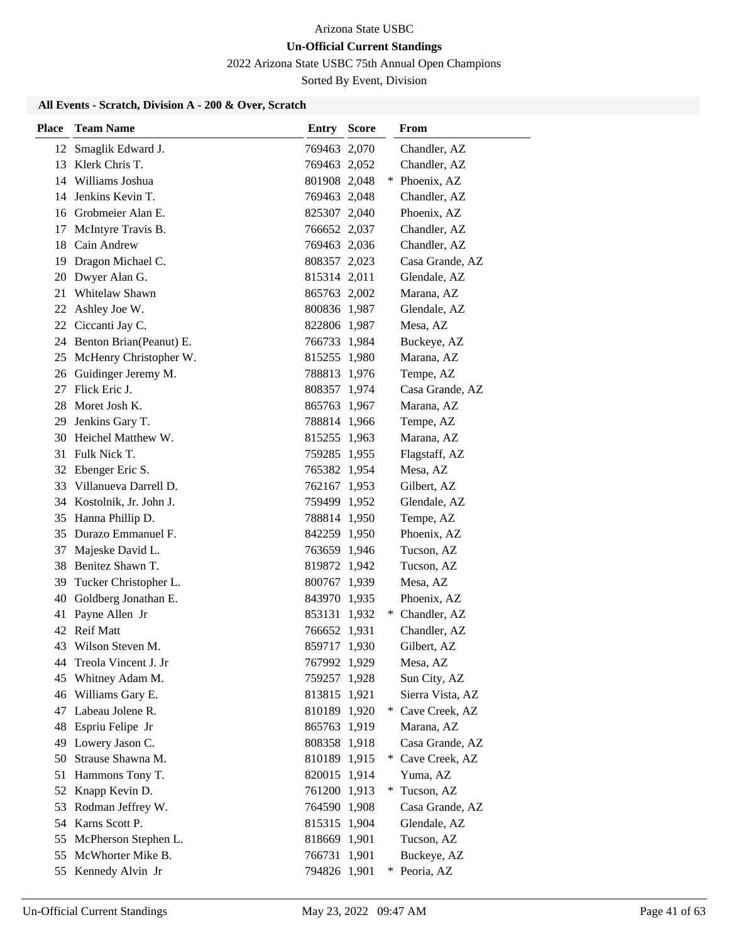2022 Arizona State USBC 75th Annual Open Champions

Sorted By Event, Division

| <b>Place</b> | <b>Team Name</b>           | Entry        | <b>Score</b> |   | From             |
|--------------|----------------------------|--------------|--------------|---|------------------|
| 12           | Smaglik Edward J.          | 769463 2,070 |              |   | Chandler, AZ     |
|              | 13 Klerk Chris T.          | 769463 2,052 |              |   | Chandler, AZ     |
|              | 14 Williams Joshua         | 801908 2,048 |              |   | * Phoenix, AZ    |
|              | 14 Jenkins Kevin T.        | 769463 2,048 |              |   | Chandler, AZ     |
|              | 16 Grobmeier Alan E.       | 825307 2,040 |              |   | Phoenix, AZ      |
| 17           | McIntyre Travis B.         | 766652 2,037 |              |   | Chandler, AZ     |
|              | 18 Cain Andrew             | 769463 2,036 |              |   | Chandler, AZ     |
| 19           | Dragon Michael C.          | 808357 2,023 |              |   | Casa Grande, AZ  |
| 20           | Dwyer Alan G.              | 815314 2,011 |              |   | Glendale, AZ     |
| 21           | Whitelaw Shawn             | 865763 2,002 |              |   | Marana, AZ       |
| 22           | Ashley Joe W.              | 800836 1,987 |              |   | Glendale, AZ     |
|              | 22 Ciccanti Jay C.         | 822806 1,987 |              |   | Mesa, AZ         |
|              | 24 Benton Brian(Peanut) E. | 766733 1,984 |              |   | Buckeye, AZ      |
| 25           | McHenry Christopher W.     | 815255 1,980 |              |   | Marana, AZ       |
|              | 26 Guidinger Jeremy M.     | 788813 1,976 |              |   | Tempe, AZ        |
|              | 27 Flick Eric J.           | 808357 1,974 |              |   | Casa Grande, AZ  |
| 28           | Moret Josh K.              | 865763 1,967 |              |   | Marana, AZ       |
| 29           | Jenkins Gary T.            | 788814 1,966 |              |   | Tempe, AZ        |
|              | 30 Heichel Matthew W.      | 815255 1,963 |              |   | Marana, AZ       |
|              | 31 Fulk Nick T.            | 759285 1,955 |              |   | Flagstaff, AZ    |
| 32           | Ebenger Eric S.            | 765382 1,954 |              |   | Mesa, AZ         |
|              | 33 Villanueva Darrell D.   | 762167 1,953 |              |   | Gilbert, AZ      |
|              | 34 Kostolnik, Jr. John J.  | 759499 1,952 |              |   | Glendale, AZ     |
|              | 35 Hanna Phillip D.        | 788814 1,950 |              |   | Tempe, AZ        |
|              | 35 Durazo Emmanuel F.      | 842259 1,950 |              |   | Phoenix, AZ      |
| 37           | Majeske David L.           | 763659 1,946 |              |   | Tucson, AZ       |
|              | 38 Benitez Shawn T.        | 819872 1,942 |              |   | Tucson, AZ       |
| 39           | Tucker Christopher L.      | 800767 1,939 |              |   | Mesa, AZ         |
| 40           | Goldberg Jonathan E.       | 843970 1,935 |              |   | Phoenix, AZ      |
| 41           | Payne Allen Jr             | 853131 1,932 |              |   | Chandler, AZ     |
|              | 42 Reif Matt               | 766652 1,931 |              |   | Chandler, AZ     |
| 43           | Wilson Steven M.           | 859717 1,930 |              |   | Gilbert, AZ      |
| 44           | Treola Vincent J. Jr       | 767992 1,929 |              |   | Mesa, AZ         |
| 45           | Whitney Adam M.            | 759257 1,928 |              |   | Sun City, AZ     |
|              | 46 Williams Gary E.        | 813815 1,921 |              |   | Sierra Vista, AZ |
|              | 47 Labeau Jolene R.        | 810189 1,920 |              | ∗ | Cave Creek, AZ   |
| 48           | Espriu Felipe Jr           | 865763 1,919 |              |   | Marana, AZ       |
| 49           | Lowery Jason C.            | 808358 1,918 |              |   | Casa Grande, AZ  |
| 50           | Strause Shawna M.          | 810189 1,915 |              |   | * Cave Creek, AZ |
| 51           | Hammons Tony T.            | 820015 1,914 |              |   | Yuma, AZ         |
| 52           | Knapp Kevin D.             | 761200 1,913 |              |   | Tucson, AZ       |
| 53           | Rodman Jeffrey W.          | 764590 1,908 |              |   | Casa Grande, AZ  |
|              | 54 Karns Scott P.          | 815315 1,904 |              |   | Glendale, AZ     |
| 55           | McPherson Stephen L.       | 818669 1,901 |              |   | Tucson, AZ       |
| 55           | McWhorter Mike B.          | 766731 1,901 |              |   | Buckeye, AZ      |
|              | 55 Kennedy Alvin Jr        | 794826 1,901 |              |   | Peoria, AZ       |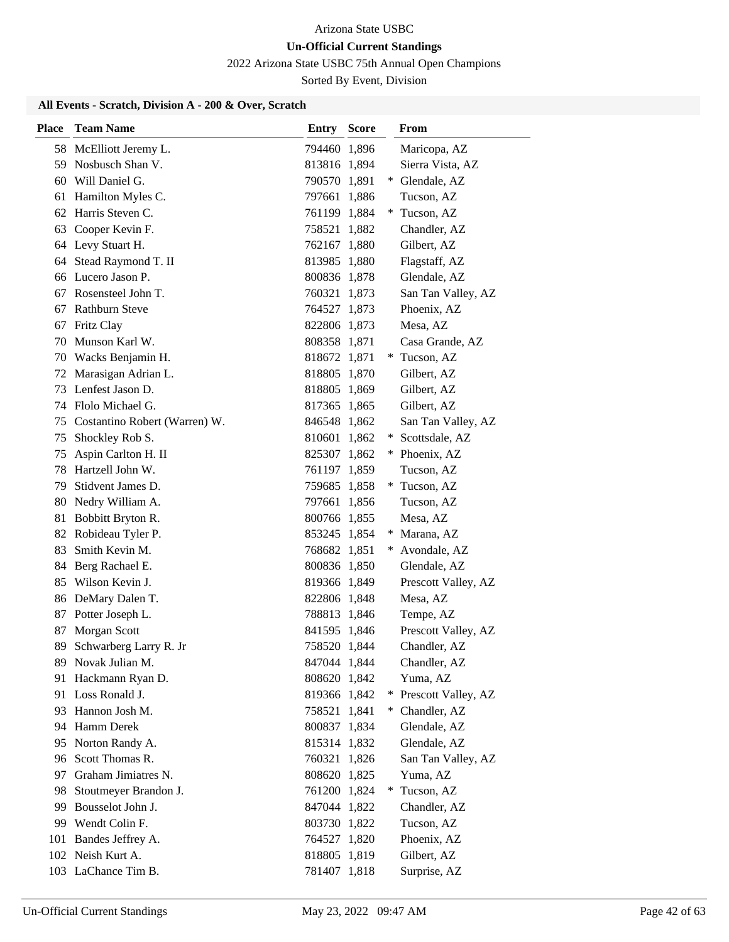2022 Arizona State USBC 75th Annual Open Champions

Sorted By Event, Division

| <b>Place</b> | <b>Team Name</b>              | <b>Entry Score</b> |     | From                |
|--------------|-------------------------------|--------------------|-----|---------------------|
|              | 58 McElliott Jeremy L.        | 794460 1,896       |     | Maricopa, AZ        |
|              | 59 Nosbusch Shan V.           | 813816 1,894       |     | Sierra Vista, AZ    |
|              | 60 Will Daniel G.             | 790570 1,891       |     | * Glendale, AZ      |
| 61           | Hamilton Myles C.             | 797661 1,886       |     | Tucson, AZ          |
| 62           | Harris Steven C.              | 761199 1,884       |     | Tucson, AZ          |
| 63           | Cooper Kevin F.               | 758521 1,882       |     | Chandler, AZ        |
|              | 64 Levy Stuart H.             | 762167 1,880       |     | Gilbert, AZ         |
| 64           | Stead Raymond T. II           | 813985 1,880       |     | Flagstaff, AZ       |
|              | 66 Lucero Jason P.            | 800836 1,878       |     | Glendale, AZ        |
| 67           | Rosensteel John T.            | 760321 1,873       |     | San Tan Valley, AZ  |
|              | 67 Rathburn Steve             | 764527 1,873       |     | Phoenix, AZ         |
| 67           | <b>Fritz Clay</b>             | 822806 1,873       |     | Mesa, AZ            |
| 70           | Munson Karl W.                | 808358 1,871       |     | Casa Grande, AZ     |
|              | 70 Wacks Benjamin H.          | 818672 1,871       |     | * Tucson, AZ        |
|              | 72 Marasigan Adrian L.        | 818805 1,870       |     | Gilbert, AZ         |
| 73           | Lenfest Jason D.              | 818805 1,869       |     | Gilbert, AZ         |
| 74           | Flolo Michael G.              | 817365 1,865       |     | Gilbert, AZ         |
| 75           | Costantino Robert (Warren) W. | 846548 1,862       |     | San Tan Valley, AZ  |
| 75           | Shockley Rob S.               | 810601 1,862       | $*$ | Scottsdale, AZ      |
| 75           | Aspin Carlton H. II           | 825307 1,862       |     | * Phoenix, AZ       |
| 78           | Hartzell John W.              | 761197 1,859       |     | Tucson, AZ          |
| 79           | Stidvent James D.             | 759685 1,858       |     | * Tucson, AZ        |
|              | 80 Nedry William A.           | 797661 1,856       |     | Tucson, AZ          |
| 81           | Bobbitt Bryton R.             | 800766 1,855       |     | Mesa, AZ            |
| 82           | Robideau Tyler P.             | 853245 1,854       |     | Marana, AZ          |
| 83           | Smith Kevin M.                | 768682 1,851       |     | Avondale, AZ        |
| 84           | Berg Rachael E.               | 800836 1,850       |     | Glendale, AZ        |
| 85           | Wilson Kevin J.               | 819366 1,849       |     | Prescott Valley, AZ |
|              | 86 DeMary Dalen T.            | 822806 1,848       |     | Mesa, AZ            |
| 87           | Potter Joseph L.              | 788813 1,846       |     | Tempe, AZ           |
| 87           | Morgan Scott                  | 841595 1,846       |     | Prescott Valley, AZ |
| 89           | Schwarberg Larry R. Jr        | 758520 1,844       |     | Chandler, AZ        |
|              | 89 Novak Julian M.            | 847044 1,844       |     | Chandler, AZ        |
| 91           | Hackmann Ryan D.              | 808620 1,842       |     | Yuma, AZ            |
|              | 91 Loss Ronald J.             | 819366 1,842       | $*$ | Prescott Valley, AZ |
| 93           | Hannon Josh M.                | 758521 1,841       |     | * Chandler, AZ      |
| 94           | Hamm Derek                    | 800837 1,834       |     | Glendale, AZ        |
| 95           | Norton Randy A.               | 815314 1,832       |     | Glendale, AZ        |
|              | 96 Scott Thomas R.            | 760321 1,826       |     | San Tan Valley, AZ  |
| 97           | Graham Jimiatres N.           | 808620 1,825       |     | Yuma, AZ            |
| 98           | Stoutmeyer Brandon J.         | 761200 1,824       |     | Tucson, AZ          |
| 99           | Bousselot John J.             | 847044 1,822       |     | Chandler, AZ        |
|              | 99 Wendt Colin F.             | 803730 1,822       |     | Tucson, AZ          |
| 101          | Bandes Jeffrey A.             | 764527 1,820       |     | Phoenix, AZ         |
|              | 102 Neish Kurt A.             | 818805 1,819       |     | Gilbert, AZ         |
|              | 103 LaChance Tim B.           | 781407 1,818       |     | Surprise, AZ        |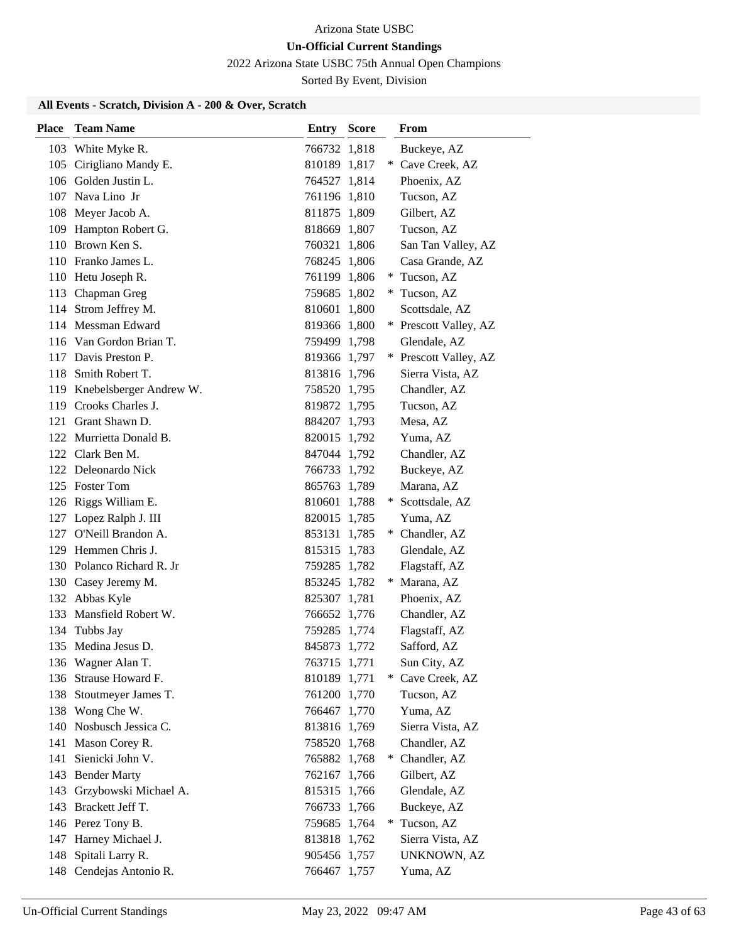2022 Arizona State USBC 75th Annual Open Champions

Sorted By Event, Division

| <b>Place</b> | <b>Team Name</b>                           | Entry                        | <b>Score</b> |     | From                   |
|--------------|--------------------------------------------|------------------------------|--------------|-----|------------------------|
|              | 103 White Myke R.                          | 766732 1,818                 |              |     | Buckeye, AZ            |
|              | 105 Cirigliano Mandy E.                    | 810189 1,817                 |              |     | * Cave Creek, AZ       |
|              | 106 Golden Justin L.                       | 764527 1,814                 |              |     | Phoenix, AZ            |
|              | 107 Nava Lino Jr                           | 761196 1,810                 |              |     | Tucson, AZ             |
|              | 108 Meyer Jacob A.                         | 811875 1,809                 |              |     | Gilbert, AZ            |
|              | 109 Hampton Robert G.                      | 818669 1,807                 |              |     | Tucson, AZ             |
|              | 110 Brown Ken S.                           | 760321 1,806                 |              |     | San Tan Valley, AZ     |
|              | 110 Franko James L.                        | 768245 1,806                 |              |     | Casa Grande, AZ        |
|              | 110 Hetu Joseph R.                         | 761199 1,806                 |              | $*$ | Tucson, AZ             |
|              | 113 Chapman Greg                           | 759685 1,802                 |              |     | * Tucson, AZ           |
|              | 114 Strom Jeffrey M.                       | 810601 1,800                 |              |     | Scottsdale, AZ         |
|              | 114 Messman Edward                         | 819366 1,800                 |              | $*$ | Prescott Valley, AZ    |
|              | 116 Van Gordon Brian T.                    | 759499 1,798                 |              |     | Glendale, AZ           |
|              | 117 Davis Preston P.                       | 819366 1,797                 |              |     | * Prescott Valley, AZ  |
|              | 118 Smith Robert T.                        | 813816 1,796                 |              |     | Sierra Vista, AZ       |
|              | 119 Knebelsberger Andrew W.                | 758520 1,795                 |              |     | Chandler, AZ           |
| 119          | Crooks Charles J.                          | 819872 1,795                 |              |     | Tucson, AZ             |
|              | 121 Grant Shawn D.                         | 884207 1,793                 |              |     | Mesa, AZ               |
|              | 122 Murrietta Donald B.                    | 820015 1,792                 |              |     | Yuma, AZ               |
|              | 122 Clark Ben M.                           | 847044 1,792                 |              |     | Chandler, AZ           |
|              | 122 Deleonardo Nick                        | 766733 1,792                 |              |     | Buckeye, AZ            |
|              | 125 Foster Tom                             | 865763 1,789                 |              |     | Marana, AZ             |
|              | 126 Riggs William E.                       | 810601 1,788                 |              |     | * Scottsdale, AZ       |
|              | 127 Lopez Ralph J. III                     | 820015 1,785                 |              |     | Yuma, AZ               |
|              | 127 O'Neill Brandon A.                     | 853131 1,785                 |              |     | * Chandler, AZ         |
|              | 129 Hemmen Chris J.                        | 815315 1,783                 |              |     | Glendale, AZ           |
|              | 130 Polanco Richard R. Jr                  | 759285 1,782                 |              |     | Flagstaff, AZ          |
|              | 130 Casey Jeremy M.                        | 853245 1,782                 |              | *   | Marana, AZ             |
|              | 132 Abbas Kyle                             | 825307 1,781                 |              |     | Phoenix, AZ            |
|              | 133 Mansfield Robert W.                    | 766652 1,776                 |              |     | Chandler, AZ           |
|              | 134 Tubbs Jay                              | 759285 1,774                 |              |     | Flagstaff, AZ          |
|              | 135 Medina Jesus D.                        | 845873 1,772                 |              |     | Safford, AZ            |
|              | 136 Wagner Alan T.                         | 763715 1,771                 |              |     | Sun City, AZ           |
|              | 136 Strause Howard F.                      | 810189 1,771                 |              |     | * Cave Creek, AZ       |
|              | 138 Stoutmeyer James T.<br>138 Wong Che W. | 761200 1,770<br>766467 1,770 |              |     | Tucson, AZ<br>Yuma, AZ |
|              | 140 Nosbusch Jessica C.                    | 813816 1,769                 |              |     | Sierra Vista, AZ       |
|              | 141 Mason Corey R.                         | 758520 1,768                 |              |     | Chandler, AZ           |
| 141          | Sienicki John V.                           | 765882 1,768                 |              |     | * Chandler, AZ         |
|              | 143 Bender Marty                           | 762167 1,766                 |              |     | Gilbert, AZ            |
| 143          | Grzybowski Michael A.                      | 815315 1,766                 |              |     | Glendale, AZ           |
|              | 143 Brackett Jeff T.                       | 766733 1,766                 |              |     | Buckeye, AZ            |
|              | 146 Perez Tony B.                          | 759685 1,764                 |              | $*$ | Tucson, AZ             |
|              | 147 Harney Michael J.                      | 813818 1,762                 |              |     | Sierra Vista, AZ       |
| 148          | Spitali Larry R.                           | 905456 1,757                 |              |     | UNKNOWN, AZ            |
|              | 148 Cendejas Antonio R.                    | 766467 1,757                 |              |     | Yuma, AZ               |
|              |                                            |                              |              |     |                        |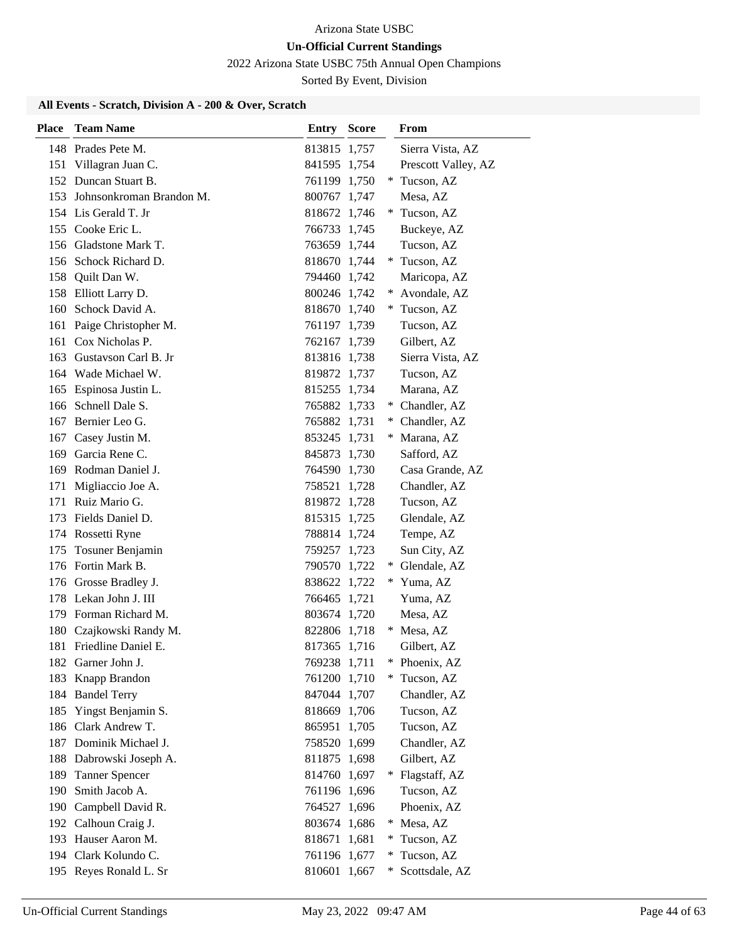2022 Arizona State USBC 75th Annual Open Champions

Sorted By Event, Division

| Place | <b>Team Name</b>         | Entry        | <b>Score</b> |        | From                |
|-------|--------------------------|--------------|--------------|--------|---------------------|
|       | 148 Prades Pete M.       | 813815 1,757 |              |        | Sierra Vista, AZ    |
|       | 151 Villagran Juan C.    | 841595 1,754 |              |        | Prescott Valley, AZ |
|       | 152 Duncan Stuart B.     | 761199 1,750 |              |        | * Tucson, AZ        |
| 153   | Johnsonkroman Brandon M. | 800767 1,747 |              |        | Mesa, AZ            |
|       | 154 Lis Gerald T. Jr     | 818672 1,746 |              |        | Tucson, AZ          |
|       | 155 Cooke Eric L.        | 766733 1,745 |              |        | Buckeye, AZ         |
|       | 156 Gladstone Mark T.    | 763659 1,744 |              |        | Tucson, AZ          |
|       | 156 Schock Richard D.    | 818670 1,744 |              |        | * Tucson, AZ        |
| 158   | Quilt Dan W.             | 794460 1,742 |              |        | Maricopa, AZ        |
|       | 158 Elliott Larry D.     | 800246 1,742 |              |        | Avondale, AZ        |
|       | 160 Schock David A.      | 818670 1,740 |              |        | * Tucson, AZ        |
|       | 161 Paige Christopher M. | 761197 1,739 |              |        | Tucson, AZ          |
|       | 161 Cox Nicholas P.      | 762167 1,739 |              |        | Gilbert, AZ         |
|       | 163 Gustavson Carl B. Jr | 813816 1,738 |              |        | Sierra Vista, AZ    |
|       | 164 Wade Michael W.      | 819872 1,737 |              |        | Tucson, AZ          |
|       | 165 Espinosa Justin L.   | 815255 1,734 |              |        | Marana, AZ          |
|       | 166 Schnell Dale S.      | 765882 1,733 |              |        | Chandler, AZ        |
|       | 167 Bernier Leo G.       | 765882 1,731 |              |        | Chandler, AZ        |
|       | 167 Casey Justin M.      | 853245 1,731 |              | $*$    | Marana, AZ          |
|       | 169 Garcia Rene C.       | 845873 1,730 |              |        | Safford, AZ         |
|       | 169 Rodman Daniel J.     | 764590 1,730 |              |        | Casa Grande, AZ     |
| 171   | Migliaccio Joe A.        | 758521 1,728 |              |        | Chandler, AZ        |
| 171   | Ruiz Mario G.            | 819872 1,728 |              |        | Tucson, AZ          |
| 173   | Fields Daniel D.         | 815315 1,725 |              |        | Glendale, AZ        |
|       | 174 Rossetti Ryne        | 788814 1,724 |              |        | Tempe, AZ           |
| 175   | Tosuner Benjamin         | 759257 1,723 |              |        | Sun City, AZ        |
|       | 176 Fortin Mark B.       | 790570 1,722 |              |        | * Glendale, AZ      |
|       | 176 Grosse Bradley J.    | 838622 1,722 |              |        | * Yuma, AZ          |
|       | 178 Lekan John J. III    | 766465 1,721 |              |        | Yuma, AZ            |
|       | 179 Forman Richard M.    | 803674 1,720 |              |        | Mesa, AZ            |
|       | 180 Czajkowski Randy M.  | 822806 1,718 |              |        | * Mesa, AZ          |
| 181   | Friedline Daniel E.      | 817365 1,716 |              |        | Gilbert, AZ         |
| 182   | Garner John J.           | 769238 1,711 |              | ∗      | Phoenix, AZ         |
| 183   | Knapp Brandon            | 761200 1,710 |              |        | Tucson, AZ          |
| 184   | <b>Bandel Terry</b>      | 847044 1,707 |              |        | Chandler, AZ        |
| 185   | Yingst Benjamin S.       | 818669 1,706 |              |        | Tucson, AZ          |
| 186   | Clark Andrew T.          | 865951       | 1,705        |        | Tucson, AZ          |
| 187   | Dominik Michael J.       | 758520       | 1,699        |        | Chandler, AZ        |
|       | 188 Dabrowski Joseph A.  | 811875 1,698 |              |        | Gilbert, AZ         |
| 189   | <b>Tanner Spencer</b>    | 814760 1,697 |              | ∗      | Flagstaff, AZ       |
| 190   | Smith Jacob A.           | 761196 1,696 |              |        | Tucson, AZ          |
| 190   | Campbell David R.        | 764527 1,696 |              |        | Phoenix, AZ         |
|       | 192 Calhoun Craig J.     | 803674 1,686 |              | $*$    | Mesa, AZ            |
| 193   | Hauser Aaron M.          | 818671 1,681 |              | $\ast$ | Tucson, AZ          |
|       | 194 Clark Kolundo C.     | 761196 1,677 |              | $\ast$ | Tucson, AZ          |
|       | 195 Reyes Ronald L. Sr   | 810601 1,667 |              | ∗      | Scottsdale, AZ      |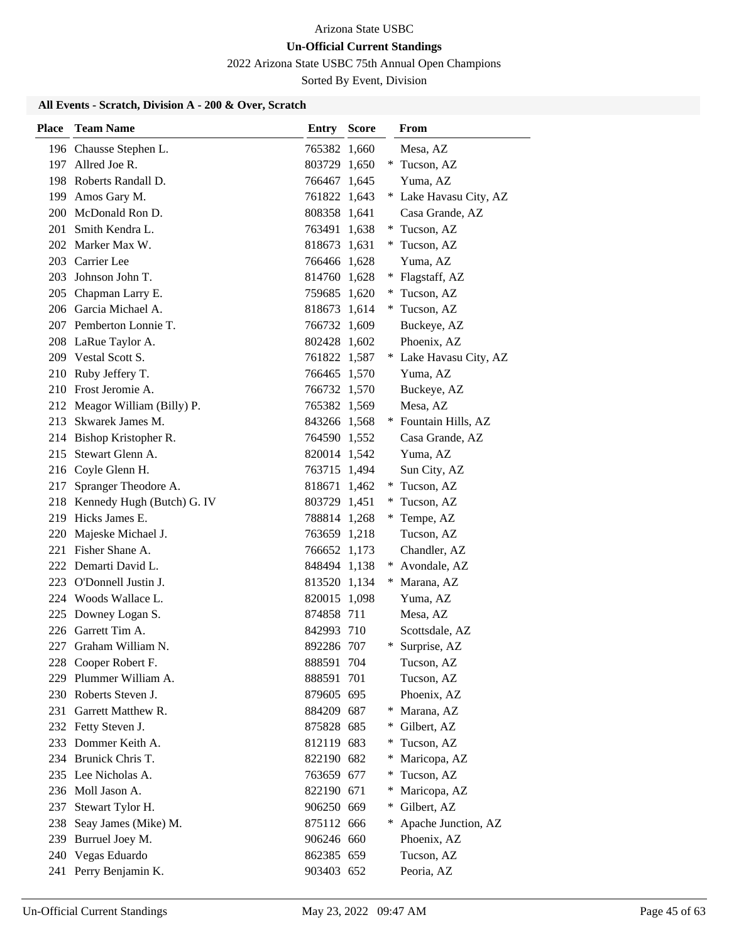2022 Arizona State USBC 75th Annual Open Champions

Sorted By Event, Division

| Place | <b>Team Name</b>               | <b>Entry Score</b> |        | <b>From</b>            |
|-------|--------------------------------|--------------------|--------|------------------------|
|       | 196 Chausse Stephen L.         | 765382 1,660       |        | Mesa, AZ               |
|       | 197 Allred Joe R.              | 803729 1,650       |        | * Tucson, AZ           |
|       | 198 Roberts Randall D.         | 766467 1,645       |        | Yuma, AZ               |
|       | 199 Amos Gary M.               | 761822 1,643       |        | * Lake Havasu City, AZ |
|       | 200 McDonald Ron D.            | 808358 1,641       |        | Casa Grande, AZ        |
| 201   | Smith Kendra L.                | 763491 1,638       |        | * Tucson, AZ           |
|       | 202 Marker Max W.              | 818673 1,631       |        | * Tucson, AZ           |
|       | 203 Carrier Lee                | 766466 1,628       |        | Yuma, AZ               |
|       | 203 Johnson John T.            | 814760 1,628       | $\ast$ | Flagstaff, AZ          |
|       | 205 Chapman Larry E.           | 759685 1,620       |        | Tucson, AZ             |
|       | 206 Garcia Michael A.          | 818673 1,614       |        | * Tucson, AZ           |
|       | 207 Pemberton Lonnie T.        | 766732 1,609       |        | Buckeye, AZ            |
|       | 208 LaRue Taylor A.            | 802428 1,602       |        | Phoenix, AZ            |
|       | 209 Vestal Scott S.            | 761822 1,587       |        | * Lake Havasu City, AZ |
|       | 210 Ruby Jeffery T.            | 766465 1,570       |        | Yuma, AZ               |
|       | 210 Frost Jeromie A.           | 766732 1,570       |        | Buckeye, AZ            |
|       | 212 Meagor William (Billy) P.  | 765382 1,569       |        | Mesa, AZ               |
|       | 213 Skwarek James M.           | 843266 1,568       |        | * Fountain Hills, AZ   |
|       | 214 Bishop Kristopher R.       | 764590 1,552       |        | Casa Grande, AZ        |
| 215   | Stewart Glenn A.               | 820014 1,542       |        | Yuma, AZ               |
|       | 216 Coyle Glenn H.             | 763715 1,494       |        | Sun City, AZ           |
| 217   | Spranger Theodore A.           | 818671 1,462       |        | * Tucson, AZ           |
|       | 218 Kennedy Hugh (Butch) G. IV | 803729 1,451       |        | * Tucson, AZ           |
|       | 219 Hicks James E.             | 788814 1,268       |        | * Tempe, AZ            |
| 220   | Majeske Michael J.             | 763659 1,218       |        | Tucson, AZ             |
|       | 221 Fisher Shane A.            | 766652 1,173       |        | Chandler, AZ           |
|       | 222 Demarti David L.           | 848494 1,138       |        | * Avondale, AZ         |
|       | 223 O'Donnell Justin J.        | 813520 1,134       |        | * Marana, AZ           |
|       | 224 Woods Wallace L.           | 820015 1,098       |        | Yuma, AZ               |
|       | 225 Downey Logan S.            | 874858 711         |        | Mesa, AZ               |
|       | 226 Garrett Tim A.             | 842993 710         |        | Scottsdale, AZ         |
| 227   | Graham William N.              | 892286 707         | ∗      | Surprise, AZ           |
|       | 228 Cooper Robert F.           | 888591 704         |        | Tucson, AZ             |
|       | 229 Plummer William A.         | 888591 701         |        | Tucson, AZ             |
|       | 230 Roberts Steven J.          | 879605 695         |        | Phoenix, AZ            |
|       | 231 Garrett Matthew R.         | 884209 687         | *      | Marana, AZ             |
|       | 232 Fetty Steven J.            | 875828 685         | $\ast$ | Gilbert, AZ            |
|       | 233 Dommer Keith A.            | 812119 683         |        | Tucson, AZ             |
|       | 234 Brunick Chris T.           | 822190 682         | ∗      | Maricopa, AZ           |
|       | 235 Lee Nicholas A.            | 763659 677         | *      | Tucson, AZ             |
|       | 236 Moll Jason A.              | 822190 671         |        | Maricopa, AZ           |
| 237   | Stewart Tylor H.               | 906250 669         |        | Gilbert, AZ            |
|       | 238 Seay James (Mike) M.       | 875112 666         | *      | Apache Junction, AZ    |
|       | 239 Burruel Joey M.            | 906246 660         |        | Phoenix, AZ            |
|       | 240 Vegas Eduardo              | 862385 659         |        | Tucson, AZ             |
|       | 241 Perry Benjamin K.          | 903403 652         |        | Peoria, AZ             |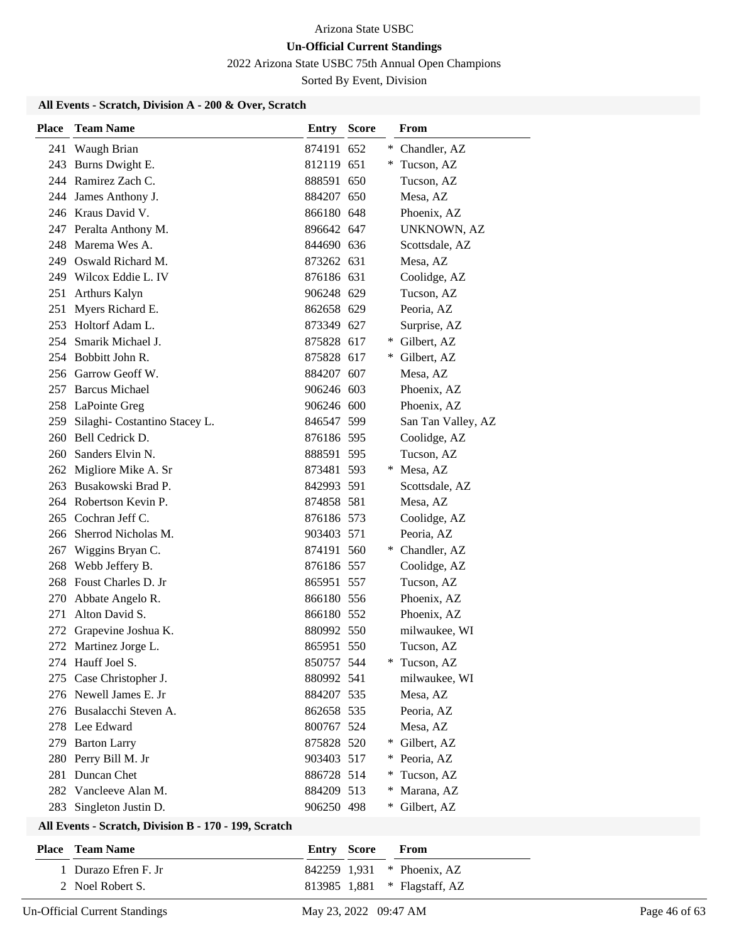2022 Arizona State USBC 75th Annual Open Champions

Sorted By Event, Division

# **All Events - Scratch, Division A - 200 & Over, Scratch**

| <b>Place</b> | <b>Team Name</b>                  | Entry      | <b>Score</b> |     | <b>From</b>        |
|--------------|-----------------------------------|------------|--------------|-----|--------------------|
| 241          | Waugh Brian                       | 874191 652 |              |     | * Chandler, AZ     |
|              | 243 Burns Dwight E.               | 812119 651 |              | ∗   | Tucson, AZ         |
|              | 244 Ramirez Zach C.               | 888591 650 |              |     | Tucson, AZ         |
| 244          | James Anthony J.                  | 884207 650 |              |     | Mesa, AZ           |
|              | 246 Kraus David V.                | 866180 648 |              |     | Phoenix, AZ        |
|              | 247 Peralta Anthony M.            | 896642 647 |              |     | <b>UNKNOWN, AZ</b> |
|              | 248 Marema Wes A.                 | 844690 636 |              |     | Scottsdale, AZ     |
|              | 249 Oswald Richard M.             | 873262 631 |              |     | Mesa, AZ           |
|              | 249 Wilcox Eddie L. IV            | 876186 631 |              |     | Coolidge, AZ       |
|              | 251 Arthurs Kalyn                 | 906248 629 |              |     | Tucson, AZ         |
| 251          | Myers Richard E.                  | 862658 629 |              |     | Peoria, AZ         |
|              | 253 Holtorf Adam L.               | 873349 627 |              |     | Surprise, AZ       |
|              | 254 Smarik Michael J.             | 875828 617 |              |     | * Gilbert, AZ      |
|              | 254 Bobbitt John R.               | 875828 617 |              | $*$ | Gilbert, AZ        |
|              | 256 Garrow Geoff W.               | 884207 607 |              |     | Mesa, AZ           |
|              | 257 Barcus Michael                | 906246 603 |              |     | Phoenix, AZ        |
|              | 258 LaPointe Greg                 | 906246 600 |              |     | Phoenix, AZ        |
|              | 259 Silaghi- Costantino Stacey L. | 846547 599 |              |     | San Tan Valley, AZ |
|              | 260 Bell Cedrick D.               | 876186 595 |              |     | Coolidge, AZ       |
|              | 260 Sanders Elvin N.              | 888591 595 |              |     | Tucson, AZ         |
|              | 262 Migliore Mike A. Sr           | 873481 593 |              | *   | Mesa, AZ           |
|              | 263 Busakowski Brad P.            | 842993 591 |              |     | Scottsdale, AZ     |
|              | 264 Robertson Kevin P.            | 874858 581 |              |     | Mesa, AZ           |
| 265          | Cochran Jeff C.                   | 876186 573 |              |     | Coolidge, AZ       |
|              | 266 Sherrod Nicholas M.           | 903403 571 |              |     | Peoria, AZ         |
| 267          | Wiggins Bryan C.                  | 874191 560 |              |     | * Chandler, AZ     |
| 268          | Webb Jeffery B.                   | 876186 557 |              |     | Coolidge, AZ       |
|              | 268 Foust Charles D. Jr           | 865951 557 |              |     | Tucson, AZ         |
| 270          | Abbate Angelo R.                  | 866180 556 |              |     | Phoenix, AZ        |
| 271          | Alton David S.                    | 866180 552 |              |     | Phoenix, AZ        |
|              | 272 Grapevine Joshua K.           | 880992 550 |              |     | milwaukee, WI      |
|              | 272 Martinez Jorge L.             | 865951 550 |              |     | Tucson, AZ         |
|              | 274 Hauff Joel S.                 | 850757 544 |              |     | Tucson, AZ         |
|              | 275 Case Christopher J.           | 880992 541 |              |     | milwaukee, WI      |
|              | 276 Newell James E. Jr            | 884207 535 |              |     | Mesa, AZ           |
|              | 276 Busalacchi Steven A.          | 862658 535 |              |     | Peoria, AZ         |
|              | 278 Lee Edward                    | 800767 524 |              |     | Mesa, AZ           |
|              | 279 Barton Larry                  | 875828 520 |              | $*$ | Gilbert, AZ        |
| 280          | Perry Bill M. Jr                  | 903403 517 |              | $*$ | Peoria, AZ         |
| 281          | Duncan Chet                       | 886728 514 |              | ∗   | Tucson, AZ         |
| 282          | Vancleeve Alan M.                 | 884209 513 |              |     | Marana, AZ         |
| 283          | Singleton Justin D.               | 906250 498 |              | $*$ | Gilbert, AZ        |

#### **All Events - Scratch, Division B - 170 - 199, Scratch**

| <b>Place – Team Name</b> | <b>Entry Score From</b> |                              |
|--------------------------|-------------------------|------------------------------|
| 1 Durazo Efren F. Jr     |                         | 842259 1.931 * Phoenix, AZ   |
| 2 Noel Robert S.         |                         | 813985 1,881 * Flagstaff, AZ |

Un-Official Current Standings May 23, 2022 09:47 AM Page 46 of 63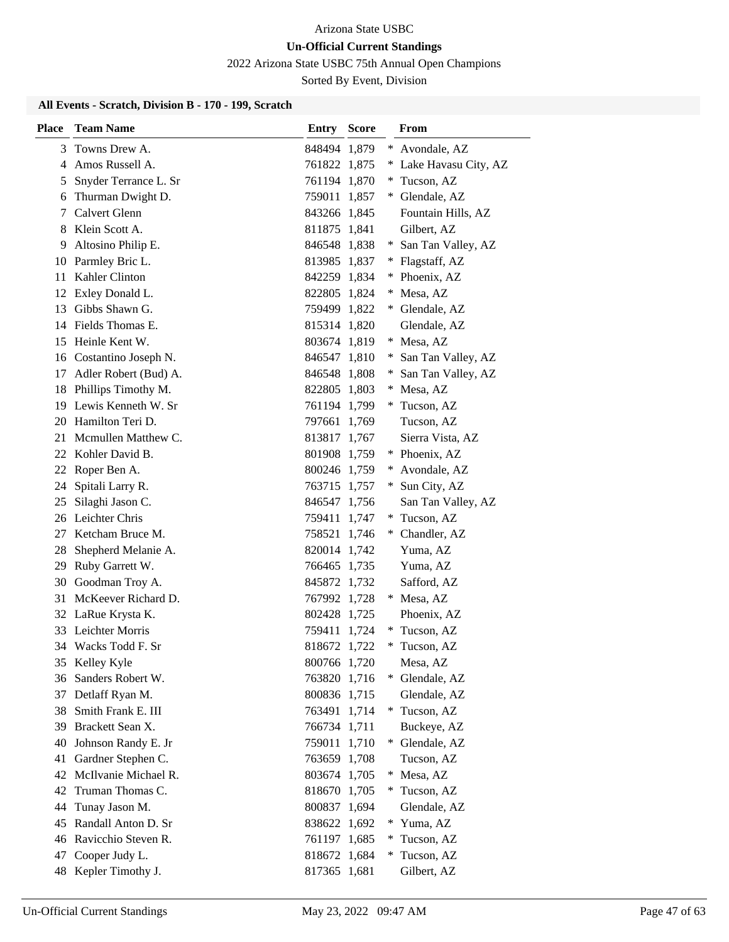2022 Arizona State USBC 75th Annual Open Champions

Sorted By Event, Division

| <b>Place</b> | <b>Team Name</b>                           | <b>Entry Score</b>           |        | From                       |
|--------------|--------------------------------------------|------------------------------|--------|----------------------------|
| 3            | Towns Drew A.                              | 848494 1,879                 | $*$    | Avondale, AZ               |
| 4            | Amos Russell A.                            | 761822 1,875                 | *.     | Lake Havasu City, AZ       |
| 5            | Snyder Terrance L. Sr                      | 761194 1,870                 | $*$    | Tucson, AZ                 |
| 6            | Thurman Dwight D.                          | 759011 1,857                 |        | * Glendale, AZ             |
| 7            | Calvert Glenn                              | 843266 1,845                 |        | Fountain Hills, AZ         |
| 8            | Klein Scott A.                             | 811875 1,841                 |        | Gilbert, AZ                |
| 9            | Altosino Philip E.                         | 846548 1,838                 |        | * San Tan Valley, AZ       |
| 10           | Parmley Bric L.                            | 813985 1,837                 |        | * Flagstaff, AZ            |
| 11           | Kahler Clinton                             | 842259 1,834                 | $*$    | Phoenix, AZ                |
| 12           | Exley Donald L.                            | 822805 1,824                 | ∗      | Mesa, AZ                   |
| 13           | Gibbs Shawn G.                             | 759499 1,822                 |        | * Glendale, AZ             |
|              | 14 Fields Thomas E.                        | 815314 1,820                 |        | Glendale, AZ               |
| 15           | Heinle Kent W.                             | 803674 1,819                 | $*$    | Mesa, AZ                   |
| 16           | Costantino Joseph N.                       | 846547 1,810                 | *      | San Tan Valley, AZ         |
| 17           | Adler Robert (Bud) A.                      | 846548 1,808                 | *      | San Tan Valley, AZ         |
| 18           | Phillips Timothy M.                        | 822805 1,803                 | $*$    | Mesa, AZ                   |
| 19           | Lewis Kenneth W. Sr                        | 761194 1,799                 |        | Tucson, AZ                 |
| 20           | Hamilton Teri D.                           | 797661 1,769                 |        | Tucson, AZ                 |
| 21           | Mcmullen Matthew C.                        | 813817 1,767                 |        | Sierra Vista, AZ           |
| 22           | Kohler David B.                            | 801908 1,759                 |        | * Phoenix, AZ              |
| 22           | Roper Ben A.                               | 800246 1,759                 | ∗      | Avondale, AZ               |
| 24           | Spitali Larry R.                           | 763715 1,757                 | ¥      | Sun City, AZ               |
| 25           | Silaghi Jason C.                           | 846547 1,756                 |        | San Tan Valley, AZ         |
| 26           | Leichter Chris                             | 759411 1,747                 |        | * Tucson, AZ               |
| 27           | Ketcham Bruce M.                           | 758521 1,746                 |        | Chandler, AZ               |
| 28           | Shepherd Melanie A.                        | 820014 1,742                 |        | Yuma, AZ                   |
| 29           | Ruby Garrett W.                            | 766465 1,735                 |        | Yuma, AZ                   |
| 30           | Goodman Troy A.                            | 845872 1,732                 |        | Safford, AZ                |
| 31           | McKeever Richard D.                        | 767992 1,728                 |        | Mesa, AZ                   |
| 32           | LaRue Krysta K.                            | 802428 1,725                 |        | Phoenix, AZ                |
|              | 33 Leichter Morris                         | 759411 1,724                 |        | * Tucson, AZ               |
|              | 34 Wacks Todd F. Sr                        | 818672 1,722                 | *      | Tucson, AZ                 |
| 35           | Kelley Kyle                                | 800766 1,720                 |        | Mesa, AZ                   |
| 36           | Sanders Robert W.                          | 763820 1,716                 | ∗      | Glendale, AZ               |
| 37           | Detlaff Ryan M.                            | 800836 1,715                 |        | Glendale, AZ               |
| 38           | Smith Frank E. III                         | 763491 1,714                 |        | * Tucson, AZ               |
| 39           | Brackett Sean X.                           | 766734 1,711                 |        | Buckeye, AZ                |
| 40           | Johnson Randy E. Jr                        | 759011 1,710                 | $*$    | Glendale, AZ               |
| 41           | Gardner Stephen C.<br>McIlvanie Michael R. | 763659 1,708                 |        | Tucson, AZ                 |
| 42           |                                            | 803674 1,705                 | $\ast$ | Mesa, AZ                   |
| 42           | Truman Thomas C.                           | 818670 1,705                 | ∗      | Tucson, AZ                 |
| 44           | Tunay Jason M.<br>Randall Anton D. Sr      | 800837 1,694                 |        | Glendale, AZ<br>* Yuma, AZ |
| 45<br>46     | Ravicchio Steven R.                        | 838622 1,692                 |        |                            |
| 47           | Cooper Judy L.                             | 761197 1,685<br>818672 1,684 | *<br>∗ | Tucson, AZ                 |
|              |                                            |                              |        | Tucson, AZ                 |
| 48           | Kepler Timothy J.                          | 817365 1,681                 |        | Gilbert, AZ                |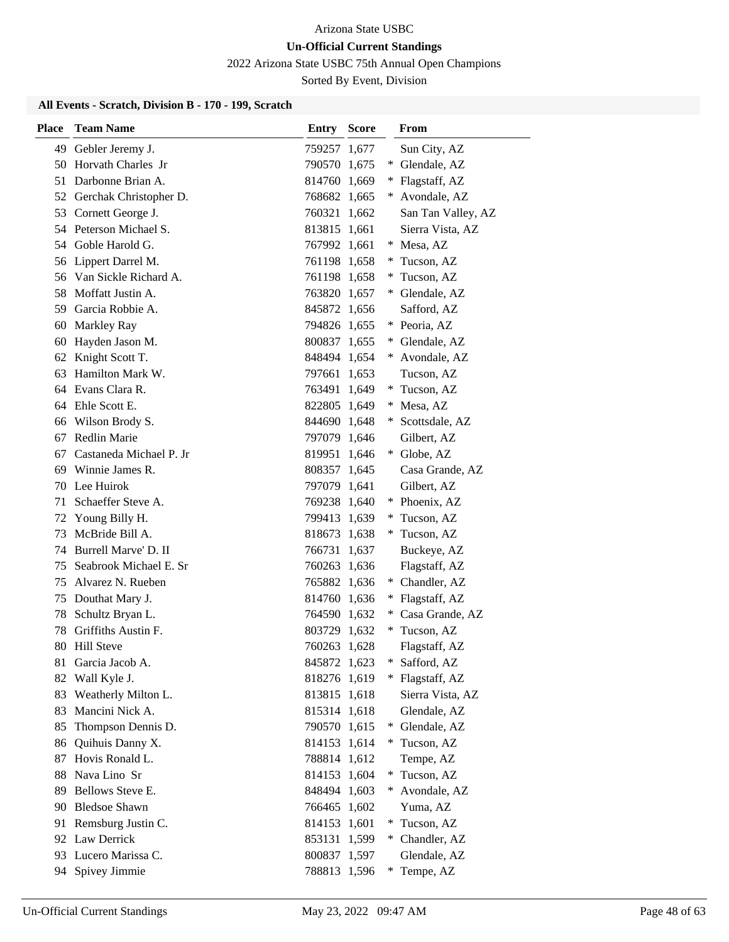2022 Arizona State USBC 75th Annual Open Champions

Sorted By Event, Division

| Place | <b>Team Name</b>          | Entry        | <b>Score</b> |        | From               |
|-------|---------------------------|--------------|--------------|--------|--------------------|
| 49    | Gebler Jeremy J.          | 759257 1,677 |              |        | Sun City, AZ       |
| 50    | Horvath Charles Jr        | 790570 1,675 |              | ∗      | Glendale, AZ       |
|       | 51 Darbonne Brian A.      | 814760 1,669 |              |        | * Flagstaff, AZ    |
|       | 52 Gerchak Christopher D. | 768682 1,665 |              | $*$    | Avondale, AZ       |
|       | 53 Cornett George J.      | 760321 1,662 |              |        | San Tan Valley, AZ |
|       | 54 Peterson Michael S.    | 813815 1,661 |              |        | Sierra Vista, AZ   |
|       | 54 Goble Harold G.        | 767992 1,661 |              |        | * Mesa, AZ         |
| 56    | Lippert Darrel M.         | 761198 1,658 |              | $*$    | Tucson, AZ         |
|       | 56 Van Sickle Richard A.  | 761198 1,658 |              |        | Tucson, AZ         |
|       | 58 Moffatt Justin A.      | 763820 1,657 |              | $*$    | Glendale, AZ       |
|       | 59 Garcia Robbie A.       | 845872 1,656 |              |        | Safford, AZ        |
| 60    | <b>Markley Ray</b>        | 794826 1,655 |              |        | * Peoria, AZ       |
| 60    | Hayden Jason M.           | 800837 1,655 |              |        | Glendale, AZ       |
| 62    | Knight Scott T.           | 848494 1,654 |              | $*$    | Avondale, AZ       |
| 63    | Hamilton Mark W.          | 797661 1.653 |              |        | Tucson, AZ         |
| 64    | Evans Clara R.            | 763491 1,649 |              | $*$    | Tucson, AZ         |
| 64    | Ehle Scott E.             | 822805 1,649 |              |        | Mesa, AZ           |
| 66    | Wilson Brody S.           | 844690 1,648 |              | $*$    | Scottsdale, AZ     |
| 67    | Redlin Marie              | 797079 1,646 |              |        | Gilbert, AZ        |
| 67    | Castaneda Michael P. Jr   | 819951 1,646 |              |        | * Globe, AZ        |
| 69    | Winnie James R.           | 808357 1,645 |              |        | Casa Grande, AZ    |
|       | 70 Lee Huirok             | 797079 1,641 |              |        | Gilbert, AZ        |
| 71    | Schaeffer Steve A.        | 769238 1,640 |              |        | * Phoenix, AZ      |
| 72    | Young Billy H.            | 799413 1,639 |              | $\ast$ | Tucson, AZ         |
| 73    | McBride Bill A.           | 818673 1,638 |              |        | Tucson, AZ         |
| 74    | Burrell Marve' D. II      | 766731 1,637 |              |        | Buckeye, AZ        |
| 75    | Seabrook Michael E. Sr    | 760263 1,636 |              |        | Flagstaff, AZ      |
| 75    | Alvarez N. Rueben         | 765882 1,636 |              |        | * Chandler, AZ     |
| 75    | Douthat Mary J.           | 814760 1,636 |              |        | Flagstaff, AZ      |
| 78    | Schultz Bryan L.          | 764590 1,632 |              |        | Casa Grande, AZ    |
| 78    | Griffiths Austin F.       | 803729 1,632 |              | $*$    | Tucson, AZ         |
| 80    | <b>Hill Steve</b>         | 760263 1,628 |              |        | Flagstaff, AZ      |
| 81    | Garcia Jacob A.           | 845872 1,623 |              |        | Safford, AZ        |
| 82    | Wall Kyle J.              | 818276 1,619 |              |        | Flagstaff, AZ      |
| 83    | Weatherly Milton L.       | 813815 1,618 |              |        | Sierra Vista, AZ   |
| 83    | Mancini Nick A.           | 815314 1,618 |              |        | Glendale, AZ       |
| 85    | Thompson Dennis D.        | 790570 1,615 |              |        | Glendale, AZ       |
| 86    | Quihuis Danny X.          | 814153 1,614 |              | $*$    | Tucson, AZ         |
| 87    | Hovis Ronald L.           | 788814 1,612 |              |        | Tempe, AZ          |
| 88    | Nava Lino Sr              | 814153 1,604 |              | ∗      | Tucson, AZ         |
| 89    | Bellows Steve E.          | 848494 1,603 |              |        | Avondale, AZ       |
| 90    | <b>Bledsoe Shawn</b>      | 766465 1,602 |              |        | Yuma, AZ           |
| 91    | Remsburg Justin C.        | 814153 1,601 |              |        | * Tucson, AZ       |
|       | 92 Law Derrick            | 853131 1,599 |              |        | * Chandler, AZ     |
| 93    | Lucero Marissa C.         | 800837 1,597 |              |        | Glendale, AZ       |
| 94    | Spivey Jimmie             | 788813 1,596 |              |        | Tempe, AZ          |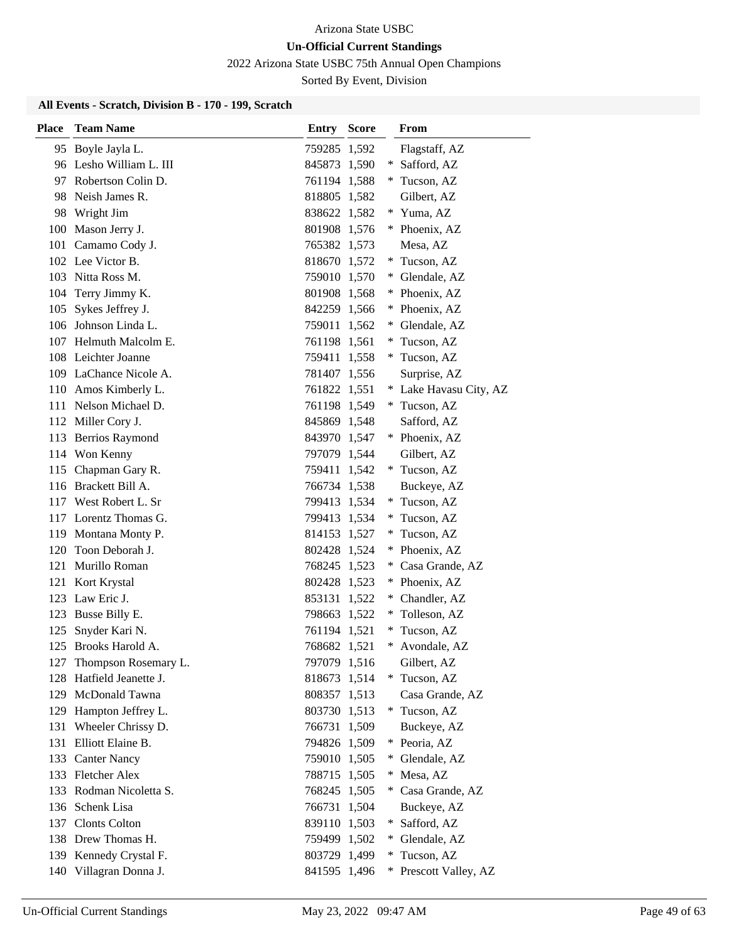2022 Arizona State USBC 75th Annual Open Champions

Sorted By Event, Division

| <b>Place</b> | <b>Team Name</b>         | <b>Entry Score</b> | From                     |
|--------------|--------------------------|--------------------|--------------------------|
|              | 95 Boyle Jayla L.        | 759285 1,592       | Flagstaff, AZ            |
|              | 96 Lesho William L. III  | 845873 1,590       | Safford, AZ<br>∗         |
|              | 97 Robertson Colin D.    | 761194 1,588       | * Tucson, AZ             |
|              | 98 Neish James R.        | 818805 1,582       | Gilbert, AZ              |
| 98           | Wright Jim               | 838622 1,582       | * Yuma, AZ               |
|              | 100 Mason Jerry J.       | 801908 1,576       | Phoenix, AZ<br>$*$       |
|              | 101 Camamo Cody J.       | 765382 1,573       | Mesa, AZ                 |
|              | 102 Lee Victor B.        | 818670 1,572       | * Tucson, AZ             |
|              | 103 Nitta Ross M.        | 759010 1,570       | Glendale, AZ<br>*.       |
| 104          | Terry Jimmy K.           | 801908 1,568       | Phoenix, AZ<br>∗         |
| 105          | Sykes Jeffrey J.         | 842259 1,566       | Phoenix, AZ              |
|              | 106 Johnson Linda L.     | 759011 1,562       | Glendale, AZ<br>$*$      |
|              | 107 Helmuth Malcolm E.   | 761198 1,561       | Tucson, AZ               |
|              | 108 Leichter Joanne      | 759411 1,558       | Tucson, AZ<br>*          |
|              | 109 LaChance Nicole A.   | 781407 1,556       | Surprise, AZ             |
|              | 110 Amos Kimberly L.     | 761822 1,551       | * Lake Havasu City, AZ   |
|              | 111 Nelson Michael D.    | 761198 1,549       | Tucson, AZ<br>$*$        |
|              | 112 Miller Cory J.       | 845869 1,548       | Safford, AZ              |
|              | 113 Berrios Raymond      | 843970 1,547       | * Phoenix, AZ            |
|              | 114 Won Kenny            | 797079 1,544       | Gilbert, AZ              |
| 115          | Chapman Gary R.          | 759411 1,542       | * Tucson, AZ             |
|              | 116 Brackett Bill A.     | 766734 1,538       | Buckeye, AZ              |
|              | 117 West Robert L. Sr    | 799413 1,534       | * Tucson, AZ             |
|              | 117 Lorentz Thomas G.    | 799413 1,534       | Tucson, AZ<br>∗          |
|              | 119 Montana Monty P.     | 814153 1,527       | *<br>Tucson, AZ          |
| 120          | Toon Deborah J.          | 802428 1,524       | Phoenix, AZ<br>∗         |
|              | 121 Murillo Roman        | 768245 1,523       | Casa Grande, AZ          |
| 121          | Kort Krystal             | 802428 1,523       | * Phoenix, AZ            |
| 123          | Law Eric J.              | 853131 1,522       | Chandler, AZ<br>*.       |
| 123          | Busse Billy E.           | 798663 1,522       | Tolleson, AZ<br>*.       |
| 125          | Snyder Kari N.           | 761194 1,521       | * Tucson, AZ             |
| 125          | Brooks Harold A.         | 768682 1,521       | *<br>Avondale, AZ        |
|              | 127 Thompson Rosemary L. | 797079 1,516       | Gilbert, AZ              |
| 128          | Hatfield Jeanette J.     | 818673 1,514       | Tucson, AZ<br>*          |
| 129          | McDonald Tawna           | 808357 1,513       | Casa Grande, AZ          |
|              | 129 Hampton Jeffrey L.   | 803730 1,513       | * Tucson, AZ             |
| 131          | Wheeler Chrissy D.       | 766731 1,509       | Buckeye, AZ              |
|              | 131 Elliott Elaine B.    | 794826 1,509       | Peoria, AZ<br>∗          |
| 133          | <b>Canter Nancy</b>      | 759010 1,505       | Glendale, AZ<br>*        |
|              | 133 Fletcher Alex        | 788715 1,505       | Mesa, AZ<br>∗            |
| 133          | Rodman Nicoletta S.      | 768245 1,505       | Casa Grande, AZ          |
|              | 136 Schenk Lisa          | 766731 1,504       | Buckeye, AZ              |
|              | 137 Clonts Colton        | 839110 1,503       | * Safford, AZ            |
|              | 138 Drew Thomas H.       | 759499 1,502       | Glendale, AZ<br>$*$      |
|              | 139 Kennedy Crystal F.   | 803729 1,499       | Tucson, AZ<br>*          |
|              | 140 Villagran Donna J.   | 841595 1,496       | Prescott Valley, AZ<br>∗ |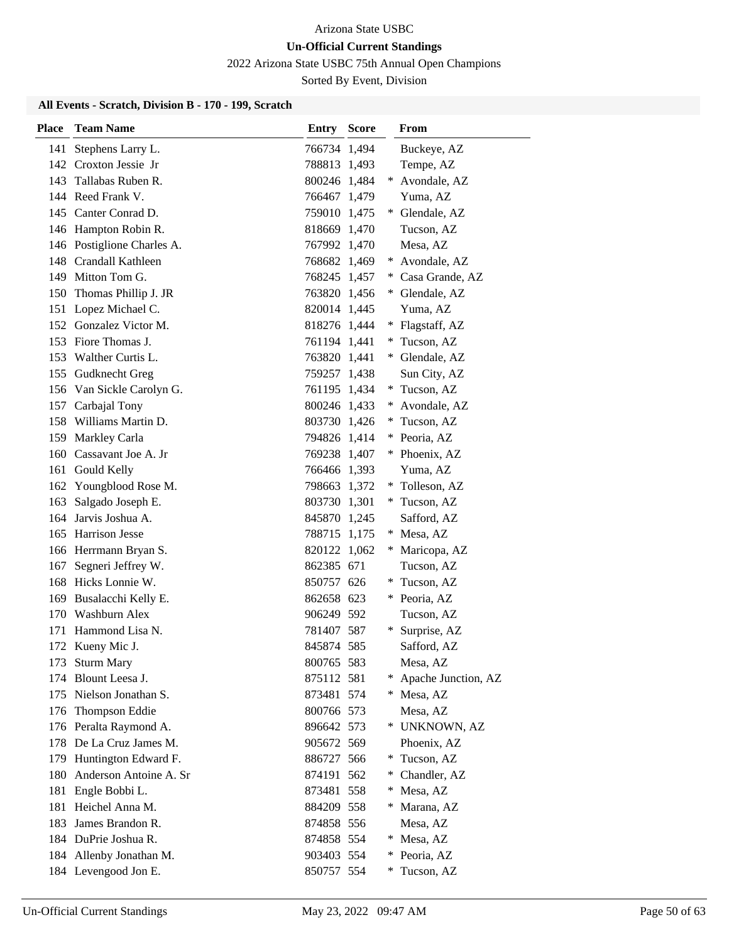2022 Arizona State USBC 75th Annual Open Champions

Sorted By Event, Division

| <b>Place</b> | <b>Team Name</b>           | <b>Entry Score</b> |     | From                |
|--------------|----------------------------|--------------------|-----|---------------------|
| 141          | Stephens Larry L.          | 766734 1,494       |     | Buckeye, AZ         |
|              | 142 Croxton Jessie Jr      | 788813 1,493       |     | Tempe, AZ           |
|              | 143 Tallabas Ruben R.      | 800246 1,484       | $*$ | Avondale, AZ        |
|              | 144 Reed Frank V.          | 766467 1,479       |     | Yuma, AZ            |
|              | 145 Canter Conrad D.       | 759010 1,475       |     | Glendale, AZ        |
|              | 146 Hampton Robin R.       | 818669 1,470       |     | Tucson, AZ          |
|              | 146 Postiglione Charles A. | 767992 1,470       |     | Mesa, AZ            |
|              | 148 Crandall Kathleen      | 768682 1,469       | $*$ | Avondale, AZ        |
| 149          | Mitton Tom G.              | 768245 1,457       |     | Casa Grande, AZ     |
| 150          | Thomas Phillip J. JR       | 763820 1,456       |     | Glendale, AZ        |
|              | 151 Lopez Michael C.       | 820014 1,445       |     | Yuma, AZ            |
|              | 152 Gonzalez Victor M.     | 818276 1,444       | *   | Flagstaff, AZ       |
|              | 153 Fiore Thomas J.        | 761194 1,441       | ¥   | Tucson, AZ          |
|              | 153 Walther Curtis L.      | 763820 1,441       |     | Glendale, AZ        |
|              | 155 Gudknecht Greg         | 759257 1,438       |     | Sun City, AZ        |
|              | 156 Van Sickle Carolyn G.  | 761195 1,434       |     | * Tucson, AZ        |
|              | 157 Carbajal Tony          | 800246 1,433       |     | Avondale, AZ        |
|              | 158 Williams Martin D.     | 803730 1,426       |     | Tucson, AZ          |
|              | 159 Markley Carla          | 794826 1,414       |     | Peoria, AZ          |
|              | 160 Cassavant Joe A. Jr    | 769238 1,407       |     | * Phoenix, AZ       |
|              | 161 Gould Kelly            | 766466 1,393       |     | Yuma, AZ            |
|              | 162 Youngblood Rose M.     | 798663 1,372       |     | Tolleson, AZ        |
|              | 163 Salgado Joseph E.      | 803730 1,301       |     | * Tucson, AZ        |
| 164          | Jarvis Joshua A.           | 845870 1,245       |     | Safford, AZ         |
| 165          | <b>Harrison Jesse</b>      | 788715 1,175       |     | Mesa, AZ            |
|              | 166 Herrmann Bryan S.      | 820122 1,062       | ∗   | Maricopa, AZ        |
| 167          | Segneri Jeffrey W.         | 862385 671         |     | Tucson, AZ          |
| 168          | Hicks Lonnie W.            | 850757 626         | ∗   | Tucson, AZ          |
| 169          | Busalacchi Kelly E.        | 862658 623         |     | Peoria, AZ          |
|              | 170 Washburn Alex          | 906249 592         |     | Tucson, AZ          |
| 171          | Hammond Lisa N.            | 781407 587         |     | Surprise, AZ        |
| 172          | Kueny Mic J.               | 845874 585         |     | Safford, AZ         |
|              | 173 Sturm Mary             | 800765 583         |     | Mesa, AZ            |
|              | 174 Blount Leesa J.        | 875112 581         |     | Apache Junction, AZ |
|              | 175 Nielson Jonathan S.    | 873481 574         | ∗   | Mesa, AZ            |
|              | 176 Thompson Eddie         | 800766 573         |     | Mesa, AZ            |
|              | 176 Peralta Raymond A.     | 896642 573         | $*$ | UNKNOWN, AZ         |
|              | 178 De La Cruz James M.    | 905672 569         |     | Phoenix, AZ         |
| 179          | Huntington Edward F.       | 886727 566         | ∗   | Tucson, AZ          |
| 180          | Anderson Antoine A. Sr     | 874191 562         | ∗   | Chandler, AZ        |
| 181          | Engle Bobbi L.             | 873481 558         | ∗   | Mesa, AZ            |
| 181          | Heichel Anna M.            | 884209 558         | ∗   | Marana, AZ          |
| 183          | James Brandon R.           | 874858 556         |     | Mesa, AZ            |
|              | 184 DuPrie Joshua R.       | 874858 554         | ∗   | Mesa, AZ            |
| 184          | Allenby Jonathan M.        | 903403 554         | ∗   | Peoria, AZ          |
|              | 184 Levengood Jon E.       | 850757 554         |     | Tucson, AZ          |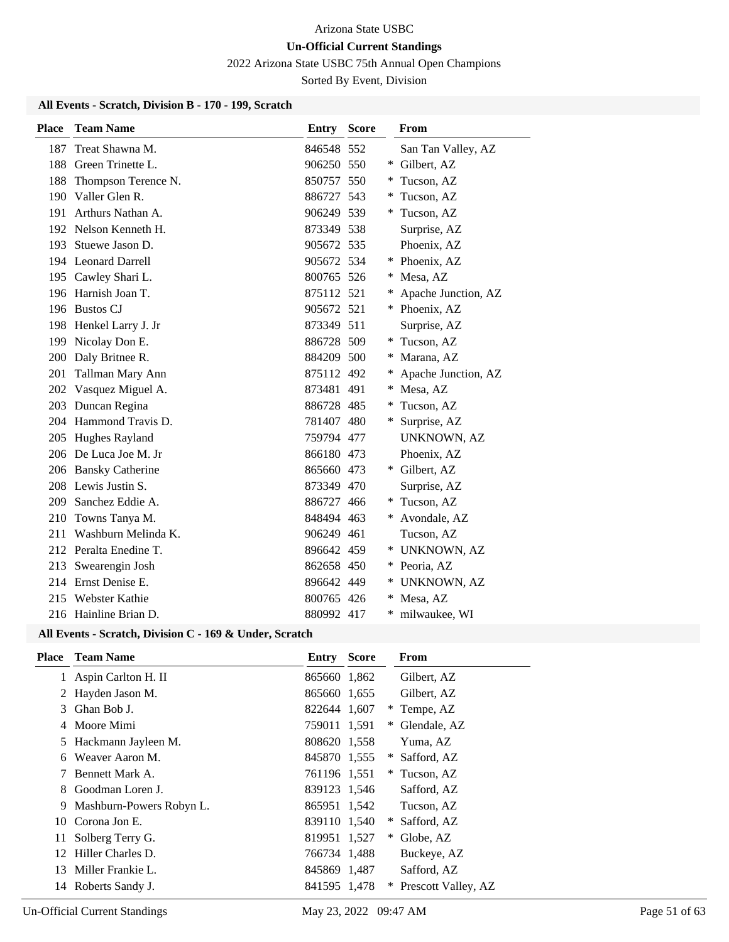2022 Arizona State USBC 75th Annual Open Champions

Sorted By Event, Division

# **All Events - Scratch, Division B - 170 - 199, Scratch**

| <b>Place</b> | <b>Team Name</b>       | <b>Entry Score</b> |   | From                |
|--------------|------------------------|--------------------|---|---------------------|
| 187          | Treat Shawna M.        | 846548 552         |   | San Tan Valley, AZ  |
| 188          | Green Trinette L.      | 906250 550         | ∗ | Gilbert, AZ         |
| 188          | Thompson Terence N.    | 850757 550         |   | Tucson, AZ          |
| 190          | Valler Glen R.         | 886727 543         | ∗ | Tucson, AZ          |
| 191          | Arthurs Nathan A.      | 906249 539         | * | Tucson, AZ          |
|              | 192 Nelson Kenneth H.  | 873349 538         |   | Surprise, AZ        |
| 193          | Stuewe Jason D.        | 905672 535         |   | Phoenix, AZ         |
|              | 194 Leonard Darrell    | 905672 534         |   | Phoenix, AZ         |
|              | 195 Cawley Shari L.    | 800765 526         |   | Mesa, AZ            |
|              | 196 Harnish Joan T.    | 875112 521         | ∗ | Apache Junction, AZ |
|              | 196 Bustos CJ          | 905672 521         | ∗ | Phoenix, AZ         |
|              | 198 Henkel Larry J. Jr | 873349 511         |   | Surprise, AZ        |
| 199          | Nicolay Don E.         | 886728 509         | ∗ | Tucson, AZ          |
|              | 200 Daly Britnee R.    | 884209 500         |   | Marana, AZ          |
| 201          | Tallman Mary Ann       | 875112 492         | ∗ | Apache Junction, AZ |
| 202          | Vasquez Miguel A.      | 873481 491         |   | Mesa, AZ            |
| 203          | Duncan Regina          | 886728 485         |   | Tucson, AZ          |
| 204          | Hammond Travis D.      | 781407 480         | ∗ | Surprise, AZ        |
|              | 205 Hughes Rayland     | 759794 477         |   | <b>UNKNOWN, AZ</b>  |
|              | 206 De Luca Joe M. Jr  | 866180 473         |   | Phoenix, AZ         |
|              | 206 Bansky Catherine   | 865660 473         | ∗ | Gilbert, AZ         |
|              | 208 Lewis Justin S.    | 873349 470         |   | Surprise, AZ        |
| 209          | Sanchez Eddie A.       | 886727 466         | ∗ | Tucson, AZ          |
| 210          | Towns Tanya M.         | 848494 463         | * | Avondale, AZ        |
| 211          | Washburn Melinda K.    | 906249 461         |   | Tucson, AZ          |
|              | 212 Peralta Enedine T. | 896642 459         | ∗ | <b>UNKNOWN, AZ</b>  |
| 213          | Swearengin Josh        | 862658 450         | ∗ | Peoria, AZ          |
|              | 214 Ernst Denise E.    | 896642 449         | * | UNKNOWN, AZ         |
|              | 215 Webster Kathie     | 800765 426         |   | Mesa, AZ            |
|              | 216 Hainline Brian D.  | 880992 417         | * | milwaukee, WI       |

#### **All Events - Scratch, Division C - 169 & Under, Scratch**

| <b>Place</b> | <b>Team Name</b>         | Entry        | <b>Score</b> |   | From                |
|--------------|--------------------------|--------------|--------------|---|---------------------|
|              | Aspin Carlton H. II      | 865660 1,862 |              |   | Gilbert, AZ         |
| 2            | Hayden Jason M.          | 865660 1,655 |              |   | Gilbert, AZ         |
| 3.           | Ghan Bob J.              | 822644 1,607 |              | * | Tempe, AZ           |
|              | Moore Mimi               | 759011 1,591 |              | ∗ | Glendale, AZ        |
|              | Hackmann Jayleen M.      | 808620 1.558 |              |   | Yuma, AZ            |
| 6            | Weaver Aaron M.          | 845870 1,555 |              | * | Safford, AZ         |
|              | Bennett Mark A.          | 761196 1.551 |              | * | Tucson, AZ          |
| 8            | Goodman Loren J.         | 839123 1,546 |              |   | Safford, AZ         |
| 9            | Mashburn-Powers Robyn L. | 865951 1,542 |              |   | Tucson, AZ          |
|              | 10 Corona Jon E.         | 839110 1,540 |              | * | Safford, AZ         |
| 11           | Solberg Terry G.         | 819951 1,527 |              | ∗ | Globe, AZ           |
| 12           | Hiller Charles D.        | 766734 1,488 |              |   | Buckeye, AZ         |
| 13           | Miller Frankie L.        | 845869 1,487 |              |   | Safford, AZ         |
| 14           | Roberts Sandy J.         | 841595 1,478 |              |   | Prescott Valley, AZ |
|              |                          |              |              |   |                     |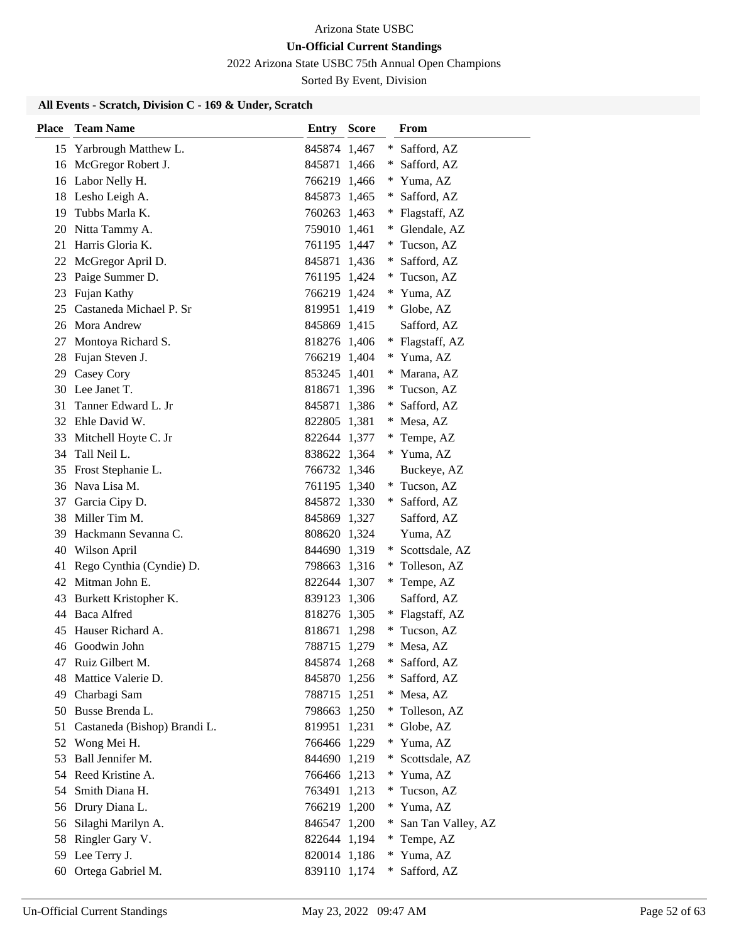2022 Arizona State USBC 75th Annual Open Champions

Sorted By Event, Division

### **All Events - Scratch, Division C - 169 & Under, Scratch**

| Place | <b>Team Name</b>             | Entry        | <b>Score</b> |        | From               |
|-------|------------------------------|--------------|--------------|--------|--------------------|
|       | 15 Yarbrough Matthew L.      | 845874       | 1,467        | ∗      | Safford, AZ        |
|       | 16 McGregor Robert J.        | 845871       | 1,466        |        | Safford, AZ        |
|       | 16 Labor Nelly H.            | 766219 1,466 |              |        | Yuma, AZ           |
|       | 18 Lesho Leigh A.            | 845873 1,465 |              | $*$    | Safford, AZ        |
| 19    | Tubbs Marla K.               | 760263 1,463 |              |        | Flagstaff, AZ      |
| 20    | Nitta Tammy A.               | 759010 1,461 |              |        | Glendale, AZ       |
| 21    | Harris Gloria K.             | 761195 1,447 |              |        | Tucson, AZ         |
|       | 22 McGregor April D.         | 845871 1,436 |              | *      | Safford, AZ        |
| 23    | Paige Summer D.              | 761195 1,424 |              | ∗      | Tucson, AZ         |
| 23    | Fujan Kathy                  | 766219 1,424 |              | *      | Yuma, AZ           |
| 25    | Castaneda Michael P. Sr      | 819951       | 1,419        |        | Globe, AZ          |
|       | 26 Mora Andrew               | 845869 1,415 |              |        | Safford, AZ        |
| 27    | Montoya Richard S.           | 818276 1,406 |              |        | Flagstaff, AZ      |
| 28    | Fujan Steven J.              | 766219 1,404 |              |        | Yuma, AZ           |
| 29    | Casey Cory                   | 853245 1,401 |              |        | Marana, AZ         |
|       | 30 Lee Janet T.              | 818671       | 1,396        | $*$    | Tucson, AZ         |
| 31    | Tanner Edward L. Jr          | 845871       | 1,386        | ∗      | Safford, AZ        |
|       | 32 Ehle David W.             | 822805 1,381 |              | ∗      | Mesa, AZ           |
| 33    | Mitchell Hoyte C. Jr         | 822644 1,377 |              |        | Tempe, AZ          |
| 34    | Tall Neil L.                 | 838622 1,364 |              |        | * Yuma, AZ         |
| 35    | Frost Stephanie L.           | 766732 1,346 |              |        | Buckeye, AZ        |
| 36    | Nava Lisa M.                 | 761195 1,340 |              |        | Tucson, AZ         |
| 37    | Garcia Cipy D.               | 845872 1,330 |              | $*$    | Safford, AZ        |
| 38    | Miller Tim M.                | 845869 1,327 |              |        | Safford, AZ        |
| 39    | Hackmann Sevanna C.          | 808620 1,324 |              |        | Yuma, AZ           |
| 40    | Wilson April                 | 844690 1,319 |              |        | Scottsdale, AZ     |
| 41    | Rego Cynthia (Cyndie) D.     | 798663 1,316 |              |        | Tolleson, AZ       |
|       | 42 Mitman John E.            | 822644 1,307 |              |        | * Tempe, AZ        |
| 43    | Burkett Kristopher K.        | 839123 1,306 |              |        | Safford, AZ        |
| 44    | <b>Baca Alfred</b>           | 818276 1,305 |              |        | Flagstaff, AZ      |
| 45    | Hauser Richard A.            | 818671       | 1,298        |        | Tucson, AZ         |
| 46    | Goodwin John                 | 788715       | 1,279        | ∗      | Mesa, AZ           |
| 47    | Ruiz Gilbert M.              | 845874 1,268 |              | $\ast$ | Safford, AZ        |
| 48    | Mattice Valerie D.           | 845870 1,256 |              |        | Safford, AZ        |
| 49    | Charbagi Sam                 | 788715 1,251 |              | *.     | Mesa, AZ           |
| 50    | Busse Brenda L.              | 798663 1,250 |              | $*$    | Tolleson, AZ       |
| 51    | Castaneda (Bishop) Brandi L. | 819951       | 1,231        | $\ast$ | Globe, AZ          |
| 52    | Wong Mei H.                  | 766466       | 1,229        | $\ast$ | Yuma, AZ           |
| 53    | Ball Jennifer M.             | 844690 1,219 |              |        | Scottsdale, AZ     |
|       | 54 Reed Kristine A.          | 766466 1,213 |              | $*$    | Yuma, AZ           |
| 54    | Smith Diana H.               | 763491       | 1,213        |        | Tucson, AZ         |
| 56    | Drury Diana L.               | 766219 1,200 |              |        | Yuma, AZ           |
| 56    | Silaghi Marilyn A.           | 846547 1,200 |              |        | San Tan Valley, AZ |
| 58    | Ringler Gary V.              | 822644 1,194 |              | $*$    | Tempe, AZ          |
| 59    | Lee Terry J.                 | 820014 1,186 |              | $\ast$ | Yuma, AZ           |
| 60    | Ortega Gabriel M.            | 839110 1,174 |              | ∗      | Safford, AZ        |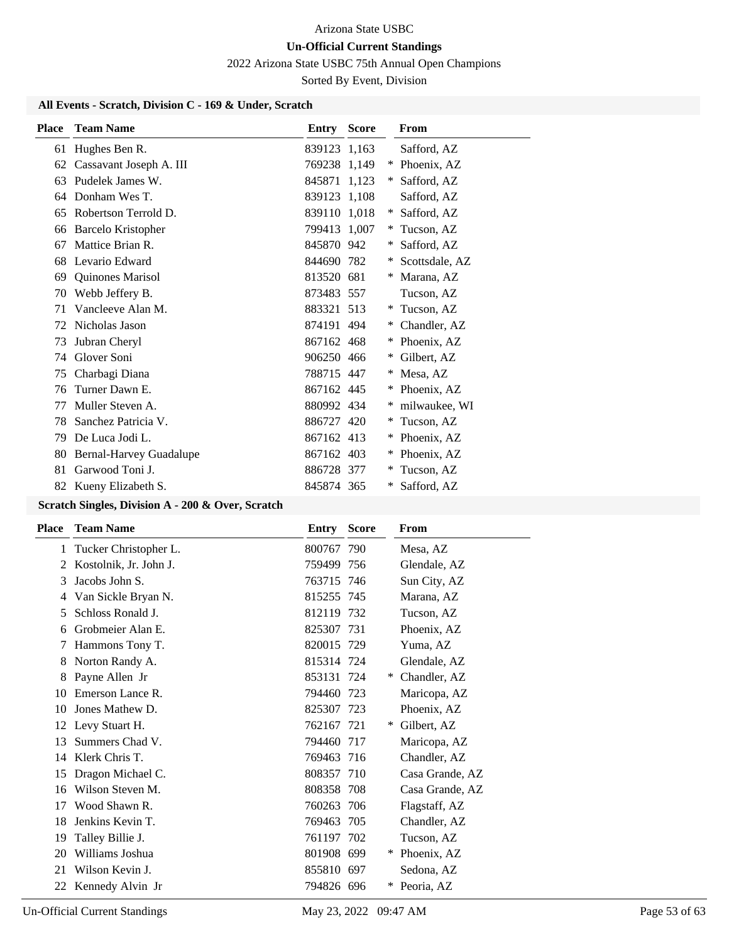2022 Arizona State USBC 75th Annual Open Champions

Sorted By Event, Division

### **All Events - Scratch, Division C - 169 & Under, Scratch**

| <b>Place</b> | <b>Team Name</b>               | Entry        | <b>Score</b> |        | From           |
|--------------|--------------------------------|--------------|--------------|--------|----------------|
| 61           | Hughes Ben R.                  | 839123 1,163 |              |        | Safford, AZ    |
| 62           | Cassavant Joseph A. III        | 769238 1,149 |              | $\ast$ | Phoenix, AZ    |
| 63           | Pudelek James W.               | 845871 1.123 |              | ∗      | Safford, AZ    |
| 64           | Donham Wes T.                  | 839123 1,108 |              |        | Safford, AZ    |
| 65           | Robertson Terrold D.           | 839110 1,018 |              | ∗      | Safford, AZ    |
| 66           | <b>Barcelo Kristopher</b>      | 799413 1,007 |              | ∗      | Tucson, AZ     |
| 67           | Mattice Brian R.               | 845870 942   |              | ∗      | Safford, AZ    |
| 68           | Levario Edward                 | 844690 782   |              | ∗      | Scottsdale, AZ |
| 69           | Quinones Marisol               | 813520 681   |              | ∗      | Marana, AZ     |
| 70           | Webb Jeffery B.                | 873483 557   |              |        | Tucson, AZ     |
| 71           | Vancleeve Alan M.              | 883321 513   |              | ∗      | Tucson, AZ     |
| 72           | Nicholas Jason                 | 874191 494   |              | ∗      | Chandler, AZ   |
| 73           | Jubran Cheryl                  | 867162 468   |              | ∗      | Phoenix, AZ    |
| 74           | Glover Soni                    | 906250 466   |              | ∗      | Gilbert, AZ    |
| 75           | Charbagi Diana                 | 788715 447   |              | ∗      | Mesa, AZ       |
| 76           | Turner Dawn E.                 | 867162 445   |              | $\ast$ | Phoenix, AZ    |
| 77           | Muller Steven A.               | 880992 434   |              | ∗      | milwaukee, WI  |
| 78           | Sanchez Patricia V.            | 886727 420   |              | ∗      | Tucson, AZ     |
| 79           | De Luca Jodi L.                | 867162 413   |              | ∗      | Phoenix, AZ    |
| 80           | <b>Bernal-Harvey Guadalupe</b> | 867162 403   |              | ∗      | Phoenix, AZ    |
| 81           | Garwood Toni J.                | 886728 377   |              | ∗      | Tucson, AZ     |
| 82           | Kueny Elizabeth S.             | 845874 365   |              | ∗      | Safford, AZ    |

| Place | <b>Team Name</b>       | Entry      | <b>Score</b> | From             |
|-------|------------------------|------------|--------------|------------------|
| 1     | Tucker Christopher L.  | 800767 790 |              | Mesa, AZ         |
|       | Kostolnik, Jr. John J. | 759499 756 |              | Glendale, AZ     |
| 3     | Jacobs John S.         | 763715 746 |              | Sun City, AZ     |
| 4     | Van Sickle Bryan N.    | 815255 745 |              | Marana, AZ       |
| 5     | Schloss Ronald J.      | 812119 732 |              | Tucson, AZ       |
| 6     | Grobmeier Alan E.      | 825307 731 |              | Phoenix, AZ      |
| 7     | Hammons Tony T.        | 820015 729 |              | Yuma, AZ         |
| 8     | Norton Randy A.        | 815314 724 |              | Glendale, AZ     |
| 8     | Payne Allen Jr         | 853131 724 |              | Chandler, AZ     |
| 10    | Emerson Lance R.       | 794460 723 |              | Maricopa, AZ     |
| 10    | Jones Mathew D.        | 825307 723 |              | Phoenix, AZ      |
| 12    | Levy Stuart H.         | 762167 721 |              | Gilbert, AZ<br>∗ |
| 13    | Summers Chad V.        | 794460 717 |              | Maricopa, AZ     |
| 14    | Klerk Chris T.         | 769463 716 |              | Chandler, AZ     |
| 15    | Dragon Michael C.      | 808357 710 |              | Casa Grande, AZ  |
| 16    | Wilson Steven M.       | 808358 708 |              | Casa Grande, AZ  |
| 17    | Wood Shawn R.          | 760263 706 |              | Flagstaff, AZ    |
| 18    | Jenkins Kevin T.       | 769463 705 |              | Chandler, AZ     |
| 19    | Talley Billie J.       | 761197 702 |              | Tucson, AZ       |
| 20    | Williams Joshua        | 801908 699 |              | Phoenix, AZ      |
| 21    | Wilson Kevin J.        | 855810 697 |              | Sedona, AZ       |
| 22    | Kennedy Alvin Jr       | 794826 696 |              | Peoria, AZ       |
|       |                        |            |              |                  |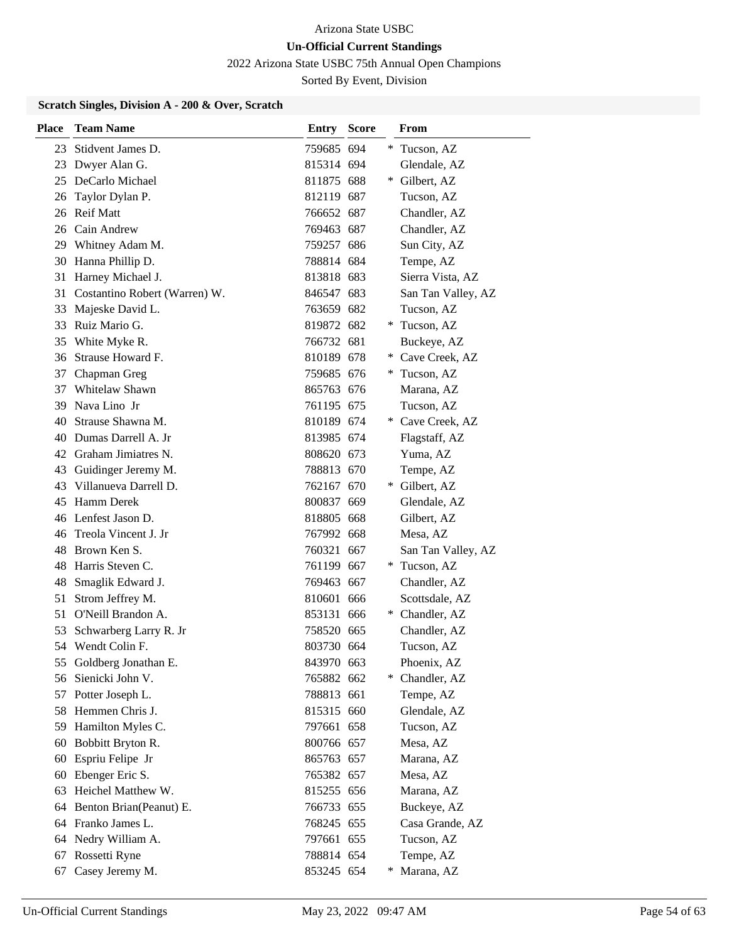2022 Arizona State USBC 75th Annual Open Champions

Sorted By Event, Division

| <b>Place</b> | <b>Team Name</b>              | Entry      | <b>Score</b> |        | From               |
|--------------|-------------------------------|------------|--------------|--------|--------------------|
| 23           | Stidvent James D.             | 759685 694 |              |        | Tucson, AZ         |
| 23           | Dwyer Alan G.                 | 815314 694 |              |        | Glendale, AZ       |
|              | 25 DeCarlo Michael            | 811875 688 |              |        | * Gilbert, AZ      |
| 26           | Taylor Dylan P.               | 812119 687 |              |        | Tucson, AZ         |
|              | 26 Reif Matt                  | 766652 687 |              |        | Chandler, AZ       |
|              | 26 Cain Andrew                | 769463 687 |              |        | Chandler, AZ       |
|              | 29 Whitney Adam M.            | 759257 686 |              |        | Sun City, AZ       |
| 30           | Hanna Phillip D.              | 788814 684 |              |        | Tempe, AZ          |
| 31           | Harney Michael J.             | 813818 683 |              |        | Sierra Vista, AZ   |
| 31           | Costantino Robert (Warren) W. | 846547 683 |              |        | San Tan Valley, AZ |
| 33           | Majeske David L.              | 763659 682 |              |        | Tucson, AZ         |
| 33           | Ruiz Mario G.                 | 819872 682 |              | *      | Tucson, AZ         |
| 35           | White Myke R.                 | 766732 681 |              |        | Buckeye, AZ        |
| 36           | Strause Howard F.             | 810189 678 |              |        | * Cave Creek, AZ   |
| 37           | Chapman Greg                  | 759685 676 |              | *      | Tucson, AZ         |
| 37           | Whitelaw Shawn                | 865763 676 |              |        | Marana, AZ         |
| 39           | Nava Lino Jr                  | 761195 675 |              |        | Tucson, AZ         |
| 40           | Strause Shawna M.             | 810189 674 |              |        | * Cave Creek, AZ   |
| 40           | Dumas Darrell A. Jr           | 813985 674 |              |        | Flagstaff, AZ      |
|              | 42 Graham Jimiatres N.        | 808620 673 |              |        | Yuma, AZ           |
| 43           | Guidinger Jeremy M.           | 788813 670 |              |        | Tempe, AZ          |
| 43           | Villanueva Darrell D.         | 762167 670 |              |        | * Gilbert, AZ      |
| 45           | Hamm Derek                    | 800837 669 |              |        | Glendale, AZ       |
| 46           | Lenfest Jason D.              | 818805 668 |              |        | Gilbert, AZ        |
| 46           | Treola Vincent J. Jr          | 767992 668 |              |        | Mesa, AZ           |
| 48           | Brown Ken S.                  | 760321 667 |              |        | San Tan Valley, AZ |
| 48           | Harris Steven C.              | 761199 667 |              | $\ast$ | Tucson, AZ         |
| 48           | Smaglik Edward J.             | 769463 667 |              |        | Chandler, AZ       |
| 51           | Strom Jeffrey M.              | 810601 666 |              |        | Scottsdale, AZ     |
| 51           | O'Neill Brandon A.            | 853131 666 |              |        | * Chandler, AZ     |
| 53           | Schwarberg Larry R. Jr        | 758520 665 |              |        | Chandler, AZ       |
|              | 54 Wendt Colin F.             | 803730 664 |              |        | Tucson, AZ         |
| 55           | Goldberg Jonathan E.          | 843970 663 |              |        | Phoenix, AZ        |
| 56           | Sienicki John V.              | 765882 662 |              |        | * Chandler, AZ     |
| 57           | Potter Joseph L.              | 788813 661 |              |        | Tempe, AZ          |
| 58           | Hemmen Chris J.               | 815315 660 |              |        | Glendale, AZ       |
| 59           | Hamilton Myles C.             | 797661 658 |              |        | Tucson, AZ         |
| 60           | Bobbitt Bryton R.             | 800766 657 |              |        | Mesa, AZ           |
| 60           | Espriu Felipe Jr              | 865763 657 |              |        | Marana, AZ         |
| 60           | Ebenger Eric S.               | 765382 657 |              |        | Mesa, AZ           |
| 63           | Heichel Matthew W.            | 815255 656 |              |        | Marana, AZ         |
| 64           | Benton Brian(Peanut) E.       | 766733 655 |              |        | Buckeye, AZ        |
|              | 64 Franko James L.            | 768245 655 |              |        | Casa Grande, AZ    |
| 64           | Nedry William A.              | 797661 655 |              |        | Tucson, AZ         |
| 67           | Rossetti Ryne                 | 788814 654 |              |        | Tempe, AZ          |
| 67           | Casey Jeremy M.               | 853245 654 |              |        | Marana, AZ         |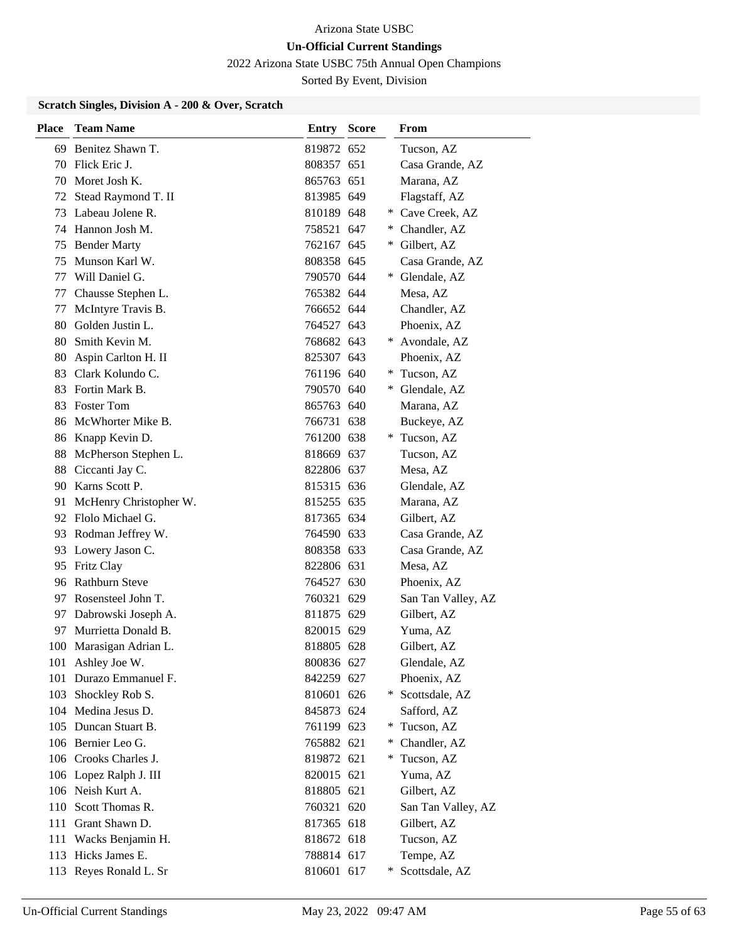2022 Arizona State USBC 75th Annual Open Champions

Sorted By Event, Division

| <b>Place</b> | <b>Team Name</b>        | <b>Entry Score</b> |        | From               |
|--------------|-------------------------|--------------------|--------|--------------------|
| 69           | Benitez Shawn T.        | 819872 652         |        | Tucson, AZ         |
|              | 70 Flick Eric J.        | 808357 651         |        | Casa Grande, AZ    |
|              | 70 Moret Josh K.        | 865763 651         |        | Marana, AZ         |
| 72           | Stead Raymond T. II     | 813985 649         |        | Flagstaff, AZ      |
| 73           | Labeau Jolene R.        | 810189 648         | $*$    | Cave Creek, AZ     |
|              | 74 Hannon Josh M.       | 758521 647         | ∗      | Chandler, AZ       |
|              | 75 Bender Marty         | 762167 645         |        | * Gilbert, AZ      |
| 75           | Munson Karl W.          | 808358 645         |        | Casa Grande, AZ    |
| 77           | Will Daniel G.          | 790570 644         |        | Glendale, AZ       |
| 77           | Chausse Stephen L.      | 765382 644         |        | Mesa, AZ           |
| 77           | McIntyre Travis B.      | 766652 644         |        | Chandler, AZ       |
|              | 80 Golden Justin L.     | 764527 643         |        | Phoenix, AZ        |
|              | 80 Smith Kevin M.       | 768682 643         |        | * Avondale, AZ     |
| 80           | Aspin Carlton H. II     | 825307 643         |        | Phoenix, AZ        |
|              | 83 Clark Kolundo C.     | 761196 640         |        | * Tucson, AZ       |
| 83           | Fortin Mark B.          | 790570 640         |        | * Glendale, AZ     |
| 83           | <b>Foster Tom</b>       | 865763 640         |        | Marana, AZ         |
|              | 86 McWhorter Mike B.    | 766731 638         |        | Buckeye, AZ        |
|              | 86 Knapp Kevin D.       | 761200 638         |        | * Tucson, AZ       |
| 88           | McPherson Stephen L.    | 818669 637         |        | Tucson, AZ         |
| 88           | Ciccanti Jay C.         | 822806 637         |        | Mesa, AZ           |
|              | 90 Karns Scott P.       | 815315 636         |        | Glendale, AZ       |
| 91           | McHenry Christopher W.  | 815255 635         |        | Marana, AZ         |
|              | 92 Flolo Michael G.     | 817365 634         |        | Gilbert, AZ        |
| 93           | Rodman Jeffrey W.       | 764590 633         |        | Casa Grande, AZ    |
| 93           | Lowery Jason C.         | 808358 633         |        | Casa Grande, AZ    |
|              | 95 Fritz Clay           | 822806 631         |        | Mesa, AZ           |
|              | 96 Rathburn Steve       | 764527 630         |        | Phoenix, AZ        |
|              | 97 Rosensteel John T.   | 760321 629         |        | San Tan Valley, AZ |
| 97           | Dabrowski Joseph A.     | 811875 629         |        | Gilbert, AZ        |
|              | 97 Murrietta Donald B.  | 820015 629         |        | Yuma, AZ           |
|              | 100 Marasigan Adrian L. | 818805 628         |        | Gilbert, AZ        |
|              | 101 Ashley Joe W.       | 800836 627         |        | Glendale, AZ       |
| 101          | Durazo Emmanuel F.      | 842259 627         |        | Phoenix, AZ        |
|              | 103 Shockley Rob S.     | 810601 626         |        | * Scottsdale, AZ   |
|              | 104 Medina Jesus D.     | 845873 624         |        | Safford, AZ        |
|              | 105 Duncan Stuart B.    | 761199 623         | $\ast$ | Tucson, AZ         |
|              | 106 Bernier Leo G.      | 765882 621         | *      | Chandler, AZ       |
|              | 106 Crooks Charles J.   | 819872 621         | *.     | Tucson, AZ         |
|              | 106 Lopez Ralph J. III  | 820015 621         |        | Yuma, AZ           |
|              | 106 Neish Kurt A.       | 818805 621         |        | Gilbert, AZ        |
|              | 110 Scott Thomas R.     | 760321 620         |        | San Tan Valley, AZ |
|              | 111 Grant Shawn D.      | 817365 618         |        | Gilbert, AZ        |
| 111          | Wacks Benjamin H.       | 818672 618         |        | Tucson, AZ         |
|              | 113 Hicks James E.      | 788814 617         |        | Tempe, AZ          |
|              | 113 Reyes Ronald L. Sr  | 810601 617         | ¥      | Scottsdale, AZ     |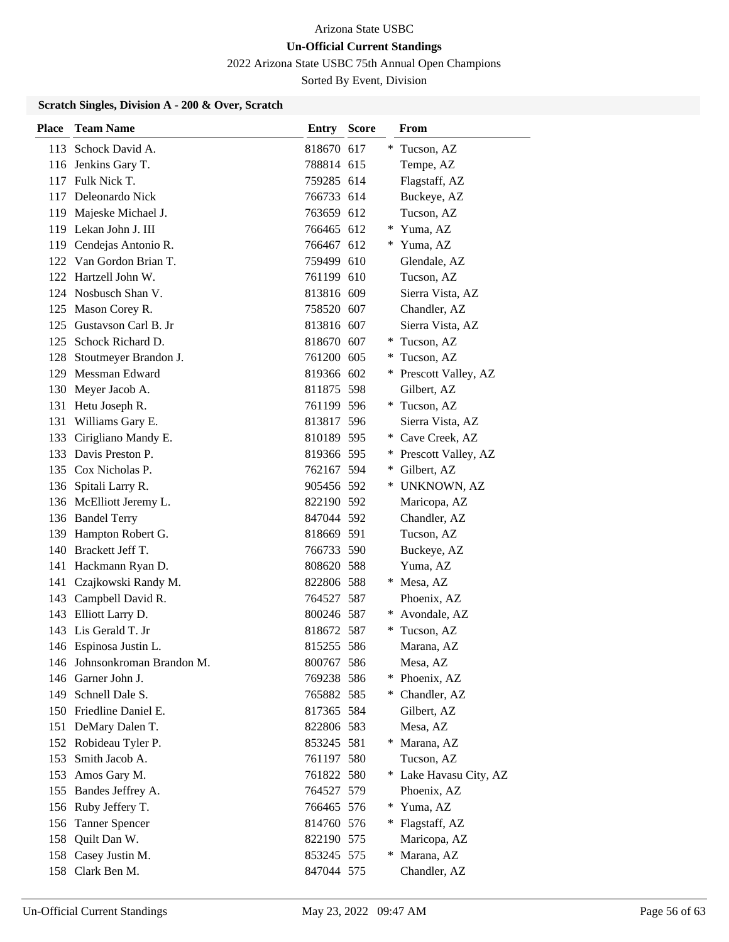2022 Arizona State USBC 75th Annual Open Champions

Sorted By Event, Division

| <b>Place</b> | <b>Team Name</b>             | <b>Entry Score</b> |     | From                   |
|--------------|------------------------------|--------------------|-----|------------------------|
|              | 113 Schock David A.          | 818670 617         |     | Tucson, AZ             |
|              | 116 Jenkins Gary T.          | 788814 615         |     | Tempe, AZ              |
|              | 117 Fulk Nick T.             | 759285 614         |     | Flagstaff, AZ          |
|              | 117 Deleonardo Nick          | 766733 614         |     | Buckeye, AZ            |
|              | 119 Majeske Michael J.       | 763659 612         |     | Tucson, AZ             |
|              | 119 Lekan John J. III        | 766465 612         |     | Yuma, AZ               |
|              | 119 Cendejas Antonio R.      | 766467 612         | *   | Yuma, AZ               |
|              | 122 Van Gordon Brian T.      | 759499 610         |     | Glendale, AZ           |
|              | 122 Hartzell John W.         | 761199 610         |     | Tucson, AZ             |
|              | 124 Nosbusch Shan V.         | 813816 609         |     | Sierra Vista, AZ       |
|              | 125 Mason Corey R.           | 758520 607         |     | Chandler, AZ           |
|              | 125 Gustavson Carl B. Jr     | 813816 607         |     | Sierra Vista, AZ       |
|              | 125 Schock Richard D.        | 818670 607         |     | * Tucson, AZ           |
| 128          | Stoutmeyer Brandon J.        | 761200 605         |     | Tucson, AZ             |
|              | 129 Messman Edward           | 819366 602         |     | * Prescott Valley, AZ  |
|              | 130 Meyer Jacob A.           | 811875 598         |     | Gilbert, AZ            |
|              | 131 Hetu Joseph R.           | 761199 596         |     | Tucson, AZ             |
| 131          | Williams Gary E.             | 813817 596         |     | Sierra Vista, AZ       |
|              | 133 Cirigliano Mandy E.      | 810189 595         | *.  | Cave Creek, AZ         |
|              | 133 Davis Preston P.         | 819366 595         | $*$ | Prescott Valley, AZ    |
|              | 135 Cox Nicholas P.          | 762167 594         | *.  | Gilbert, AZ            |
|              | 136 Spitali Larry R.         | 905456 592         | ∗   | UNKNOWN, AZ            |
|              | 136 McElliott Jeremy L.      | 822190 592         |     | Maricopa, AZ           |
|              | 136 Bandel Terry             | 847044 592         |     | Chandler, AZ           |
|              | 139 Hampton Robert G.        | 818669 591         |     | Tucson, AZ             |
|              | 140 Brackett Jeff T.         | 766733 590         |     | Buckeye, AZ            |
|              | 141 Hackmann Ryan D.         | 808620 588         |     | Yuma, AZ               |
|              | 141 Czajkowski Randy M.      | 822806 588         |     | * Mesa, AZ             |
|              | 143 Campbell David R.        | 764527 587         |     | Phoenix, AZ            |
|              | 143 Elliott Larry D.         | 800246 587         |     | Avondale, AZ           |
|              | 143 Lis Gerald T. Jr         | 818672 587         | ∗   | Tucson, AZ             |
|              | 146 Espinosa Justin L.       | 815255 586         |     | Marana, AZ             |
|              | 146 Johnsonkroman Brandon M. | 800767 586         |     | Mesa, AZ               |
|              | 146 Garner John J.           | 769238 586         |     | Phoenix, AZ            |
|              | 149 Schnell Dale S.          | 765882 585         |     | * Chandler, AZ         |
|              | 150 Friedline Daniel E.      | 817365 584         |     | Gilbert, AZ            |
|              | 151 DeMary Dalen T.          | 822806 583         |     | Mesa, AZ               |
|              | 152 Robideau Tyler P.        | 853245 581         | *.  | Marana, AZ             |
| 153          | Smith Jacob A.               | 761197 580         |     | Tucson, AZ             |
| 153          | Amos Gary M.                 | 761822 580         |     | * Lake Havasu City, AZ |
|              | 155 Bandes Jeffrey A.        | 764527 579         |     | Phoenix, AZ            |
|              | 156 Ruby Jeffery T.          | 766465 576         |     | Yuma, AZ               |
|              | 156 Tanner Spencer           | 814760 576         |     | * Flagstaff, AZ        |
| 158          | Quilt Dan W.                 | 822190 575         |     | Maricopa, AZ           |
| 158          | Casey Justin M.              | 853245 575         | *   | Marana, AZ             |
|              | 158 Clark Ben M.             | 847044 575         |     | Chandler, AZ           |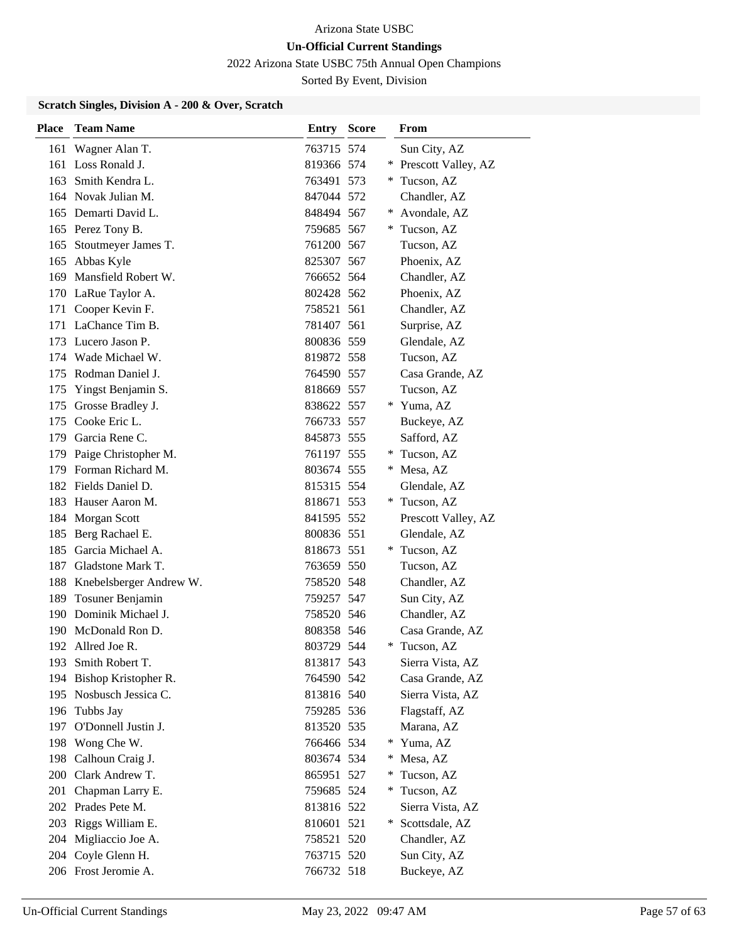2022 Arizona State USBC 75th Annual Open Champions

Sorted By Event, Division

| <b>Place</b> | <b>Team Name</b>         | <b>Entry Score</b> |     | From                |
|--------------|--------------------------|--------------------|-----|---------------------|
| 161          | Wagner Alan T.           | 763715 574         |     | Sun City, AZ        |
|              | 161 Loss Ronald J.       | 819366 574         |     | Prescott Valley, AZ |
| 163          | Smith Kendra L.          | 763491 573         | $*$ | Tucson, AZ          |
|              | 164 Novak Julian M.      | 847044 572         |     | Chandler, AZ        |
|              | 165 Demarti David L.     | 848494 567         | ∗   | Avondale, AZ        |
|              | 165 Perez Tony B.        | 759685 567         |     | Tucson, AZ          |
| 165          | Stoutmeyer James T.      | 761200 567         |     | Tucson, AZ          |
| 165          | Abbas Kyle               | 825307 567         |     | Phoenix, AZ         |
| 169          | Mansfield Robert W.      | 766652 564         |     | Chandler, AZ        |
|              | 170 LaRue Taylor A.      | 802428 562         |     | Phoenix, AZ         |
|              | 171 Cooper Kevin F.      | 758521 561         |     | Chandler, AZ        |
| 171          | LaChance Tim B.          | 781407 561         |     | Surprise, AZ        |
|              | 173 Lucero Jason P.      | 800836 559         |     | Glendale, AZ        |
|              | 174 Wade Michael W.      | 819872 558         |     | Tucson, AZ          |
| 175          | Rodman Daniel J.         | 764590 557         |     | Casa Grande, AZ     |
| 175          | Yingst Benjamin S.       | 818669 557         |     | Tucson, AZ          |
| 175          | Grosse Bradley J.        | 838622 557         | *   | Yuma, AZ            |
| 175          | Cooke Eric L.            | 766733 557         |     | Buckeye, AZ         |
|              | 179 Garcia Rene C.       | 845873 555         |     | Safford, AZ         |
| 179          | Paige Christopher M.     | 761197 555         |     | Tucson, AZ          |
| 179          | Forman Richard M.        | 803674 555         | *   | Mesa, AZ            |
|              | 182 Fields Daniel D.     | 815315 554         |     | Glendale, AZ        |
| 183          | Hauser Aaron M.          | 818671 553         | $*$ | Tucson, AZ          |
| 184          | Morgan Scott             | 841595 552         |     | Prescott Valley, AZ |
| 185          | Berg Rachael E.          | 800836 551         |     | Glendale, AZ        |
| 185          | Garcia Michael A.        | 818673 551         |     | * Tucson, AZ        |
| 187          | Gladstone Mark T.        | 763659 550         |     | Tucson, AZ          |
| 188          | Knebelsberger Andrew W.  | 758520 548         |     | Chandler, AZ        |
| 189          | Tosuner Benjamin         | 759257 547         |     | Sun City, AZ        |
| 190          | Dominik Michael J.       | 758520 546         |     | Chandler, AZ        |
|              | 190 McDonald Ron D.      | 808358 546         |     | Casa Grande, AZ     |
| 192          | Allred Joe R.            | 803729 544         | ∗   | Tucson, AZ          |
|              | 193 Smith Robert T.      | 813817 543         |     | Sierra Vista, AZ    |
|              | 194 Bishop Kristopher R. | 764590 542         |     | Casa Grande, AZ     |
|              | 195 Nosbusch Jessica C.  | 813816 540         |     | Sierra Vista, AZ    |
| 196          | Tubbs Jay                | 759285 536         |     | Flagstaff, AZ       |
| 197          | O'Donnell Justin J.      | 813520 535         |     | Marana, AZ          |
| 198          | Wong Che W.              | 766466 534         | *.  | Yuma, AZ            |
| 198          | Calhoun Craig J.         | 803674 534         | *   | Mesa, AZ            |
| 200          | Clark Andrew T.          | 865951 527         | $*$ | Tucson, AZ          |
| 201          | Chapman Larry E.         | 759685 524         | ∗   | Tucson, AZ          |
|              | 202 Prades Pete M.       | 813816 522         |     | Sierra Vista, AZ    |
| 203          | Riggs William E.         | 810601 521         | $*$ | Scottsdale, AZ      |
| 204          | Migliaccio Joe A.        | 758521 520         |     | Chandler, AZ        |
| 204          | Coyle Glenn H.           | 763715 520         |     | Sun City, AZ        |
|              | 206 Frost Jeromie A.     | 766732 518         |     | Buckeye, AZ         |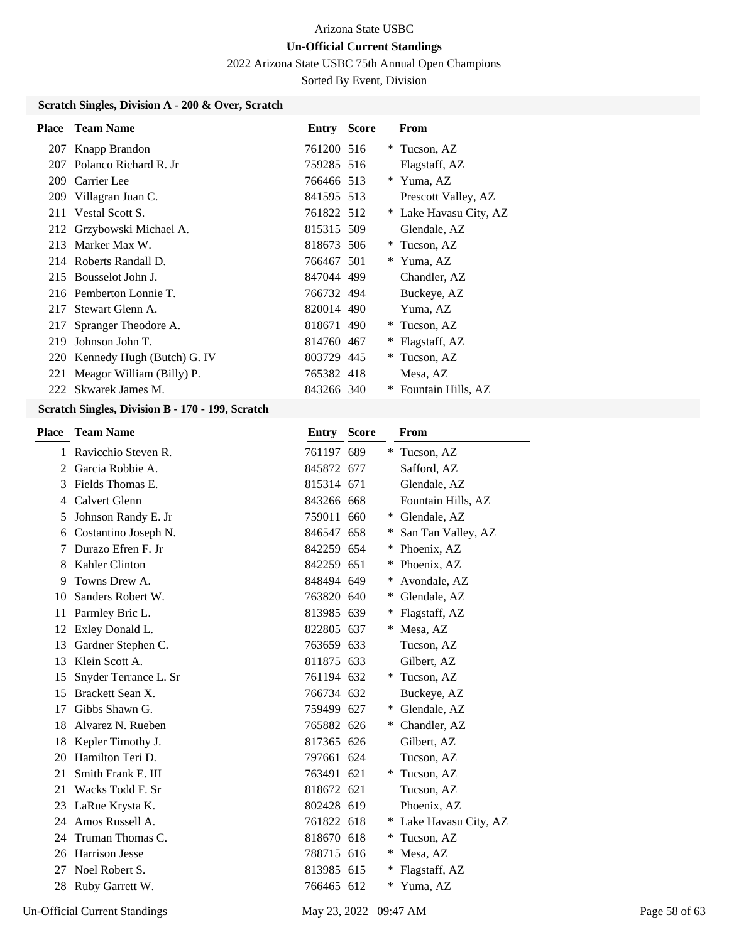2022 Arizona State USBC 75th Annual Open Champions

Sorted By Event, Division

### **Scratch Singles, Division A - 200 & Over, Scratch**

| <b>Place</b> | <b>Team Name</b>               | Entry      | <b>Score</b> |     | From                   |
|--------------|--------------------------------|------------|--------------|-----|------------------------|
|              | 207 Knapp Brandon              | 761200 516 |              |     | * Tucson, AZ           |
| 207          | Polanco Richard R. Jr.         | 759285 516 |              |     | Flagstaff, AZ          |
| 209          | Carrier Lee                    | 766466 513 |              |     | * Yuma, AZ             |
| 209          | Villagran Juan C.              | 841595 513 |              |     | Prescott Valley, AZ    |
|              | 211 Vestal Scott S.            | 761822 512 |              |     | * Lake Havasu City, AZ |
|              | 212 Grzybowski Michael A.      | 815315 509 |              |     | Glendale, AZ           |
|              | 213 Marker Max W.              | 818673 506 |              |     | * Tucson, AZ           |
|              | 214 Roberts Randall D.         | 766467 501 |              | $*$ | Yuma, AZ               |
|              | 215 Bousselot John J.          | 847044 499 |              |     | Chandler, AZ           |
|              | 216 Pemberton Lonnie T.        | 766732 494 |              |     | Buckeye, AZ            |
| 217          | Stewart Glenn A.               | 820014 490 |              |     | Yuma, AZ               |
| 217          | Spranger Theodore A.           | 818671 490 |              | $*$ | Tucson, AZ             |
| 219          | Johnson John T.                | 814760 467 |              |     | Flagstaff, AZ          |
|              | 220 Kennedy Hugh (Butch) G. IV | 803729 445 |              | $*$ | Tucson, AZ             |
|              | 221 Meagor William (Billy) P.  | 765382 418 |              |     | Mesa, AZ               |
|              | 222 Skwarek James M.           | 843266 340 |              |     | Fountain Hills, AZ     |

#### **Scratch Singles, Division B - 170 - 199, Scratch**

| <b>Place</b>  | <b>Team Name</b>      | Entry      | <b>Score</b> |    | From                 |
|---------------|-----------------------|------------|--------------|----|----------------------|
| 1             | Ravicchio Steven R.   | 761197 689 |              |    | Tucson, AZ           |
| $\mathcal{L}$ | Garcia Robbie A.      | 845872 677 |              |    | Safford, AZ          |
| 3             | Fields Thomas E.      | 815314 671 |              |    | Glendale, AZ         |
| 4             | Calvert Glenn         | 843266 668 |              |    | Fountain Hills, AZ   |
| 5             | Johnson Randy E. Jr   | 759011 660 |              | *  | Glendale, AZ         |
| 6             | Costantino Joseph N.  | 846547 658 |              | ∗  | San Tan Valley, AZ   |
| 7             | Durazo Efren F. Jr    | 842259 654 |              | ∗  | Phoenix, AZ          |
| 8             | Kahler Clinton        | 842259 651 |              |    | Phoenix, AZ          |
| 9             | Towns Drew A.         | 848494 649 |              | ∗  | Avondale, AZ         |
| 10            | Sanders Robert W.     | 763820 640 |              | ∗  | Glendale, AZ         |
| 11            | Parmley Bric L.       | 813985 639 |              | ∗  | Flagstaff, AZ        |
| 12            | Exley Donald L.       | 822805 637 |              | ∗  | Mesa, AZ             |
| 13            | Gardner Stephen C.    | 763659 633 |              |    | Tucson, AZ           |
| 13            | Klein Scott A.        | 811875 633 |              |    | Gilbert, AZ          |
| 15            | Snyder Terrance L. Sr | 761194 632 |              |    | Tucson, AZ           |
| 15            | Brackett Sean X.      | 766734 632 |              |    | Buckeye, AZ          |
| 17            | Gibbs Shawn G.        | 759499 627 |              |    | Glendale, AZ         |
| 18            | Alvarez N. Rueben     | 765882 626 |              | *  | Chandler, AZ         |
| 18            | Kepler Timothy J.     | 817365 626 |              |    | Gilbert, AZ          |
| 20            | Hamilton Teri D.      | 797661 624 |              |    | Tucson, AZ           |
| 21            | Smith Frank E. III    | 763491 621 |              | *  | Tucson, AZ           |
| 21            | Wacks Todd F. Sr      | 818672 621 |              |    | Tucson, AZ           |
| 23            | LaRue Krysta K.       | 802428 619 |              |    | Phoenix, AZ          |
| 24            | Amos Russell A.       | 761822 618 |              |    | Lake Havasu City, AZ |
| 24            | Truman Thomas C.      | 818670 618 |              | ∗  | Tucson, AZ           |
| 26            | <b>Harrison Jesse</b> | 788715 616 |              |    | Mesa, AZ             |
| 27            | Noel Robert S.        | 813985 615 |              |    | Flagstaff, AZ        |
| 28            | Ruby Garrett W.       | 766465 612 |              | *. | Yuma, AZ             |

Un-Official Current Standings May 23, 2022 09:47 AM Page 58 of 63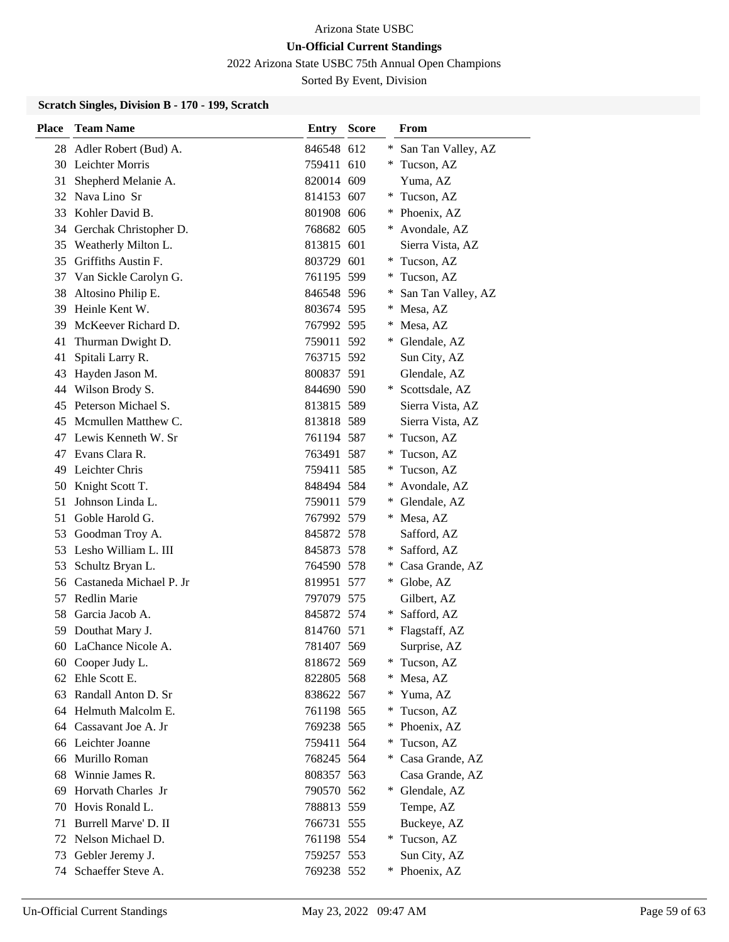2022 Arizona State USBC 75th Annual Open Champions

Sorted By Event, Division

### **Scratch Singles, Division B - 170 - 199, Scratch**

| Place | <b>Team Name</b>        | <b>Entry Score</b> |     | From               |
|-------|-------------------------|--------------------|-----|--------------------|
| 28    | Adler Robert (Bud) A.   | 846548 612         |     | San Tan Valley, AZ |
| 30    | Leichter Morris         | 759411 610         | *   | Tucson, AZ         |
| 31    | Shepherd Melanie A.     | 820014 609         |     | Yuma, AZ           |
| 32    | Nava Lino Sr            | 814153 607         | ∗   | Tucson, AZ         |
| 33    | Kohler David B.         | 801908 606         | *   | Phoenix, AZ        |
| 34    | Gerchak Christopher D.  | 768682 605         | *   | Avondale, AZ       |
| 35    | Weatherly Milton L.     | 813815 601         |     | Sierra Vista, AZ   |
| 35    | Griffiths Austin F.     | 803729 601         |     | * Tucson, AZ       |
| 37    | Van Sickle Carolyn G.   | 761195 599         | *.  | Tucson, AZ         |
| 38    | Altosino Philip E.      | 846548 596         | *   | San Tan Valley, AZ |
| 39    | Heinle Kent W.          | 803674 595         | ∗   | Mesa, AZ           |
| 39    | McKeever Richard D.     | 767992 595         | *   | Mesa, AZ           |
| 41    | Thurman Dwight D.       | 759011 592         | *   | Glendale, AZ       |
| 41    | Spitali Larry R.        | 763715 592         |     | Sun City, AZ       |
| 43    | Hayden Jason M.         | 800837 591         |     | Glendale, AZ       |
| 44    | Wilson Brody S.         | 844690 590         | $*$ | Scottsdale, AZ     |
| 45    | Peterson Michael S.     | 813815 589         |     | Sierra Vista, AZ   |
| 45    | Mcmullen Matthew C.     | 813818 589         |     | Sierra Vista, AZ   |
| 47    | Lewis Kenneth W. Sr     | 761194 587         |     | Tucson, AZ         |
| 47    | Evans Clara R.          | 763491 587         | *.  | Tucson, AZ         |
| 49    | Leichter Chris          | 759411 585         | *   | Tucson, AZ         |
| 50    | Knight Scott T.         | 848494 584         | ∗   | Avondale, AZ       |
| 51    | Johnson Linda L.        | 759011 579         |     | Glendale, AZ       |
| 51    | Goble Harold G.         | 767992 579         | *   | Mesa, AZ           |
| 53    | Goodman Troy A.         | 845872 578         |     | Safford, AZ        |
| 53    | Lesho William L. III    | 845873 578         | ∗   | Safford, AZ        |
| 53    | Schultz Bryan L.        | 764590 578         |     | Casa Grande, AZ    |
| 56    | Castaneda Michael P. Jr | 819951 577         | *   | Globe, AZ          |
| 57    | Redlin Marie            | 797079 575         |     | Gilbert, AZ        |
| 58    | Garcia Jacob A.         | 845872 574         | ∗   | Safford, AZ        |
| 59    | Douthat Mary J.         | 814760 571         |     | Flagstaff, AZ      |
| 60    | LaChance Nicole A.      | 781407 569         |     | Surprise, AZ       |
| 60    | Cooper Judy L.          | 818672 569         | ∗   | Tucson, AZ         |
| 62    | Ehle Scott E.           | 822805 568         | ∗   | Mesa, AZ           |
| 63    | Randall Anton D. Sr     | 838622 567         |     | Yuma, AZ           |
| 64    | Helmuth Malcolm E.      | 761198 565         | ∗   | Tucson, AZ         |
| 64    | Cassavant Joe A. Jr     | 769238 565         | ∗   | Phoenix, AZ        |
| 66    | Leichter Joanne         | 759411 564         | *   | Tucson, AZ         |
| 66    | Murillo Roman           | 768245 564         | ∗   | Casa Grande, AZ    |
| 68    | Winnie James R.         | 808357 563         |     | Casa Grande, AZ    |
| 69    | Horvath Charles Jr      | 790570 562         | *   | Glendale, AZ       |
| 70    | Hovis Ronald L.         | 788813 559         |     | Tempe, AZ          |
| 71    | Burrell Marve' D. II    | 766731 555         |     | Buckeye, AZ        |
| 72    | Nelson Michael D.       | 761198 554         |     | * Tucson, AZ       |
| 73    | Gebler Jeremy J.        | 759257 553         |     | Sun City, AZ       |
| 74    | Schaeffer Steve A.      | 769238 552         | *   | Phoenix, AZ        |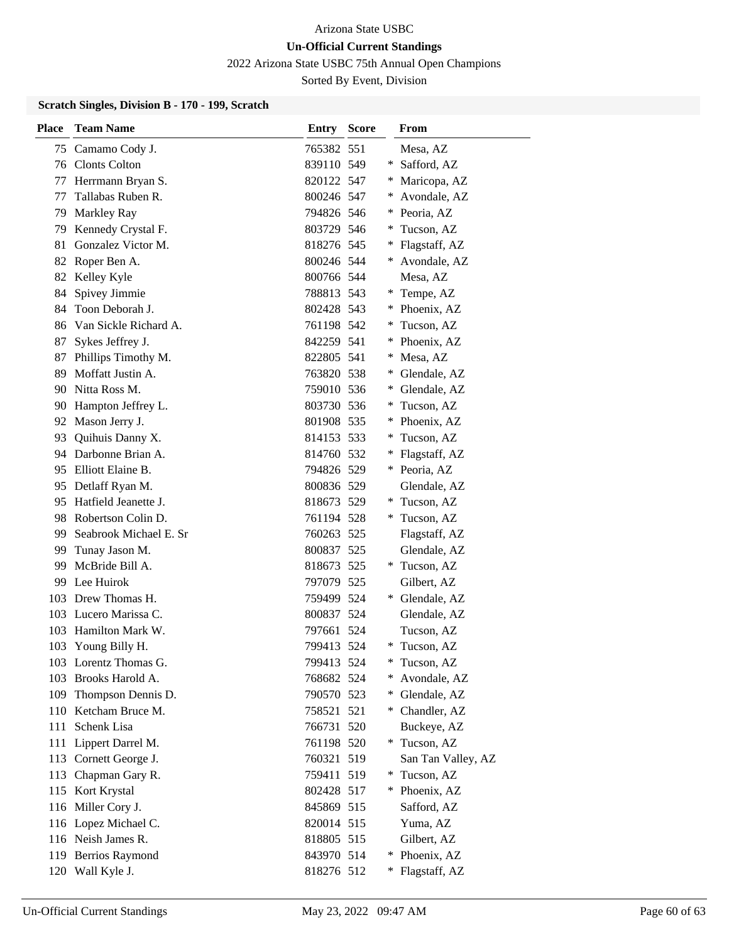2022 Arizona State USBC 75th Annual Open Champions

Sorted By Event, Division

### **Scratch Singles, Division B - 170 - 199, Scratch**

| <b>Place</b> | <b>Team Name</b>        | Entry      | <b>Score</b> |        | From               |
|--------------|-------------------------|------------|--------------|--------|--------------------|
| 75           | Camamo Cody J.          | 765382 551 |              |        | Mesa, AZ           |
|              | 76 Clonts Colton        | 839110 549 |              |        | * Safford, AZ      |
| 77           | Herrmann Bryan S.       | 820122 547 |              |        | * Maricopa, AZ     |
| 77           | Tallabas Ruben R.       | 800246 547 |              | $*$    | Avondale, AZ       |
| 79           | Markley Ray             | 794826 546 |              | ∗      | Peoria, AZ         |
| 79           | Kennedy Crystal F.      | 803729 546 |              | ∗      | Tucson, AZ         |
| 81           | Gonzalez Victor M.      | 818276 545 |              |        | * Flagstaff, AZ    |
| 82           | Roper Ben A.            | 800246 544 |              |        | * Avondale, AZ     |
| 82           | Kelley Kyle             | 800766 544 |              |        | Mesa, AZ           |
| 84           | Spivey Jimmie           | 788813 543 |              | *      | Tempe, AZ          |
| 84           | Toon Deborah J.         | 802428 543 |              | *      | Phoenix, AZ        |
| 86           | Van Sickle Richard A.   | 761198 542 |              | $\ast$ | Tucson, AZ         |
| 87           | Sykes Jeffrey J.        | 842259 541 |              | ∗      | Phoenix, AZ        |
| 87           | Phillips Timothy M.     | 822805 541 |              | ∗      | Mesa, AZ           |
| 89           | Moffatt Justin A.       | 763820 538 |              | $\ast$ | Glendale, AZ       |
| 90           | Nitta Ross M.           | 759010 536 |              | $\ast$ | Glendale, AZ       |
| 90           | Hampton Jeffrey L.      | 803730 536 |              | ∗      | Tucson, AZ         |
| 92           | Mason Jerry J.          | 801908 535 |              | ∗      | Phoenix, AZ        |
| 93           | Quihuis Danny X.        | 814153 533 |              | $\ast$ | Tucson, AZ         |
|              | 94 Darbonne Brian A.    | 814760 532 |              | $\ast$ | Flagstaff, AZ      |
| 95           | Elliott Elaine B.       | 794826 529 |              |        | * Peoria, AZ       |
| 95           | Detlaff Ryan M.         | 800836 529 |              |        | Glendale, AZ       |
|              | 95 Hatfield Jeanette J. | 818673 529 |              |        | * Tucson, AZ       |
| 98           | Robertson Colin D.      | 761194 528 |              | $\ast$ | Tucson, AZ         |
| 99           | Seabrook Michael E. Sr  | 760263 525 |              |        | Flagstaff, AZ      |
| 99           | Tunay Jason M.          | 800837 525 |              |        | Glendale, AZ       |
| 99           | McBride Bill A.         | 818673 525 |              |        | * Tucson, AZ       |
| 99           | Lee Huirok              | 797079 525 |              |        | Gilbert, AZ        |
|              | 103 Drew Thomas H.      | 759499 524 |              | *      | Glendale, AZ       |
|              | 103 Lucero Marissa C.   | 800837 524 |              |        | Glendale, AZ       |
|              | 103 Hamilton Mark W.    | 797661 524 |              |        | Tucson, AZ         |
| 103          | Young Billy H.          | 799413 524 |              | *      | Tucson, AZ         |
|              | 103 Lorentz Thomas G.   | 799413 524 |              | $\ast$ | Tucson, AZ         |
|              | 103 Brooks Harold A.    | 768682 524 |              | ∗      | Avondale, AZ       |
|              | 109 Thompson Dennis D.  | 790570 523 |              | $*$    | Glendale, AZ       |
| 110          | Ketcham Bruce M.        | 758521 521 |              |        | * Chandler, AZ     |
| 111          | Schenk Lisa             | 766731 520 |              |        | Buckeye, AZ        |
| 111          | Lippert Darrel M.       | 761198 520 |              |        | * Tucson, AZ       |
|              | 113 Cornett George J.   | 760321 519 |              |        | San Tan Valley, AZ |
| 113          | Chapman Gary R.         | 759411 519 |              | $*$    | Tucson, AZ         |
|              | 115 Kort Krystal        | 802428 517 |              | $*$    | Phoenix, AZ        |
|              | 116 Miller Cory J.      | 845869 515 |              |        | Safford, AZ        |
|              | 116 Lopez Michael C.    | 820014 515 |              |        | Yuma, AZ           |
|              | 116 Neish James R.      | 818805 515 |              |        | Gilbert, AZ        |
|              | 119 Berrios Raymond     | 843970 514 |              | ∗      | Phoenix, AZ        |
|              | 120 Wall Kyle J.        | 818276 512 |              | ∗      | Flagstaff, AZ      |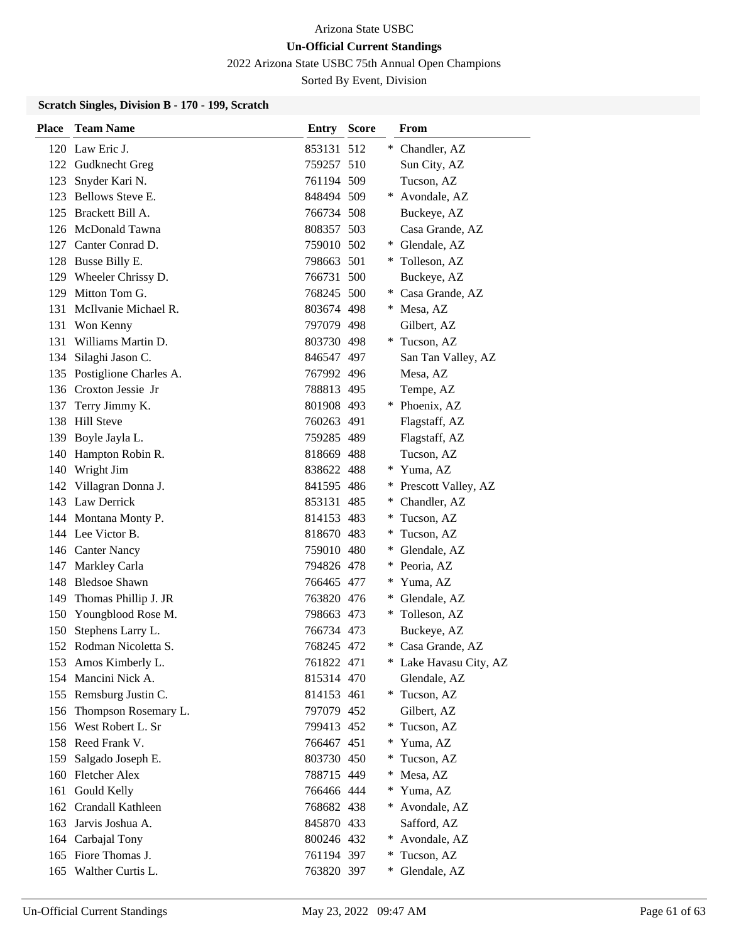2022 Arizona State USBC 75th Annual Open Champions

Sorted By Event, Division

### **Scratch Singles, Division B - 170 - 199, Scratch**

| Place | <b>Team Name</b>           | <b>Entry Score</b> |        | From                   |
|-------|----------------------------|--------------------|--------|------------------------|
|       | 120 Law Eric J.            | 853131 512         |        | * Chandler, AZ         |
|       | 122 Gudknecht Greg         | 759257 510         |        | Sun City, AZ           |
| 123   | Snyder Kari N.             | 761194 509         |        | Tucson, AZ             |
|       | 123 Bellows Steve E.       | 848494 509         | $*$    | Avondale, AZ           |
|       | 125 Brackett Bill A.       | 766734 508         |        | Buckeye, AZ            |
|       | 126 McDonald Tawna         | 808357 503         |        | Casa Grande, AZ        |
|       | 127 Canter Conrad D.       | 759010 502         |        | * Glendale, AZ         |
|       | 128 Busse Billy E.         | 798663 501         |        | * Tolleson, AZ         |
|       | 129 Wheeler Chrissy D.     | 766731 500         |        | Buckeye, AZ            |
|       | 129 Mitton Tom G.          | 768245 500         |        | Casa Grande, AZ        |
|       | 131 McIlvanie Michael R.   | 803674 498         |        | * Mesa, AZ             |
|       | 131 Won Kenny              | 797079 498         |        | Gilbert, AZ            |
|       | 131 Williams Martin D.     | 803730 498         |        | * Tucson, AZ           |
|       | 134 Silaghi Jason C.       | 846547 497         |        | San Tan Valley, AZ     |
|       | 135 Postiglione Charles A. | 767992 496         |        | Mesa, AZ               |
|       | 136 Croxton Jessie Jr      | 788813 495         |        | Tempe, AZ              |
| 137   | Terry Jimmy K.             | 801908 493         |        | Phoenix, AZ            |
|       | 138 Hill Steve             | 760263 491         |        | Flagstaff, AZ          |
|       | 139 Boyle Jayla L.         | 759285 489         |        | Flagstaff, AZ          |
|       | 140 Hampton Robin R.       | 818669 488         |        | Tucson, AZ             |
|       | 140 Wright Jim             | 838622 488         |        | * Yuma, AZ             |
|       | 142 Villagran Donna J.     | 841595 486         | *.     | Prescott Valley, AZ    |
|       | 143 Law Derrick            | 853131 485         | ∗      | Chandler, AZ           |
|       | 144 Montana Monty P.       | 814153 483         | ∗      | Tucson, AZ             |
|       | 144 Lee Victor B.          | 818670 483         | $*$    | Tucson, AZ             |
|       | 146 Canter Nancy           | 759010 480         | *      | Glendale, AZ           |
|       | 147 Markley Carla          | 794826 478         | *.     | Peoria, AZ             |
|       | 148 Bledsoe Shawn          | 766465 477         | $*$    | Yuma, AZ               |
| 149   | Thomas Phillip J. JR       | 763820 476         | *      | Glendale, AZ           |
|       | 150 Youngblood Rose M.     | 798663 473         | *.     | Tolleson, AZ           |
|       | 150 Stephens Larry L.      | 766734 473         |        | Buckeye, AZ            |
|       | 152 Rodman Nicoletta S.    | 768245 472         | ∗      | Casa Grande, AZ        |
|       | 153 Amos Kimberly L.       | 761822 471         |        | * Lake Havasu City, AZ |
|       | 154 Mancini Nick A.        | 815314 470         |        | Glendale, AZ           |
|       | 155 Remsburg Justin C.     | 814153 461         |        | * Tucson, AZ           |
|       | 156 Thompson Rosemary L.   | 797079 452         |        | Gilbert, AZ            |
|       | 156 West Robert L. Sr      | 799413 452         | $\ast$ | Tucson, AZ             |
|       | 158 Reed Frank V.          | 766467 451         | ∗      | Yuma, AZ               |
|       | 159 Salgado Joseph E.      | 803730 450         | *      | Tucson, AZ             |
|       | 160 Fletcher Alex          | 788715 449         | $\ast$ | Mesa, AZ               |
|       | 161 Gould Kelly            | 766466 444         | $\ast$ | Yuma, AZ               |
|       | 162 Crandall Kathleen      | 768682 438         | ∗      | Avondale, AZ           |
|       | 163 Jarvis Joshua A.       | 845870 433         |        | Safford, AZ            |
|       | 164 Carbajal Tony          | 800246 432         | ∗      | Avondale, AZ           |
|       | 165 Fiore Thomas J.        | 761194 397         | $*$    | Tucson, AZ             |
|       | 165 Walther Curtis L.      | 763820 397         | $\ast$ | Glendale, AZ           |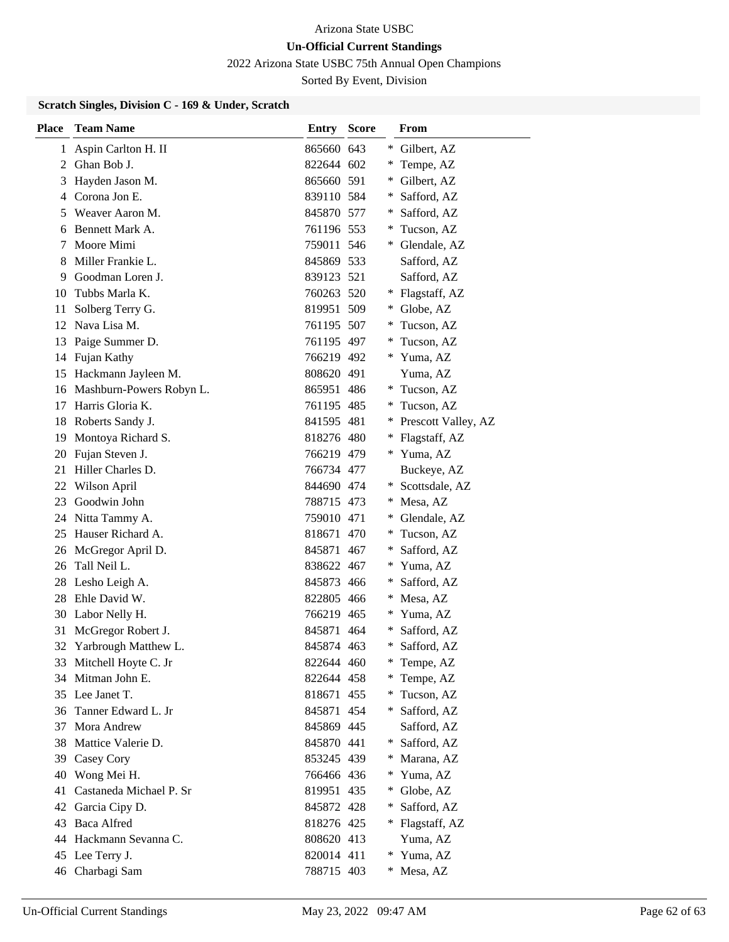2022 Arizona State USBC 75th Annual Open Champions

Sorted By Event, Division

### **Scratch Singles, Division C - 169 & Under, Scratch**

| <b>Place</b> | <b>Team Name</b>         | Entry      | <b>Score</b> |        | <b>From</b>         |
|--------------|--------------------------|------------|--------------|--------|---------------------|
| 1            | Aspin Carlton H. II      | 865660 643 |              | ∗      | Gilbert, AZ         |
| 2            | Ghan Bob J.              | 822644 602 |              |        | Tempe, AZ           |
| 3            | Hayden Jason M.          | 865660 591 |              | ∗      | Gilbert, AZ         |
| 4            | Corona Jon E.            | 839110 584 |              | ∗      | Safford, AZ         |
| 5            | Weaver Aaron M.          | 845870 577 |              | ∗      | Safford, AZ         |
| 6            | Bennett Mark A.          | 761196 553 |              | ∗      | Tucson, AZ          |
| 7            | Moore Mimi               | 759011 546 |              | ∗      | Glendale, AZ        |
| 8            | Miller Frankie L.        | 845869 533 |              |        | Safford, AZ         |
| 9            | Goodman Loren J.         | 839123 521 |              |        | Safford, AZ         |
| 10           | Tubbs Marla K.           | 760263 520 |              | ∗      | Flagstaff, AZ       |
| 11           | Solberg Terry G.         | 819951 509 |              | ∗      | Globe, AZ           |
| 12           | Nava Lisa M.             | 761195 507 |              | ∗      | Tucson, AZ          |
| 13           | Paige Summer D.          | 761195 497 |              | ∗      | Tucson, AZ          |
| 14           | Fujan Kathy              | 766219 492 |              | ∗      | Yuma, AZ            |
| 15           | Hackmann Jayleen M.      | 808620 491 |              |        | Yuma, AZ            |
| 16           | Mashburn-Powers Robyn L. | 865951 486 |              | ∗      | Tucson, AZ          |
| 17           | Harris Gloria K.         | 761195 485 |              | ∗      | Tucson, AZ          |
| 18           | Roberts Sandy J.         | 841595 481 |              | ∗      | Prescott Valley, AZ |
| 19           | Montoya Richard S.       | 818276 480 |              | ∗      | Flagstaff, AZ       |
| 20           | Fujan Steven J.          | 766219 479 |              | *      | Yuma, AZ            |
| 21           | Hiller Charles D.        | 766734 477 |              |        | Buckeye, AZ         |
| 22           | Wilson April             | 844690 474 |              | ∗      | Scottsdale, AZ      |
| 23           | Goodwin John             | 788715 473 |              | ∗      | Mesa, AZ            |
| 24           | Nitta Tammy A.           | 759010 471 |              | ∗      | Glendale, AZ        |
| 25           | Hauser Richard A.        | 818671 470 |              | ∗      | Tucson, AZ          |
| 26           | McGregor April D.        | 845871 467 |              | ∗      | Safford, AZ         |
| 26           | Tall Neil L.             | 838622 467 |              | ∗      | Yuma, AZ            |
| 28           | Lesho Leigh A.           | 845873 466 |              | ∗      | Safford, AZ         |
| 28           | Ehle David W.            | 822805 466 |              | ∗      | Mesa, AZ            |
| 30           | Labor Nelly H.           | 766219 465 |              |        | Yuma, AZ            |
| 31           | McGregor Robert J.       | 845871 464 |              | ∗      | Safford, AZ         |
| 32           | Yarbrough Matthew L.     | 845874 463 |              | ∗      | Safford, AZ         |
|              | 33 Mitchell Hoyte C. Jr  | 822644 460 |              | ∗      | Tempe, AZ           |
|              | 34 Mitman John E.        | 822644 458 |              |        | Tempe, AZ           |
|              | 35 Lee Janet T.          | 818671 455 |              | ∗      | Tucson, AZ          |
| 36           | Tanner Edward L. Jr      | 845871 454 |              | ∗      | Safford, AZ         |
| 37           | Mora Andrew              | 845869 445 |              |        | Safford, AZ         |
| 38           | Mattice Valerie D.       | 845870 441 |              | ∗      | Safford, AZ         |
|              | 39 Casey Cory            | 853245 439 |              | ∗      | Marana, AZ          |
| 40           | Wong Mei H.              | 766466 436 |              | $\ast$ | Yuma, AZ            |
| 41           | Castaneda Michael P. Sr  | 819951 435 |              | ∗      | Globe, AZ           |
| 42           | Garcia Cipy D.           | 845872 428 |              | ∗      | Safford, AZ         |
| 43           | <b>Baca Alfred</b>       | 818276 425 |              | *.     | Flagstaff, AZ       |
| 44           | Hackmann Sevanna C.      | 808620 413 |              |        | Yuma, AZ            |
|              | 45 Lee Terry J.          | 820014 411 |              | ∗      | Yuma, AZ            |
|              | 46 Charbagi Sam          | 788715 403 |              |        | Mesa, AZ            |